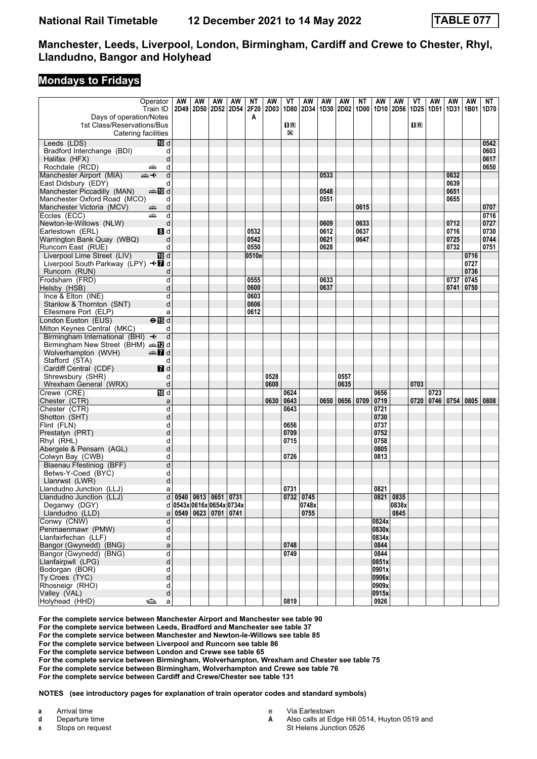#### **Mondays to Fridays**

|                                                   | Operator                  | AW                                          | AW                       | AW | AW | ΝT    | AW   | VT                                                   | AW                        | AW   | AW   | ΝT   | AW             | AW            | ۷T               | AW             | AW                 | AW           | NT           |
|---------------------------------------------------|---------------------------|---------------------------------------------|--------------------------|----|----|-------|------|------------------------------------------------------|---------------------------|------|------|------|----------------|---------------|------------------|----------------|--------------------|--------------|--------------|
|                                                   | Train ID                  |                                             | 2D49 2D50 2D52 2D54 2F20 |    |    |       | 2D03 |                                                      | 1D80   2D34   1D30   2D02 |      |      | 1D00 |                | 1D10 2D56     | 1D <sub>25</sub> |                | 1D51   1D31   1B01 |              | 1D70         |
| Days of operation/Notes                           |                           |                                             |                          |    |    | A     |      |                                                      |                           |      |      |      |                |               |                  |                |                    |              |              |
| 1st Class/Reservations/Bus                        |                           |                                             |                          |    |    |       |      | $\overline{\mathbf{H}}$ $\overline{\mathbf{R}}$<br>X |                           |      |      |      |                |               | 1R               |                |                    |              |              |
| Catering facilities                               |                           |                                             |                          |    |    |       |      |                                                      |                           |      |      |      |                |               |                  |                |                    |              |              |
| Leeds (LDS)                                       | [10] d                    |                                             |                          |    |    |       |      |                                                      |                           |      |      |      |                |               |                  |                |                    |              | 0542         |
| Bradford Interchange (BDI)<br>Halifax (HFX)       | d<br>d                    |                                             |                          |    |    |       |      |                                                      |                           |      |      |      |                |               |                  |                |                    |              | 0603<br>0617 |
| Rochdale (RCD)                                    | d<br>پیش                  |                                             |                          |    |    |       |      |                                                      |                           |      |      |      |                |               |                  |                |                    |              | 0650         |
| Manchester Airport (MIA)                          | d<br>⇜↞                   |                                             |                          |    |    |       |      |                                                      |                           | 0533 |      |      |                |               |                  |                | 0632               |              |              |
| East Didsbury (EDY)                               | d                         |                                             |                          |    |    |       |      |                                                      |                           |      |      |      |                |               |                  |                | 0639               |              |              |
| Manchester Piccadilly (MAN)                       | an‱a 100 d                |                                             |                          |    |    |       |      |                                                      |                           | 0548 |      |      |                |               |                  |                | 0651               |              |              |
| Manchester Oxford Road (MCO)                      | d                         |                                             |                          |    |    |       |      |                                                      |                           | 0551 |      |      |                |               |                  |                | 0655               |              |              |
| Manchester Victoria (MCV)                         | d<br>æ                    |                                             |                          |    |    |       |      |                                                      |                           |      |      | 0615 |                |               |                  |                |                    |              | 0707         |
| Eccles (ECC)                                      | d<br>چھ                   |                                             |                          |    |    |       |      |                                                      |                           |      |      |      |                |               |                  |                |                    |              | 0716         |
| Newton-le-Willows (NLW)                           | d                         |                                             |                          |    |    |       |      |                                                      |                           | 0609 |      | 0633 |                |               |                  |                | 0712               |              | 0727         |
| Earlestown (ERL)                                  | 3d                        |                                             |                          |    |    | 0532  |      |                                                      |                           | 0612 |      | 0637 |                |               |                  |                | 0716               |              | 0730         |
| Warrington Bank Quay (WBQ)                        | d                         |                                             |                          |    |    | 0542  |      |                                                      |                           | 0621 |      | 0647 |                |               |                  |                | 0725               |              | 0744         |
| Runcorn East (RUE)                                | d                         |                                             |                          |    |    | 0550  |      |                                                      |                           | 0628 |      |      |                |               |                  |                | 0732               |              | 0751         |
| Liverpool Lime Street (LIV)                       | III d                     |                                             |                          |    |    | 0510e |      |                                                      |                           |      |      |      |                |               |                  |                |                    | 0716         |              |
| Liverpool South Parkway (LPY) <■ d                |                           |                                             |                          |    |    |       |      |                                                      |                           |      |      |      |                |               |                  |                |                    | 0727         |              |
| Runcorn (RUN)<br>Frodsham (FRD)                   | d<br>d                    |                                             |                          |    |    | 0555  |      |                                                      |                           | 0633 |      |      |                |               |                  |                | 0737               | 0736<br>0745 |              |
| Helsby (HSB)                                      | d                         |                                             |                          |    |    | 0600  |      |                                                      |                           | 0637 |      |      |                |               |                  |                | 0741               | 0750         |              |
| Ince & Elton (INE)                                | d                         |                                             |                          |    |    | 0603  |      |                                                      |                           |      |      |      |                |               |                  |                |                    |              |              |
| Stanlow & Thornton (SNT)                          | d                         |                                             |                          |    |    | 0606  |      |                                                      |                           |      |      |      |                |               |                  |                |                    |              |              |
| Ellesmere Port (ELP)                              | a                         |                                             |                          |    |    | 0612  |      |                                                      |                           |      |      |      |                |               |                  |                |                    |              |              |
| London Euston (EUS)                               | $\Theta$ $\blacksquare$ d |                                             |                          |    |    |       |      |                                                      |                           |      |      |      |                |               |                  |                |                    |              |              |
| Milton Keynes Central (MKC)                       | d                         |                                             |                          |    |    |       |      |                                                      |                           |      |      |      |                |               |                  |                |                    |              |              |
| Birmingham International (BHI) <                  | d                         |                                             |                          |    |    |       |      |                                                      |                           |      |      |      |                |               |                  |                |                    |              |              |
| Birmingham New Street (BHM) $\oplus \mathbb{Z}$ d |                           |                                             |                          |    |    |       |      |                                                      |                           |      |      |      |                |               |                  |                |                    |              |              |
| Wolverhampton (WVH)                               | $\mathbb{Z}$ d            |                                             |                          |    |    |       |      |                                                      |                           |      |      |      |                |               |                  |                |                    |              |              |
| Stafford (STA)                                    | d                         |                                             |                          |    |    |       |      |                                                      |                           |      |      |      |                |               |                  |                |                    |              |              |
| Cardiff Central (CDF)                             | 7d                        |                                             |                          |    |    |       |      |                                                      |                           |      |      |      |                |               |                  |                |                    |              |              |
| Shrewsbury (SHR)                                  | d                         |                                             |                          |    |    |       | 0528 |                                                      |                           |      | 0557 |      |                |               |                  |                |                    |              |              |
| Wrexham General (WRX)                             | d                         |                                             |                          |    |    |       | 0608 |                                                      |                           |      | 0635 |      |                |               | 0703             |                |                    |              |              |
| Crewe (CRE)                                       | <b>TD</b> d               |                                             |                          |    |    |       |      | 0624                                                 |                           |      |      |      | 0656           |               |                  | 0723           |                    |              |              |
| Chester (CTR)<br>Chester (CTR)                    | a<br>d                    |                                             |                          |    |    |       | 0630 | 0643<br>0643                                         |                           | 0650 | 0656 | 0709 | 0719<br>0721   |               |                  | 0720 0746 0754 |                    | 0805         | 0808         |
| Shotton (SHT)                                     | d                         |                                             |                          |    |    |       |      |                                                      |                           |      |      |      | 0730           |               |                  |                |                    |              |              |
| Flint (FLN)                                       | d                         |                                             |                          |    |    |       |      | 0656                                                 |                           |      |      |      | 0737           |               |                  |                |                    |              |              |
| Prestatyn (PRT)                                   | d                         |                                             |                          |    |    |       |      | 0709                                                 |                           |      |      |      | 0752           |               |                  |                |                    |              |              |
| Rhyl (RHL)                                        | d                         |                                             |                          |    |    |       |      | 0715                                                 |                           |      |      |      | 0758           |               |                  |                |                    |              |              |
| Abergele & Pensarn (AGL)                          | d                         |                                             |                          |    |    |       |      |                                                      |                           |      |      |      | 0805           |               |                  |                |                    |              |              |
| Colwyn Bay (CWB)                                  | d                         |                                             |                          |    |    |       |      | 0726                                                 |                           |      |      |      | 0813           |               |                  |                |                    |              |              |
| Blaenau Ffestiniog (BFF)                          | d                         |                                             |                          |    |    |       |      |                                                      |                           |      |      |      |                |               |                  |                |                    |              |              |
| Betws-Y-Coed (BYC)                                | d                         |                                             |                          |    |    |       |      |                                                      |                           |      |      |      |                |               |                  |                |                    |              |              |
| Llanrwst (LWR)                                    | d                         |                                             |                          |    |    |       |      |                                                      |                           |      |      |      |                |               |                  |                |                    |              |              |
| Llandudno Junction (LLJ)                          | a                         |                                             |                          |    |    |       |      | 0731                                                 |                           |      |      |      | 0821           |               |                  |                |                    |              |              |
| Llandudno Junction (LLJ)                          |                           | d 0540 0613 0651 0731                       |                          |    |    |       |      |                                                      | 0732 0745                 |      |      |      |                | 0821 0835     |                  |                |                    |              |              |
| Deganwy (DGY)                                     |                           | d 0543x 0616x 0654x 0734x                   |                          |    |    |       |      |                                                      | 0748x                     |      |      |      |                | 0838x<br>0845 |                  |                |                    |              |              |
| Llandudno (LLD)                                   |                           | $a \mid 0549 \mid 0623 \mid 0701 \mid 0741$ |                          |    |    |       |      |                                                      | 0755                      |      |      |      |                |               |                  |                |                    |              |              |
| Conwy (CNW)<br>Penmaenmawr (PMW)                  | d<br>d                    |                                             |                          |    |    |       |      |                                                      |                           |      |      |      | 0824x<br>0830x |               |                  |                |                    |              |              |
| Llanfairfechan (LLF)                              | d                         |                                             |                          |    |    |       |      |                                                      |                           |      |      |      | 0834x          |               |                  |                |                    |              |              |
| Bangor (Gwynedd) (BNG)                            | a                         |                                             |                          |    |    |       |      | 0748                                                 |                           |      |      |      | 0844           |               |                  |                |                    |              |              |
| Bangor (Gwynedd) (BNG)                            | $\overline{\mathsf{d}}$   |                                             |                          |    |    |       |      | 0749                                                 |                           |      |      |      | 0844           |               |                  |                |                    |              |              |
| Llanfairpwll (LPG)                                | d                         |                                             |                          |    |    |       |      |                                                      |                           |      |      |      | 0851x          |               |                  |                |                    |              |              |
| Bodorgan (BOR)                                    | d                         |                                             |                          |    |    |       |      |                                                      |                           |      |      |      | 0901x          |               |                  |                |                    |              |              |
| Ty Croes (TYC)                                    | d                         |                                             |                          |    |    |       |      |                                                      |                           |      |      |      | 0906x          |               |                  |                |                    |              |              |
| Rhosneigr (RHO)                                   | d                         |                                             |                          |    |    |       |      |                                                      |                           |      |      |      | 0909x          |               |                  |                |                    |              |              |
| Valley (VAL)                                      | d                         |                                             |                          |    |    |       |      |                                                      |                           |      |      |      | 0915x          |               |                  |                |                    |              |              |
| Holyhead (HHD)                                    | ⇔<br>a                    |                                             |                          |    |    |       |      | 0819                                                 |                           |      |      |      | 0926           |               |                  |                |                    |              |              |

**For the complete service between Manchester Airport and Manchester see table 90**

**For the complete service between Leeds, Bradford and Manchester see table 37**

**For the complete service between Manchester and Newton-le-Willows see table 85**

**For the complete service between Liverpool and Runcorn see table 86**

**For the complete service between London and Crewe see table 65**

**For the complete service between Birmingham, Wolverhampton, Wrexham and Chester see table 75**

**For the complete service between Birmingham, Wolverhampton and Crewe see table 76**

**For the complete service between Cardiff and Crewe/Chester see table 131**

**NOTES (see introductory pages for explanation of train operator codes and standard symbols)**

**a** Arrival time<br>**d** Departure to **d** Departure time

**x** Stops on request

e Via Earlestown<br>**A** Also calls at Ed

- **A** Also calls at Edge Hill 0514, Huyton 0519 and
	- St Helens Junction 0526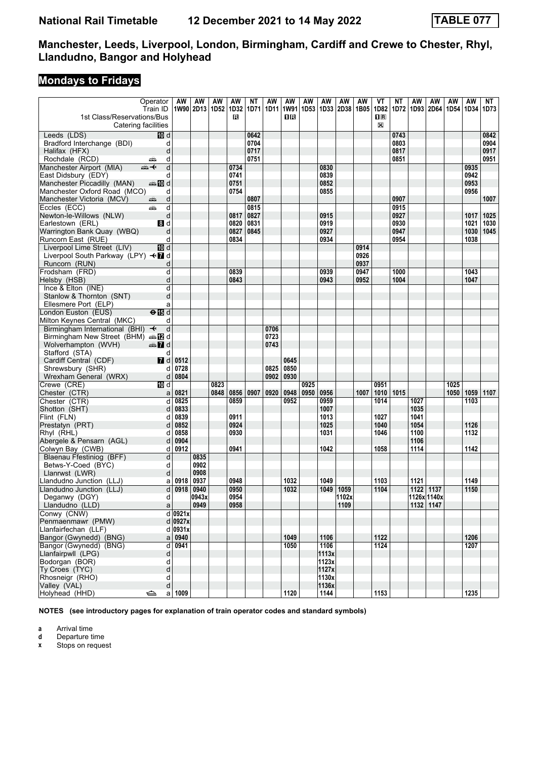# **Mondays to Fridays**

|                                      | Operator<br>Train ID               | <b>AW</b>            | AW<br>1W90 2D13 1D52 | AW           | AW<br>1D32 | NΤ<br>1D71 | <b>AW</b><br>1D11 | <b>AW</b><br>1W91 | <b>AW</b><br>1D <sub>53</sub> | <b>AW</b><br>1D33 | AW<br>2D38 | <b>AW</b><br>1B05 | VT<br>1D82     | <b>NT</b><br>1D72 | AW<br>1D93 | <b>AW</b><br>2D64 | <b>AW</b><br>1D54 | <b>AW</b><br>1D34 | NT<br>1D73 |
|--------------------------------------|------------------------------------|----------------------|----------------------|--------------|------------|------------|-------------------|-------------------|-------------------------------|-------------------|------------|-------------------|----------------|-------------------|------------|-------------------|-------------------|-------------------|------------|
| 1st Class/Reservations/Bus           |                                    |                      |                      |              | в          |            |                   | 0 B               |                               |                   |            |                   | $\mathbf{H}$ R |                   |            |                   |                   |                   |            |
| Catering facilities                  |                                    |                      |                      |              |            |            |                   |                   |                               |                   |            |                   | X              |                   |            |                   |                   |                   |            |
| Leeds (LDS)                          | IO d                               |                      |                      |              |            | 0642       |                   |                   |                               |                   |            |                   |                | 0743              |            |                   |                   |                   | 0842       |
| Bradford Interchange (BDI)           | d                                  |                      |                      |              |            | 0704       |                   |                   |                               |                   |            |                   |                | 0803              |            |                   |                   |                   | 0904       |
| Halifax (HFX)                        | d                                  |                      |                      |              |            | 0717       |                   |                   |                               |                   |            |                   |                | 0817              |            |                   |                   |                   | 0917       |
| Rochdale (RCD)                       | d<br>پیش                           |                      |                      |              |            | 0751       |                   |                   |                               |                   |            |                   |                | 0851              |            |                   |                   |                   | 0951       |
| Manchester Airport (MIA)             | d<br>安                             |                      |                      |              | 0734       |            |                   |                   |                               | 0830              |            |                   |                |                   |            |                   |                   | 0935              |            |
| East Didsbury (EDY)                  | d                                  |                      |                      |              | 0741       |            |                   |                   |                               | 0839              |            |                   |                |                   |            |                   |                   | 0942              |            |
| Manchester Piccadilly (MAN)          | <b>美国d</b>                         |                      |                      |              | 0751       |            |                   |                   |                               | 0852              |            |                   |                |                   |            |                   |                   | 0953              |            |
| Manchester Oxford Road (MCO)         | d                                  |                      |                      |              | 0754       |            |                   |                   |                               | 0855              |            |                   |                |                   |            |                   |                   | 0956              |            |
| Manchester Victoria (MCV)            | d<br>پیش                           |                      |                      |              |            | 0807       |                   |                   |                               |                   |            |                   |                | 0907              |            |                   |                   |                   | 1007       |
| Eccles (ECC)                         | d<br>æ                             |                      |                      |              |            | 0815       |                   |                   |                               |                   |            |                   |                | 0915              |            |                   |                   |                   |            |
| Newton-le-Willows (NLW)              | d                                  |                      |                      |              | 0817       | 0827       |                   |                   |                               | 0915              |            |                   |                | 0927              |            |                   |                   | 1017              | 1025       |
| Earlestown (ERL)                     | 8d                                 |                      |                      |              | 0820       | 0831       |                   |                   |                               | 0919              |            |                   |                | 0930              |            |                   |                   | 1021              | 1030       |
| Warrington Bank Quay (WBQ)           | d                                  |                      |                      |              | 0827       | 0845       |                   |                   |                               | 0927              |            |                   |                | 0947              |            |                   |                   | 1030              | 1045       |
| Runcorn East (RUE)                   | d                                  |                      |                      |              | 0834       |            |                   |                   |                               | 0934              |            |                   |                | 0954              |            |                   |                   | 1038              |            |
| Liverpool Lime Street (LIV)          | <b>TD</b> d                        |                      |                      |              |            |            |                   |                   |                               |                   |            | 0914              |                |                   |            |                   |                   |                   |            |
| Liverpool South Parkway (LPY) <■ d   |                                    |                      |                      |              |            |            |                   |                   |                               |                   |            | 0926              |                |                   |            |                   |                   |                   |            |
| Runcorn (RUN)                        | d                                  |                      |                      |              |            |            |                   |                   |                               |                   |            | 0937              |                |                   |            |                   |                   |                   |            |
| Frodsham (FRD)                       | d                                  |                      |                      |              | 0839       |            |                   |                   |                               | 0939              |            | 0947              |                | 1000              |            |                   |                   | 1043              |            |
| Helsby (HSB)                         | d                                  |                      |                      |              | 0843       |            |                   |                   |                               | 0943              |            | 0952              |                | 1004              |            |                   |                   | 1047              |            |
| Ince & Elton (INE)                   | d                                  |                      |                      |              |            |            |                   |                   |                               |                   |            |                   |                |                   |            |                   |                   |                   |            |
| Stanlow & Thornton (SNT)             | d                                  |                      |                      |              |            |            |                   |                   |                               |                   |            |                   |                |                   |            |                   |                   |                   |            |
| Ellesmere Port (ELP)                 | a                                  |                      |                      |              |            |            |                   |                   |                               |                   |            |                   |                |                   |            |                   |                   |                   |            |
| London Euston (EUS)                  | $\Theta$ $\overline{\mathbb{B}}$ d |                      |                      |              |            |            |                   |                   |                               |                   |            |                   |                |                   |            |                   |                   |                   |            |
| Milton Keynes Central (MKC)          | d                                  |                      |                      |              |            |            |                   |                   |                               |                   |            |                   |                |                   |            |                   |                   |                   |            |
| Birmingham International (BHI) +     | d                                  |                      |                      |              |            |            | 0706              |                   |                               |                   |            |                   |                |                   |            |                   |                   |                   |            |
| Birmingham New Street (BHM) and      |                                    |                      |                      |              |            |            | 0723              |                   |                               |                   |            |                   |                |                   |            |                   |                   |                   |            |
| Wolverhampton (WVH)                  | d and                              |                      |                      |              |            |            | 0743              |                   |                               |                   |            |                   |                |                   |            |                   |                   |                   |            |
| Stafford (STA)                       | d                                  |                      |                      |              |            |            |                   |                   |                               |                   |            |                   |                |                   |            |                   |                   |                   |            |
| Cardiff Central (CDF)                | <b>7</b> d                         | 0512                 |                      |              |            |            |                   | 0645              |                               |                   |            |                   |                |                   |            |                   |                   |                   |            |
| Shrewsbury (SHR)                     | d                                  | 0728                 |                      |              |            |            | 0825              | 0850              |                               |                   |            |                   |                |                   |            |                   |                   |                   |            |
| Wrexham General (WRX)                | d                                  | 0804                 |                      |              |            |            | 0902              | 0930              |                               |                   |            |                   |                |                   |            |                   |                   |                   |            |
| Crewe (CRE)                          | <b>ID</b> d                        |                      |                      | 0823<br>0848 | 0856       |            |                   | 0948              | 0925                          | 0956              |            | 1007              | 0951           | 1015              |            |                   | 1025              | 1059              |            |
| Chester (CTR)<br>Chester (CTR)       | d                                  | a   0821<br>0825     |                      |              | 0859       | 0907       | 0920              | 0952              | 0950                          | 0959              |            |                   | 1010<br>1014   |                   | 1027       |                   | 1050              | 1103              | 1107       |
| Shotton (SHT)                        | d                                  | 0833                 |                      |              |            |            |                   |                   |                               | 1007              |            |                   |                |                   | 1035       |                   |                   |                   |            |
| Flint (FLN)                          | d                                  | 0839                 |                      |              | 0911       |            |                   |                   |                               | 1013              |            |                   | 1027           |                   | 1041       |                   |                   |                   |            |
| Prestatyn (PRT)                      | d                                  | 0852                 |                      |              | 0924       |            |                   |                   |                               | 1025              |            |                   | 1040           |                   | 1054       |                   |                   | 1126              |            |
| Rhyl (RHL)                           | d                                  | 0858                 |                      |              | 0930       |            |                   |                   |                               | 1031              |            |                   | 1046           |                   | 1100       |                   |                   | 1132              |            |
| Abergele & Pensarn (AGL)             | d                                  | 0904                 |                      |              |            |            |                   |                   |                               |                   |            |                   |                |                   | 1106       |                   |                   |                   |            |
| Colwyn Bay (CWB)                     | d                                  | 0912                 |                      |              | 0941       |            |                   |                   |                               | 1042              |            |                   | 1058           |                   | 1114       |                   |                   | 1142              |            |
| Blaenau Ffestiniog (BFF)             | d                                  |                      | 0835                 |              |            |            |                   |                   |                               |                   |            |                   |                |                   |            |                   |                   |                   |            |
| Betws-Y-Coed (BYC)                   | d                                  |                      | 0902                 |              |            |            |                   |                   |                               |                   |            |                   |                |                   |            |                   |                   |                   |            |
| Llanrwst (LWR)                       | d                                  |                      | 0908                 |              |            |            |                   |                   |                               |                   |            |                   |                |                   |            |                   |                   |                   |            |
| Llandudno Junction (LLJ)             | a                                  | 0918                 | 0937                 |              | 0948       |            |                   | 1032              |                               | 1049              |            |                   | 1103           |                   | 1121       |                   |                   | 1149              |            |
| Llandudno Junction (LLJ)             | d                                  | 0918                 | 0940                 |              | 0950       |            |                   | 1032              |                               | 1049              | 1059       |                   | 1104           |                   | 1122 1137  |                   |                   | 1150              |            |
| Deganwy (DGY)                        | d                                  |                      | 0943x                |              | 0954       |            |                   |                   |                               |                   | 1102x      |                   |                |                   |            | 1126x 1140x       |                   |                   |            |
| Llandudno (LLD)                      | a                                  |                      | 0949                 |              | 0958       |            |                   |                   |                               |                   | 1109       |                   |                |                   |            | 1132   1147       |                   |                   |            |
| Conwy (CNW)                          |                                    | $\overline{d}$ 0921x |                      |              |            |            |                   |                   |                               |                   |            |                   |                |                   |            |                   |                   |                   |            |
| Penmaenmawr (PMW)                    |                                    | d 0927x              |                      |              |            |            |                   |                   |                               |                   |            |                   |                |                   |            |                   |                   |                   |            |
| Llanfairfechan (LLF)                 |                                    | $d$ 0931x            |                      |              |            |            |                   |                   |                               |                   |            |                   |                |                   |            |                   |                   |                   |            |
| Bangor (Gwynedd) (BNG)               | a                                  | 0940                 |                      |              |            |            |                   | 1049              |                               | 1106              |            |                   | 1122           |                   |            |                   |                   | 1206              |            |
| Bangor (Gwynedd) (BNG)               | d                                  | 0941                 |                      |              |            |            |                   | 1050              |                               | 1106              |            |                   | 1124           |                   |            |                   |                   | 1207              |            |
| Llanfairpwll (LPG)<br>Bodorgan (BOR) | d<br>d                             |                      |                      |              |            |            |                   |                   |                               | 1113x<br>1123x    |            |                   |                |                   |            |                   |                   |                   |            |
| Ty Croes (TYC)                       | d                                  |                      |                      |              |            |            |                   |                   |                               | 1127x             |            |                   |                |                   |            |                   |                   |                   |            |
| Rhosneigr (RHO)                      | d                                  |                      |                      |              |            |            |                   |                   |                               | 1130x             |            |                   |                |                   |            |                   |                   |                   |            |
| Valley (VAL)                         | d                                  |                      |                      |              |            |            |                   |                   |                               | 1136x             |            |                   |                |                   |            |                   |                   |                   |            |
| Holyhead (HHD)                       | ఆ                                  | a 1009               |                      |              |            |            |                   | 1120              |                               | 1144              |            |                   | 1153           |                   |            |                   |                   | 1235              |            |

**NOTES (see introductory pages for explanation of train operator codes and standard symbols)**

**a** Arrival time<br>**d** Departure t

**d** Departure time<br>**x** Stops on reque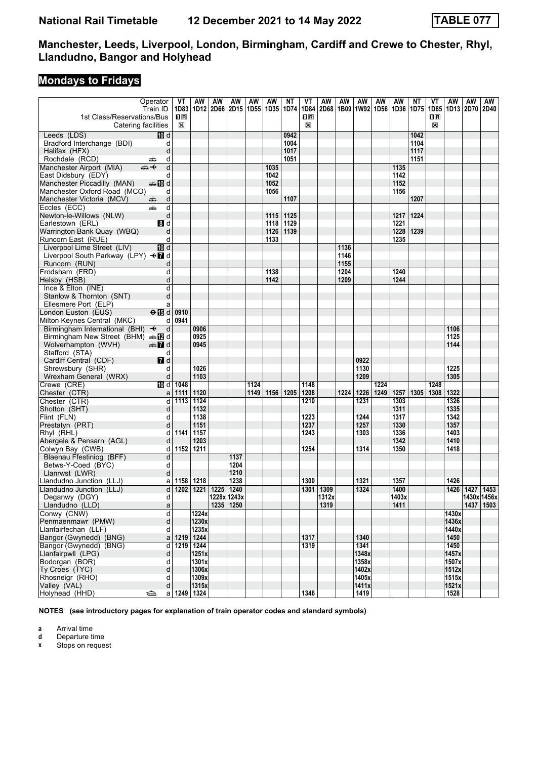# **Mondays to Fridays**

| Operator<br>Train ID                         |                         | VT<br>1D83   | AW<br>1D12 2D66 | AW          | AW   | AW   | AW          | ΝT<br>1D74 | VT<br>1D84              | AW<br>2D68 | AW   | AW<br>1B09   1W92   1D56   1D36   1D75 | AW   | AW    | ΝT        | VT<br>1D85                                      | AW<br>1D13     | AW<br>2D70 | AW<br><b>2D40</b> |
|----------------------------------------------|-------------------------|--------------|-----------------|-------------|------|------|-------------|------------|-------------------------|------------|------|----------------------------------------|------|-------|-----------|-------------------------------------------------|----------------|------------|-------------------|
| 1st Class/Reservations/Bus                   |                         | $\mathbf{H}$ |                 |             | 2D15 |      | 1D55   1D35 |            | $\overline{\mathbf{B}}$ |            |      |                                        |      |       |           | $\overline{\mathbf{H}}$ $\overline{\mathbf{R}}$ |                |            |                   |
| Catering facilities                          |                         | $\boxtimes$  |                 |             |      |      |             |            | X                       |            |      |                                        |      |       |           | X                                               |                |            |                   |
| Leeds (LDS)                                  | 10 d                    |              |                 |             |      |      |             | 0942       |                         |            |      |                                        |      |       | 1042      |                                                 |                |            |                   |
| Bradford Interchange (BDI)                   | d                       |              |                 |             |      |      |             | 1004       |                         |            |      |                                        |      |       | 1104      |                                                 |                |            |                   |
| Halifax (HFX)                                | d                       |              |                 |             |      |      |             | 1017       |                         |            |      |                                        |      |       | 1117      |                                                 |                |            |                   |
| Rochdale (RCD)<br>پیشته                      | d                       |              |                 |             |      |      |             | 1051       |                         |            |      |                                        |      |       | 1151      |                                                 |                |            |                   |
| Manchester Airport (MIA)<br>⇜✦               | d                       |              |                 |             |      |      | 1035        |            |                         |            |      |                                        |      | 1135  |           |                                                 |                |            |                   |
| East Didsbury (EDY)                          | d                       |              |                 |             |      |      | 1042        |            |                         |            |      |                                        |      | 1142  |           |                                                 |                |            |                   |
| Manchester Piccadilly (MAN)                  | <b>BD</b> d             |              |                 |             |      |      | 1052        |            |                         |            |      |                                        |      | 1152  |           |                                                 |                |            |                   |
| Manchester Oxford Road (MCO)                 | d                       |              |                 |             |      |      | 1056        |            |                         |            |      |                                        |      | 1156  |           |                                                 |                |            |                   |
| Manchester Victoria (MCV)<br>۶               | d                       |              |                 |             |      |      |             | 1107       |                         |            |      |                                        |      |       | 1207      |                                                 |                |            |                   |
| Eccles (ECC)<br>æ                            | d                       |              |                 |             |      |      |             |            |                         |            |      |                                        |      |       |           |                                                 |                |            |                   |
| Newton-le-Willows (NLW)                      | d                       |              |                 |             |      |      | 1115        | 1125       |                         |            |      |                                        |      | 1217  | 1224      |                                                 |                |            |                   |
| Earlestown (ERL)                             | 3d                      |              |                 |             |      |      | 1118        | 1129       |                         |            |      |                                        |      | 1221  |           |                                                 |                |            |                   |
| Warrington Bank Quay (WBQ)                   | d                       |              |                 |             |      |      | 1126        | 1139       |                         |            |      |                                        |      |       | 1228 1239 |                                                 |                |            |                   |
| Runcorn East (RUE)                           | d                       |              |                 |             |      |      | 1133        |            |                         |            |      |                                        |      | 1235  |           |                                                 |                |            |                   |
| Liverpool Lime Street (LIV)                  | <b>ID</b> d             |              |                 |             |      |      |             |            |                         |            | 1136 |                                        |      |       |           |                                                 |                |            |                   |
| Liverpool South Parkway (LPY) <■ d           |                         |              |                 |             |      |      |             |            |                         |            | 1146 |                                        |      |       |           |                                                 |                |            |                   |
| Runcorn (RUN)                                | d                       |              |                 |             |      |      |             |            |                         |            | 1155 |                                        |      |       |           |                                                 |                |            |                   |
| Frodsham (FRD)                               | d                       |              |                 |             |      |      | 1138        |            |                         |            | 1204 |                                        |      | 1240  |           |                                                 |                |            |                   |
| Helsby (HSB)                                 | d                       |              |                 |             |      |      | 1142        |            |                         |            | 1209 |                                        |      | 1244  |           |                                                 |                |            |                   |
| Ince $& Elton (INE)$                         | d                       |              |                 |             |      |      |             |            |                         |            |      |                                        |      |       |           |                                                 |                |            |                   |
| Stanlow & Thornton (SNT)                     | d                       |              |                 |             |      |      |             |            |                         |            |      |                                        |      |       |           |                                                 |                |            |                   |
| Ellesmere Port (ELP)                         | a                       |              |                 |             |      |      |             |            |                         |            |      |                                        |      |       |           |                                                 |                |            |                   |
| London Euston (EUS)                          | $\Theta$ $\blacksquare$ | 0910         |                 |             |      |      |             |            |                         |            |      |                                        |      |       |           |                                                 |                |            |                   |
| Milton Keynes Central (MKC)                  | d                       | 0941         |                 |             |      |      |             |            |                         |            |      |                                        |      |       |           |                                                 |                |            |                   |
| Birmingham International (BHI) $\rightarrow$ | d                       |              | 0906            |             |      |      |             |            |                         |            |      |                                        |      |       |           |                                                 | 1106           |            |                   |
| Birmingham New Street (BHM) and Dela         |                         |              | 0925            |             |      |      |             |            |                         |            |      |                                        |      |       |           |                                                 | 1125           |            |                   |
| Wolverhampton (WVH)                          | d and                   |              | 0945            |             |      |      |             |            |                         |            |      |                                        |      |       |           |                                                 | 1144           |            |                   |
| Stafford (STA)                               | d                       |              |                 |             |      |      |             |            |                         |            |      |                                        |      |       |           |                                                 |                |            |                   |
| Cardiff Central (CDF)                        | 7 d                     |              |                 |             |      |      |             |            |                         |            |      | 0922                                   |      |       |           |                                                 |                |            |                   |
| Shrewsbury (SHR)                             | d                       |              | 1026            |             |      |      |             |            |                         |            |      | 1130                                   |      |       |           |                                                 | 1225           |            |                   |
| Wrexham General (WRX)                        | d<br>TD d               |              | 1103            |             |      | 1124 |             |            |                         |            |      | 1209                                   | 1224 |       |           |                                                 | 1305           |            |                   |
| Crewe (CRE)<br>Chester (CTR)                 |                         | 1048<br>1111 | 1120            |             |      | 1149 | 1156        | 1205       | 1148<br>1208            |            | 1224 | 1226                                   | 1249 | 1257  |           | 1248<br>1305   1308                             | 1322           |            |                   |
| Chester (CTR)                                | $a \mid$<br>d           | 1113         | 1124            |             |      |      |             |            | 1210                    |            |      | 1231                                   |      | 1303  |           |                                                 | 1326           |            |                   |
| Shotton (SHT)                                | d                       |              | 1132            |             |      |      |             |            |                         |            |      |                                        |      | 1311  |           |                                                 | 1335           |            |                   |
| Flint (FLN)                                  | d                       |              | 1138            |             |      |      |             |            | 1223                    |            |      | 1244                                   |      | 1317  |           |                                                 | 1342           |            |                   |
| Prestatyn (PRT)                              | d                       |              | 1151            |             |      |      |             |            | 1237                    |            |      | 1257                                   |      | 1330  |           |                                                 | 1357           |            |                   |
| Rhyl (RHL)                                   | d                       | 1141         | 1157            |             |      |      |             |            | 1243                    |            |      | 1303                                   |      | 1336  |           |                                                 | 1403           |            |                   |
| Abergele & Pensarn (AGL)                     | d                       |              | 1203            |             |      |      |             |            |                         |            |      |                                        |      | 1342  |           |                                                 | 1410           |            |                   |
| Colwyn Bay (CWB)                             | d                       | 1152 1211    |                 |             |      |      |             |            | 1254                    |            |      | 1314                                   |      | 1350  |           |                                                 | 1418           |            |                   |
| Blaenau Ffestiniog (BFF)                     | d                       |              |                 |             | 1137 |      |             |            |                         |            |      |                                        |      |       |           |                                                 |                |            |                   |
| Betws-Y-Coed (BYC)                           | d                       |              |                 |             | 1204 |      |             |            |                         |            |      |                                        |      |       |           |                                                 |                |            |                   |
| Llanrwst (LWR)                               | d                       |              |                 |             | 1210 |      |             |            |                         |            |      |                                        |      |       |           |                                                 |                |            |                   |
| Llandudno Junction (LLJ)                     | a                       | 1158         | 1218            |             | 1238 |      |             |            | 1300                    |            |      | 1321                                   |      | 1357  |           |                                                 | 1426           |            |                   |
| Llandudno Junction (LLJ)                     | þ                       |              | 1202 1221       | 1225 1240   |      |      |             |            | 1301                    | 1309       |      | 1324                                   |      | 1400  |           |                                                 |                | 1426 1427  | 1453              |
| Deganwy (DGY)                                | d                       |              |                 | 1228x 1243x |      |      |             |            |                         | 1312x      |      |                                        |      | 1403x |           |                                                 |                |            | 1430x 1456x       |
| Llandudno (LLD)                              | a                       |              |                 | 1235 1250   |      |      |             |            |                         | 1319       |      |                                        |      | 1411  |           |                                                 |                |            | 1437 1503         |
| Conwy (CNW)                                  | d                       |              | 1224x           |             |      |      |             |            |                         |            |      |                                        |      |       |           |                                                 | 1430x          |            |                   |
| Penmaenmawr (PMW)                            | d                       |              | 1230x           |             |      |      |             |            |                         |            |      |                                        |      |       |           |                                                 | 1436x          |            |                   |
| Llanfairfechan (LLF)                         | d                       |              | 1235x           |             |      |      |             |            |                         |            |      |                                        |      |       |           |                                                 | 1440x          |            |                   |
| Bangor (Gwynedd) (BNG)                       |                         | a   1219     | 1244            |             |      |      |             |            | 1317                    |            |      | 1340                                   |      |       |           |                                                 | 1450           |            |                   |
| Bangor (Gwynedd) (BNG)                       | d                       |              | 1219 1244       |             |      |      |             |            | 1319                    |            |      | 1341                                   |      |       |           |                                                 | 1450           |            |                   |
| Llanfairpwll (LPG)                           | d                       |              | 1251x           |             |      |      |             |            |                         |            |      | 1348x                                  |      |       |           |                                                 | 1457x          |            |                   |
| Bodorgan (BOR)<br>Ty Croes (TYC)             | d<br>d                  |              | 1301x<br>1306x  |             |      |      |             |            |                         |            |      | 1358x<br>1402x                         |      |       |           |                                                 | 1507x<br>1512x |            |                   |
| Rhosneigr (RHO)                              | d                       |              | 1309x           |             |      |      |             |            |                         |            |      | 1405x                                  |      |       |           |                                                 | 1515x          |            |                   |
| Valley (VAL)                                 | d                       |              | 1315x           |             |      |      |             |            |                         |            |      | 1411x                                  |      |       |           |                                                 | 1521x          |            |                   |
| Holyhead (HHD)<br>⇔                          |                         | a 1249 1324  |                 |             |      |      |             |            | 1346                    |            |      | 1419                                   |      |       |           |                                                 | 1528           |            |                   |

**NOTES (see introductory pages for explanation of train operator codes and standard symbols)**

**a** Arrival time<br>**d** Departure t

**d** Departure time<br>**x** Stops on reque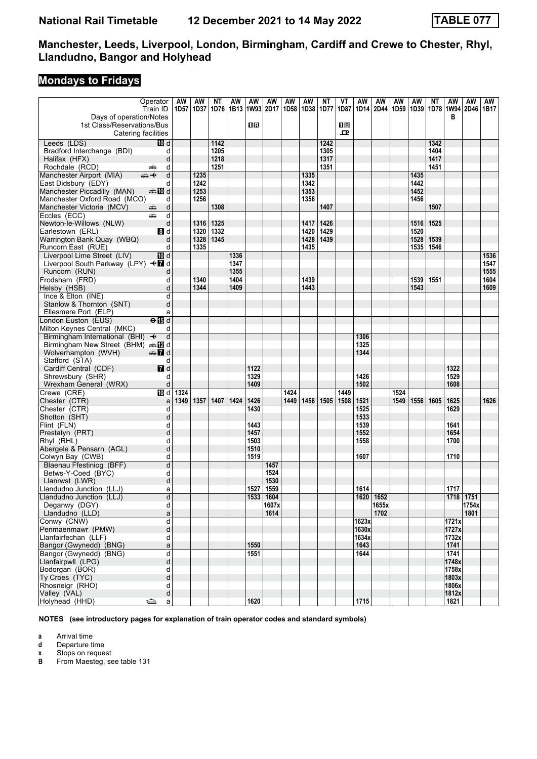# **Mondays to Fridays**

|                                                       | Operator                       | AW   | AW          | ΝT   | AW                        | AW           | AW                  | AW               | AW   | ΝT   | VT             | AW           | AW        | AW   | AW        | ΝT          | AW                  | AW        | AW   |
|-------------------------------------------------------|--------------------------------|------|-------------|------|---------------------------|--------------|---------------------|------------------|------|------|----------------|--------------|-----------|------|-----------|-------------|---------------------|-----------|------|
|                                                       | Train ID                       |      | 1D57   1D37 |      | 1D76   1B13   1W93   2D17 |              |                     | 1D <sub>58</sub> | 1D38 | 1D77 | 1D87           | 1D14         | 2D44      |      | 1D59 1D39 |             | 1D78 1W94 2D46 1B17 |           |      |
| Days of operation/Notes<br>1st Class/Reservations/Bus |                                |      |             |      |                           | 1 R          |                     |                  |      |      | $\mathbf{H}$ R |              |           |      |           |             | в                   |           |      |
| Catering facilities                                   |                                |      |             |      |                           |              |                     |                  |      |      | ᇁ              |              |           |      |           |             |                     |           |      |
| Leeds (LDS)                                           | <b>ID</b> d                    |      |             | 1142 |                           |              |                     |                  |      | 1242 |                |              |           |      |           | 1342        |                     |           |      |
| Bradford Interchange (BDI)                            | d                              |      |             | 1205 |                           |              |                     |                  |      | 1305 |                |              |           |      |           | 1404        |                     |           |      |
| Halifax (HFX)                                         | d                              |      |             | 1218 |                           |              |                     |                  |      | 1317 |                |              |           |      |           | 1417        |                     |           |      |
| Rochdale (RCD)                                        | d<br>پیش                       |      |             | 1251 |                           |              |                     |                  |      | 1351 |                |              |           |      |           | 1451        |                     |           |      |
| Manchester Airport (MIA)                              | d<br>⇜✦                        |      | 1235        |      |                           |              |                     |                  | 1335 |      |                |              |           |      | 1435      |             |                     |           |      |
| East Didsbury (EDY)                                   | d                              |      | 1242        |      |                           |              |                     |                  | 1342 |      |                |              |           |      | 1442      |             |                     |           |      |
| Manchester Piccadilly (MAN)                           | an‱a 100 d                     |      | 1253        |      |                           |              |                     |                  | 1353 |      |                |              |           |      | 1452      |             |                     |           |      |
| Manchester Oxford Road (MCO)                          | d                              |      | 1256        |      |                           |              |                     |                  | 1356 |      |                |              |           |      | 1456      |             |                     |           |      |
| Manchester Victoria (MCV)                             | d<br>æ                         |      |             | 1308 |                           |              |                     |                  |      | 1407 |                |              |           |      |           | 1507        |                     |           |      |
| Eccles (ECC)<br>Newton-le-Willows (NLW)               | d<br>پیش<br>d                  |      | 1316        | 1325 |                           |              |                     |                  | 1417 | 1426 |                |              |           |      |           | 1516   1525 |                     |           |      |
| Earlestown (ERL)                                      | 3d                             |      | 1320        | 1332 |                           |              |                     |                  | 1420 | 1429 |                |              |           |      | 1520      |             |                     |           |      |
| Warrington Bank Quay (WBQ)                            | d                              |      | 1328        | 1345 |                           |              |                     |                  | 1428 | 1439 |                |              |           |      |           | 1528   1539 |                     |           |      |
| Runcorn East (RUE)                                    | d                              |      | 1335        |      |                           |              |                     |                  | 1435 |      |                |              |           |      |           | 1535   1546 |                     |           |      |
| Liverpool Lime Street (LIV)                           | [10] d                         |      |             |      | 1336                      |              |                     |                  |      |      |                |              |           |      |           |             |                     |           | 1536 |
| Liverpool South Parkway (LPY) <■ d                    |                                |      |             |      | 1347                      |              |                     |                  |      |      |                |              |           |      |           |             |                     |           | 1547 |
| Runcorn (RUN)                                         | d                              |      |             |      | 1355                      |              |                     |                  |      |      |                |              |           |      |           |             |                     |           | 1555 |
| Frodsham (FRD)                                        | d                              |      | 1340        |      | 1404                      |              |                     |                  | 1439 |      |                |              |           |      | 1539      | 1551        |                     |           | 1604 |
| Helsby (HSB)                                          | d                              |      | 1344        |      | 1409                      |              |                     |                  | 1443 |      |                |              |           |      | 1543      |             |                     |           | 1609 |
| Ince & Elton (INE)                                    | d                              |      |             |      |                           |              |                     |                  |      |      |                |              |           |      |           |             |                     |           |      |
| Stanlow & Thornton (SNT)                              | d                              |      |             |      |                           |              |                     |                  |      |      |                |              |           |      |           |             |                     |           |      |
| Ellesmere Port (ELP)                                  | a                              |      |             |      |                           |              |                     |                  |      |      |                |              |           |      |           |             |                     |           |      |
| London Euston (EUS)<br>Milton Keynes Central (MKC)    | $\Theta$ $\blacksquare$ d<br>d |      |             |      |                           |              |                     |                  |      |      |                |              |           |      |           |             |                     |           |      |
| Birmingham International (BHI) +                      | d                              |      |             |      |                           |              |                     |                  |      |      |                | 1306         |           |      |           |             |                     |           |      |
| Birmingham New Street (BHM) $\oplus \mathbb{Z}$ d     |                                |      |             |      |                           |              |                     |                  |      |      |                | 1325         |           |      |           |             |                     |           |      |
| Wolverhampton (WVH)                                   | d and                          |      |             |      |                           |              |                     |                  |      |      |                | 1344         |           |      |           |             |                     |           |      |
| Stafford (STA)                                        | d                              |      |             |      |                           |              |                     |                  |      |      |                |              |           |      |           |             |                     |           |      |
| Cardiff Central (CDF)                                 | 7d                             |      |             |      |                           | 1122         |                     |                  |      |      |                |              |           |      |           |             | 1322                |           |      |
| Shrewsbury (SHR)                                      | d                              |      |             |      |                           | 1329         |                     |                  |      |      |                | 1426         |           |      |           |             | 1529                |           |      |
| Wrexham General (WRX)                                 | d                              |      |             |      |                           | 1409         |                     |                  |      |      |                | 1502         |           |      |           |             | 1608                |           |      |
| Crewe (CRE)                                           | 10d                            | 1324 |             |      |                           |              |                     | 1424             |      |      | 1449           |              |           | 1524 |           |             |                     |           |      |
| Chester (CTR)<br>Chester (CTR)                        | a                              | 1349 | 1357        | 1407 | 1424                      | 1426<br>1430 |                     | 1449             | 1456 | 1505 | 1508           | 1521         |           | 1549 | 1556      | 1605        | 1625                |           | 1626 |
| Shotton (SHT)                                         | d<br>d                         |      |             |      |                           |              |                     |                  |      |      |                | 1525<br>1533 |           |      |           |             | 1629                |           |      |
| Flint (FLN)                                           | d                              |      |             |      |                           | 1443         |                     |                  |      |      |                | 1539         |           |      |           |             | 1641                |           |      |
| Prestatyn (PRT)                                       | d                              |      |             |      |                           | 1457         |                     |                  |      |      |                | 1552         |           |      |           |             | 1654                |           |      |
| Rhyl (RHL)                                            | d                              |      |             |      |                           | 1503         |                     |                  |      |      |                | 1558         |           |      |           |             | 1700                |           |      |
| Abergele & Pensarn (AGL)                              | d                              |      |             |      |                           | 1510         |                     |                  |      |      |                |              |           |      |           |             |                     |           |      |
| Colwyn Bay (CWB)                                      | d                              |      |             |      |                           | 1519         |                     |                  |      |      |                | 1607         |           |      |           |             | 1710                |           |      |
| Blaenau Ffestiniog (BFF)                              | d                              |      |             |      |                           |              | 1457                |                  |      |      |                |              |           |      |           |             |                     |           |      |
| Betws-Y-Coed (BYC)                                    | d                              |      |             |      |                           |              | 1524                |                  |      |      |                |              |           |      |           |             |                     |           |      |
| Llanrwst (LWR)                                        | d                              |      |             |      |                           |              | 1530<br>1527   1559 |                  |      |      |                | 1614         |           |      |           |             | 1717                |           |      |
| Llandudno Junction (LLJ)<br>Llandudno Junction (LLJ)  | a<br>$\overline{\mathsf{d}}$   |      |             |      |                           |              | 1533 1604           |                  |      |      |                |              | 1620 1652 |      |           |             |                     | 1718 1751 |      |
| Deganwy (DGY)                                         | d                              |      |             |      |                           |              | 1607x               |                  |      |      |                |              | 1655x     |      |           |             |                     | 1754x     |      |
| Llandudno (LLD)                                       | a                              |      |             |      |                           |              | 1614                |                  |      |      |                |              | 1702      |      |           |             |                     | 1801      |      |
| Conwy (CNW)                                           | d                              |      |             |      |                           |              |                     |                  |      |      |                | 1623x        |           |      |           |             | 1721x               |           |      |
| Penmaenmawr (PMW)                                     | d                              |      |             |      |                           |              |                     |                  |      |      |                | 1630x        |           |      |           |             | 1727x               |           |      |
| Llanfairfechan (LLF)                                  | d                              |      |             |      |                           |              |                     |                  |      |      |                | 1634x        |           |      |           |             | 1732x               |           |      |
| Bangor (Gwynedd) (BNG)                                | a                              |      |             |      |                           | 1550         |                     |                  |      |      |                | 1643         |           |      |           |             | 1741                |           |      |
| Bangor (Gwynedd) (BNG)                                | $\overline{\mathsf{d}}$        |      |             |      |                           | 1551         |                     |                  |      |      |                | 1644         |           |      |           |             | 1741                |           |      |
| Llanfairpwll (LPG)                                    | d                              |      |             |      |                           |              |                     |                  |      |      |                |              |           |      |           |             | 1748x               |           |      |
| Bodorgan (BOR)<br>Ty Croes (TYC)                      | d<br>d                         |      |             |      |                           |              |                     |                  |      |      |                |              |           |      |           |             | 1758x<br>1803x      |           |      |
| Rhosneigr (RHO)                                       | d                              |      |             |      |                           |              |                     |                  |      |      |                |              |           |      |           |             | 1806x               |           |      |
| Valley (VAL)                                          | d                              |      |             |      |                           |              |                     |                  |      |      |                |              |           |      |           |             | 1812x               |           |      |
| Holyhead (HHD)                                        | ⇔<br>$\mathsf{a}$              |      |             |      |                           | 1620         |                     |                  |      |      |                | 1715         |           |      |           |             | 1821                |           |      |

**NOTES (see introductory pages for explanation of train operator codes and standard symbols)**

**a** Arrival time<br>**d** Departure t

**d** Departure time<br>**x** Stops on reque<br>**B** From Maesteg, **x** Stops on request

From Maesteg, see table 131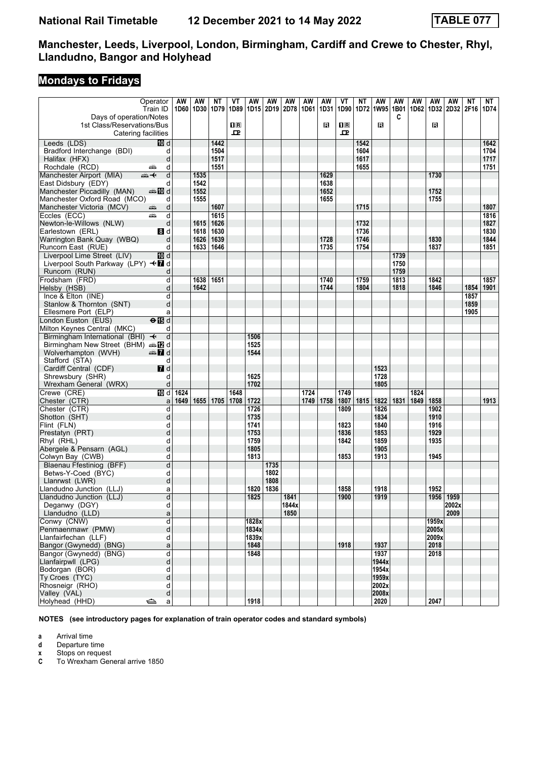# **Mondays to Fridays**

|                                                   | Operator                   | AW   | AW                 | NΤ           | VT           | AW           | AW   | AW                 | AW   | AW   | VT             | <b>NT</b>    | AW                                                    | AW   | AW   | AW    | AW        | ΝT   | NT           |
|---------------------------------------------------|----------------------------|------|--------------------|--------------|--------------|--------------|------|--------------------|------|------|----------------|--------------|-------------------------------------------------------|------|------|-------|-----------|------|--------------|
|                                                   | Train ID                   |      | 1D60   1D30   1D79 |              | 1D89         |              |      | 1D15   2D19   2D78 | 1D61 | 1D31 | 1D90           |              | 1D72   1W95   1B01   1D62   1D32   2D32   2F16   1D74 |      |      |       |           |      |              |
| Days of operation/Notes                           |                            |      |                    |              |              |              |      |                    |      |      |                |              |                                                       | C    |      |       |           |      |              |
| 1st Class/Reservations/Bus                        |                            |      |                    |              | $\mathbf{H}$ |              |      |                    |      | в    | 1 <sub>R</sub> |              | в                                                     |      |      | в     |           |      |              |
|                                                   | Catering facilities        |      |                    |              | 모            |              |      |                    |      |      | ᅭ              |              |                                                       |      |      |       |           |      |              |
| Leeds (LDS)                                       | III d                      |      |                    | 1442         |              |              |      |                    |      |      |                | 1542         |                                                       |      |      |       |           |      | 1642         |
| Bradford Interchange (BDI)                        | d                          |      |                    | 1504         |              |              |      |                    |      |      |                | 1604         |                                                       |      |      |       |           |      | 1704         |
| Halifax (HFX)                                     | d                          |      |                    | 1517         |              |              |      |                    |      |      |                | 1617         |                                                       |      |      |       |           |      | 1717         |
| Rochdale (RCD)                                    | d<br>پیشته                 |      |                    | 1551         |              |              |      |                    |      |      |                | 1655         |                                                       |      |      |       |           |      | 1751         |
| Manchester Airport (MIA)                          | d<br>⇜✦                    |      | 1535               |              |              |              |      |                    |      | 1629 |                |              |                                                       |      |      | 1730  |           |      |              |
| East Didsbury (EDY)                               | d                          |      | 1542               |              |              |              |      |                    |      | 1638 |                |              |                                                       |      |      |       |           |      |              |
| Manchester Piccadilly (MAN)                       | d≣ <mark>a</mark> nnandiad |      | 1552               |              |              |              |      |                    |      | 1652 |                |              |                                                       |      |      | 1752  |           |      |              |
| Manchester Oxford Road (MCO)                      | d                          |      | 1555               |              |              |              |      |                    |      | 1655 |                |              |                                                       |      |      | 1755  |           |      |              |
| Manchester Victoria (MCV)                         | d<br>æ                     |      |                    | 1607         |              |              |      |                    |      |      |                | 1715         |                                                       |      |      |       |           |      | 1807         |
| Eccles (ECC)                                      | d<br>پیشته                 |      |                    | 1615         |              |              |      |                    |      |      |                |              |                                                       |      |      |       |           |      | 1816         |
| Newton-le-Willows (NLW)                           | d                          |      | 1615               | 1626         |              |              |      |                    |      |      |                | 1732         |                                                       |      |      |       |           |      | 1827         |
| Earlestown (ERL)                                  | 8d                         |      | 1618               | 1630<br>1639 |              |              |      |                    |      | 1728 |                | 1736<br>1746 |                                                       |      |      | 1830  |           |      | 1830<br>1844 |
| Warrington Bank Quay (WBQ)                        | d<br>d                     |      | 1626<br>1633       | 1646         |              |              |      |                    |      | 1735 |                | 1754         |                                                       |      |      | 1837  |           |      | 1851         |
| Runcorn East (RUE)<br>Liverpool Lime Street (LIV) | <b>ID</b> d                |      |                    |              |              |              |      |                    |      |      |                |              |                                                       | 1739 |      |       |           |      |              |
| Liverpool South Parkway (LPY) <■ d                |                            |      |                    |              |              |              |      |                    |      |      |                |              |                                                       | 1750 |      |       |           |      |              |
| Runcorn (RUN)                                     | d                          |      |                    |              |              |              |      |                    |      |      |                |              |                                                       | 1759 |      |       |           |      |              |
| Frodsham (FRD)                                    | d                          |      | 1638               | 1651         |              |              |      |                    |      | 1740 |                | 1759         |                                                       | 1813 |      | 1842  |           |      | 1857         |
| Helsby (HSB)                                      | d                          |      | 1642               |              |              |              |      |                    |      | 1744 |                | 1804         |                                                       | 1818 |      | 1846  |           | 1854 | 1901         |
| Ince & Elton (INE)                                | d                          |      |                    |              |              |              |      |                    |      |      |                |              |                                                       |      |      |       |           | 1857 |              |
| Stanlow & Thornton (SNT)                          | d                          |      |                    |              |              |              |      |                    |      |      |                |              |                                                       |      |      |       |           | 1859 |              |
| Ellesmere Port (ELP)                              | a                          |      |                    |              |              |              |      |                    |      |      |                |              |                                                       |      |      |       |           | 1905 |              |
| London Euston (EUS)                               | $\Theta$ $\blacksquare$ d  |      |                    |              |              |              |      |                    |      |      |                |              |                                                       |      |      |       |           |      |              |
| Milton Keynes Central (MKC)                       | d                          |      |                    |              |              |              |      |                    |      |      |                |              |                                                       |      |      |       |           |      |              |
| Birmingham International (BHI) $\rightarrow$      | d                          |      |                    |              |              | 1506         |      |                    |      |      |                |              |                                                       |      |      |       |           |      |              |
| Birmingham New Street (BHM) $\oplus \mathbb{Z}$ d |                            |      |                    |              |              | 1525         |      |                    |      |      |                |              |                                                       |      |      |       |           |      |              |
| Wolverhampton (WVH)                               | <b>entin</b> d             |      |                    |              |              | 1544         |      |                    |      |      |                |              |                                                       |      |      |       |           |      |              |
| Stafford (STA)                                    | d                          |      |                    |              |              |              |      |                    |      |      |                |              |                                                       |      |      |       |           |      |              |
| Cardiff Central (CDF)                             | 7d                         |      |                    |              |              |              |      |                    |      |      |                |              | 1523                                                  |      |      |       |           |      |              |
| Shrewsbury (SHR)                                  | d                          |      |                    |              |              | 1625         |      |                    |      |      |                |              | 1728                                                  |      |      |       |           |      |              |
| Wrexham General (WRX)                             | d                          |      |                    |              |              | 1702         |      |                    |      |      |                |              | 1805                                                  |      |      |       |           |      |              |
| Crewe (CRE)                                       | TD d                       | 1624 |                    |              | 1648         |              |      |                    | 1724 |      | 1749           |              |                                                       |      | 1824 |       |           |      |              |
| Chester (CTR)                                     | a                          | 1649 | 1655               | 1705         | 1708         | 1722         |      |                    | 1749 | 1758 | 1807           | 1815         | 1822                                                  | 1831 | 1849 | 1858  |           |      | 1913         |
| Chester (CTR)                                     | d                          |      |                    |              |              | 1726         |      |                    |      |      | 1809           |              | 1826                                                  |      |      | 1902  |           |      |              |
| Shotton (SHT)                                     | d                          |      |                    |              |              | 1735         |      |                    |      |      |                |              | 1834                                                  |      |      | 1910  |           |      |              |
| Flint (FLN)                                       | d                          |      |                    |              |              | 1741         |      |                    |      |      | 1823           |              | 1840                                                  |      |      | 1916  |           |      |              |
| Prestatyn (PRT)                                   | d                          |      |                    |              |              | 1753         |      |                    |      |      | 1836           |              | 1853                                                  |      |      | 1929  |           |      |              |
| Rhyl (RHL)                                        | d                          |      |                    |              |              | 1759         |      |                    |      |      | 1842           |              | 1859                                                  |      |      | 1935  |           |      |              |
| Abergele & Pensarn (AGL)                          | d                          |      |                    |              |              | 1805<br>1813 |      |                    |      |      |                |              | 1905                                                  |      |      |       |           |      |              |
| Colwyn Bay (CWB)<br>Blaenau Ffestiniog (BFF)      | d<br>d                     |      |                    |              |              |              | 1735 |                    |      |      | 1853           |              | 1913                                                  |      |      | 1945  |           |      |              |
| Betws-Y-Coed (BYC)                                | d                          |      |                    |              |              |              | 1802 |                    |      |      |                |              |                                                       |      |      |       |           |      |              |
| Llanrwst (LWR)                                    | d                          |      |                    |              |              |              | 1808 |                    |      |      |                |              |                                                       |      |      |       |           |      |              |
| Llandudno Junction (LLJ)                          | a                          |      |                    |              |              | 1820         | 1836 |                    |      |      | 1858           |              | 1918                                                  |      |      | 1952  |           |      |              |
| Llandudno Junction (LLJ)                          | þ                          |      |                    |              |              | 1825         |      | 1841               |      |      | 1900           |              | 1919                                                  |      |      |       | 1956 1959 |      |              |
| Deganwy (DGY)                                     | d                          |      |                    |              |              |              |      | 1844x              |      |      |                |              |                                                       |      |      |       | 2002x     |      |              |
| Llandudno (LLD)                                   | a                          |      |                    |              |              |              |      | 1850               |      |      |                |              |                                                       |      |      |       | 2009      |      |              |
| Conwy (CNW)                                       | d                          |      |                    |              |              | 1828x        |      |                    |      |      |                |              |                                                       |      |      | 1959x |           |      |              |
| Penmaenmawr (PMW)                                 | d                          |      |                    |              |              | 1834x        |      |                    |      |      |                |              |                                                       |      |      | 2005x |           |      |              |
| Llanfairfechan (LLF)                              | d                          |      |                    |              |              | 1839x        |      |                    |      |      |                |              |                                                       |      |      | 2009x |           |      |              |
| Bangor (Gwynedd) (BNG)                            | a                          |      |                    |              |              | 1848         |      |                    |      |      | 1918           |              | 1937                                                  |      |      | 2018  |           |      |              |
| Bangor (Gwynedd) (BNG)                            | d                          |      |                    |              |              | 1848         |      |                    |      |      |                |              | 1937                                                  |      |      | 2018  |           |      |              |
| Llanfairpwll (LPG)                                | þ                          |      |                    |              |              |              |      |                    |      |      |                |              | 1944x                                                 |      |      |       |           |      |              |
| Bodorgan (BOR)                                    | d                          |      |                    |              |              |              |      |                    |      |      |                |              | 1954x                                                 |      |      |       |           |      |              |
| Ty Croes (TYC)                                    | d                          |      |                    |              |              |              |      |                    |      |      |                |              | 1959x                                                 |      |      |       |           |      |              |
| Rhosneigr (RHO)                                   | d                          |      |                    |              |              |              |      |                    |      |      |                |              | 2002x                                                 |      |      |       |           |      |              |
| Valley (VAL)                                      | d                          |      |                    |              |              |              |      |                    |      |      |                |              | 2008x                                                 |      |      |       |           |      |              |
| Holyhead (HHD)                                    | ک<br>a                     |      |                    |              |              | 1918         |      |                    |      |      |                |              | 2020                                                  |      |      | 2047  |           |      |              |

**NOTES (see introductory pages for explanation of train operator codes and standard symbols)**

**a** Arrival time<br>**d** Departure t **d** Departure time

**x** Stops on request<br>**C** To Wrexham Gen

**C** To Wrexham General arrive 1850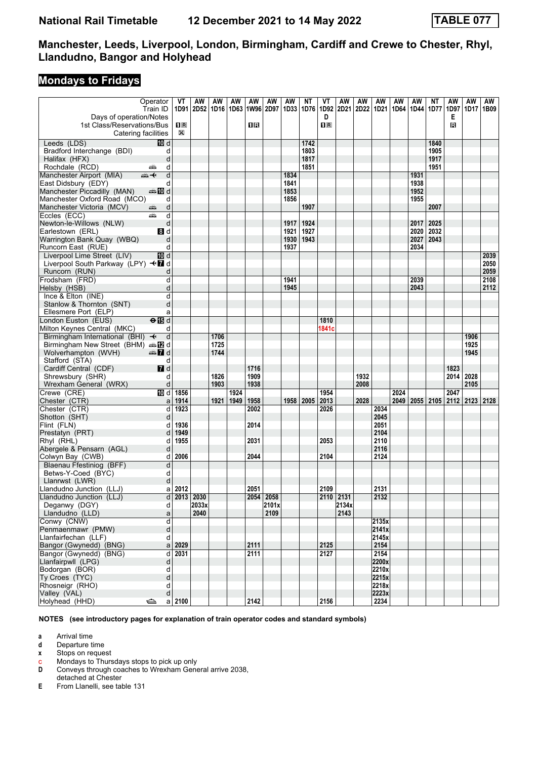# **Mondays to Fridays**

|                                                                          | Operator                  | VT            | AW                            | AW   | AW   | AW   | AW          | AW           | ΝT           | VT                           | AW          | AW   | AW             | AW   | AW           | ΝT           | AW                        | AW           | AW   |
|--------------------------------------------------------------------------|---------------------------|---------------|-------------------------------|------|------|------|-------------|--------------|--------------|------------------------------|-------------|------|----------------|------|--------------|--------------|---------------------------|--------------|------|
|                                                                          | Train ID                  |               | 1D91 2D52 1D16 1D63 1W96 2D97 |      |      |      |             | 1D33         | 1D76         | 1D92                         | <b>2D21</b> | 2D22 | 1D21           |      | 1D64 1D44    | 1D77         | 1D97                      | 1D17         | 1B09 |
| Days of operation/Notes<br>1st Class/Reservations/Bus                    |                           | $n_{\rm R}$   |                               |      |      | 1 R  |             |              |              | D<br>$\overline{\mathbf{R}}$ |             |      |                |      |              |              | Е<br>B                    |              |      |
| Catering facilities                                                      |                           | $\boxtimes$   |                               |      |      |      |             |              |              |                              |             |      |                |      |              |              |                           |              |      |
| Leeds (LDS)                                                              | <b>TO</b> d               |               |                               |      |      |      |             |              | 1742         |                              |             |      |                |      |              | 1840         |                           |              |      |
| Bradford Interchange (BDI)                                               | d                         |               |                               |      |      |      |             |              | 1803         |                              |             |      |                |      |              | 1905         |                           |              |      |
| Halifax (HFX)                                                            | d                         |               |                               |      |      |      |             |              | 1817         |                              |             |      |                |      |              | 1917         |                           |              |      |
| Rochdale (RCD)                                                           | d<br>پیش                  |               |                               |      |      |      |             |              | 1851         |                              |             |      |                |      |              | 1951         |                           |              |      |
| Manchester Airport (MIA)                                                 | d<br>⇜✦                   |               |                               |      |      |      |             | 1834         |              |                              |             |      |                |      | 1931         |              |                           |              |      |
| East Didsbury (EDY)                                                      | d                         |               |                               |      |      |      |             | 1841         |              |                              |             |      |                |      | 1938         |              |                           |              |      |
| Manchester Piccadilly (MAN)                                              | an‱a 100 d                |               |                               |      |      |      |             | 1853         |              |                              |             |      |                |      | 1952         |              |                           |              |      |
| Manchester Oxford Road (MCO)                                             | d                         |               |                               |      |      |      |             | 1856         |              |                              |             |      |                |      | 1955         |              |                           |              |      |
| Manchester Victoria (MCV)                                                | d<br>æ                    |               |                               |      |      |      |             |              | 1907         |                              |             |      |                |      |              | 2007         |                           |              |      |
| Eccles (ECC)                                                             | d<br>پیش                  |               |                               |      |      |      |             |              |              |                              |             |      |                |      |              |              |                           |              |      |
| Newton-le-Willows (NLW)                                                  | d                         |               |                               |      |      |      |             | 1917         | 1924         |                              |             |      |                |      | 2017         | 2025         |                           |              |      |
| Earlestown (ERL)                                                         | 8 d<br>d                  |               |                               |      |      |      |             | 1921<br>1930 | 1927<br>1943 |                              |             |      |                |      | 2020<br>2027 | 2032<br>2043 |                           |              |      |
| Warrington Bank Quay (WBQ)<br>Runcorn East (RUE)                         | d                         |               |                               |      |      |      |             | 1937         |              |                              |             |      |                |      | 2034         |              |                           |              |      |
| Liverpool Lime Street (LIV)                                              | TO d                      |               |                               |      |      |      |             |              |              |                              |             |      |                |      |              |              |                           |              | 2039 |
| Liverpool South Parkway (LPY) <■ d                                       |                           |               |                               |      |      |      |             |              |              |                              |             |      |                |      |              |              |                           |              | 2050 |
| Runcorn (RUN)                                                            | d                         |               |                               |      |      |      |             |              |              |                              |             |      |                |      |              |              |                           |              | 2059 |
| Frodsham (FRD)                                                           | d                         |               |                               |      |      |      |             | 1941         |              |                              |             |      |                |      | 2039         |              |                           |              | 2108 |
| Helsby (HSB)                                                             | d                         |               |                               |      |      |      |             | 1945         |              |                              |             |      |                |      | 2043         |              |                           |              | 2112 |
| Ince & Elton (INE)                                                       | d                         |               |                               |      |      |      |             |              |              |                              |             |      |                |      |              |              |                           |              |      |
| Stanlow & Thornton (SNT)                                                 | d                         |               |                               |      |      |      |             |              |              |                              |             |      |                |      |              |              |                           |              |      |
| Ellesmere Port (ELP)                                                     | a                         |               |                               |      |      |      |             |              |              |                              |             |      |                |      |              |              |                           |              |      |
| London Euston (EUS)                                                      | $\Theta$ $\blacksquare$ d |               |                               |      |      |      |             |              |              | 1810                         |             |      |                |      |              |              |                           |              |      |
| Milton Keynes Central (MKC)                                              | d                         |               |                               |      |      |      |             |              |              | 1841c                        |             |      |                |      |              |              |                           |              |      |
| Birmingham International (BHI) <                                         | d                         |               |                               | 1706 |      |      |             |              |              |                              |             |      |                |      |              |              |                           | 1906         |      |
| Birmingham New Street (BHM) $\oplus \mathbb{Z}$ d<br>Wolverhampton (WVH) |                           |               |                               | 1725 |      |      |             |              |              |                              |             |      |                |      |              |              |                           | 1925<br>1945 |      |
| Stafford (STA)                                                           | $\mathbb{Z}$ d<br>d       |               |                               | 1744 |      |      |             |              |              |                              |             |      |                |      |              |              |                           |              |      |
| Cardiff Central (CDF)                                                    | 7d                        |               |                               |      |      | 1716 |             |              |              |                              |             |      |                |      |              |              | 1823                      |              |      |
| Shrewsbury (SHR)                                                         | d                         |               |                               | 1826 |      | 1909 |             |              |              |                              |             | 1932 |                |      |              |              |                           | 2014 2028    |      |
| Wrexham General (WRX)                                                    | d                         |               |                               | 1903 |      | 1938 |             |              |              |                              |             | 2008 |                |      |              |              |                           | 2105         |      |
| Crewe (CRE)                                                              | 10 d                      | 1856          |                               |      | 1924 |      |             |              |              | 1954                         |             |      |                | 2024 |              |              | 2047                      |              |      |
| Chester (CTR)                                                            | a                         | 1914          |                               | 1921 | 1949 | 1958 |             | 1958         | 2005         | 2013                         |             | 2028 |                | 2049 |              |              | 2055   2105   2112   2123 |              | 2128 |
| Chester (CTR)                                                            | d                         | 1923          |                               |      |      | 2002 |             |              |              | 2026                         |             |      | 2034           |      |              |              |                           |              |      |
| Shotton (SHT)                                                            | d                         |               |                               |      |      |      |             |              |              |                              |             |      | 2045           |      |              |              |                           |              |      |
| Flint (FLN)                                                              | d                         | 1936          |                               |      |      | 2014 |             |              |              |                              |             |      | 2051           |      |              |              |                           |              |      |
| Prestatyn (PRT)                                                          | d                         | 1949          |                               |      |      |      |             |              |              |                              |             |      | 2104           |      |              |              |                           |              |      |
| Rhyl (RHL)                                                               | d                         | 1955          |                               |      |      | 2031 |             |              |              | 2053                         |             |      | 2110           |      |              |              |                           |              |      |
| Abergele & Pensarn (AGL)                                                 | d<br>d                    | 2006          |                               |      |      | 2044 |             |              |              | 2104                         |             |      | 2116<br>2124   |      |              |              |                           |              |      |
| Colwyn Bay (CWB)<br>Blaenau Ffestiniog (BFF)                             | d                         |               |                               |      |      |      |             |              |              |                              |             |      |                |      |              |              |                           |              |      |
| Betws-Y-Coed (BYC)                                                       | d                         |               |                               |      |      |      |             |              |              |                              |             |      |                |      |              |              |                           |              |      |
| Llanrwst (LWR)                                                           | d                         |               |                               |      |      |      |             |              |              |                              |             |      |                |      |              |              |                           |              |      |
| Llandudno Junction (LLJ)                                                 |                           | $a$ 2012      |                               |      |      | 2051 |             |              |              | 2109                         |             |      | 2131           |      |              |              |                           |              |      |
| Llandudno Junction (LLJ)                                                 |                           | $d$ 2013 2030 |                               |      |      |      | $2054$ 2058 |              |              |                              | 2110 2131   |      | 2132           |      |              |              |                           |              |      |
| Deganwy (DGY)                                                            | d                         |               | 2033x                         |      |      |      | 2101x       |              |              |                              | 2134x       |      |                |      |              |              |                           |              |      |
| Llandudno (LLD)                                                          | a                         |               | 2040                          |      |      |      | 2109        |              |              |                              | 2143        |      |                |      |              |              |                           |              |      |
| Conwy (CNW)                                                              | þ                         |               |                               |      |      |      |             |              |              |                              |             |      | 2135x          |      |              |              |                           |              |      |
| Penmaenmawr (PMW)                                                        | d                         |               |                               |      |      |      |             |              |              |                              |             |      | 2141x          |      |              |              |                           |              |      |
| Llanfairfechan (LLF)                                                     | d                         |               |                               |      |      |      |             |              |              |                              |             |      | 2145x          |      |              |              |                           |              |      |
| Bangor (Gwynedd) (BNG)                                                   | a                         | 2029          |                               |      |      | 2111 |             |              |              | 2125                         |             |      | 2154           |      |              |              |                           |              |      |
| Bangor (Gwynedd) (BNG)                                                   | d                         | 2031          |                               |      |      | 2111 |             |              |              | 2127                         |             |      | 2154           |      |              |              |                           |              |      |
| Llanfairpwll (LPG)<br>Bodorgan (BOR)                                     | d<br>d                    |               |                               |      |      |      |             |              |              |                              |             |      | 2200x<br>2210x |      |              |              |                           |              |      |
| Ty Croes (TYC)                                                           | d                         |               |                               |      |      |      |             |              |              |                              |             |      | 2215x          |      |              |              |                           |              |      |
| Rhosneigr (RHO)                                                          | d                         |               |                               |      |      |      |             |              |              |                              |             |      | 2218x          |      |              |              |                           |              |      |
| Valley (VAL)                                                             | d                         |               |                               |      |      |      |             |              |              |                              |             |      | 2223x          |      |              |              |                           |              |      |
| Holyhead (HHD)                                                           | ఆ<br>a                    | 2100          |                               |      |      | 2142 |             |              |              | 2156                         |             |      | 2234           |      |              |              |                           |              |      |

**NOTES (see introductory pages for explanation of train operator codes and standard symbols)**

**a** Arrival time<br>**d** Departure t

**d** Departure time

**x** Stops on request

c Mondays to Thursdays stops to pick up only

**D** Conveys through coaches to Wrexham General arrive 2038,

detached at Chester

**E** From Llanelli, see table 131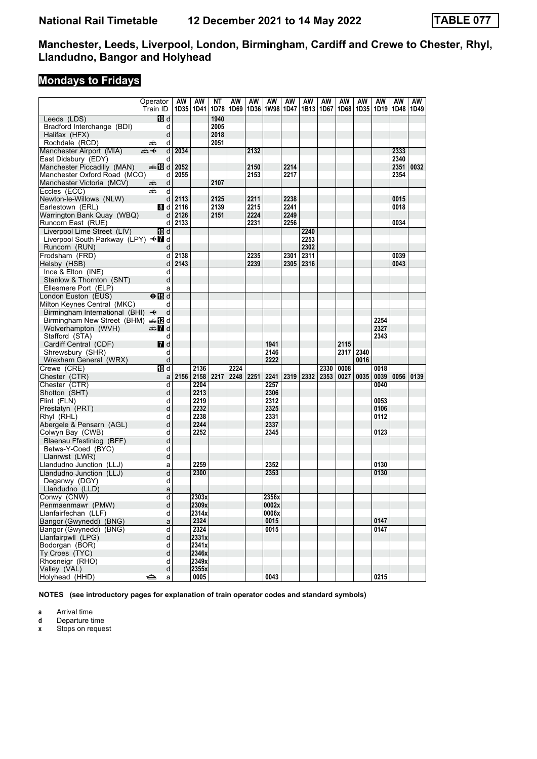# **Mondays to Fridays**

|                                    | Operator                                                                                                                                                                                                                      | AW       | AW                 | ΝT   | AW   | AW        | AW                        | AW   | AW        | AW   | AW        | AW   | AW   | AW   | AW   |
|------------------------------------|-------------------------------------------------------------------------------------------------------------------------------------------------------------------------------------------------------------------------------|----------|--------------------|------|------|-----------|---------------------------|------|-----------|------|-----------|------|------|------|------|
|                                    | Train ID                                                                                                                                                                                                                      |          | 1D35   1D41   1D78 |      |      |           | 1D69   1D36   1W98   1D47 |      | 1B13      | 1D67 | 1D68      | 1D35 | 1D19 | 1D48 | 1D49 |
| Leeds (LDS)                        | <b>ID</b> d                                                                                                                                                                                                                   |          |                    | 1940 |      |           |                           |      |           |      |           |      |      |      |      |
| Bradford Interchange (BDI)         | d                                                                                                                                                                                                                             |          |                    | 2005 |      |           |                           |      |           |      |           |      |      |      |      |
| Halifax (HFX)                      | d                                                                                                                                                                                                                             |          |                    | 2018 |      |           |                           |      |           |      |           |      |      |      |      |
| Rochdale (RCD)                     | d<br>پیشته                                                                                                                                                                                                                    |          |                    | 2051 |      |           |                           |      |           |      |           |      |      |      |      |
| Manchester Airport (MIA)           | $\overline{d}$<br>⇜✦                                                                                                                                                                                                          | 2034     |                    |      |      | 2132      |                           |      |           |      |           |      |      | 2333 |      |
| East Didsbury (EDY)                | d                                                                                                                                                                                                                             |          |                    |      |      |           |                           |      |           |      |           |      |      | 2340 |      |
| Manchester Piccadilly (MAN)        | d l d l                                                                                                                                                                                                                       | 2052     |                    |      |      | 2150      |                           | 2214 |           |      |           |      |      | 2351 | 0032 |
| Manchester Oxford Road (MCO)       | d                                                                                                                                                                                                                             | 2055     |                    |      |      | 2153      |                           | 2217 |           |      |           |      |      | 2354 |      |
| Manchester Victoria (MCV)          | d<br>پیشته                                                                                                                                                                                                                    |          |                    | 2107 |      |           |                           |      |           |      |           |      |      |      |      |
| Eccles (ECC)                       | d<br>añ,                                                                                                                                                                                                                      |          |                    |      |      |           |                           |      |           |      |           |      |      |      |      |
| Newton-le-Willows (NLW)            |                                                                                                                                                                                                                               | $d$ 2113 |                    | 2125 |      | 2211      |                           | 2238 |           |      |           |      |      | 0015 |      |
| Earlestown (ERL)                   | 8 d I                                                                                                                                                                                                                         | 2116     |                    | 2139 |      | 2215      |                           | 2241 |           |      |           |      |      | 0018 |      |
| Warrington Bank Quay (WBQ)         |                                                                                                                                                                                                                               | $d$ 2126 |                    | 2151 |      | 2224      |                           | 2249 |           |      |           |      |      |      |      |
| Runcorn East (RUE)                 |                                                                                                                                                                                                                               | $d$ 2133 |                    |      |      | 2231      |                           | 2256 |           |      |           |      |      | 0034 |      |
| Liverpool Lime Street (LIV)        | [10] d                                                                                                                                                                                                                        |          |                    |      |      |           |                           |      | 2240      |      |           |      |      |      |      |
| Liverpool South Parkway (LPY) <■ d |                                                                                                                                                                                                                               |          |                    |      |      |           |                           |      | 2253      |      |           |      |      |      |      |
| Runcorn (RUN)                      | d                                                                                                                                                                                                                             |          |                    |      |      |           |                           |      | 2302      |      |           |      |      |      |      |
| Frodsham (FRD)                     | d l                                                                                                                                                                                                                           | 2138     |                    |      |      | 2235      |                           | 2301 | 2311      |      |           |      |      | 0039 |      |
| Helsby (HSB)                       |                                                                                                                                                                                                                               | $d$ 2143 |                    |      |      | 2239      |                           |      | 2305 2316 |      |           |      |      | 0043 |      |
| Ince & Elton (INE)                 | d                                                                                                                                                                                                                             |          |                    |      |      |           |                           |      |           |      |           |      |      |      |      |
| Stanlow & Thornton (SNT)           | d                                                                                                                                                                                                                             |          |                    |      |      |           |                           |      |           |      |           |      |      |      |      |
| Ellesmere Port (ELP)               |                                                                                                                                                                                                                               |          |                    |      |      |           |                           |      |           |      |           |      |      |      |      |
| London Euston (EUS)                | a<br>$\overline{H}$                                                                                                                                                                                                           |          |                    |      |      |           |                           |      |           |      |           |      |      |      |      |
|                                    |                                                                                                                                                                                                                               |          |                    |      |      |           |                           |      |           |      |           |      |      |      |      |
| Milton Keynes Central (MKC)        | d                                                                                                                                                                                                                             |          |                    |      |      |           |                           |      |           |      |           |      |      |      |      |
| Birmingham International (BHI) ←   | $\mathsf{d}$                                                                                                                                                                                                                  |          |                    |      |      |           |                           |      |           |      |           |      |      |      |      |
| Birmingham New Street (BHM) and    |                                                                                                                                                                                                                               |          |                    |      |      |           |                           |      |           |      |           |      | 2254 |      |      |
| Wolverhampton (WVH)                | d announce and announce and announce and announce and announce announce announce announce announce announce announce announce announce announce announce announce announce announce announce announce announce announce annou |          |                    |      |      |           |                           |      |           |      |           |      | 2327 |      |      |
| Stafford (STA)                     | d                                                                                                                                                                                                                             |          |                    |      |      |           |                           |      |           |      |           |      | 2343 |      |      |
| Cardiff Central (CDF)              | <b>7</b> d                                                                                                                                                                                                                    |          |                    |      |      |           | 1941                      |      |           |      | 2115      |      |      |      |      |
| Shrewsbury (SHR)                   | d                                                                                                                                                                                                                             |          |                    |      |      |           | 2146                      |      |           |      | 2317 2340 |      |      |      |      |
| Wrexham General (WRX)              | ${\sf d}$                                                                                                                                                                                                                     |          |                    |      |      |           | 2222                      |      |           |      |           | 0016 |      |      |      |
| Crewe (CRE)                        | <b>ID</b> d                                                                                                                                                                                                                   |          | 2136               |      | 2224 |           |                           |      |           | 2330 | 0008      |      | 0018 |      |      |
| Chester (CTR)                      | a                                                                                                                                                                                                                             |          | 2156 2158 2217     |      |      | 2248 2251 | 2241                      |      | 2319 2332 | 2353 | 0027      | 0035 | 0039 | 0056 | 0139 |
| Chester (CTR)                      | d                                                                                                                                                                                                                             |          | 2204               |      |      |           | 2257                      |      |           |      |           |      | 0040 |      |      |
| Shotton (SHT)                      | d                                                                                                                                                                                                                             |          | 2213               |      |      |           | 2306                      |      |           |      |           |      |      |      |      |
| Flint (FLN)                        | d                                                                                                                                                                                                                             |          | 2219               |      |      |           | 2312                      |      |           |      |           |      | 0053 |      |      |
| Prestatyn (PRT)                    | d                                                                                                                                                                                                                             |          | 2232               |      |      |           | 2325                      |      |           |      |           |      | 0106 |      |      |
| Rhyl (RHL)                         | d                                                                                                                                                                                                                             |          | 2238               |      |      |           | 2331                      |      |           |      |           |      | 0112 |      |      |
| Abergele & Pensarn (AGL)           | d                                                                                                                                                                                                                             |          | 2244               |      |      |           | 2337                      |      |           |      |           |      |      |      |      |
| Colwyn Bay (CWB)                   | d                                                                                                                                                                                                                             |          | 2252               |      |      |           | 2345                      |      |           |      |           |      | 0123 |      |      |
| Blaenau Ffestiniog (BFF)           | $\overline{\mathsf{d}}$                                                                                                                                                                                                       |          |                    |      |      |           |                           |      |           |      |           |      |      |      |      |
| Betws-Y-Coed (BYC)                 | d                                                                                                                                                                                                                             |          |                    |      |      |           |                           |      |           |      |           |      |      |      |      |
| Llanrwst (LWR)                     | d                                                                                                                                                                                                                             |          |                    |      |      |           |                           |      |           |      |           |      |      |      |      |
| Llandudno Junction (LLJ)           | a                                                                                                                                                                                                                             |          | 2259               |      |      |           | 2352                      |      |           |      |           |      | 0130 |      |      |
| Llandudno Junction (LLJ)           | d                                                                                                                                                                                                                             |          | 2300               |      |      |           | 2353                      |      |           |      |           |      | 0130 |      |      |
| Deganwy (DGY)                      | d                                                                                                                                                                                                                             |          |                    |      |      |           |                           |      |           |      |           |      |      |      |      |
| Llandudno (LLD)                    | a                                                                                                                                                                                                                             |          |                    |      |      |           |                           |      |           |      |           |      |      |      |      |
| Conwy (CNW)                        | d                                                                                                                                                                                                                             |          | 2303x              |      |      |           | 2356x                     |      |           |      |           |      |      |      |      |
| Penmaenmawr (PMW)                  | d                                                                                                                                                                                                                             |          | 2309x              |      |      |           | 0002x                     |      |           |      |           |      |      |      |      |
| Llanfairfechan (LLF)               | d                                                                                                                                                                                                                             |          | 2314x              |      |      |           | 0006x                     |      |           |      |           |      |      |      |      |
| Bangor (Gwynedd) (BNG)             | $\mathsf{a}$                                                                                                                                                                                                                  |          | 2324               |      |      |           | 0015                      |      |           |      |           |      | 0147 |      |      |
| Bangor (Gwynedd) (BNG)             | d                                                                                                                                                                                                                             |          | 2324               |      |      |           | 0015                      |      |           |      |           |      | 0147 |      |      |
| Llanfairpwll (LPG)                 | d                                                                                                                                                                                                                             |          | 2331x              |      |      |           |                           |      |           |      |           |      |      |      |      |
| Bodorgan (BOR)                     | d                                                                                                                                                                                                                             |          | 2341x              |      |      |           |                           |      |           |      |           |      |      |      |      |
| Ty Croes (TYC)                     | $\sf d$                                                                                                                                                                                                                       |          | 2346x              |      |      |           |                           |      |           |      |           |      |      |      |      |
| Rhosneigr (RHO)                    | d                                                                                                                                                                                                                             |          | 2349x              |      |      |           |                           |      |           |      |           |      |      |      |      |
| Valley (VAL)                       | d                                                                                                                                                                                                                             |          | 2355x              |      |      |           |                           |      |           |      |           |      |      |      |      |
| Holyhead (HHD)                     | ⇔<br>a                                                                                                                                                                                                                        |          | 0005               |      |      |           | 0043                      |      |           |      |           |      | 0215 |      |      |

**NOTES (see introductory pages for explanation of train operator codes and standard symbols)**

**a** Arrival time<br>**d** Departure t

**d** Departure time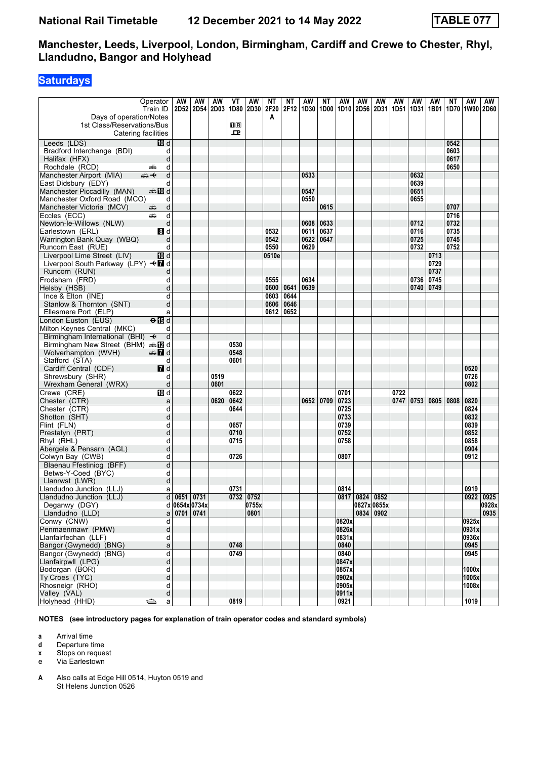### **Saturdays**

|                                                           | Operator                  | AW              | AW            | AW          | VT           | AW            | NΤ    | ΝT        | AW                 | ΝT   | AW                               | AW             | AW          | AW   | AW            | AW        | ΝT                  | AW             | AW            |
|-----------------------------------------------------------|---------------------------|-----------------|---------------|-------------|--------------|---------------|-------|-----------|--------------------|------|----------------------------------|----------------|-------------|------|---------------|-----------|---------------------|----------------|---------------|
|                                                           | Train ID                  |                 | 2D52 2D54     | <b>2D03</b> |              | 1D80 2D30     | 2F20  |           | 2F12   1D30   1D00 |      | 1D10   2D56   2D31   1D51   1D31 |                |             |      |               |           | 1B01 1D70 1W90 2D60 |                |               |
| Days of operation/Notes                                   |                           |                 |               |             |              |               | A     |           |                    |      |                                  |                |             |      |               |           |                     |                |               |
| 1st Class/Reservations/Bus<br>Catering facilities         |                           |                 |               |             | 0 R<br>ᅭ     |               |       |           |                    |      |                                  |                |             |      |               |           |                     |                |               |
| Leeds (LDS)                                               | III d                     |                 |               |             |              |               |       |           |                    |      |                                  |                |             |      |               |           | 0542                |                |               |
| Bradford Interchange (BDI)                                | d                         |                 |               |             |              |               |       |           |                    |      |                                  |                |             |      |               |           | 0603                |                |               |
| Halifax (HFX)                                             | d                         |                 |               |             |              |               |       |           |                    |      |                                  |                |             |      |               |           | 0617                |                |               |
| Rochdale (RCD)                                            | d<br>پیشته                |                 |               |             |              |               |       |           |                    |      |                                  |                |             |      |               |           | 0650                |                |               |
| Manchester Airport (MIA)                                  | d<br>ക—⊬                  |                 |               |             |              |               |       |           | 0533               |      |                                  |                |             |      | 0632          |           |                     |                |               |
| East Didsbury (EDY)                                       | d                         |                 |               |             |              |               |       |           |                    |      |                                  |                |             |      | 0639          |           |                     |                |               |
| Manchester Piccadilly (MAN)                               | ্ৰ∌ <b>10</b> d           |                 |               |             |              |               |       |           | 0547               |      |                                  |                |             |      | 0651          |           |                     |                |               |
| Manchester Oxford Road (MCO)<br>Manchester Victoria (MCV) | d<br>d<br>æ               |                 |               |             |              |               |       |           | 0550               | 0615 |                                  |                |             |      | 0655          |           | 0707                |                |               |
| Eccles (ECC)                                              | d<br>پیش                  |                 |               |             |              |               |       |           |                    |      |                                  |                |             |      |               |           | 0716                |                |               |
| Newton-le-Willows (NLW)                                   | d                         |                 |               |             |              |               |       |           | 0608               | 0633 |                                  |                |             |      | 0712          |           | 0732                |                |               |
| Earlestown (ERL)                                          | 8d                        |                 |               |             |              |               | 0532  |           | 0611               | 0637 |                                  |                |             |      | 0716          |           | 0735                |                |               |
| Warrington Bank Quay (WBQ)                                | d                         |                 |               |             |              |               | 0542  |           | 0622               | 0647 |                                  |                |             |      | 0725          |           | 0745                |                |               |
| Runcorn East (RUE)                                        | d                         |                 |               |             |              |               | 0550  |           | 0629               |      |                                  |                |             |      | 0732          |           | 0752                |                |               |
| Liverpool Lime Street (LIV)                               | <b>ID</b> d               |                 |               |             |              |               | 0510e |           |                    |      |                                  |                |             |      |               | 0713      |                     |                |               |
| Liverpool South Parkway (LPY) <■ d                        |                           |                 |               |             |              |               |       |           |                    |      |                                  |                |             |      |               | 0729      |                     |                |               |
| Runcorn (RUN)                                             |                           |                 |               |             |              |               |       |           | 0634               |      |                                  |                |             |      | 0736 0745     | 0737      |                     |                |               |
| Frodsham (FRD)<br>Helsby (HSB)                            | d<br>d                    |                 |               |             |              |               | 0555  | 0600 0641 | 0639               |      |                                  |                |             |      | 0740 0749     |           |                     |                |               |
| Ince & Elton (INE)                                        | d                         |                 |               |             |              |               | 0603  | 0644      |                    |      |                                  |                |             |      |               |           |                     |                |               |
| Stanlow & Thornton (SNT)                                  | d                         |                 |               |             |              |               | 0606  | 0646      |                    |      |                                  |                |             |      |               |           |                     |                |               |
| Ellesmere Port (ELP)                                      | a                         |                 |               |             |              |               | 0612  | 0652      |                    |      |                                  |                |             |      |               |           |                     |                |               |
| London Euston (EUS)                                       | $\Theta$ $\blacksquare$ d |                 |               |             |              |               |       |           |                    |      |                                  |                |             |      |               |           |                     |                |               |
| Milton Keynes Central (MKC)                               | d                         |                 |               |             |              |               |       |           |                    |      |                                  |                |             |      |               |           |                     |                |               |
| Birmingham International (BHI) $\rightarrow$              | d                         |                 |               |             |              |               |       |           |                    |      |                                  |                |             |      |               |           |                     |                |               |
| Birmingham New Street (BHM) $\oplus$ 2 d                  |                           |                 |               |             | 0530         |               |       |           |                    |      |                                  |                |             |      |               |           |                     |                |               |
| Wolverhampton (WVH)                                       | d ann                     |                 |               |             | 0548<br>0601 |               |       |           |                    |      |                                  |                |             |      |               |           |                     |                |               |
| Stafford (STA)<br>Cardiff Central (CDF)                   | d<br>7d                   |                 |               |             |              |               |       |           |                    |      |                                  |                |             |      |               |           |                     | 0520           |               |
| Shrewsbury (SHR)                                          | d                         |                 |               | 0519        |              |               |       |           |                    |      |                                  |                |             |      |               |           |                     | 0726           |               |
| Wrexham General (WRX)                                     | d                         |                 |               | 0601        |              |               |       |           |                    |      |                                  |                |             |      |               |           |                     | 0802           |               |
| Crewe (CRE)                                               | <b>TD</b> d               |                 |               |             | 0622         |               |       |           |                    |      | 0701                             |                |             | 0722 |               |           |                     |                |               |
| Chester (CTR)                                             | a                         |                 |               | 0620        | 0642         |               |       |           | 0652               | 0709 | 0723                             |                |             |      | $0747$   0753 | 0805 0808 |                     | 0820           |               |
| Chester (CTR)                                             | d                         |                 |               |             | 0644         |               |       |           |                    |      | 0725                             |                |             |      |               |           |                     | 0824           |               |
| Shotton (SHT)                                             | d                         |                 |               |             |              |               |       |           |                    |      | 0733                             |                |             |      |               |           |                     | 0832           |               |
| Flint (FLN)                                               | d<br>d                    |                 |               |             | 0657         |               |       |           |                    |      | 0739                             |                |             |      |               |           |                     | 0839<br>0852   |               |
| Prestatyn (PRT)<br>Rhyl (RHL)                             | d                         |                 |               |             | 0710<br>0715 |               |       |           |                    |      | 0752<br>0758                     |                |             |      |               |           |                     | 0858           |               |
| Abergele & Pensarn (AGL)                                  | d                         |                 |               |             |              |               |       |           |                    |      |                                  |                |             |      |               |           |                     | 0904           |               |
| Colwyn Bay (CWB)                                          | d                         |                 |               |             | 0726         |               |       |           |                    |      | 0807                             |                |             |      |               |           |                     | 0912           |               |
| Blaenau Ffestiniog (BFF)                                  | d                         |                 |               |             |              |               |       |           |                    |      |                                  |                |             |      |               |           |                     |                |               |
| Betws-Y-Coed (BYC)                                        | d                         |                 |               |             |              |               |       |           |                    |      |                                  |                |             |      |               |           |                     |                |               |
| Llanrwst (LWR)                                            | d                         |                 |               |             |              |               |       |           |                    |      |                                  |                |             |      |               |           |                     |                |               |
| Llandudno Junction (LLJ)                                  | a                         |                 |               |             | 0731         |               |       |           |                    |      | 0814                             |                |             |      |               |           |                     | 0919           |               |
| Llandudno Junction (LLJ)<br>Deganwy (DGY)                 |                           | $d$ 0651 0731   |               |             | 0732 0752    |               |       |           |                    |      |                                  | 0817 0824 0852 | 0827x 0855x |      |               |           |                     |                | 0922 0925     |
| Llandudno (LLD)                                           |                           | a   0701   0741 | d 0654x 0734x |             |              | 0755x<br>0801 |       |           |                    |      |                                  | 0834 0902      |             |      |               |           |                     |                | 0928x<br>0935 |
| Conwy (CNW)                                               | d                         |                 |               |             |              |               |       |           |                    |      | 0820x                            |                |             |      |               |           |                     | 0925x          |               |
| Penmaenmawr (PMW)                                         | d                         |                 |               |             |              |               |       |           |                    |      | 0826x                            |                |             |      |               |           |                     | 0931x          |               |
| Llanfairfechan (LLF)                                      | d                         |                 |               |             |              |               |       |           |                    |      | 0831x                            |                |             |      |               |           |                     | 0936x          |               |
| Bangor (Gwynedd) (BNG)                                    | a                         |                 |               |             | 0748         |               |       |           |                    |      | 0840                             |                |             |      |               |           |                     | 0945           |               |
| Bangor (Gwynedd) (BNG)                                    | q                         |                 |               |             | 0749         |               |       |           |                    |      | 0840                             |                |             |      |               |           |                     | 0945           |               |
| Llanfairpwll (LPG)                                        | d                         |                 |               |             |              |               |       |           |                    |      | 0847x                            |                |             |      |               |           |                     |                |               |
| Bodorgan (BOR)                                            | d<br>d                    |                 |               |             |              |               |       |           |                    |      | 0857x<br>0902x                   |                |             |      |               |           |                     | 1000x<br>1005x |               |
| Ty Croes (TYC)<br>Rhosneigr (RHO)                         | d                         |                 |               |             |              |               |       |           |                    |      | 0905x                            |                |             |      |               |           |                     | 1008x          |               |
| Valley (VAL)                                              | d                         |                 |               |             |              |               |       |           |                    |      | 0911x                            |                |             |      |               |           |                     |                |               |
| Holyhead (HHD)                                            | ک<br>a                    |                 |               |             | 0819         |               |       |           |                    |      | 0921                             |                |             |      |               |           |                     | 1019           |               |

**NOTES (see introductory pages for explanation of train operator codes and standard symbols)**

**a** Arrival time<br>**d** Departure t **d** Departure time

**x** Stops on request

e Via Earlestown

**A** Also calls at Edge Hill 0514, Huyton 0519 and St Helens Junction 0526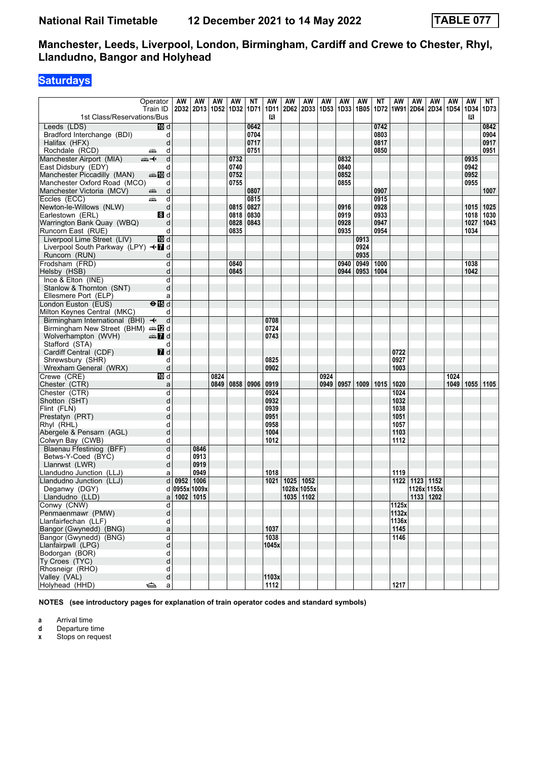# **Saturdays**

|                                                   | Operator             | AW            | AW             | AW   | AW   | NΤ           | AW           | AW   | AW          | AW   | <b>AW</b> | AW          | <b>NT</b>    | AW           | AW        | AW          | <b>AW</b> | AW   | NT           |
|---------------------------------------------------|----------------------|---------------|----------------|------|------|--------------|--------------|------|-------------|------|-----------|-------------|--------------|--------------|-----------|-------------|-----------|------|--------------|
|                                                   | Train ID             |               | 2D32 2D13 1D52 |      | 1D32 | 1D71         | 1D11         | 2D62 | <b>2D33</b> | 1D53 |           | 1D33   1B05 |              | 1D72 1W91    | 2D64      | 2D34 1D54   |           | 1D34 | 1D73         |
| 1st Class/Reservations/Bus                        |                      |               |                |      |      |              | В            |      |             |      |           |             |              |              |           |             |           | в    |              |
| Leeds (LDS)<br>Bradford Interchange (BDI)         | 10 d<br>d            |               |                |      |      | 0642<br>0704 |              |      |             |      |           |             | 0742<br>0803 |              |           |             |           |      | 0842<br>0904 |
| Halifax (HFX)                                     | d                    |               |                |      |      | 0717         |              |      |             |      |           |             | 0817         |              |           |             |           |      | 0917         |
| Rochdale (RCD)                                    | d<br>پیش             |               |                |      |      | 0751         |              |      |             |      |           |             | 0850         |              |           |             |           |      | 0951         |
| Manchester Airport (MIA)                          | $\overline{d}$<br>⇜✦ |               |                |      | 0732 |              |              |      |             |      | 0832      |             |              |              |           |             |           | 0935 |              |
| East Didsbury (EDY)                               | d                    |               |                |      | 0740 |              |              |      |             |      | 0840      |             |              |              |           |             |           | 0942 |              |
| Manchester Piccadilly (MAN)                       | <b>BD</b> d          |               |                |      | 0752 |              |              |      |             |      | 0852      |             |              |              |           |             |           | 0952 |              |
| Manchester Oxford Road (MCO)                      | d                    |               |                |      | 0755 |              |              |      |             |      | 0855      |             |              |              |           |             |           | 0955 |              |
| Manchester Victoria (MCV)                         | d<br>æ,              |               |                |      |      | 0807         |              |      |             |      |           |             | 0907         |              |           |             |           |      | 1007         |
| Eccles (ECC)                                      | d<br>پیش             |               |                |      |      | 0815         |              |      |             |      |           |             | 0915         |              |           |             |           |      |              |
| Newton-le-Willows (NLW)                           | d                    |               |                |      | 0815 | 0827         |              |      |             |      | 0916      |             | 0928         |              |           |             |           | 1015 | 1025         |
| Earlestown (ERL)                                  | 3d                   |               |                |      | 0818 | 0830         |              |      |             |      | 0919      |             | 0933         |              |           |             |           | 1018 | 1030         |
| Warrington Bank Quay (WBQ)                        | d                    |               |                |      | 0828 | 0843         |              |      |             |      | 0928      |             | 0947         |              |           |             |           | 1027 | 1043         |
| Runcorn East (RUE)                                | d                    |               |                |      | 0835 |              |              |      |             |      | 0935      |             | 0954         |              |           |             |           | 1034 |              |
| Liverpool Lime Street (LIV)                       | <b>ID</b> d          |               |                |      |      |              |              |      |             |      |           | 0913        |              |              |           |             |           |      |              |
| Liverpool South Parkway (LPY) <■ d                |                      |               |                |      |      |              |              |      |             |      |           | 0924        |              |              |           |             |           |      |              |
| Runcorn (RUN)                                     | d                    |               |                |      |      |              |              |      |             |      |           | 0935        |              |              |           |             |           |      |              |
| Frodsham (FRD)                                    | d                    |               |                |      | 0840 |              |              |      |             |      | 0940      | 0949        | 1000         |              |           |             |           | 1038 |              |
| Helsby (HSB)                                      | d                    |               |                |      | 0845 |              |              |      |             |      | 0944      | 0953        | 1004         |              |           |             |           | 1042 |              |
| Ince & Elton (INE)                                | d<br>d               |               |                |      |      |              |              |      |             |      |           |             |              |              |           |             |           |      |              |
| Stanlow & Thornton (SNT)<br>Ellesmere Port (ELP)  |                      |               |                |      |      |              |              |      |             |      |           |             |              |              |           |             |           |      |              |
| London Euston (EUS)                               | a<br>$\overline{H}$  |               |                |      |      |              |              |      |             |      |           |             |              |              |           |             |           |      |              |
| Milton Keynes Central (MKC)                       | d                    |               |                |      |      |              |              |      |             |      |           |             |              |              |           |             |           |      |              |
| Birmingham International (BHI) +                  | d                    |               |                |      |      |              | 0708         |      |             |      |           |             |              |              |           |             |           |      |              |
| Birmingham New Street (BHM) $\oplus \mathbb{Z}$ d |                      |               |                |      |      |              | 0724         |      |             |      |           |             |              |              |           |             |           |      |              |
| Wolverhampton (WVH)                               | <b>ett</b> d         |               |                |      |      |              | 0743         |      |             |      |           |             |              |              |           |             |           |      |              |
| Stafford (STA)                                    | d                    |               |                |      |      |              |              |      |             |      |           |             |              |              |           |             |           |      |              |
| Cardiff Central (CDF)                             | 7d                   |               |                |      |      |              |              |      |             |      |           |             |              | 0722         |           |             |           |      |              |
| Shrewsbury (SHR)                                  | d                    |               |                |      |      |              | 0825         |      |             |      |           |             |              | 0927         |           |             |           |      |              |
| Wrexham General (WRX)                             | d                    |               |                |      |      |              | 0902         |      |             |      |           |             |              | 1003         |           |             |           |      |              |
| Crewe (CRE)                                       | <b>ID</b> d          |               |                | 0824 |      |              |              |      |             | 0924 |           |             |              |              |           |             | 1024      |      |              |
| Chester (CTR)                                     | a                    |               |                | 0849 | 0858 | 0906         | 0919         |      |             | 0949 | 0957      | 1009        | 1015         | 1020         |           |             | 1049      |      | 1055 1105    |
| Chester (CTR)                                     | d                    |               |                |      |      |              | 0924         |      |             |      |           |             |              | 1024         |           |             |           |      |              |
| Shotton (SHT)                                     | d                    |               |                |      |      |              | 0932         |      |             |      |           |             |              | 1032         |           |             |           |      |              |
| Flint (FLN)                                       | d                    |               |                |      |      |              | 0939         |      |             |      |           |             |              | 1038         |           |             |           |      |              |
| Prestatyn (PRT)                                   | d                    |               |                |      |      |              | 0951         |      |             |      |           |             |              | 1051         |           |             |           |      |              |
| Rhyl (RHL)<br>Abergele & Pensarn (AGL)            | d<br>d               |               |                |      |      |              | 0958<br>1004 |      |             |      |           |             |              | 1057<br>1103 |           |             |           |      |              |
| Colwyn Bay (CWB)                                  | d                    |               |                |      |      |              | 1012         |      |             |      |           |             |              | 1112         |           |             |           |      |              |
| Blaenau Ffestiniog (BFF)                          | d                    |               | 0846           |      |      |              |              |      |             |      |           |             |              |              |           |             |           |      |              |
| Betws-Y-Coed (BYC)                                | d                    |               | 0913           |      |      |              |              |      |             |      |           |             |              |              |           |             |           |      |              |
| Llanrwst (LWR)                                    | d                    |               | 0919           |      |      |              |              |      |             |      |           |             |              |              |           |             |           |      |              |
| Llandudno Junction (LLJ)                          | a                    |               | 0949           |      |      |              | 1018         |      |             |      |           |             |              | 1119         |           |             |           |      |              |
| Llandudno Junction (LLJ)                          | d                    |               | 0952 1006      |      |      |              | 1021         | 1025 | 1052        |      |           |             |              | 1122         | 1123 1152 |             |           |      |              |
| Deganwy (DGY)                                     |                      | d 0955x 1009x |                |      |      |              |              |      | 1028x 1055x |      |           |             |              |              |           | 1126x 1155x |           |      |              |
| Llandudno (LLD)                                   | a                    | 1002 1015     |                |      |      |              |              |      | 1035   1102 |      |           |             |              |              | 1133 1202 |             |           |      |              |
| Conwy (CNW)                                       | d                    |               |                |      |      |              |              |      |             |      |           |             |              | 1125x        |           |             |           |      |              |
| Penmaenmawr (PMW)                                 | d                    |               |                |      |      |              |              |      |             |      |           |             |              | 1132x        |           |             |           |      |              |
| Llanfairfechan (LLF)                              | d                    |               |                |      |      |              |              |      |             |      |           |             |              | 1136x        |           |             |           |      |              |
| Bangor (Gwynedd) (BNG)                            | a                    |               |                |      |      |              | 1037         |      |             |      |           |             |              | 1145         |           |             |           |      |              |
| Bangor (Gwynedd) (BNG)                            | d                    |               |                |      |      |              | 1038         |      |             |      |           |             |              | 1146         |           |             |           |      |              |
| Llanfairpwll (LPG)                                | d                    |               |                |      |      |              | 1045x        |      |             |      |           |             |              |              |           |             |           |      |              |
| Bodorgan (BOR)                                    | d                    |               |                |      |      |              |              |      |             |      |           |             |              |              |           |             |           |      |              |
| Ty Croes (TYC)                                    | d                    |               |                |      |      |              |              |      |             |      |           |             |              |              |           |             |           |      |              |
| Rhosneigr (RHO)<br>Valley (VAL)                   | d<br>þ               |               |                |      |      |              | 1103x        |      |             |      |           |             |              |              |           |             |           |      |              |
| Holyhead (HHD)                                    | ک<br>$\mathsf{a}$    |               |                |      |      |              | 1112         |      |             |      |           |             |              | 1217         |           |             |           |      |              |
|                                                   |                      |               |                |      |      |              |              |      |             |      |           |             |              |              |           |             |           |      |              |

**NOTES (see introductory pages for explanation of train operator codes and standard symbols)**

**a** Arrival time

**d** Departure time<br>**x** Stops on reque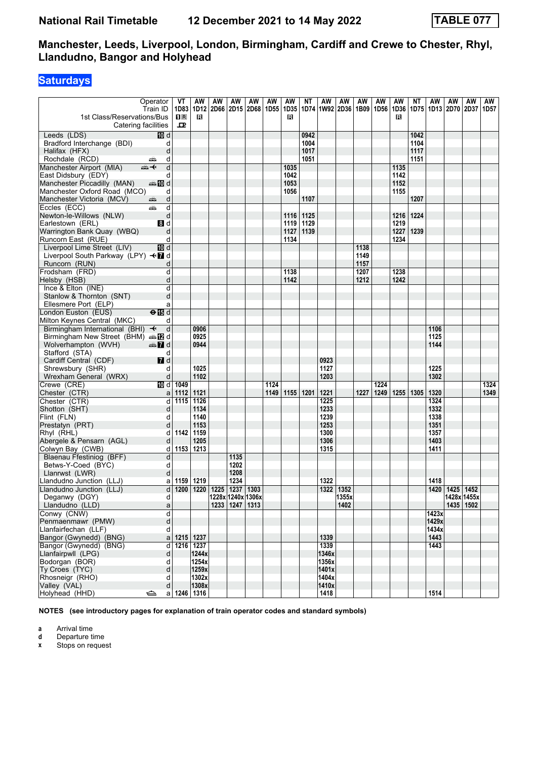### **Saturdays**

| 1st Class/Reservations/Bus                   | Operator<br>Train ID               | VT<br>$\mathbf{1}$ R | AW<br>1D83 1D12<br>R | AW | AW<br>  2D66   2D15   2D68   1D55 | AW   | AW   | AW<br>1D35<br>в | NΤ   | AW           | AW<br>1D74   1W92   2D36 | AW<br>1B09 | AW<br>1D56 | AW<br>в | ΝT<br>1D36   1D75 | AW           | AW<br>1D13   2D70  | AW<br>2D37 | AW<br>1D57 |
|----------------------------------------------|------------------------------------|----------------------|----------------------|----|-----------------------------------|------|------|-----------------|------|--------------|--------------------------|------------|------------|---------|-------------------|--------------|--------------------|------------|------------|
| Catering facilities                          |                                    | ᅭ                    |                      |    |                                   |      |      |                 |      |              |                          |            |            |         |                   |              |                    |            |            |
| Leeds (LDS)                                  | 10 d                               |                      |                      |    |                                   |      |      |                 | 0942 |              |                          |            |            |         | 1042              |              |                    |            |            |
| Bradford Interchange (BDI)                   | d                                  |                      |                      |    |                                   |      |      |                 | 1004 |              |                          |            |            |         | 1104              |              |                    |            |            |
| Halifax (HFX)                                | d                                  |                      |                      |    |                                   |      |      |                 | 1017 |              |                          |            |            |         | 1117              |              |                    |            |            |
| Rochdale (RCD)                               | d<br>۳Ò                            |                      |                      |    |                                   |      |      |                 | 1051 |              |                          |            |            |         | 1151              |              |                    |            |            |
| Manchester Airport (MIA)                     | $\overline{d}$<br>⇜✦               |                      |                      |    |                                   |      |      | 1035            |      |              |                          |            |            | 1135    |                   |              |                    |            |            |
| East Didsbury (EDY)                          | d                                  |                      |                      |    |                                   |      |      | 1042            |      |              |                          |            |            | 1142    |                   |              |                    |            |            |
| Manchester Piccadilly (MAN)                  | <b>美国d</b>                         |                      |                      |    |                                   |      |      | 1053            |      |              |                          |            |            | 1152    |                   |              |                    |            |            |
| Manchester Oxford Road (MCO)                 | d                                  |                      |                      |    |                                   |      |      | 1056            |      |              |                          |            |            | 1155    |                   |              |                    |            |            |
| Manchester Victoria (MCV)                    | d<br>æ6                            |                      |                      |    |                                   |      |      |                 | 1107 |              |                          |            |            |         | 1207              |              |                    |            |            |
| Eccles (ECC)                                 | d<br>وتشر                          |                      |                      |    |                                   |      |      |                 |      |              |                          |            |            |         |                   |              |                    |            |            |
| Newton-le-Willows (NLW)                      | d                                  |                      |                      |    |                                   |      |      | 1116            | 1125 |              |                          |            |            | 1216    | 1224              |              |                    |            |            |
| Earlestown (ERL)                             | 8d                                 |                      |                      |    |                                   |      |      | 1119            | 1129 |              |                          |            |            | 1219    |                   |              |                    |            |            |
| Warrington Bank Quay (WBQ)                   | d                                  |                      |                      |    |                                   |      |      | 1127            | 1139 |              |                          |            |            | 1227    | 1239              |              |                    |            |            |
| Runcorn East (RUE)                           | d                                  |                      |                      |    |                                   |      |      | 1134            |      |              |                          |            |            | 1234    |                   |              |                    |            |            |
| Liverpool Lime Street (LIV)                  | <b>ID</b> d                        |                      |                      |    |                                   |      |      |                 |      |              |                          | 1138       |            |         |                   |              |                    |            |            |
| Liverpool South Parkway (LPY) <■ d           |                                    |                      |                      |    |                                   |      |      |                 |      |              |                          | 1149       |            |         |                   |              |                    |            |            |
| Runcorn (RUN)                                | d                                  |                      |                      |    |                                   |      |      |                 |      |              |                          | 1157       |            |         |                   |              |                    |            |            |
| Frodsham (FRD)                               | d                                  |                      |                      |    |                                   |      |      | 1138            |      |              |                          | 1207       |            | 1238    |                   |              |                    |            |            |
| Helsby (HSB)                                 | d                                  |                      |                      |    |                                   |      |      | 1142            |      |              |                          | 1212       |            | 1242    |                   |              |                    |            |            |
| Ince & Elton (INE)                           | d                                  |                      |                      |    |                                   |      |      |                 |      |              |                          |            |            |         |                   |              |                    |            |            |
| Stanlow & Thornton (SNT)                     | d                                  |                      |                      |    |                                   |      |      |                 |      |              |                          |            |            |         |                   |              |                    |            |            |
| Ellesmere Port (ELP)                         | a                                  |                      |                      |    |                                   |      |      |                 |      |              |                          |            |            |         |                   |              |                    |            |            |
| London Euston (EUS)                          | $\Theta$ $\overline{\mathbb{B}}$ d |                      |                      |    |                                   |      |      |                 |      |              |                          |            |            |         |                   |              |                    |            |            |
| Milton Keynes Central (MKC)                  | d                                  |                      |                      |    |                                   |      |      |                 |      |              |                          |            |            |         |                   |              |                    |            |            |
| Birmingham International (BHI) +             | d                                  |                      | 0906                 |    |                                   |      |      |                 |      |              |                          |            |            |         |                   | 1106         |                    |            |            |
| Birmingham New Street (BHM) and              |                                    |                      | 0925                 |    |                                   |      |      |                 |      |              |                          |            |            |         |                   | 1125         |                    |            |            |
| Wolverhampton (WVH)                          | <del>o</del> ns 7d                 |                      | 0944                 |    |                                   |      |      |                 |      |              |                          |            |            |         |                   | 1144         |                    |            |            |
| Stafford (STA)                               | d                                  |                      |                      |    |                                   |      |      |                 |      |              |                          |            |            |         |                   |              |                    |            |            |
| Cardiff Central (CDF)                        | $I$ d                              |                      |                      |    |                                   |      |      |                 |      | 0923         |                          |            |            |         |                   |              |                    |            |            |
| Shrewsbury (SHR)                             | d                                  |                      | 1025                 |    |                                   |      |      |                 |      | 1127         |                          |            |            |         |                   | 1225         |                    |            |            |
| Wrexham General (WRX)                        | d                                  |                      | 1102                 |    |                                   |      |      |                 |      | 1203         |                          |            |            |         |                   | 1302         |                    |            |            |
| Crewe (CRE)                                  | 10d                                | 1049                 |                      |    |                                   |      | 1124 |                 |      |              |                          |            | 1224       |         |                   |              |                    |            | 1324       |
| Chester (CTR)                                | a                                  | 1112                 | 1121                 |    |                                   |      | 1149 | 1155 1201       |      | 1221         |                          | 1227       | 1249       | 1255    | 1305              | 1320         |                    |            | 1349       |
| Chester (CTR)                                | d                                  |                      | 1115 1126            |    |                                   |      |      |                 |      | 1225         |                          |            |            |         |                   | 1324         |                    |            |            |
| Shotton (SHT)                                | d                                  |                      | 1134                 |    |                                   |      |      |                 |      | 1233         |                          |            |            |         |                   | 1332         |                    |            |            |
| Flint (FLN)                                  | d                                  |                      | 1140                 |    |                                   |      |      |                 |      | 1239         |                          |            |            |         |                   | 1338         |                    |            |            |
| Prestatyn (PRT)                              | d                                  |                      | 1153                 |    |                                   |      |      |                 |      | 1253         |                          |            |            |         |                   | 1351         |                    |            |            |
| Rhyl (RHL)                                   | d                                  | 1142                 | 1159                 |    |                                   |      |      |                 |      | 1300         |                          |            |            |         |                   | 1357<br>1403 |                    |            |            |
| Abergele & Pensarn (AGL)<br>Colwyn Bay (CWB) | d<br>d                             |                      | 1205<br>1153   1213  |    |                                   |      |      |                 |      | 1306<br>1315 |                          |            |            |         |                   | 1411         |                    |            |            |
| Blaenau Ffestiniog (BFF)                     | d                                  |                      |                      |    | 1135                              |      |      |                 |      |              |                          |            |            |         |                   |              |                    |            |            |
| Betws-Y-Coed (BYC)                           | d                                  |                      |                      |    | 1202                              |      |      |                 |      |              |                          |            |            |         |                   |              |                    |            |            |
| Llanrwst (LWR)                               | d                                  |                      |                      |    | 1208                              |      |      |                 |      |              |                          |            |            |         |                   |              |                    |            |            |
| Llandudno Junction (LLJ)                     | a                                  | 1159                 | 1219                 |    | 1234                              |      |      |                 |      | 1322         |                          |            |            |         |                   | 1418         |                    |            |            |
| Llandudno Junction (LLJ)                     | d                                  | 1200                 | 1220                 |    | 1225   1237                       | 1303 |      |                 |      | 1322         | 1352                     |            |            |         |                   |              | 1420   1425   1452 |            |            |
| Deganwy (DGY)                                | d                                  |                      |                      |    | 1228x 1240x 1306x                 |      |      |                 |      |              | 1355x                    |            |            |         |                   |              | 1428x 1455x        |            |            |
| Llandudno (LLD)                              | a                                  |                      |                      |    | 1233 1247 1313                    |      |      |                 |      |              | 1402                     |            |            |         |                   |              | 1435 1502          |            |            |
| Conwy (CNW)                                  | d                                  |                      |                      |    |                                   |      |      |                 |      |              |                          |            |            |         |                   | 1423x        |                    |            |            |
| Penmaenmawr (PMW)                            | d                                  |                      |                      |    |                                   |      |      |                 |      |              |                          |            |            |         |                   | 1429xl       |                    |            |            |
| Llanfairfechan (LLF)                         | d                                  |                      |                      |    |                                   |      |      |                 |      |              |                          |            |            |         |                   | 1434xl       |                    |            |            |
| Bangor (Gwynedd) (BNG)                       |                                    | a   1215   1237      |                      |    |                                   |      |      |                 |      | 1339         |                          |            |            |         |                   | 1443         |                    |            |            |
| Bangor (Gwynedd) (BNG)                       | d                                  |                      | 1216 1237            |    |                                   |      |      |                 |      | 1339         |                          |            |            |         |                   | 1443         |                    |            |            |
| Llanfairpwll (LPG)                           | d                                  |                      | 1244x                |    |                                   |      |      |                 |      | 1346x        |                          |            |            |         |                   |              |                    |            |            |
| Bodorgan (BOR)                               | d                                  |                      | 1254x                |    |                                   |      |      |                 |      | 1356x        |                          |            |            |         |                   |              |                    |            |            |
| Ty Croes (TYC)                               | d                                  |                      | 1259x                |    |                                   |      |      |                 |      | 1401x        |                          |            |            |         |                   |              |                    |            |            |
| Rhosneigr (RHO)                              | d                                  |                      | 1302x                |    |                                   |      |      |                 |      | 1404x        |                          |            |            |         |                   |              |                    |            |            |
| Valley (VAL)                                 | d                                  |                      | 1308x                |    |                                   |      |      |                 |      | 1410x        |                          |            |            |         |                   |              |                    |            |            |
| Holyhead (HHD)                               | ⇔<br>a∣                            |                      | 1246 1316            |    |                                   |      |      |                 |      | 1418         |                          |            |            |         |                   | 1514         |                    |            |            |

**NOTES (see introductory pages for explanation of train operator codes and standard symbols)**

**a** Arrival time<br>**d** Departure t

**d** Departure time<br>**x** Stops on reque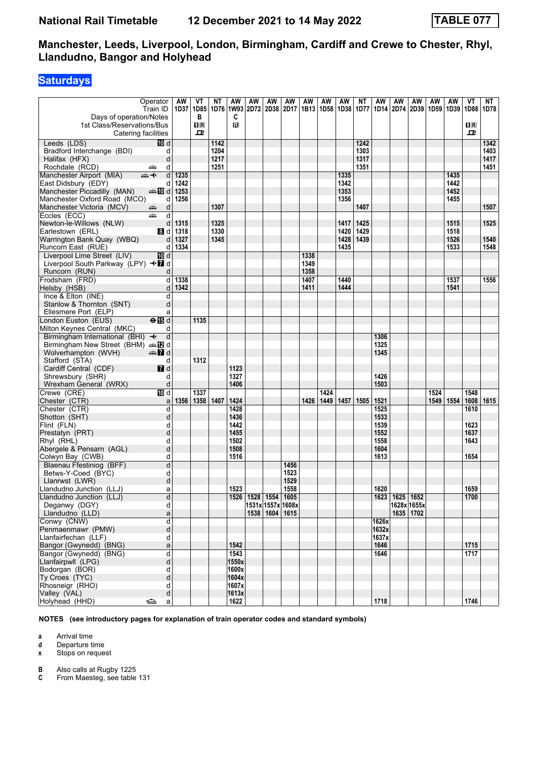# **Saturdays**

|                                                                             | Operator                  | AW           | VT             | ΝT           | AW             | AW | ΑW                       | AW           | AW   | AW          | AW           | ΝT           | AW           | AW                 | AW        | AW   | AW           | VT                      | NT           |
|-----------------------------------------------------------------------------|---------------------------|--------------|----------------|--------------|----------------|----|--------------------------|--------------|------|-------------|--------------|--------------|--------------|--------------------|-----------|------|--------------|-------------------------|--------------|
| Days of operation/Notes                                                     | Train ID                  | 1D37         | 1D85<br>в      |              | C              |    | 1D76 1W93 2D72 2D38 2D17 |              |      | 1B13   1D58 | 1D38         | 1D77         |              | 1D14   2D74   2D39 |           |      | 1D59   1D39  | 1D88   1D78             |              |
| 1st Class/Reservations/Bus                                                  |                           |              | $\mathbf{1}$ R |              | в              |    |                          |              |      |             |              |              |              |                    |           |      |              | $\overline{\mathbf{R}}$ |              |
| Catering facilities                                                         |                           |              | ᅭ              |              |                |    |                          |              |      |             |              |              |              |                    |           |      |              | ᅭ                       |              |
| Leeds (LDS)                                                                 | 而 d                       |              |                | 1142         |                |    |                          |              |      |             |              | 1242         |              |                    |           |      |              |                         | 1342         |
| Bradford Interchange (BDI)<br>Halifax (HFX)                                 | d<br>d                    |              |                | 1204<br>1217 |                |    |                          |              |      |             |              | 1303<br>1317 |              |                    |           |      |              |                         | 1403<br>1417 |
| Rochdale (RCD)                                                              | d<br>یشته                 |              |                | 1251         |                |    |                          |              |      |             |              | 1351         |              |                    |           |      |              |                         | 1451         |
| Manchester Airport (MIA)                                                    | $\mathsf{d}$<br>⇜✦        | 1235         |                |              |                |    |                          |              |      |             | 1335         |              |              |                    |           |      | 1435         |                         |              |
| East Didsbury (EDY)                                                         | d                         | 1242         |                |              |                |    |                          |              |      |             | 1342         |              |              |                    |           |      | 1442         |                         |              |
| Manchester Piccadilly (MAN)                                                 | d≣ 10 d                   | 1253         |                |              |                |    |                          |              |      |             | 1353         |              |              |                    |           |      | 1452         |                         |              |
| Manchester Oxford Road (MCO)                                                | d                         | 1256         |                |              |                |    |                          |              |      |             | 1356         |              |              |                    |           |      | 1455         |                         |              |
| Manchester Victoria (MCV)                                                   | d<br>æ.                   |              |                | 1307         |                |    |                          |              |      |             |              | 1407         |              |                    |           |      |              |                         | 1507         |
| Eccles (ECC)                                                                | d<br>پیش                  |              |                |              |                |    |                          |              |      |             |              |              |              |                    |           |      |              |                         |              |
| Newton-le-Willows (NLW)                                                     | d                         | 1315         |                | 1325         |                |    |                          |              |      |             | 1417         | 1425         |              |                    |           |      | 1515         |                         | 1525         |
| Earlestown (ERL)                                                            | 8d                        | 1318         |                | 1330         |                |    |                          |              |      |             | 1420         | 1429         |              |                    |           |      | 1518         |                         |              |
| Warrington Bank Quay (WBQ)<br>Runcorn East (RUE)                            | d<br>d                    | 1327<br>1334 |                | 1345         |                |    |                          |              |      |             | 1428<br>1435 | 1439         |              |                    |           |      | 1526<br>1533 |                         | 1540<br>1548 |
| Liverpool Lime Street (LIV)                                                 | 10 d                      |              |                |              |                |    |                          |              | 1338 |             |              |              |              |                    |           |      |              |                         |              |
| Liverpool South Parkway (LPY) <b>+</b> a                                    |                           |              |                |              |                |    |                          |              | 1349 |             |              |              |              |                    |           |      |              |                         |              |
| Runcorn (RUN)                                                               | d                         |              |                |              |                |    |                          |              | 1358 |             |              |              |              |                    |           |      |              |                         |              |
| Frodsham (FRD)                                                              | d                         | 1338         |                |              |                |    |                          |              | 1407 |             | 1440         |              |              |                    |           |      | 1537         |                         | 1556         |
| Helsby (HSB)                                                                | d                         | 1342         |                |              |                |    |                          |              | 1411 |             | 1444         |              |              |                    |           |      | 1541         |                         |              |
| Ince & Elton (INE)                                                          | d                         |              |                |              |                |    |                          |              |      |             |              |              |              |                    |           |      |              |                         |              |
| Stanlow & Thornton (SNT)                                                    | d                         |              |                |              |                |    |                          |              |      |             |              |              |              |                    |           |      |              |                         |              |
| Ellesmere Port (ELP)                                                        | a                         |              |                |              |                |    |                          |              |      |             |              |              |              |                    |           |      |              |                         |              |
| London Euston (EUS)                                                         | $\Theta$ $\blacksquare$ d |              | 1135           |              |                |    |                          |              |      |             |              |              |              |                    |           |      |              |                         |              |
| Milton Keynes Central (MKC)<br>Birmingham International (BHI) $\rightarrow$ | d<br>d                    |              |                |              |                |    |                          |              |      |             |              |              | 1306         |                    |           |      |              |                         |              |
| <b>Birmingham New Street (BHM)</b> $\oplus$ <b>IZ</b> d                     |                           |              |                |              |                |    |                          |              |      |             |              |              | 1325         |                    |           |      |              |                         |              |
| Wolverhampton (WVH)                                                         | $\oplus$ 7 d              |              |                |              |                |    |                          |              |      |             |              |              | 1345         |                    |           |      |              |                         |              |
| Stafford (STA)                                                              | d                         |              | 1312           |              |                |    |                          |              |      |             |              |              |              |                    |           |      |              |                         |              |
| Cardiff Central (CDF)                                                       | $\blacksquare$ d          |              |                |              | 1123           |    |                          |              |      |             |              |              |              |                    |           |      |              |                         |              |
| Shrewsbury (SHR)                                                            | d                         |              |                |              | 1327           |    |                          |              |      |             |              |              | 1426         |                    |           |      |              |                         |              |
| Wrexham General (WRX)                                                       | d                         |              |                |              | 1406           |    |                          |              |      |             |              |              | 1503         |                    |           |      |              |                         |              |
| Crewe (CRE)                                                                 | <b>TD</b> d               |              | 1337           |              |                |    |                          |              |      | 1424        |              |              |              |                    |           | 1524 |              | 1548                    |              |
| Chester (CTR)                                                               | a                         | 1356         | 1358           | 1407         | 1424           |    |                          |              | 1426 | 1449        | 1457         | 1505         | 1521         |                    |           |      | 1549   1554  | 1608                    | 1615         |
| Chester (CTR)<br>Shotton (SHT)                                              | d                         |              |                |              | 1428<br>1436   |    |                          |              |      |             |              |              | 1525<br>1533 |                    |           |      |              | 1610                    |              |
| Flint (FLN)                                                                 | d<br>d                    |              |                |              | 1442           |    |                          |              |      |             |              |              | 1539         |                    |           |      |              | 1623                    |              |
| Prestatyn (PRT)                                                             | d                         |              |                |              | 1455           |    |                          |              |      |             |              |              | 1552         |                    |           |      |              | 1637                    |              |
| Rhyl (RHL)                                                                  | d                         |              |                |              | 1502           |    |                          |              |      |             |              |              | 1558         |                    |           |      |              | 1643                    |              |
| Abergele & Pensarn (AGL)                                                    | d                         |              |                |              | 1508           |    |                          |              |      |             |              |              | 1604         |                    |           |      |              |                         |              |
| Colwyn Bay (CWB)                                                            | d                         |              |                |              | 1516           |    |                          |              |      |             |              |              | 1613         |                    |           |      |              | 1654                    |              |
| Blaenau Ffestiniog (BFF)                                                    | d                         |              |                |              |                |    |                          | 1456         |      |             |              |              |              |                    |           |      |              |                         |              |
| Betws-Y-Coed (BYC)                                                          | d                         |              |                |              |                |    |                          | 1523         |      |             |              |              |              |                    |           |      |              |                         |              |
| Llanrwst (LWR)                                                              | d                         |              |                |              | 1523           |    |                          | 1529<br>1558 |      |             |              |              | 1620         |                    |           |      |              | 1659                    |              |
| Llandudno Junction (LLJ)<br>Llandudno Junction (LLJ)                        | a<br>þ                    |              |                |              |                |    | 1526 1528 1554 1605      |              |      |             |              |              |              | 1623 1625 1652     |           |      |              | 1700                    |              |
| Deganwy (DGY)                                                               | d                         |              |                |              |                |    | 1531x 1557x 1608x        |              |      |             |              |              |              | 1628x 1655x        |           |      |              |                         |              |
| Llandudno (LLD)                                                             | a                         |              |                |              |                |    | 1538 1604 1615           |              |      |             |              |              |              |                    | 1635 1702 |      |              |                         |              |
| Conwy (CNW)                                                                 | d                         |              |                |              |                |    |                          |              |      |             |              |              | 1626x        |                    |           |      |              |                         |              |
| Penmaenmawr (PMW)                                                           | d                         |              |                |              |                |    |                          |              |      |             |              |              | 1632x        |                    |           |      |              |                         |              |
| Llanfairfechan (LLF)                                                        | d                         |              |                |              |                |    |                          |              |      |             |              |              | 1637x        |                    |           |      |              |                         |              |
| Bangor (Gwynedd) (BNG)                                                      | a                         |              |                |              | 1542           |    |                          |              |      |             |              |              | 1646         |                    |           |      |              | 1715                    |              |
| Bangor (Gwynedd) (BNG)                                                      | d                         |              |                |              | 1543           |    |                          |              |      |             |              |              | 1646         |                    |           |      |              | 1717                    |              |
| Llanfairpwll (LPG)<br>Bodorgan (BOR)                                        | d<br>d                    |              |                |              | 1550x<br>1600x |    |                          |              |      |             |              |              |              |                    |           |      |              |                         |              |
| Ty Croes (TYC)                                                              | d                         |              |                |              | 1604x          |    |                          |              |      |             |              |              |              |                    |           |      |              |                         |              |
| Rhosneigr (RHO)                                                             | d                         |              |                |              | 1607x          |    |                          |              |      |             |              |              |              |                    |           |      |              |                         |              |
| Valley (VAL)                                                                | d                         |              |                |              | 1613x          |    |                          |              |      |             |              |              |              |                    |           |      |              |                         |              |
| Holyhead (HHD)                                                              | $\Rightarrow$<br>a        |              |                |              | 1622           |    |                          |              |      |             |              |              | 1718         |                    |           |      |              | 1746                    |              |

**NOTES (see introductory pages for explanation of train operator codes and standard symbols)**

**a** Arrival time<br>**d** Departure t **d** Departure time

**x** Stops on request

**B** Also calls at Rugby 1225<br>**C** From Maesteg, see table

From Maesteg, see table 131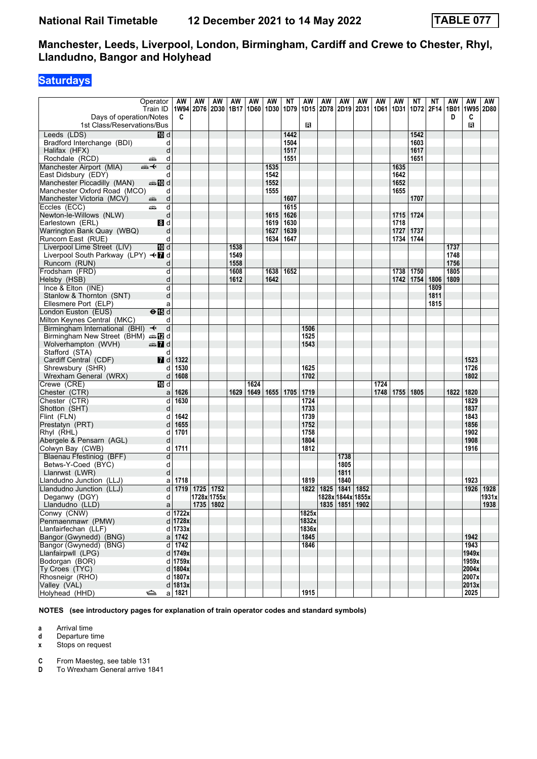### **Saturdays**

|                                                 | Operator                  | AW          | AW<br>1W94 2D76 2D30 | AW          | AW   | AW   | AW           | ΝT           | AW    | AW          | AW                                      | AW   | AW   | AW           | ΝT           | ΝT        | AW   | AW<br>1W95 2D80 | AW            |
|-------------------------------------------------|---------------------------|-------------|----------------------|-------------|------|------|--------------|--------------|-------|-------------|-----------------------------------------|------|------|--------------|--------------|-----------|------|-----------------|---------------|
| Days of operation/Notes                         | Train ID                  | C           |                      |             | 1B17 | 1D60 | 1D30         | 1D79         | 1D15  | 2D78        | 2D19                                    | 2D31 | 1D61 | 1D31         | 1D72         | 2F14 1B01 | D    | C               |               |
| 1st Class/Reservations/Bus                      |                           |             |                      |             |      |      |              |              | в     |             |                                         |      |      |              |              |           |      | в               |               |
|                                                 |                           |             |                      |             |      |      |              |              |       |             |                                         |      |      |              |              |           |      |                 |               |
| Leeds (LDS)                                     | 10 d                      |             |                      |             |      |      |              | 1442         |       |             |                                         |      |      |              | 1542         |           |      |                 |               |
| Bradford Interchange (BDI)                      | d                         |             |                      |             |      |      |              | 1504         |       |             |                                         |      |      |              | 1603         |           |      |                 |               |
| Halifax (HFX)<br>Rochdale (RCD)                 | d<br>d                    |             |                      |             |      |      |              | 1517<br>1551 |       |             |                                         |      |      |              | 1617<br>1651 |           |      |                 |               |
|                                                 | یشت<br>d                  |             |                      |             |      |      |              |              |       |             |                                         |      |      |              |              |           |      |                 |               |
| Manchester Airport (MIA)<br>East Didsbury (EDY) | ⇜✦<br>d                   |             |                      |             |      |      | 1535<br>1542 |              |       |             |                                         |      |      | 1635<br>1642 |              |           |      |                 |               |
| Manchester Piccadilly (MAN)                     |                           |             |                      |             |      |      | 1552         |              |       |             |                                         |      |      | 1652         |              |           |      |                 |               |
| Manchester Oxford Road (MCO)                    | d                         |             |                      |             |      |      | 1555         |              |       |             |                                         |      |      | 1655         |              |           |      |                 |               |
| Manchester Victoria (MCV)                       | d<br>۳                    |             |                      |             |      |      |              | 1607         |       |             |                                         |      |      |              | 1707         |           |      |                 |               |
| Eccles (ECC)                                    | d<br>پیش                  |             |                      |             |      |      |              | 1615         |       |             |                                         |      |      |              |              |           |      |                 |               |
| Newton-le-Willows (NLW)                         | d                         |             |                      |             |      |      | 1615         | 1626         |       |             |                                         |      |      | 1715         | 1724         |           |      |                 |               |
| Earlestown (ERL)                                | <b>8</b> d                |             |                      |             |      |      | 1619         | 1630         |       |             |                                         |      |      | 1718         |              |           |      |                 |               |
| Warrington Bank Quay (WBQ)                      | d                         |             |                      |             |      |      | 1627         | 1639         |       |             |                                         |      |      | 1727         | 1737         |           |      |                 |               |
| Runcorn East (RUE)                              | d                         |             |                      |             |      |      | 1634         | 1647         |       |             |                                         |      |      | 1734         | 1744         |           |      |                 |               |
| Liverpool Lime Street (LIV)                     | 10d                       |             |                      |             | 1538 |      |              |              |       |             |                                         |      |      |              |              |           | 1737 |                 |               |
| Liverpool South Parkway (LPY) <■ d              |                           |             |                      |             | 1549 |      |              |              |       |             |                                         |      |      |              |              |           | 1748 |                 |               |
| Runcorn (RUN)                                   | d                         |             |                      |             | 1558 |      |              |              |       |             |                                         |      |      |              |              |           | 1756 |                 |               |
| Frodsham (FRD)                                  | d                         |             |                      |             | 1608 |      | 1638         | 1652         |       |             |                                         |      |      | 1738         | 1750         |           | 1805 |                 |               |
| Helsby (HSB)                                    | d                         |             |                      |             | 1612 |      | 1642         |              |       |             |                                         |      |      | 1742         | 1754         | 1806      | 1809 |                 |               |
| Ince & Elton (INE)                              | d                         |             |                      |             |      |      |              |              |       |             |                                         |      |      |              |              | 1809      |      |                 |               |
| Stanlow & Thornton (SNT)                        | d                         |             |                      |             |      |      |              |              |       |             |                                         |      |      |              |              | 1811      |      |                 |               |
| Ellesmere Port (ELP)                            | а                         |             |                      |             |      |      |              |              |       |             |                                         |      |      |              |              | 1815      |      |                 |               |
| ondon Euston (EUS)                              | $\Theta$ $\overline{B}$ d |             |                      |             |      |      |              |              |       |             |                                         |      |      |              |              |           |      |                 |               |
| Milton Keynes Central (MKC)                     | d                         |             |                      |             |      |      |              |              |       |             |                                         |      |      |              |              |           |      |                 |               |
| Birmingham International (BHI) $\rightarrow$    | d                         |             |                      |             |      |      |              |              | 1506  |             |                                         |      |      |              |              |           |      |                 |               |
| Birmingham New Street (BHM) and Dela            |                           |             |                      |             |      |      |              |              | 1525  |             |                                         |      |      |              |              |           |      |                 |               |
| Wolverhampton (WVH)                             | dan 7d                    |             |                      |             |      |      |              |              | 1543  |             |                                         |      |      |              |              |           |      |                 |               |
| Stafford (STA)                                  | d                         |             |                      |             |      |      |              |              |       |             |                                         |      |      |              |              |           |      |                 |               |
| Cardiff Central (CDF)                           | <b>7</b> d                | 1322        |                      |             |      |      |              |              |       |             |                                         |      |      |              |              |           |      | 1523            |               |
| Shrewsbury (SHR)                                | d                         | 1530        |                      |             |      |      |              |              | 1625  |             |                                         |      |      |              |              |           |      | 1726            |               |
| Wrexham General (WRX)                           | d                         | 1608        |                      |             |      |      |              |              | 1702  |             |                                         |      |      |              |              |           |      | 1802            |               |
| Crewe (CRE)                                     | 10 d                      |             |                      |             |      | 1624 |              |              |       |             |                                         |      | 1724 |              |              |           |      |                 |               |
| Chester (CTR)                                   | a                         | 1626        |                      |             | 1629 | 1649 |              | 1655 1705    | 1719  |             |                                         |      | 1748 | 1755         | 1805         |           | 1822 | 1820            |               |
| Chester (CTR)                                   | d                         | 1630        |                      |             |      |      |              |              | 1724  |             |                                         |      |      |              |              |           |      | 1829            |               |
| Shotton (SHT)                                   | d                         |             |                      |             |      |      |              |              | 1733  |             |                                         |      |      |              |              |           |      | 1837            |               |
| Flint (FLN)                                     | d                         | 1642        |                      |             |      |      |              |              | 1739  |             |                                         |      |      |              |              |           |      | 1843            |               |
| Prestatyn (PRT)                                 | d                         | 1655        |                      |             |      |      |              |              | 1752  |             |                                         |      |      |              |              |           |      | 1856            |               |
| Rhyl (RHL)                                      | d                         | 1701        |                      |             |      |      |              |              | 1758  |             |                                         |      |      |              |              |           |      | 1902            |               |
| Abergele & Pensarn (AGL)                        | d                         |             |                      |             |      |      |              |              | 1804  |             |                                         |      |      |              |              |           |      | 1908            |               |
| Colwyn Bay (CWB)                                | d                         | 1711        |                      |             |      |      |              |              | 1812  |             |                                         |      |      |              |              |           |      | 1916            |               |
| Blaenau Ffestiniog (BFF)                        | d                         |             |                      |             |      |      |              |              |       |             | 1738                                    |      |      |              |              |           |      |                 |               |
| Betws-Y-Coed (BYC)                              | d                         |             |                      |             |      |      |              |              |       |             | 1805                                    |      |      |              |              |           |      |                 |               |
| Llanrwst (LWR)                                  | d                         |             |                      |             |      |      |              |              |       |             | 1811                                    |      |      |              |              |           |      |                 |               |
| Llandudno Junction (LLJ)                        | a                         | 1718        | 1725 1752            |             |      |      |              |              | 1819  |             | 1840                                    |      |      |              |              |           |      | 1923            |               |
| Llandudno Junction (LLJ)                        | d                         | 1719        |                      | 1728x 1755x |      |      |              |              |       | 1822   1825 | 1841   1852                             |      |      |              |              |           |      | 1926            | 1928<br>1931x |
| Deganwy (DGY)<br>Llandudno (LLD)                | d                         |             |                      | 1735 1802   |      |      |              |              |       |             | 1828x 1844x 1855x<br>1835   1851   1902 |      |      |              |              |           |      |                 | 1938          |
| Conwy (CNW)                                     | a                         | d 1722x     |                      |             |      |      |              |              | 1825x |             |                                         |      |      |              |              |           |      |                 |               |
| Penmaenmawr (PMW)                               |                           | $d$   1728x |                      |             |      |      |              |              | 1832x |             |                                         |      |      |              |              |           |      |                 |               |
| Llanfairfechan (LLF)                            |                           | $d$   1733x |                      |             |      |      |              |              | 1836x |             |                                         |      |      |              |              |           |      |                 |               |
| Bangor (Gwynedd) (BNG)                          |                           | $a$ 1742    |                      |             |      |      |              |              | 1845  |             |                                         |      |      |              |              |           |      | 1942            |               |
| Bangor (Gwynedd) (BNG)                          |                           | $d$ 1742    |                      |             |      |      |              |              | 1846  |             |                                         |      |      |              |              |           |      | 1943            |               |
| Llanfairpwll (LPG)                              |                           | d   1749x   |                      |             |      |      |              |              |       |             |                                         |      |      |              |              |           |      | 1949x           |               |
| Bodorgan (BOR)                                  |                           | d 1759x     |                      |             |      |      |              |              |       |             |                                         |      |      |              |              |           |      | 1959x           |               |
| Ty Croes (TYC)                                  |                           | d $ 1804x $ |                      |             |      |      |              |              |       |             |                                         |      |      |              |              |           |      | 2004x           |               |
| Rhosneigr (RHO)                                 |                           | d   1807x   |                      |             |      |      |              |              |       |             |                                         |      |      |              |              |           |      | 2007x           |               |
| Valley (VAL)                                    |                           | $d$   1813x |                      |             |      |      |              |              |       |             |                                         |      |      |              |              |           |      | 2013x           |               |
| Holyhead (HHD)                                  | ⇔                         | a 1821      |                      |             |      |      |              |              | 1915  |             |                                         |      |      |              |              |           |      | 2025            |               |

**NOTES (see introductory pages for explanation of train operator codes and standard symbols)**

**a** Arrival time<br>**d** Departure t

**d** Departure time

**x** Stops on request

**C** From Maesteg, see table 131<br>**D** To Wrexham General arrive 1

**D** To Wrexham General arrive 1841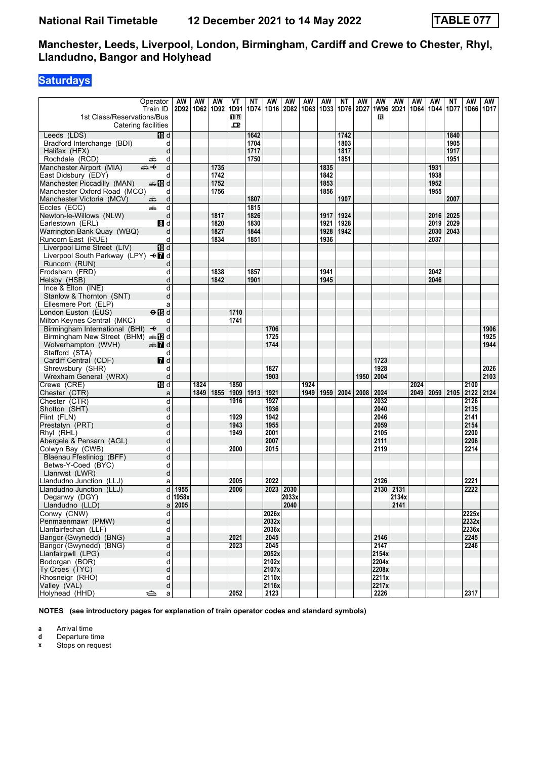### **Saturdays**

| 1st Class/Reservations/Bus                                        | Operator<br>Train ID               | AW                  | AW<br>2D92 1D62 1D92 | AW   | VT<br>1D91<br>$\overline{\mathbf{H}}$<br>ᇁ | ΝT   | AW    | AW<br>1D74   1D16   2D82   1D63   1D33 | AW   | AW   | NΤ<br>  1D76   2D27 | AW   | AW<br>1W96 2D21 1D64<br>R | AW    | AW   | AW<br>1D44  | NΤ<br>1D77                | AW<br>1D66 1D17 | AW   |
|-------------------------------------------------------------------|------------------------------------|---------------------|----------------------|------|--------------------------------------------|------|-------|----------------------------------------|------|------|---------------------|------|---------------------------|-------|------|-------------|---------------------------|-----------------|------|
| Catering facilities                                               |                                    |                     |                      |      |                                            |      |       |                                        |      |      |                     |      |                           |       |      |             |                           |                 |      |
| Leeds (LDS)                                                       | 10 d                               |                     |                      |      |                                            | 1642 |       |                                        |      |      | 1742                |      |                           |       |      |             | 1840                      |                 |      |
| Bradford Interchange (BDI)                                        | d                                  |                     |                      |      |                                            | 1704 |       |                                        |      |      | 1803                |      |                           |       |      |             | 1905                      |                 |      |
| Halifax (HFX)                                                     | d                                  |                     |                      |      |                                            | 1717 |       |                                        |      |      | 1817                |      |                           |       |      |             | 1917                      |                 |      |
| Rochdale (RCD)                                                    | d<br>یشت                           |                     |                      |      |                                            | 1750 |       |                                        |      |      | 1851                |      |                           |       |      |             | 1951                      |                 |      |
| Manchester Airport (MIA)                                          | d<br>⇜✦                            |                     |                      | 1735 |                                            |      |       |                                        |      | 1835 |                     |      |                           |       |      | 1931        |                           |                 |      |
| East Didsbury (EDY)                                               | d                                  |                     |                      | 1742 |                                            |      |       |                                        |      | 1842 |                     |      |                           |       |      | 1938        |                           |                 |      |
| Manchester Piccadilly (MAN)                                       | dan in d                           |                     |                      | 1752 |                                            |      |       |                                        |      | 1853 |                     |      |                           |       |      | 1952        |                           |                 |      |
| Manchester Oxford Road (MCO)                                      | d                                  |                     |                      | 1756 |                                            |      |       |                                        |      | 1856 |                     |      |                           |       |      | 1955        |                           |                 |      |
| Manchester Victoria (MCV)                                         | d<br>æ                             |                     |                      |      |                                            | 1807 |       |                                        |      |      | 1907                |      |                           |       |      |             | 2007                      |                 |      |
| Eccles (ECC)                                                      | d<br>æ                             |                     |                      |      |                                            | 1815 |       |                                        |      |      |                     |      |                           |       |      |             |                           |                 |      |
| Newton-le-Willows (NLW)                                           | d                                  |                     |                      | 1817 |                                            | 1826 |       |                                        |      | 1917 | 1924                |      |                           |       |      | 2016        | 2025                      |                 |      |
| Earlestown (ERL)                                                  | 8 d                                |                     |                      | 1820 |                                            | 1830 |       |                                        |      | 1921 | 1928                |      |                           |       |      | 2019        | 2029                      |                 |      |
| Warrington Bank Quay (WBQ)                                        | d                                  |                     |                      | 1827 |                                            | 1844 |       |                                        |      | 1928 | 1942                |      |                           |       |      | 2030   2043 |                           |                 |      |
| Runcorn East (RUE)                                                | d                                  |                     |                      | 1834 |                                            | 1851 |       |                                        |      | 1936 |                     |      |                           |       |      | 2037        |                           |                 |      |
| Liverpool Lime Street (LIV)<br>Liverpool South Parkway (LPY) <■ d | 何 d                                |                     |                      |      |                                            |      |       |                                        |      |      |                     |      |                           |       |      |             |                           |                 |      |
| Runcorn (RUN)                                                     | d                                  |                     |                      |      |                                            |      |       |                                        |      |      |                     |      |                           |       |      |             |                           |                 |      |
| Frodsham (FRD)                                                    | d                                  |                     |                      | 1838 |                                            | 1857 |       |                                        |      | 1941 |                     |      |                           |       |      | 2042        |                           |                 |      |
| Helsby (HSB)                                                      | d                                  |                     |                      | 1842 |                                            | 1901 |       |                                        |      | 1945 |                     |      |                           |       |      | 2046        |                           |                 |      |
| Ince & Elton (INE)                                                | d                                  |                     |                      |      |                                            |      |       |                                        |      |      |                     |      |                           |       |      |             |                           |                 |      |
| Stanlow & Thornton (SNT)                                          | d                                  |                     |                      |      |                                            |      |       |                                        |      |      |                     |      |                           |       |      |             |                           |                 |      |
| Ellesmere Port (ELP)                                              | a                                  |                     |                      |      |                                            |      |       |                                        |      |      |                     |      |                           |       |      |             |                           |                 |      |
| London Euston (EUS)                                               | $\Theta$ $\overline{\mathbb{B}}$ d |                     |                      |      | 1710                                       |      |       |                                        |      |      |                     |      |                           |       |      |             |                           |                 |      |
| Milton Keynes Central (MKC)                                       | d                                  |                     |                      |      | 1741                                       |      |       |                                        |      |      |                     |      |                           |       |      |             |                           |                 |      |
| Birmingham International (BHI) $\rightarrow$                      | d                                  |                     |                      |      |                                            |      | 1706  |                                        |      |      |                     |      |                           |       |      |             |                           |                 | 1906 |
| Birmingham New Street (BHM) and                                   |                                    |                     |                      |      |                                            |      | 1725  |                                        |      |      |                     |      |                           |       |      |             |                           |                 | 1925 |
| Wolverhampton (WVH)                                               | $\clubsuit$ d                      |                     |                      |      |                                            |      | 1744  |                                        |      |      |                     |      |                           |       |      |             |                           |                 | 1944 |
| Stafford (STA)                                                    | d                                  |                     |                      |      |                                            |      |       |                                        |      |      |                     |      |                           |       |      |             |                           |                 |      |
| Cardiff Central (CDF)                                             | $I$ d                              |                     |                      |      |                                            |      |       |                                        |      |      |                     |      | 1723                      |       |      |             |                           |                 |      |
| Shrewsbury (SHR)                                                  | d                                  |                     |                      |      |                                            |      | 1827  |                                        |      |      |                     |      | 1928                      |       |      |             |                           |                 | 2026 |
| Wrexham General (WRX)                                             | d                                  |                     |                      |      |                                            |      | 1903  |                                        |      |      |                     | 1950 | 2004                      |       |      |             |                           |                 | 2103 |
| Crewe (CRE)                                                       | III d                              |                     | 1824                 |      | 1850                                       |      |       |                                        | 1924 |      |                     |      |                           |       | 2024 |             |                           | 2100            |      |
| Chester (CTR)                                                     | a                                  |                     | 1849                 | 1855 | 1909                                       | 1913 | 1921  |                                        | 1949 | 1959 | 2004                | 2008 | 2024                      |       |      |             | 2049   2059   2105   2122 |                 | 2124 |
| Chester (CTR)                                                     | d                                  |                     |                      |      | 1916                                       |      | 1927  |                                        |      |      |                     |      | 2032                      |       |      |             |                           | 2126            |      |
| Shotton (SHT)                                                     | d                                  |                     |                      |      |                                            |      | 1936  |                                        |      |      |                     |      | 2040                      |       |      |             |                           | 2135            |      |
| Flint (FLN)                                                       | d                                  |                     |                      |      | 1929                                       |      | 1942  |                                        |      |      |                     |      | 2046                      |       |      |             |                           | 2141            |      |
| Prestatyn (PRT)                                                   | d                                  |                     |                      |      | 1943                                       |      | 1955  |                                        |      |      |                     |      | 2059                      |       |      |             |                           | 2154            |      |
| Rhyl (RHL)                                                        | d                                  |                     |                      |      | 1949                                       |      | 2001  |                                        |      |      |                     |      | 2105                      |       |      |             |                           | 2200            |      |
| Abergele & Pensarn (AGL)                                          | d                                  |                     |                      |      |                                            |      | 2007  |                                        |      |      |                     |      | 2111                      |       |      |             |                           | 2206            |      |
| Colwyn Bay (CWB)                                                  | d                                  |                     |                      |      | 2000                                       |      | 2015  |                                        |      |      |                     |      | 2119                      |       |      |             |                           | 2214            |      |
| Blaenau Ffestiniog (BFF)                                          | d                                  |                     |                      |      |                                            |      |       |                                        |      |      |                     |      |                           |       |      |             |                           |                 |      |
| Betws-Y-Coed (BYC)                                                | d                                  |                     |                      |      |                                            |      |       |                                        |      |      |                     |      |                           |       |      |             |                           |                 |      |
| Llanrwst (LWR)                                                    | d                                  |                     |                      |      |                                            |      |       |                                        |      |      |                     |      |                           |       |      |             |                           |                 |      |
|                                                                   |                                    |                     |                      |      | 2005                                       |      | 2022  |                                        |      |      |                     |      | 2126                      |       |      |             |                           | 2221            |      |
| Llandudno Junction (LLJ)                                          | a<br>$\overline{d}$                |                     |                      |      |                                            |      |       |                                        |      |      |                     |      |                           |       |      |             |                           |                 |      |
| Llandudno Junction (LLJ)                                          |                                    | 1955                |                      |      | 2006                                       |      |       | 2023 2030                              |      |      |                     |      | 2130 2131                 |       |      |             |                           | 2222            |      |
| Deganwy (DGY)                                                     |                                    | d 1958x<br>$a$ 2005 |                      |      |                                            |      |       | 2033x<br>2040                          |      |      |                     |      |                           | 2134x |      |             |                           |                 |      |
| Llandudno (LLD)                                                   |                                    |                     |                      |      |                                            |      |       |                                        |      |      |                     |      |                           | 2141  |      |             |                           |                 |      |
| Conwy (CNW)                                                       | d                                  |                     |                      |      |                                            |      | 2026x |                                        |      |      |                     |      |                           |       |      |             |                           | 2225x           |      |
| Penmaenmawr (PMW)                                                 | d                                  |                     |                      |      |                                            |      | 2032x |                                        |      |      |                     |      |                           |       |      |             |                           | 2232x           |      |
| Llanfairfechan (LLF)                                              | d                                  |                     |                      |      |                                            |      | 2036x |                                        |      |      |                     |      |                           |       |      |             |                           | 2236x           |      |
| Bangor (Gwynedd) (BNG)                                            | a                                  |                     |                      |      | 2021                                       |      | 2045  |                                        |      |      |                     |      | 2146                      |       |      |             |                           | 2245            |      |
| Bangor (Gwynedd) (BNG)                                            | d                                  |                     |                      |      | 2023                                       |      | 2045  |                                        |      |      |                     |      | 2147                      |       |      |             |                           | 2246            |      |
| Llanfairpwll (LPG)                                                | d                                  |                     |                      |      |                                            |      | 2052x |                                        |      |      |                     |      | 2154x                     |       |      |             |                           |                 |      |
| Bodorgan (BOR)                                                    | d                                  |                     |                      |      |                                            |      | 2102x |                                        |      |      |                     |      | 2204x                     |       |      |             |                           |                 |      |
| Ty Croes (TYC)                                                    | d                                  |                     |                      |      |                                            |      | 2107x |                                        |      |      |                     |      | 2208x                     |       |      |             |                           |                 |      |
| Rhosneigr (RHO)                                                   | d                                  |                     |                      |      |                                            |      | 2110x |                                        |      |      |                     |      | 2211x                     |       |      |             |                           |                 |      |
| Valley (VAL)                                                      | d                                  |                     |                      |      |                                            |      | 2116x |                                        |      |      |                     |      | 2217x                     |       |      |             |                           |                 |      |
| Holyhead (HHD)                                                    | ک<br>a                             |                     |                      |      | 2052                                       |      | 2123  |                                        |      |      |                     |      | 2226                      |       |      |             |                           | 2317            |      |

**NOTES (see introductory pages for explanation of train operator codes and standard symbols)**

**a** Arrival time<br>**d** Departure t

**d** Departure time<br>**x** Stops on reque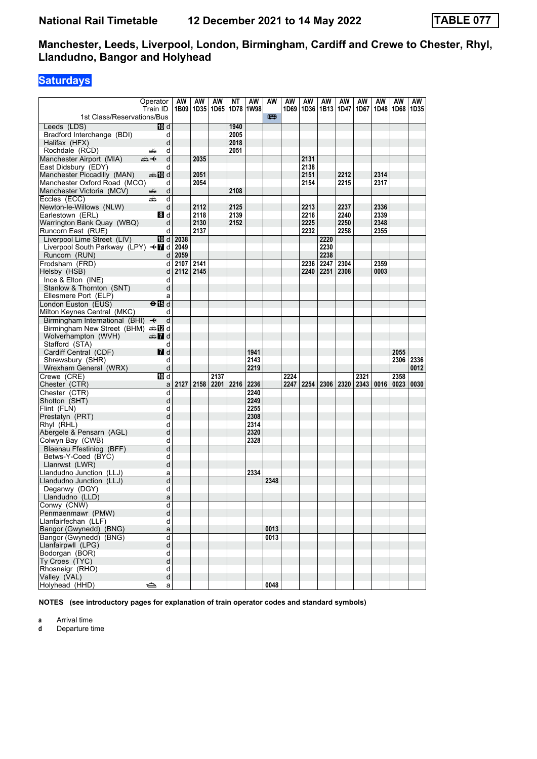# **Saturdays**

|                                                    | Operator                | <b>AW</b> | AW        | AW   | NΤ   | AW   | AW   | AW   | AW   | AW        | AW                        | AW   | AW   | AW   | AW   |
|----------------------------------------------------|-------------------------|-----------|-----------|------|------|------|------|------|------|-----------|---------------------------|------|------|------|------|
|                                                    | Train ID                | 1B09      | 1D35 1D65 |      | 1D78 | 1W98 |      | 1D69 |      | 1D36 1B13 | 1D47                      | 1D67 | 1D48 | 1D68 | 1D35 |
| 1st Class/Reservations/Bus                         |                         |           |           |      |      |      | 四    |      |      |           |                           |      |      |      |      |
| Leeds (LDS)                                        | m d                     |           |           |      | 1940 |      |      |      |      |           |                           |      |      |      |      |
|                                                    | d                       |           |           |      | 2005 |      |      |      |      |           |                           |      |      |      |      |
| Bradford Interchange (BDI)                         | d                       |           |           |      | 2018 |      |      |      |      |           |                           |      |      |      |      |
| Halifax (HFX)<br>Rochdale (RCD)                    | d<br>پتھ                |           |           |      | 2051 |      |      |      |      |           |                           |      |      |      |      |
|                                                    | d                       |           | 2035      |      |      |      |      |      | 2131 |           |                           |      |      |      |      |
| Manchester Airport (MIA)                           | ⇜✦                      |           |           |      |      |      |      |      | 2138 |           |                           |      |      |      |      |
| East Didsbury (EDY)<br>Manchester Piccadilly (MAN) | d<br>dan manufa         |           | 2051      |      |      |      |      |      | 2151 |           | 2212                      |      | 2314 |      |      |
| Manchester Oxford Road (MCO)                       | d                       |           | 2054      |      |      |      |      |      | 2154 |           | 2215                      |      | 2317 |      |      |
|                                                    | d                       |           |           |      | 2108 |      |      |      |      |           |                           |      |      |      |      |
| Manchester Victoria (MCV)                          | پتھ<br>d                |           |           |      |      |      |      |      |      |           |                           |      |      |      |      |
| Eccles (ECC)<br>Newton-le-Willows (NLW)            | æ<br>d                  |           | 2112      |      | 2125 |      |      |      | 2213 |           | 2237                      |      | 2336 |      |      |
| Earlestown (ERL)                                   | 8d                      |           | 2118      |      | 2139 |      |      |      | 2216 |           | 2240                      |      | 2339 |      |      |
| Warrington Bank Quay (WBQ)                         | d                       |           | 2130      |      | 2152 |      |      |      | 2225 |           | 2250                      |      | 2348 |      |      |
| Runcorn East (RUE)                                 | d                       |           | 2137      |      |      |      |      |      | 2232 |           | 2258                      |      | 2355 |      |      |
| Liverpool Lime Street (LIV)                        | <b>10</b> d             | 2038      |           |      |      |      |      |      |      | 2220      |                           |      |      |      |      |
|                                                    |                         |           |           |      |      |      |      |      |      | 2230      |                           |      |      |      |      |
| Liverpool South Parkway (LPY) <■ d 2049            | d l                     | 2059      |           |      |      |      |      |      |      | 2238      |                           |      |      |      |      |
| Runcorn (RUN)<br>Frodsham (FRD)                    | d                       | 2107 2141 |           |      |      |      |      |      |      | 2247      | 2304                      |      | 2359 |      |      |
|                                                    |                         | 2112 2145 |           |      |      |      |      |      | 2236 |           |                           |      |      |      |      |
| Helsby (HSB)                                       | $\mathsf{d}$            |           |           |      |      |      |      |      | 2240 | 2251      | 2308                      |      | 0003 |      |      |
| Ince & Elton (INE)<br>Stanlow & Thornton (SNT)     | d<br>d                  |           |           |      |      |      |      |      |      |           |                           |      |      |      |      |
| Ellesmere Port (ELP)                               |                         |           |           |      |      |      |      |      |      |           |                           |      |      |      |      |
|                                                    | a<br>$\overline{H}$     |           |           |      |      |      |      |      |      |           |                           |      |      |      |      |
| London Euston (EUS)<br>Milton Keynes Central (MKC) | d                       |           |           |      |      |      |      |      |      |           |                           |      |      |      |      |
| Birmingham International (BHI) ←                   | d                       |           |           |      |      |      |      |      |      |           |                           |      |      |      |      |
| Birmingham New Street (BHM) $\oplus$ 2 d           |                         |           |           |      |      |      |      |      |      |           |                           |      |      |      |      |
| Wolverhampton (WVH)                                | d and                   |           |           |      |      |      |      |      |      |           |                           |      |      |      |      |
| Stafford (STA)                                     | d                       |           |           |      |      |      |      |      |      |           |                           |      |      |      |      |
| Cardiff Central (CDF)                              | <b>7</b> d              |           |           |      |      | 1941 |      |      |      |           |                           |      |      | 2055 |      |
| Shrewsbury (SHR)                                   | d                       |           |           |      |      | 2143 |      |      |      |           |                           |      |      | 2306 | 2336 |
| Wrexham General (WRX)                              | d                       |           |           |      |      | 2219 |      |      |      |           |                           |      |      |      | 0012 |
| Crewe (CRE)                                        | 10 d                    |           |           | 2137 |      |      |      | 2224 |      |           |                           | 2321 |      | 2358 |      |
| Chester (CTR)                                      | a                       | 2127      | 2158 2201 |      | 2216 | 2236 |      | 2247 |      |           | 2254   2306   2320   2343 |      | 0016 | 0023 | 0030 |
| Chester (CTR)                                      | d                       |           |           |      |      | 2240 |      |      |      |           |                           |      |      |      |      |
| Shotton (SHT)                                      | d                       |           |           |      |      | 2249 |      |      |      |           |                           |      |      |      |      |
| Flint (FLN)                                        | d                       |           |           |      |      | 2255 |      |      |      |           |                           |      |      |      |      |
| Prestatyn (PRT)                                    | d                       |           |           |      |      | 2308 |      |      |      |           |                           |      |      |      |      |
| Rhyl (RHL)                                         | d                       |           |           |      |      | 2314 |      |      |      |           |                           |      |      |      |      |
| Abergele & Pensarn (AGL)                           | d                       |           |           |      |      | 2320 |      |      |      |           |                           |      |      |      |      |
| Colwyn Bay (CWB)                                   | d                       |           |           |      |      | 2328 |      |      |      |           |                           |      |      |      |      |
| Blaenau Ffestiniog (BFF)                           | d                       |           |           |      |      |      |      |      |      |           |                           |      |      |      |      |
| Betws-Y-Coed (BYC)                                 | d                       |           |           |      |      |      |      |      |      |           |                           |      |      |      |      |
| Llanrwst (LWR)                                     | d                       |           |           |      |      |      |      |      |      |           |                           |      |      |      |      |
| Llandudno Junction (LLJ)                           | a                       |           |           |      |      | 2334 |      |      |      |           |                           |      |      |      |      |
| Llandudno Junction (LLJ)                           | d                       |           |           |      |      |      | 2348 |      |      |           |                           |      |      |      |      |
| Deganwy (DGY)                                      | d                       |           |           |      |      |      |      |      |      |           |                           |      |      |      |      |
| Llandudno (LLD)                                    | a                       |           |           |      |      |      |      |      |      |           |                           |      |      |      |      |
| Conwy (CNW)                                        | d                       |           |           |      |      |      |      |      |      |           |                           |      |      |      |      |
| Penmaenmawr (PMW)                                  | d                       |           |           |      |      |      |      |      |      |           |                           |      |      |      |      |
| Llanfairfechan (LLF)                               | d                       |           |           |      |      |      |      |      |      |           |                           |      |      |      |      |
| Bangor (Gwynedd) (BNG)                             | a                       |           |           |      |      |      | 0013 |      |      |           |                           |      |      |      |      |
| Bangor (Gwynedd) (BNG)                             | $\overline{\mathsf{d}}$ |           |           |      |      |      | 0013 |      |      |           |                           |      |      |      |      |
| Llanfairpwll (LPG)                                 | ${\sf d}$               |           |           |      |      |      |      |      |      |           |                           |      |      |      |      |
| Bodorgan (BOR)                                     | d                       |           |           |      |      |      |      |      |      |           |                           |      |      |      |      |
| Ty Croes (TYC)                                     | d                       |           |           |      |      |      |      |      |      |           |                           |      |      |      |      |
| Rhosneigr (RHO)                                    | d                       |           |           |      |      |      |      |      |      |           |                           |      |      |      |      |
| Valley (VAL)                                       | d                       |           |           |      |      |      |      |      |      |           |                           |      |      |      |      |
| Holyhead (HHD)                                     | ఆ<br>a                  |           |           |      |      |      | 0048 |      |      |           |                           |      |      |      |      |

**NOTES (see introductory pages for explanation of train operator codes and standard symbols)**

**a** Arrival time

**d** Departure time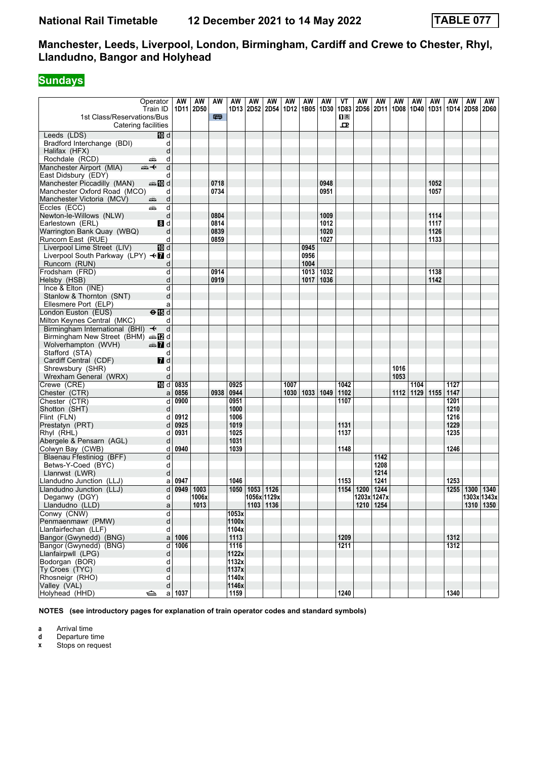# **Sundays**

|                                    | Operator                           | AW       | AW                   | AW   | AW    | AW        | AW                            | AW   | AW          | AW   | VT             | AW   | AW                  | AW             | AW   | AW          | AW   | AW                            | AW |
|------------------------------------|------------------------------------|----------|----------------------|------|-------|-----------|-------------------------------|------|-------------|------|----------------|------|---------------------|----------------|------|-------------|------|-------------------------------|----|
|                                    | Train ID                           |          | 1D11 2D50            |      |       |           | 1D13 2D52 2D54 1D12 1B05 1D30 |      |             |      | 1D83           | 2D56 |                     | 2D11 1D08 1D40 |      |             |      | 1D31   1D14   2D58   2D60     |    |
| 1st Class/Reservations/Bus         |                                    |          |                      | 四    |       |           |                               |      |             |      | $\mathbf{H}$ R |      |                     |                |      |             |      |                               |    |
| Catering facilities                |                                    |          |                      |      |       |           |                               |      |             |      | ᇁ              |      |                     |                |      |             |      |                               |    |
| Leeds (LDS)                        | 10 d                               |          |                      |      |       |           |                               |      |             |      |                |      |                     |                |      |             |      |                               |    |
| Bradford Interchange (BDI)         | d                                  |          |                      |      |       |           |                               |      |             |      |                |      |                     |                |      |             |      |                               |    |
| Halifax (HFX)                      | d                                  |          |                      |      |       |           |                               |      |             |      |                |      |                     |                |      |             |      |                               |    |
| Rochdale (RCD)                     | d<br>۳Ò                            |          |                      |      |       |           |                               |      |             |      |                |      |                     |                |      |             |      |                               |    |
| Manchester Airport (MIA)           | $\overline{d}$<br>⇜✦               |          |                      |      |       |           |                               |      |             |      |                |      |                     |                |      |             |      |                               |    |
| East Didsbury (EDY)                | d                                  |          |                      |      |       |           |                               |      |             |      |                |      |                     |                |      |             |      |                               |    |
| Manchester Piccadilly (MAN)        | <b>美国d</b>                         |          |                      | 0718 |       |           |                               |      |             | 0948 |                |      |                     |                |      | 1052        |      |                               |    |
| Manchester Oxford Road (MCO)       | d                                  |          |                      | 0734 |       |           |                               |      |             | 0951 |                |      |                     |                |      | 1057        |      |                               |    |
| Manchester Victoria (MCV)          | d<br>æ                             |          |                      |      |       |           |                               |      |             |      |                |      |                     |                |      |             |      |                               |    |
| Eccles (ECC)                       | وتشر<br>d                          |          |                      |      |       |           |                               |      |             |      |                |      |                     |                |      |             |      |                               |    |
| Newton-le-Willows (NLW)            | d                                  |          |                      | 0804 |       |           |                               |      |             | 1009 |                |      |                     |                |      | 1114        |      |                               |    |
| Earlestown (ERL)                   | 8d                                 |          |                      | 0814 |       |           |                               |      |             | 1012 |                |      |                     |                |      | 1117        |      |                               |    |
| Warrington Bank Quay (WBQ)         | d                                  |          |                      | 0839 |       |           |                               |      |             | 1020 |                |      |                     |                |      | 1126        |      |                               |    |
| Runcorn East (RUE)                 | d                                  |          |                      | 0859 |       |           |                               |      |             | 1027 |                |      |                     |                |      | 1133        |      |                               |    |
| Liverpool Lime Street (LIV)        | <b>ID</b> d                        |          |                      |      |       |           |                               |      | 0945        |      |                |      |                     |                |      |             |      |                               |    |
| Liverpool South Parkway (LPY) <■ d |                                    |          |                      |      |       |           |                               |      | 0956        |      |                |      |                     |                |      |             |      |                               |    |
| Runcorn (RUN)                      | d                                  |          |                      |      |       |           |                               |      | 1004        |      |                |      |                     |                |      |             |      |                               |    |
| Frodsham (FRD)                     | d                                  |          |                      | 0914 |       |           |                               |      | 1013        | 1032 |                |      |                     |                |      | 1138        |      |                               |    |
| Helsby (HSB)                       | d                                  |          |                      | 0919 |       |           |                               |      | 1017        | 1036 |                |      |                     |                |      | 1142        |      |                               |    |
| Ince $& Elton (INE)$               | d                                  |          |                      |      |       |           |                               |      |             |      |                |      |                     |                |      |             |      |                               |    |
| Stanlow & Thornton (SNT)           | d                                  |          |                      |      |       |           |                               |      |             |      |                |      |                     |                |      |             |      |                               |    |
| Ellesmere Port (ELP)               | a                                  |          |                      |      |       |           |                               |      |             |      |                |      |                     |                |      |             |      |                               |    |
| London Euston (EUS)                | $\Theta$ $\overline{\mathbb{B}}$ d |          |                      |      |       |           |                               |      |             |      |                |      |                     |                |      |             |      |                               |    |
| Milton Keynes Central (MKC)        | d                                  |          |                      |      |       |           |                               |      |             |      |                |      |                     |                |      |             |      |                               |    |
| Birmingham International (BHI) +   | d                                  |          |                      |      |       |           |                               |      |             |      |                |      |                     |                |      |             |      |                               |    |
| Birmingham New Street (BHM) and    |                                    |          |                      |      |       |           |                               |      |             |      |                |      |                     |                |      |             |      |                               |    |
| Wolverhampton (WVH)                | $\oplus$ 7 d                       |          |                      |      |       |           |                               |      |             |      |                |      |                     |                |      |             |      |                               |    |
| Stafford (STA)                     | d                                  |          |                      |      |       |           |                               |      |             |      |                |      |                     |                |      |             |      |                               |    |
| Cardiff Central (CDF)              | 7d                                 |          |                      |      |       |           |                               |      |             |      |                |      |                     |                |      |             |      |                               |    |
| Shrewsbury (SHR)                   | d                                  |          |                      |      |       |           |                               |      |             |      |                |      |                     | 1016           |      |             |      |                               |    |
| Wrexham General (WRX)              | d                                  |          |                      |      |       |           |                               |      |             |      |                |      |                     | 1053           |      |             |      |                               |    |
| Crewe (CRE)                        | 10 d                               | 0835     |                      |      | 0925  |           |                               | 1007 |             |      | 1042           |      |                     |                | 1104 |             | 1127 |                               |    |
| Chester (CTR)                      | a                                  | 0856     |                      | 0938 | 0944  |           |                               |      | 1030   1033 | 1049 | 1102           |      |                     | 1112           |      | 1129   1155 | 1147 |                               |    |
| Chester (CTR)                      | d                                  | 0900     |                      |      | 0951  |           |                               |      |             |      | 1107           |      |                     |                |      |             | 1201 |                               |    |
| Shotton (SHT)                      | d                                  |          |                      |      | 1000  |           |                               |      |             |      |                |      |                     |                |      |             | 1210 |                               |    |
| Flint (FLN)                        | d                                  | 0912     |                      |      | 1006  |           |                               |      |             |      |                |      |                     |                |      |             | 1216 |                               |    |
| Prestatyn (PRT)                    | d                                  | 0925     |                      |      | 1019  |           |                               |      |             |      | 1131           |      |                     |                |      |             | 1229 |                               |    |
| Rhyl (RHL)                         | d                                  | 0931     |                      |      | 1025  |           |                               |      |             |      | 1137           |      |                     |                |      |             | 1235 |                               |    |
| Abergele & Pensarn (AGL)           | d                                  |          |                      |      | 1031  |           |                               |      |             |      |                |      |                     |                |      |             |      |                               |    |
| Colwyn Bay (CWB)                   | d                                  | 0940     |                      |      | 1039  |           |                               |      |             |      | 1148           |      |                     |                |      |             | 1246 |                               |    |
| Blaenau Ffestiniog (BFF)           | d                                  |          |                      |      |       |           |                               |      |             |      |                |      | 1142                |                |      |             |      |                               |    |
| Betws-Y-Coed (BYC)                 | d                                  |          |                      |      |       |           |                               |      |             |      |                |      | 1208<br>1214        |                |      |             |      |                               |    |
| Llanrwst (LWR)                     | d                                  | 0947     |                      |      | 1046  |           |                               |      |             |      | 1153           |      | 1241                |                |      |             | 1253 |                               |    |
| Llandudno Junction (LLJ)           | a                                  |          |                      |      |       |           |                               |      |             |      |                |      |                     |                |      |             |      |                               |    |
| Llandudno Junction (LLJ)           | d<br>d                             |          | 0949   1003<br>1006x |      | 1050  | 1053 1126 | 1056x 1129x                   |      |             |      | 1154           | 1200 | 1244<br>1203x 1247x |                |      |             |      | 1255 1300 1340<br>1303x 1343x |    |
| Deganwy (DGY)                      |                                    |          | 1013                 |      |       |           | $1103$ 1136                   |      |             |      |                |      | 1210 1254           |                |      |             |      |                               |    |
| Llandudno (LLD)<br>Conwy (CNW)     | a<br>d                             |          |                      |      | 1053x |           |                               |      |             |      |                |      |                     |                |      |             |      | 1310 1350                     |    |
| Penmaenmawr (PMW)                  | d                                  |          |                      |      | 1100x |           |                               |      |             |      |                |      |                     |                |      |             |      |                               |    |
| Llanfairfechan (LLF)               | d                                  |          |                      |      | 1104x |           |                               |      |             |      |                |      |                     |                |      |             |      |                               |    |
| Bangor (Gwynedd) (BNG)             |                                    | a   1006 |                      |      | 1113  |           |                               |      |             |      | 1209           |      |                     |                |      |             | 1312 |                               |    |
| Bangor (Gwynedd) (BNG)             | d                                  | 1006     |                      |      | 1116  |           |                               |      |             |      | 1211           |      |                     |                |      |             | 1312 |                               |    |
| Llanfairpwll (LPG)                 | d                                  |          |                      |      | 1122x |           |                               |      |             |      |                |      |                     |                |      |             |      |                               |    |
| Bodorgan (BOR)                     | d                                  |          |                      |      | 1132x |           |                               |      |             |      |                |      |                     |                |      |             |      |                               |    |
| Ty Croes (TYC)                     | þ                                  |          |                      |      | 1137x |           |                               |      |             |      |                |      |                     |                |      |             |      |                               |    |
| Rhosneigr (RHO)                    | d                                  |          |                      |      | 1140x |           |                               |      |             |      |                |      |                     |                |      |             |      |                               |    |
| Valley (VAL)                       | d                                  |          |                      |      | 1146x |           |                               |      |             |      |                |      |                     |                |      |             |      |                               |    |
| Holyhead (HHD)                     | ⇔                                  | $a$ 1037 |                      |      | 1159  |           |                               |      |             |      | 1240           |      |                     |                |      |             | 1340 |                               |    |

**NOTES (see introductory pages for explanation of train operator codes and standard symbols)**

**a** Arrival time<br>**d** Departure t

**d** Departure time<br>**x** Stops on reque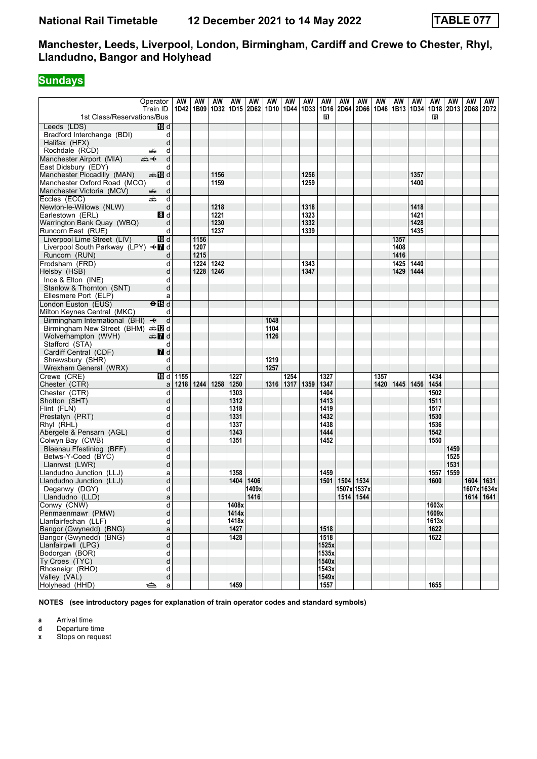# **Sundays**

| 1st Class/Reservations/Bus                        | Operator<br>Train ID                     | AW   | AW<br>1D42 1B09 | AW   | AW    | AW    | AW<br>  1D32   1D15   2D62   1D10   1D44   1D33 | AW        | AW   | AW<br>1D16<br>в | AW<br>2D64 | AW<br>2D66  | AW   | AW   | AW   | AW<br>1D46   1B13   1D34   1D18   2D13   2D68   2D72<br>в | AW   | AW | AW            |
|---------------------------------------------------|------------------------------------------|------|-----------------|------|-------|-------|-------------------------------------------------|-----------|------|-----------------|------------|-------------|------|------|------|-----------------------------------------------------------|------|----|---------------|
| Leeds (LDS)                                       | 10 d                                     |      |                 |      |       |       |                                                 |           |      |                 |            |             |      |      |      |                                                           |      |    |               |
| Bradford Interchange (BDI)                        | d                                        |      |                 |      |       |       |                                                 |           |      |                 |            |             |      |      |      |                                                           |      |    |               |
| Halifax (HFX)                                     | d                                        |      |                 |      |       |       |                                                 |           |      |                 |            |             |      |      |      |                                                           |      |    |               |
| Rochdale (RCD)                                    | d<br>پښ                                  |      |                 |      |       |       |                                                 |           |      |                 |            |             |      |      |      |                                                           |      |    |               |
| Manchester Airport (MIA)                          | d<br>⇜✦                                  |      |                 |      |       |       |                                                 |           |      |                 |            |             |      |      |      |                                                           |      |    |               |
| East Didsbury (EDY)                               | d                                        |      |                 |      |       |       |                                                 |           |      |                 |            |             |      |      |      |                                                           |      |    |               |
| Manchester Piccadilly (MAN)                       | d≣ <mark>a</mark> na <mark>a</mark> na d |      |                 | 1156 |       |       |                                                 |           | 1256 |                 |            |             |      |      | 1357 |                                                           |      |    |               |
| Manchester Oxford Road (MCO)                      | d                                        |      |                 | 1159 |       |       |                                                 |           | 1259 |                 |            |             |      |      | 1400 |                                                           |      |    |               |
| Manchester Victoria (MCV)                         | d<br>۳                                   |      |                 |      |       |       |                                                 |           |      |                 |            |             |      |      |      |                                                           |      |    |               |
| Eccles (ECC)                                      | d<br>پیش                                 |      |                 |      |       |       |                                                 |           |      |                 |            |             |      |      |      |                                                           |      |    |               |
| Newton-le-Willows (NLW)                           | d                                        |      |                 | 1218 |       |       |                                                 |           | 1318 |                 |            |             |      |      | 1418 |                                                           |      |    |               |
| Earlestown (ERL)                                  | 8 <sup>d</sup>                           |      |                 | 1221 |       |       |                                                 |           | 1323 |                 |            |             |      |      | 1421 |                                                           |      |    |               |
| Warrington Bank Quay (WBQ)                        | d                                        |      |                 | 1230 |       |       |                                                 |           | 1332 |                 |            |             |      |      | 1428 |                                                           |      |    |               |
| Runcorn East (RUE)                                | d                                        |      |                 | 1237 |       |       |                                                 |           | 1339 |                 |            |             |      |      | 1435 |                                                           |      |    |               |
| Liverpool Lime Street (LIV)                       | ID d                                     |      | 1156            |      |       |       |                                                 |           |      |                 |            |             |      | 1357 |      |                                                           |      |    |               |
| Liverpool South Parkway (LPY) <■ d                |                                          |      | 1207            |      |       |       |                                                 |           |      |                 |            |             |      | 1408 |      |                                                           |      |    |               |
| Runcorn (RUN)                                     | d                                        |      | 1215            |      |       |       |                                                 |           |      |                 |            |             |      | 1416 |      |                                                           |      |    |               |
| Frodsham (FRD)                                    | d                                        |      | 1224            | 1242 |       |       |                                                 |           | 1343 |                 |            |             |      | 1425 | 1440 |                                                           |      |    |               |
| Helsby (HSB)                                      | d                                        |      | 1228            | 1246 |       |       |                                                 |           | 1347 |                 |            |             |      | 1429 | 1444 |                                                           |      |    |               |
| Ince & Elton (INE)                                | d                                        |      |                 |      |       |       |                                                 |           |      |                 |            |             |      |      |      |                                                           |      |    |               |
| Stanlow & Thornton (SNT)                          | d                                        |      |                 |      |       |       |                                                 |           |      |                 |            |             |      |      |      |                                                           |      |    |               |
| Ellesmere Port (ELP)                              | a                                        |      |                 |      |       |       |                                                 |           |      |                 |            |             |      |      |      |                                                           |      |    |               |
| London Euston (EUS)                               | $\Theta$ is d                            |      |                 |      |       |       |                                                 |           |      |                 |            |             |      |      |      |                                                           |      |    |               |
| Milton Keynes Central (MKC)                       | d                                        |      |                 |      |       |       |                                                 |           |      |                 |            |             |      |      |      |                                                           |      |    |               |
| Birmingham International (BHI) $\rightarrow$      | d                                        |      |                 |      |       |       | 1048                                            |           |      |                 |            |             |      |      |      |                                                           |      |    |               |
| Birmingham New Street (BHM) $\oplus \mathbb{Z}$ d |                                          |      |                 |      |       |       | 1104                                            |           |      |                 |            |             |      |      |      |                                                           |      |    |               |
| Wolverhampton (WVH)                               | <b>en 7</b> d                            |      |                 |      |       |       | 1126                                            |           |      |                 |            |             |      |      |      |                                                           |      |    |               |
| Stafford (STA)                                    | d                                        |      |                 |      |       |       |                                                 |           |      |                 |            |             |      |      |      |                                                           |      |    |               |
| Cardiff Central (CDF)                             | 7d<br>d                                  |      |                 |      |       |       | 1219                                            |           |      |                 |            |             |      |      |      |                                                           |      |    |               |
| Shrewsbury (SHR)<br>Wrexham General (WRX)         | d                                        |      |                 |      |       |       | 1257                                            |           |      |                 |            |             |      |      |      |                                                           |      |    |               |
| Crewe (CRE)                                       | 10 d                                     | 1155 |                 |      | 1227  |       |                                                 | 1254      |      | 1327            |            |             | 1357 |      |      | 1434                                                      |      |    |               |
| Chester (CTR)                                     | a                                        |      | 1218 1244 1258  |      | 1250  |       | 1316                                            | 1317 1359 |      | 1347            |            |             | 1420 | 1445 | 1456 | 1454                                                      |      |    |               |
| Chester (CTR)                                     | d                                        |      |                 |      | 1303  |       |                                                 |           |      | 1404            |            |             |      |      |      | 1502                                                      |      |    |               |
| Shotton (SHT)                                     | d                                        |      |                 |      | 1312  |       |                                                 |           |      | 1413            |            |             |      |      |      | 1511                                                      |      |    |               |
| Flint (FLN)                                       | d                                        |      |                 |      | 1318  |       |                                                 |           |      | 1419            |            |             |      |      |      | 1517                                                      |      |    |               |
| Prestatyn (PRT)                                   | d                                        |      |                 |      | 1331  |       |                                                 |           |      | 1432            |            |             |      |      |      | 1530                                                      |      |    |               |
| Rhyl (RHL)                                        | d                                        |      |                 |      | 1337  |       |                                                 |           |      | 1438            |            |             |      |      |      | 1536                                                      |      |    |               |
| Abergele & Pensarn (AGL)                          | d                                        |      |                 |      | 1343  |       |                                                 |           |      | 1444            |            |             |      |      |      | 1542                                                      |      |    |               |
| Colwyn Bay (CWB)                                  | d                                        |      |                 |      | 1351  |       |                                                 |           |      | 1452            |            |             |      |      |      | 1550                                                      |      |    |               |
| Blaenau Ffestiniog (BFF)                          | d                                        |      |                 |      |       |       |                                                 |           |      |                 |            |             |      |      |      |                                                           | 1459 |    |               |
| Betws-Y-Coed (BYC)                                | d                                        |      |                 |      |       |       |                                                 |           |      |                 |            |             |      |      |      |                                                           | 1525 |    |               |
| Llanrwst (LWR)                                    | d                                        |      |                 |      |       |       |                                                 |           |      |                 |            |             |      |      |      |                                                           | 1531 |    |               |
| Llandudno Junction (LLJ)                          | a                                        |      |                 |      | 1358  |       |                                                 |           |      | 1459            |            |             |      |      |      | 1557   1559                                               |      |    |               |
| Llandudno Junction (LLJ)                          | d                                        |      |                 |      | 1404  | 1406  |                                                 |           |      | 1501            | 1504       | 1534        |      |      |      | 1600                                                      |      |    | 1604 1631     |
| Deganwy (DGY)                                     | d                                        |      |                 |      |       | 1409x |                                                 |           |      |                 |            | 1507x 1537x |      |      |      |                                                           |      |    | 1607x 1634x   |
| Llandudno (LLD)                                   | a                                        |      |                 |      |       | 1416  |                                                 |           |      |                 |            | 1514 1544   |      |      |      |                                                           |      |    | $1614$   1641 |
| Conwy (CNW)                                       | d                                        |      |                 |      | 1408x |       |                                                 |           |      |                 |            |             |      |      |      | 1603x                                                     |      |    |               |
| Penmaenmawr (PMW)                                 | d                                        |      |                 |      | 1414x |       |                                                 |           |      |                 |            |             |      |      |      | 1609x                                                     |      |    |               |
| Llanfairfechan (LLF)                              | d                                        |      |                 |      | 1418x |       |                                                 |           |      |                 |            |             |      |      |      | 1613x                                                     |      |    |               |
| Bangor (Gwynedd) (BNG)                            | a                                        |      |                 |      | 1427  |       |                                                 |           |      | 1518            |            |             |      |      |      | 1622                                                      |      |    |               |
| Bangor (Gwynedd) (BNG)                            | d                                        |      |                 |      | 1428  |       |                                                 |           |      | 1518            |            |             |      |      |      | 1622                                                      |      |    |               |
| Llanfairpwll (LPG)                                | d                                        |      |                 |      |       |       |                                                 |           |      | 1525x           |            |             |      |      |      |                                                           |      |    |               |
| Bodorgan (BOR)                                    | d                                        |      |                 |      |       |       |                                                 |           |      | 1535x           |            |             |      |      |      |                                                           |      |    |               |
| Ty Croes (TYC)                                    | d                                        |      |                 |      |       |       |                                                 |           |      | 1540x           |            |             |      |      |      |                                                           |      |    |               |
| Rhosneigr (RHO)                                   | d                                        |      |                 |      |       |       |                                                 |           |      | 1543x           |            |             |      |      |      |                                                           |      |    |               |
| Valley (VAL)                                      | d                                        |      |                 |      | 1459  |       |                                                 |           |      | 1549x           |            |             |      |      |      | 1655                                                      |      |    |               |
| Holyhead (HHD)                                    | ڪ<br>$\mathsf{a}$                        |      |                 |      |       |       |                                                 |           |      | 1557            |            |             |      |      |      |                                                           |      |    |               |

**NOTES (see introductory pages for explanation of train operator codes and standard symbols)**

**a** Arrival time

**d** Departure time<br>**x** Stops on reque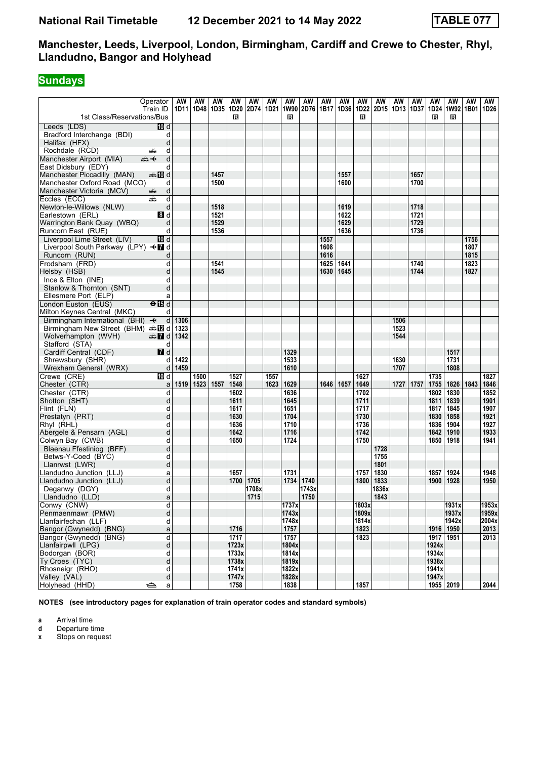# **Sundays**

| 1st Class/Reservations/Bus                   | Operator<br>Train ID          | AW   | AW<br>1D11   1D48   1D35 | AW   | AW<br>1D20<br>в  | AW    | AW   | AW<br>R | AW<br>  2D74   1D21   1W90   2D76   1B17   1D36 | AW   | AW   | AW<br>в | AW<br>1D22   2D15   1D13   1D37 | AW   | AW   | AW<br>R   | AW<br>в     | AW<br>1D24 1W92 1B01 1D26 | AW    |
|----------------------------------------------|-------------------------------|------|--------------------------|------|------------------|-------|------|---------|-------------------------------------------------|------|------|---------|---------------------------------|------|------|-----------|-------------|---------------------------|-------|
| Leeds (LDS)                                  | 10 d                          |      |                          |      |                  |       |      |         |                                                 |      |      |         |                                 |      |      |           |             |                           |       |
| Bradford Interchange (BDI)                   | d                             |      |                          |      |                  |       |      |         |                                                 |      |      |         |                                 |      |      |           |             |                           |       |
| Halifax (HFX)                                | d                             |      |                          |      |                  |       |      |         |                                                 |      |      |         |                                 |      |      |           |             |                           |       |
| Rochdale (RCD)                               | d<br>یشت                      |      |                          |      |                  |       |      |         |                                                 |      |      |         |                                 |      |      |           |             |                           |       |
| Manchester Airport (MIA)                     | $\overline{d}$<br>⇜✦          |      |                          |      |                  |       |      |         |                                                 |      |      |         |                                 |      |      |           |             |                           |       |
| East Didsbury (EDY)                          | d                             |      |                          |      |                  |       |      |         |                                                 |      |      |         |                                 |      |      |           |             |                           |       |
| Manchester Piccadilly (MAN)                  | dan manufa                    |      |                          | 1457 |                  |       |      |         |                                                 |      | 1557 |         |                                 |      | 1657 |           |             |                           |       |
| Manchester Oxford Road (MCO)                 | d                             |      |                          | 1500 |                  |       |      |         |                                                 |      | 1600 |         |                                 |      | 1700 |           |             |                           |       |
| Manchester Victoria (MCV)                    | d<br>۳                        |      |                          |      |                  |       |      |         |                                                 |      |      |         |                                 |      |      |           |             |                           |       |
| Eccles (ECC)                                 | d<br>پیش                      |      |                          |      |                  |       |      |         |                                                 |      |      |         |                                 |      |      |           |             |                           |       |
| Newton-le-Willows (NLW)                      | d                             |      |                          | 1518 |                  |       |      |         |                                                 |      | 1619 |         |                                 |      | 1718 |           |             |                           |       |
| Earlestown (ERL)                             | 8 <sup>d</sup>                |      |                          | 1521 |                  |       |      |         |                                                 |      | 1622 |         |                                 |      | 1721 |           |             |                           |       |
| Warrington Bank Quay (WBQ)                   | d                             |      |                          | 1529 |                  |       |      |         |                                                 |      | 1629 |         |                                 |      | 1729 |           |             |                           |       |
| Runcorn East (RUE)                           | d                             |      |                          | 1536 |                  |       |      |         |                                                 |      | 1636 |         |                                 |      | 1736 |           |             |                           |       |
| Liverpool Lime Street (LIV)                  | ID d                          |      |                          |      |                  |       |      |         |                                                 | 1557 |      |         |                                 |      |      |           |             | 1756                      |       |
| Liverpool South Parkway (LPY) <■ d           |                               |      |                          |      |                  |       |      |         |                                                 | 1608 |      |         |                                 |      |      |           |             | 1807                      |       |
| Runcorn (RUN)                                | d                             |      |                          |      |                  |       |      |         |                                                 | 1616 |      |         |                                 |      |      |           |             | 1815                      |       |
| Frodsham (FRD)                               | d                             |      |                          | 1541 |                  |       |      |         |                                                 | 1625 | 1641 |         |                                 |      | 1740 |           |             | 1823                      |       |
| Helsby (HSB)                                 | d                             |      |                          | 1545 |                  |       |      |         |                                                 | 1630 | 1645 |         |                                 |      | 1744 |           |             | 1827                      |       |
| Ince & Elton (INE)                           | d                             |      |                          |      |                  |       |      |         |                                                 |      |      |         |                                 |      |      |           |             |                           |       |
| Stanlow & Thornton (SNT)                     | d                             |      |                          |      |                  |       |      |         |                                                 |      |      |         |                                 |      |      |           |             |                           |       |
| Ellesmere Port (ELP)                         | a                             |      |                          |      |                  |       |      |         |                                                 |      |      |         |                                 |      |      |           |             |                           |       |
| London Euston (EUS)                          | $\overline{H}$                |      |                          |      |                  |       |      |         |                                                 |      |      |         |                                 |      |      |           |             |                           |       |
| Milton Keynes Central (MKC)                  | d                             |      |                          |      |                  |       |      |         |                                                 |      |      |         |                                 |      |      |           |             |                           |       |
| Birmingham International (BHI) $\rightarrow$ | $\mathsf{d}$                  | 1306 |                          |      |                  |       |      |         |                                                 |      |      |         |                                 | 1506 |      |           |             |                           |       |
| Birmingham New Street (BHM) $\oplus$ 2 d     |                               | 1323 |                          |      |                  |       |      |         |                                                 |      |      |         |                                 | 1523 |      |           |             |                           |       |
| Wolverhampton (WVH)                          | $\oplus$ 7 d                  | 1342 |                          |      |                  |       |      |         |                                                 |      |      |         |                                 | 1544 |      |           |             |                           |       |
| Stafford (STA)                               | d                             |      |                          |      |                  |       |      |         |                                                 |      |      |         |                                 |      |      |           |             |                           |       |
| Cardiff Central (CDF)                        | 7d                            |      |                          |      |                  |       |      | 1329    |                                                 |      |      |         |                                 |      |      |           | 1517        |                           |       |
| Shrewsbury (SHR)                             | d                             | 1422 |                          |      |                  |       |      | 1533    |                                                 |      |      |         |                                 | 1630 |      |           | 1731        |                           |       |
| Wrexham General (WRX)                        | d                             | 1459 |                          |      |                  |       |      | 1610    |                                                 |      |      |         |                                 | 1707 |      |           | 1808        |                           |       |
| Crewe (CRE)                                  | $\overline{M}$ d              |      | 1500                     |      | 1527             |       | 1557 |         |                                                 |      |      | 1627    |                                 |      |      | 1735      |             |                           | 1827  |
| Chester (CTR)                                | a                             | 1519 | 1523                     | 1557 | 1548             |       | 1623 | 1629    |                                                 | 1646 | 1657 | 1649    |                                 | 1727 | 1757 |           | 1755   1826 | 1843                      | 1846  |
| Chester (CTR)                                | d                             |      |                          |      | 1602             |       |      | 1636    |                                                 |      |      | 1702    |                                 |      |      | 1802      | 1830        |                           | 1852  |
| Shotton (SHT)                                | d                             |      |                          |      | 1611             |       |      | 1645    |                                                 |      |      | 1711    |                                 |      |      | 1811      | 1839        |                           | 1901  |
| Flint (FLN)                                  | d                             |      |                          |      | 1617             |       |      | 1651    |                                                 |      |      | 1717    |                                 |      |      | 1817      | 1845        |                           | 1907  |
| Prestatyn (PRT)                              | d                             |      |                          |      | 1630             |       |      | 1704    |                                                 |      |      | 1730    |                                 |      |      | 1830      | 1858        |                           | 1921  |
| Rhyl (RHL)                                   | d                             |      |                          |      | 1636             |       |      | 1710    |                                                 |      |      | 1736    |                                 |      |      | 1836      | 1904        |                           | 1927  |
| Abergele & Pensarn (AGL)                     | d                             |      |                          |      | 1642             |       |      | 1716    |                                                 |      |      | 1742    |                                 |      |      | 1842      | 1910        |                           | 1933  |
| Colwyn Bay (CWB)                             | d                             |      |                          |      | 1650             |       |      | 1724    |                                                 |      |      | 1750    |                                 |      |      | 1850      | 1918        |                           | 1941  |
| Blaenau Ffestiniog (BFF)                     | d                             |      |                          |      |                  |       |      |         |                                                 |      |      |         | 1728                            |      |      |           |             |                           |       |
| Betws-Y-Coed (BYC)                           | d                             |      |                          |      |                  |       |      |         |                                                 |      |      |         | 1755                            |      |      |           |             |                           |       |
| Llanrwst (LWR)                               | d                             |      |                          |      |                  |       |      |         |                                                 |      |      |         | 1801                            |      |      |           |             |                           |       |
| Llandudno Junction (LLJ)                     | a                             |      |                          |      | 1657             |       |      | 1731    |                                                 |      |      | 1757    | 1830                            |      |      | 1857      | 1924        |                           | 1948  |
| Llandudno Junction (LLJ)                     | d                             |      |                          |      | 1700             | 1705  |      | 1734    | 1740                                            |      |      | 1800    | 1833                            |      |      | 1900      | 1928        |                           | 1950  |
| Deganwy (DGY)                                | d                             |      |                          |      |                  | 1708x |      |         | 1743x                                           |      |      |         | 1836x                           |      |      |           |             |                           |       |
| Llandudno (LLD)                              | a                             |      |                          |      |                  | 1715  |      |         | 1750                                            |      |      |         | 1843                            |      |      |           |             |                           |       |
| Conwy (CNW)                                  | d                             |      |                          |      |                  |       |      | 1737x   |                                                 |      |      | 1803x   |                                 |      |      |           | 1931x       |                           | 1953x |
| Penmaenmawr (PMW)                            | d                             |      |                          |      |                  |       |      | 1743x   |                                                 |      |      | 1809x   |                                 |      |      |           | 1937x       |                           | 1959x |
| Llanfairfechan (LLF)                         | d                             |      |                          |      |                  |       |      | 1748x   |                                                 |      |      | 1814x   |                                 |      |      |           | 1942x       |                           | 2004x |
| Bangor (Gwynedd) (BNG)                       | a                             |      |                          |      | 1716             |       |      | 1757    |                                                 |      |      | 1823    |                                 |      |      |           | 1916   1950 |                           | 2013  |
| Bangor (Gwynedd) (BNG)                       | d                             |      |                          |      | $\frac{1}{1717}$ |       |      | 1757    |                                                 |      |      | 1823    |                                 |      |      | 1917 1951 |             |                           | 2013  |
| Llanfairpwll (LPG)                           | d                             |      |                          |      | 1723x            |       |      | 1804x   |                                                 |      |      |         |                                 |      |      | 1924x     |             |                           |       |
| Bodorgan (BOR)                               | d                             |      |                          |      | 1733x            |       |      | 1814x   |                                                 |      |      |         |                                 |      |      | 1934x     |             |                           |       |
| Ty Croes (TYC)                               | d                             |      |                          |      | 1738x            |       |      | 1819x   |                                                 |      |      |         |                                 |      |      | 1938x     |             |                           |       |
| Rhosneigr (RHO)                              | d                             |      |                          |      | 1741x            |       |      | 1822x   |                                                 |      |      |         |                                 |      |      | 1941x     |             |                           |       |
| Valley (VAL)                                 | d                             |      |                          |      | 1747x            |       |      | 1828x   |                                                 |      |      |         |                                 |      |      | 1947x     |             |                           |       |
| Holyhead (HHD)                               | $\Rightarrow$<br>$\mathsf{a}$ |      |                          |      | 1758             |       |      | 1838    |                                                 |      |      | 1857    |                                 |      |      |           | 1955 2019   |                           | 2044  |

**NOTES (see introductory pages for explanation of train operator codes and standard symbols)**

**a** Arrival time

**d** Departure time<br>**x** Stops on reque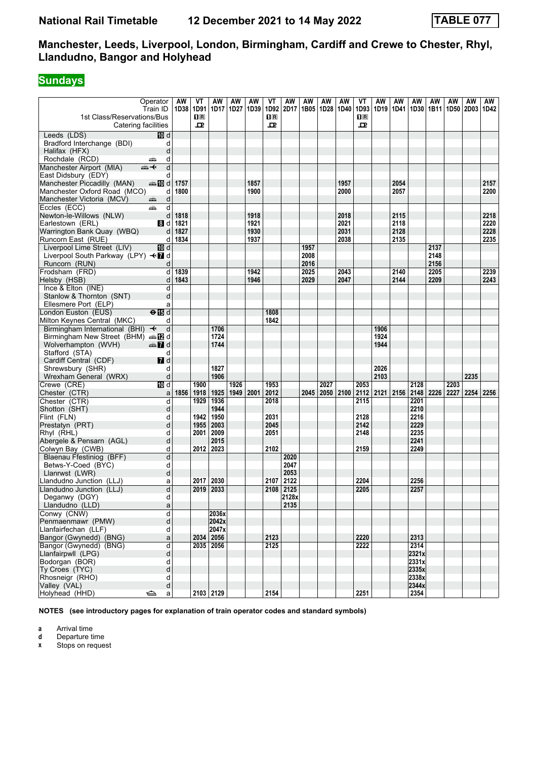# **Sundays**

| 1st Class/Reservations/Bus                         | Operator<br>Train ID               | AW<br>1D38 1D91 | VT<br>1R | ΑW<br>1D17 | AW<br>1D27 | AW<br>1D39 | VT<br>1D92<br>$\mathbf{H}$ R | AW<br>2D17    | AW<br>1B05 | AW<br>1D28 | AW<br>1D40 | ۷T<br>1D93<br>$\mathbf{H}$ R | AW   | AW<br>1D19 1D41 1D30 | AW    | AW<br>1B11 | AW   | AW<br>1D50 2D03 1D42 | AW   |
|----------------------------------------------------|------------------------------------|-----------------|----------|------------|------------|------------|------------------------------|---------------|------------|------------|------------|------------------------------|------|----------------------|-------|------------|------|----------------------|------|
|                                                    | Catering facilities                |                 | 굔        |            |            |            | 굔                            |               |            |            |            | ᇁ                            |      |                      |       |            |      |                      |      |
| Leeds (LDS)                                        | 10 d                               |                 |          |            |            |            |                              |               |            |            |            |                              |      |                      |       |            |      |                      |      |
| Bradford Interchange (BDI)                         | d                                  |                 |          |            |            |            |                              |               |            |            |            |                              |      |                      |       |            |      |                      |      |
| Halifax (HFX)                                      | d                                  |                 |          |            |            |            |                              |               |            |            |            |                              |      |                      |       |            |      |                      |      |
| Rochdale (RCD)                                     | d<br>پېښ                           |                 |          |            |            |            |                              |               |            |            |            |                              |      |                      |       |            |      |                      |      |
| Manchester Airport (MIA)                           | d<br>ക—⊬                           |                 |          |            |            |            |                              |               |            |            |            |                              |      |                      |       |            |      |                      |      |
| East Didsbury (EDY)                                | d                                  |                 |          |            |            |            |                              |               |            |            |            |                              |      |                      |       |            |      |                      |      |
| Manchester Piccadilly (MAN)                        | d≣ 10 d                            | 1757            |          |            |            | 1857       |                              |               |            |            | 1957       |                              |      | 2054                 |       |            |      |                      | 2157 |
| Manchester Oxford Road (MCO)                       | d                                  | 1800            |          |            |            | 1900       |                              |               |            |            | 2000       |                              |      | 2057                 |       |            |      |                      | 2200 |
| Manchester Victoria (MCV)                          | d<br>æ,                            |                 |          |            |            |            |                              |               |            |            |            |                              |      |                      |       |            |      |                      |      |
| Eccles (ECC)                                       | d<br>چھ                            |                 |          |            |            |            |                              |               |            |            |            |                              |      |                      |       |            |      |                      |      |
| Newton-le-Willows (NLW)                            | d                                  | 1818            |          |            |            | 1918       |                              |               |            |            | 2018       |                              |      | 2115                 |       |            |      |                      | 2218 |
| Earlestown (ERL)                                   | 8 d                                | 1821            |          |            |            | 1921       |                              |               |            |            | 2021       |                              |      | 2118                 |       |            |      |                      | 2220 |
| Warrington Bank Quay (WBQ)                         | d                                  | 1827            |          |            |            | 1930       |                              |               |            |            | 2031       |                              |      | 2128                 |       |            |      |                      | 2228 |
| Runcorn East (RUE)                                 | d                                  | 1834            |          |            |            | 1937       |                              |               |            |            | 2038       |                              |      | 2135                 |       |            |      |                      | 2235 |
| Liverpool Lime Street (LIV)                        | <b>TD</b> d                        |                 |          |            |            |            |                              |               | 1957       |            |            |                              |      |                      |       | 2137       |      |                      |      |
| Liverpool South Parkway (LPY) <7 d                 |                                    |                 |          |            |            |            |                              |               | 2008       |            |            |                              |      |                      |       | 2148       |      |                      |      |
| Runcorn (RUN)                                      | d                                  |                 |          |            |            |            |                              |               | 2016       |            |            |                              |      |                      |       | 2156       |      |                      |      |
| Frodsham (FRD)                                     | þ                                  | 1839            |          |            |            | 1942       |                              |               | 2025       |            | 2043       |                              |      | 2140                 |       | 2205       |      |                      | 2239 |
| Helsby (HSB)                                       | d                                  | 1843            |          |            |            | 1946       |                              |               | 2029       |            | 2047       |                              |      | 2144                 |       | 2209       |      |                      | 2243 |
| Ince & Elton (INE)                                 | d                                  |                 |          |            |            |            |                              |               |            |            |            |                              |      |                      |       |            |      |                      |      |
| Stanlow & Thornton (SNT)                           | d                                  |                 |          |            |            |            |                              |               |            |            |            |                              |      |                      |       |            |      |                      |      |
| Ellesmere Port (ELP)                               | a                                  |                 |          |            |            |            |                              |               |            |            |            |                              |      |                      |       |            |      |                      |      |
| London Euston (EUS)<br>Milton Keynes Central (MKC) | $\Theta$ $\overline{\mathbb{B}}$ d |                 |          |            |            |            | 1808<br>1842                 |               |            |            |            |                              |      |                      |       |            |      |                      |      |
| Birmingham International (BHI) +                   | d                                  |                 |          | 1706       |            |            |                              |               |            |            |            |                              | 1906 |                      |       |            |      |                      |      |
| Birmingham New Street (BHM) and                    | d                                  |                 |          | 1724       |            |            |                              |               |            |            |            |                              | 1924 |                      |       |            |      |                      |      |
| Wolverhampton (WVH)                                | $\clubsuit$ 7 d                    |                 |          | 1744       |            |            |                              |               |            |            |            |                              | 1944 |                      |       |            |      |                      |      |
| Stafford (STA)                                     | d                                  |                 |          |            |            |            |                              |               |            |            |            |                              |      |                      |       |            |      |                      |      |
| Cardiff Central (CDF)                              | $\blacksquare$ d                   |                 |          |            |            |            |                              |               |            |            |            |                              |      |                      |       |            |      |                      |      |
| Shrewsbury (SHR)                                   | d                                  |                 |          | 1827       |            |            |                              |               |            |            |            |                              | 2026 |                      |       |            |      |                      |      |
| Wrexham General (WRX)                              | d                                  |                 |          | 1906       |            |            |                              |               |            |            |            |                              | 2103 |                      |       |            |      | 2235                 |      |
| Crewe (CRE)                                        | 10 d                               |                 | 1900     |            | 1926       |            | 1953                         |               |            | 2027       |            | 2053                         |      |                      | 2128  |            | 2203 |                      |      |
| Chester (CTR)                                      | a                                  | 1856            | 1918     | 1925       | 1949       | 2001       | 2012                         |               | 2045       | 2050       | 2100       | 2112                         |      | $2121$ 2156          | 2148  | 2226       | 2227 | 2254                 | 2256 |
| Chester (CTR)                                      | d                                  |                 | 1929     | 1936       |            |            | 2018                         |               |            |            |            | 2115                         |      |                      | 2201  |            |      |                      |      |
| Shotton (SHT)                                      | d                                  |                 |          | 1944       |            |            |                              |               |            |            |            |                              |      |                      | 2210  |            |      |                      |      |
| Flint (FLN)                                        | d                                  |                 | 1942     | 1950       |            |            | 2031                         |               |            |            |            | 2128                         |      |                      | 2216  |            |      |                      |      |
| Prestatyn (PRT)                                    | d                                  |                 | 1955     | 2003       |            |            | 2045                         |               |            |            |            | 2142                         |      |                      | 2229  |            |      |                      |      |
| Rhyl (RHL)                                         | d                                  |                 | 2001     | 2009       |            |            | 2051                         |               |            |            |            | 2148                         |      |                      | 2235  |            |      |                      |      |
| Abergele & Pensarn (AGL)                           | d                                  |                 |          | 2015       |            |            |                              |               |            |            |            |                              |      |                      | 2241  |            |      |                      |      |
| Colwyn Bay (CWB)                                   | d                                  |                 | 2012     | 2023       |            |            | 2102                         |               |            |            |            | 2159                         |      |                      | 2249  |            |      |                      |      |
| Blaenau Ffestiniog (BFF)                           | d                                  |                 |          |            |            |            |                              | 2020          |            |            |            |                              |      |                      |       |            |      |                      |      |
| Betws-Y-Coed (BYC)                                 | d                                  |                 |          |            |            |            |                              | 2047          |            |            |            |                              |      |                      |       |            |      |                      |      |
| Llanrwst (LWR)                                     | d                                  |                 |          |            |            |            |                              | 2053          |            |            |            |                              |      |                      |       |            |      |                      |      |
| Llandudno Junction (LLJ)                           | a                                  |                 | 2017     | 2030       |            |            | 2107                         | 2122          |            |            |            | 2204                         |      |                      | 2256  |            |      |                      |      |
| Llandudno Junction (LLJ)                           | d                                  |                 | 2019     | 2033       |            |            | 2108                         | 2125          |            |            |            | 2205                         |      |                      | 2257  |            |      |                      |      |
| Deganwy (DGY)<br>Llandudno (LLD)                   | d                                  |                 |          |            |            |            |                              | 2128x<br>2135 |            |            |            |                              |      |                      |       |            |      |                      |      |
| Conwy (CNW)                                        | a<br>d                             |                 |          | 2036x      |            |            |                              |               |            |            |            |                              |      |                      |       |            |      |                      |      |
| Penmaenmawr (PMW)                                  | d                                  |                 |          | 2042x      |            |            |                              |               |            |            |            |                              |      |                      |       |            |      |                      |      |
| Llanfairfechan (LLF)                               | d                                  |                 |          | 2047x      |            |            |                              |               |            |            |            |                              |      |                      |       |            |      |                      |      |
| Bangor (Gwynedd) (BNG)                             | a                                  |                 |          | 2034 2056  |            |            | 2123                         |               |            |            |            | 2220                         |      |                      | 2313  |            |      |                      |      |
| Bangor (Gwynedd) (BNG)                             | d                                  |                 |          | 2035 2056  |            |            | 2125                         |               |            |            |            | 2222                         |      |                      | 2314  |            |      |                      |      |
| Llanfairpwll (LPG)                                 | d                                  |                 |          |            |            |            |                              |               |            |            |            |                              |      |                      | 2321x |            |      |                      |      |
| Bodorgan (BOR)                                     | d                                  |                 |          |            |            |            |                              |               |            |            |            |                              |      |                      | 2331x |            |      |                      |      |
| Ty Croes (TYC)                                     | d                                  |                 |          |            |            |            |                              |               |            |            |            |                              |      |                      | 2335x |            |      |                      |      |
| Rhosneigr (RHO)                                    | d                                  |                 |          |            |            |            |                              |               |            |            |            |                              |      |                      | 2338x |            |      |                      |      |
| Valley (VAL)                                       | d                                  |                 |          |            |            |            |                              |               |            |            |            |                              |      |                      | 2344x |            |      |                      |      |
| Holyhead (HHD)                                     | $\Rightarrow$<br>a                 |                 |          | 2103 2129  |            |            | 2154                         |               |            |            |            | 2251                         |      |                      | 2354  |            |      |                      |      |

**NOTES (see introductory pages for explanation of train operator codes and standard symbols)**

**a** Arrival time<br>**d** Departure t

**d** Departure time<br>**x** Stops on reque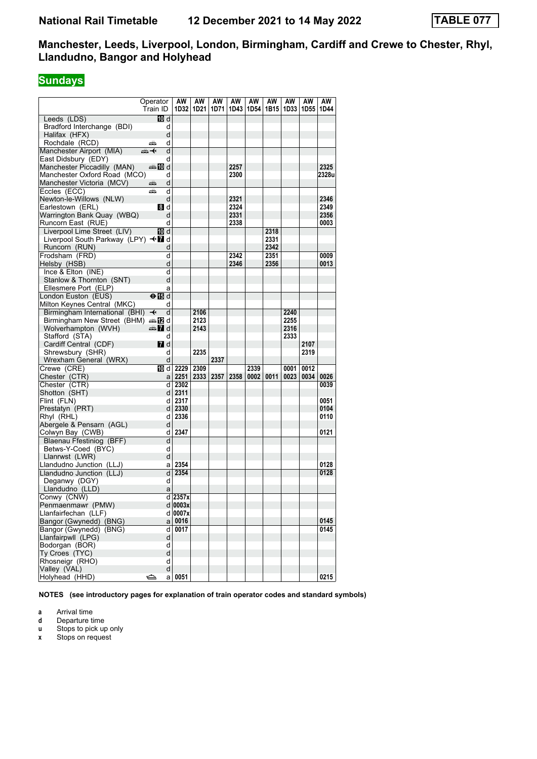# **Sundays**

|                                    | Operator<br>Train ID                     | AW<br>1D32    | AW<br>1D21 | AW<br>1D71 | AW<br>1D43 | AW<br>1D54 1B15 | AW   | AW   | AW<br>1D33 1D55 | AW<br>1D44 |
|------------------------------------|------------------------------------------|---------------|------------|------------|------------|-----------------|------|------|-----------------|------------|
| Leeds (LDS)                        | 10 d                                     |               |            |            |            |                 |      |      |                 |            |
| Bradford Interchange (BDI)         | d                                        |               |            |            |            |                 |      |      |                 |            |
| Halifax (HFX)                      | d                                        |               |            |            |            |                 |      |      |                 |            |
| Rochdale (RCD)                     | d<br>پیشته                               |               |            |            |            |                 |      |      |                 |            |
| Manchester Airport (MIA)           | d<br>ക+                                  |               |            |            |            |                 |      |      |                 |            |
| East Didsbury (EDY)                | d                                        |               |            |            |            |                 |      |      |                 |            |
| Manchester Piccadilly (MAN)        | d≣ <mark>a</mark> na <mark>a</mark> na d |               |            |            | 2257       |                 |      |      |                 | 2325       |
| Manchester Oxford Road (MCO)       | d                                        |               |            |            | 2300       |                 |      |      |                 | 2328u      |
| Manchester Victoria (MCV)          | d<br>æ                                   |               |            |            |            |                 |      |      |                 |            |
| Eccles (ECC)                       | d<br>پېښتو                               |               |            |            |            |                 |      |      |                 |            |
| Newton-le-Willows (NLW)            | d                                        |               |            |            | 2321       |                 |      |      |                 | 2346       |
| Earlestown (ERL)                   | 8 d                                      |               |            |            | 2324       |                 |      |      |                 | 2349       |
| Warrington Bank Quay (WBQ)         | d                                        |               |            |            | 2331       |                 |      |      |                 | 2356       |
| Runcorn East (RUE)                 | d                                        |               |            |            | 2338       |                 |      |      |                 | 0003       |
| Liverpool Lime Street (LIV)        | TO d                                     |               |            |            |            |                 | 2318 |      |                 |            |
| Liverpool South Parkway (LPY) <■ d |                                          |               |            |            |            |                 | 2331 |      |                 |            |
| Runcorn (RUN)                      | d                                        |               |            |            |            |                 | 2342 |      |                 |            |
| Frodsham (FRD)                     | d                                        |               |            |            | 2342       |                 | 2351 |      |                 | 0009       |
| Helsby (HSB)                       | d                                        |               |            |            | 2346       |                 | 2356 |      |                 | 0013       |
| Ince $& Elton (INE)$               | d                                        |               |            |            |            |                 |      |      |                 |            |
| Stanlow & Thornton (SNT)           | d                                        |               |            |            |            |                 |      |      |                 |            |
| Ellesmere Port (ELP)               | a                                        |               |            |            |            |                 |      |      |                 |            |
| London Euston (EUS)                | ⊖n Tid                                   |               |            |            |            |                 |      |      |                 |            |
| Milton Keynes Central (MKC)        | d                                        |               |            |            |            |                 |      |      |                 |            |
| Birmingham International (BHI)     | $\overline{\mathbf{t}}$<br>d             |               | 2106       |            |            |                 |      | 2240 |                 |            |
| Birmingham New Street (BHM) and    |                                          |               | 2123       |            |            |                 |      | 2255 |                 |            |
| Wolverhampton (WVH)                | d≣ 7d                                    |               | 2143       |            |            |                 |      | 2316 |                 |            |
| Stafford (STA)                     | d                                        |               |            |            |            |                 |      | 2333 |                 |            |
| Cardiff Central (CDF)              | 7 d                                      |               |            |            |            |                 |      |      | 2107            |            |
| Shrewsbury (SHR)                   | d                                        |               | 2235       |            |            |                 |      |      | 2319            |            |
| Wrexham General (WRX)              | d                                        |               |            | 2337       |            |                 |      |      |                 |            |
| Crewe (CRE)                        | 10 d l                                   | 2229          | 2309       |            |            | 2339            |      | 0001 | 0012            |            |
| Chester (CTR)                      | a                                        | 2251          | 2333       | 2357       | 2358       | 0002            | 0011 | 0023 | 0034            | 0026       |
| Chester (CTR)                      | d                                        | 2302          |            |            |            |                 |      |      |                 | 0039       |
| Shotton (SHT)                      |                                          | $d$   2311    |            |            |            |                 |      |      |                 |            |
| Flint (FLN)                        | d                                        | 2317          |            |            |            |                 |      |      |                 | 0051       |
| Prestatyn (PRT)                    |                                          | $d$   2330    |            |            |            |                 |      |      |                 | 0104       |
| Rhyl (RHL)                         | d                                        | 2336          |            |            |            |                 |      |      |                 | 0110       |
| Abergele & Pensarn (AGL)           | d                                        |               |            |            |            |                 |      |      |                 |            |
| Colwyn Bay (CWB)                   | d                                        | 2347          |            |            |            |                 |      |      |                 | 0121       |
| Blaenau Ffestiniog (BFF)           | d                                        |               |            |            |            |                 |      |      |                 |            |
| Betws-Y-Coed (BYC)                 | d                                        |               |            |            |            |                 |      |      |                 |            |
| Llanrwst (LWR)                     | d                                        |               |            |            |            |                 |      |      |                 |            |
| Llandudno Junction (LLJ)           | a                                        | 2354          |            |            |            |                 |      |      |                 | 0128       |
| Llandudno Junction (LLJ)           | d                                        | 2354          |            |            |            |                 |      |      |                 | 0128       |
| Deganwy (DGY)                      | d                                        |               |            |            |            |                 |      |      |                 |            |
| Llandudno (LLD)                    | a                                        |               |            |            |            |                 |      |      |                 |            |
| Conwy (CNW)                        |                                          | $d$ 2357x     |            |            |            |                 |      |      |                 |            |
| Penmaenmawr (PMW)                  |                                          | $d$ 0003x     |            |            |            |                 |      |      |                 |            |
| Llanfairfechan (LLF)               |                                          | d 0007x       |            |            |            |                 |      |      |                 |            |
| Bangor (Gwynedd) (BNG)             |                                          | $a \mid 0016$ |            |            |            |                 |      |      |                 | 0145       |
| Bangor (Gwynedd) (BNG)             | d                                        | 0017          |            |            |            |                 |      |      |                 | 0145       |
| Llanfairpwll (LPG)                 | d                                        |               |            |            |            |                 |      |      |                 |            |
| Bodorgan (BOR)                     | d                                        |               |            |            |            |                 |      |      |                 |            |
| Ty Croes (TYC)                     | d                                        |               |            |            |            |                 |      |      |                 |            |
| Rhosneigr (RHO)                    | d                                        |               |            |            |            |                 |      |      |                 |            |
| Valley (VAL)                       | d                                        |               |            |            |            |                 |      |      |                 |            |
| Holyhead (HHD)                     | ⇔<br>a                                   | 0051          |            |            |            |                 |      |      |                 | 0215       |

**NOTES (see introductory pages for explanation of train operator codes and standard symbols)**

**a** Arrival time<br>**d** Departure t

**d** Departure time

**u** Stops to pick up only<br>**x** Stops on request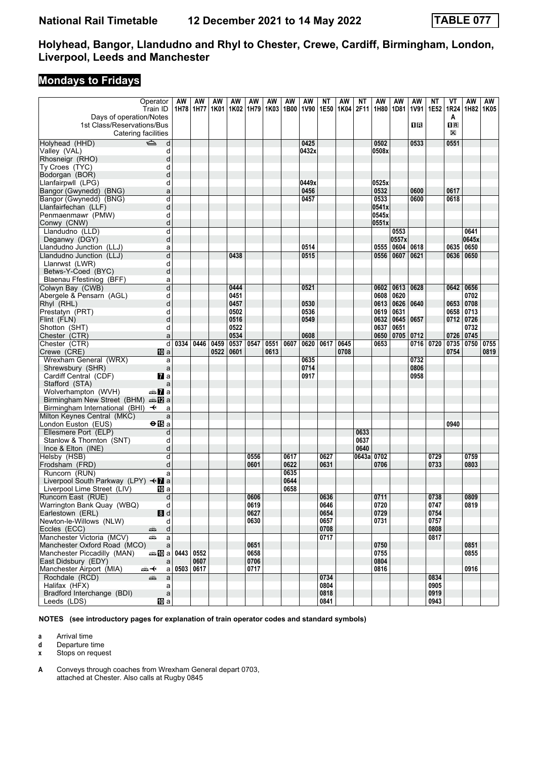# **Mondays to Fridays**

|                                                   | Operator               | AW          | AW   | AW   | AW          | AW   | AW   | AW   | AW    | ΝT   | AW   | NΤ   | AW         | AW           | AW   | <b>NT</b> | VT               | AW    | AW   |
|---------------------------------------------------|------------------------|-------------|------|------|-------------|------|------|------|-------|------|------|------|------------|--------------|------|-----------|------------------|-------|------|
|                                                   | Train ID               | 1H78 1H77   |      | 1K01 | 1K02   1H79 |      | 1K03 | 1B00 | 1V90  | 1E50 | 1K04 | 2F11 | 1H80       | 1D81         | 1V91 | 1E52      | 1R24             | 1H82  | 1K05 |
| Days of operation/Notes                           |                        |             |      |      |             |      |      |      |       |      |      |      |            |              |      |           | A                |       |      |
| 1st Class/Reservations/Bus                        |                        |             |      |      |             |      |      |      |       |      |      |      |            |              | 0R   |           | $n_{\mathbb{R}}$ |       |      |
| Catering facilities                               |                        |             |      |      |             |      |      |      |       |      |      |      |            |              |      |           | X                |       |      |
| $\Rightarrow$<br>Holyhead (HHD)                   | d                      |             |      |      |             |      |      |      | 0425  |      |      |      | 0502       |              | 0533 |           | 0551             |       |      |
| Valley (VAL)                                      | d                      |             |      |      |             |      |      |      | 0432x |      |      |      | 0508x      |              |      |           |                  |       |      |
| Rhosneigr (RHO)                                   | d                      |             |      |      |             |      |      |      |       |      |      |      |            |              |      |           |                  |       |      |
| Ty Croes (TYC)                                    | d                      |             |      |      |             |      |      |      |       |      |      |      |            |              |      |           |                  |       |      |
| Bodorgan (BOR)                                    | d                      |             |      |      |             |      |      |      |       |      |      |      |            |              |      |           |                  |       |      |
| Llanfairpwll (LPG)                                | d                      |             |      |      |             |      |      |      | 0449x |      |      |      | 0525x      |              |      |           |                  |       |      |
| Bangor (Gwynedd) (BNG)                            | a                      |             |      |      |             |      |      |      | 0456  |      |      |      | 0532       |              | 0600 |           | 0617             |       |      |
| Bangor (Gwynedd) (BNG)                            | d                      |             |      |      |             |      |      |      | 0457  |      |      |      | 0533       |              | 0600 |           | 0618             |       |      |
| Llanfairfechan (LLF)                              | d                      |             |      |      |             |      |      |      |       |      |      |      | 0541x      |              |      |           |                  |       |      |
| Penmaenmawr (PMW)                                 | d                      |             |      |      |             |      |      |      |       |      |      |      | 0545x      |              |      |           |                  |       |      |
| Conwy (CNW)                                       | d                      |             |      |      |             |      |      |      |       |      |      |      | 0551x      |              |      |           |                  |       |      |
| Llandudno (LLD)                                   | d                      |             |      |      |             |      |      |      |       |      |      |      |            | 0553         |      |           |                  | 0641  |      |
| Deganwy (DGY)                                     | d                      |             |      |      |             |      |      |      |       |      |      |      |            | 0557x        |      |           |                  | 0645x |      |
| Llandudno Junction (LLJ)                          | a                      |             |      |      |             |      |      |      | 0514  |      |      |      | 0555       | 0604         | 0618 |           | 0635             | 0650  |      |
| Llandudno Junction (LLJ)                          | d                      |             |      |      | 0438        |      |      |      | 0515  |      |      |      | 0556       | 0607         | 0621 |           | 0636 0650        |       |      |
| Llanrwst (LWR)                                    | d                      |             |      |      |             |      |      |      |       |      |      |      |            |              |      |           |                  |       |      |
| Betws-Y-Coed (BYC)                                | d                      |             |      |      |             |      |      |      |       |      |      |      |            |              |      |           |                  |       |      |
| Blaenau Ffestiniog (BFF)                          | a                      |             |      |      |             |      |      |      |       |      |      |      |            |              |      |           |                  |       |      |
| Colwyn Bay (CWB)                                  | d                      |             |      |      | 0444        |      |      |      | 0521  |      |      |      | 0602       | 0613         | 0628 |           | 0642             | 0656  |      |
| Abergele & Pensarn (AGL)                          | d                      |             |      |      | 0451        |      |      |      |       |      |      |      | 0608       | 0620         |      |           |                  | 0702  |      |
|                                                   | d                      |             |      |      | 0457        |      |      |      | 0530  |      |      |      | 0613       | 0626         | 0640 |           | 0653             | 0708  |      |
| Rhyl (RHL)                                        |                        |             |      |      | 0502        |      |      |      | 0536  |      |      |      |            |              |      |           |                  |       |      |
| Prestatyn (PRT)                                   | d                      |             |      |      | 0516        |      |      |      | 0549  |      |      |      | 0619       | 0631<br>0645 |      |           | 0658             | 0713  |      |
| Flint (FLN)                                       | d                      |             |      |      |             |      |      |      |       |      |      |      | 0632       |              | 0657 |           | 0712 0726        |       |      |
| Shotton (SHT)                                     | d                      |             |      |      | 0522        |      |      |      |       |      |      |      | 0637       | 0651         |      |           |                  | 0732  |      |
| Chester (CTR)                                     | a                      |             |      |      | 0534        |      |      |      | 0608  |      |      |      | 0650       | 0705         | 0712 |           | 0726 0745        |       |      |
| Chester (CTR)                                     | d                      | 0334        | 0446 | 0459 | 0537        | 0547 | 0551 | 0607 | 0620  | 0617 | 0645 |      | 0653       |              | 0716 | 0720      | 0735 0750        |       | 0755 |
| Crewe (CRE)                                       | <b>ID</b> a            |             |      | 0522 | 0601        |      | 0613 |      |       |      | 0708 |      |            |              |      |           | 0754             |       | 0819 |
| Wrexham General (WRX)                             | a                      |             |      |      |             |      |      |      | 0635  |      |      |      |            |              | 0732 |           |                  |       |      |
| Shrewsbury (SHR)                                  | $\mathsf{a}$           |             |      |      |             |      |      |      | 0714  |      |      |      |            |              | 0806 |           |                  |       |      |
| Cardiff Central (CDF)                             | $\mathbf{z}$ a         |             |      |      |             |      |      |      | 0917  |      |      |      |            |              | 0958 |           |                  |       |      |
| Stafford (STA)                                    | a                      |             |      |      |             |      |      |      |       |      |      |      |            |              |      |           |                  |       |      |
| Wolverhampton (WVH)                               | an <mark>7</mark> a    |             |      |      |             |      |      |      |       |      |      |      |            |              |      |           |                  |       |      |
| Birmingham New Street (BHM) $\oplus \mathbb{Z}$ a |                        |             |      |      |             |      |      |      |       |      |      |      |            |              |      |           |                  |       |      |
| Birmingham International (BHI) $\rightarrow$      | a                      |             |      |      |             |      |      |      |       |      |      |      |            |              |      |           |                  |       |      |
| Milton Keynes Central (MKC)                       | a                      |             |      |      |             |      |      |      |       |      |      |      |            |              |      |           |                  |       |      |
| London Euston (EUS)                               | $\Theta$ is a          |             |      |      |             |      |      |      |       |      |      |      |            |              |      |           | 0940             |       |      |
| Ellesmere Port (ELP)                              | d                      |             |      |      |             |      |      |      |       |      |      | 0633 |            |              |      |           |                  |       |      |
| Stanlow & Thornton (SNT)                          | d                      |             |      |      |             |      |      |      |       |      |      | 0637 |            |              |      |           |                  |       |      |
| Ince & Elton (INE)                                | d                      |             |      |      |             |      |      |      |       |      |      | 0640 |            |              |      |           |                  |       |      |
| Helsby (HSB)                                      | d                      |             |      |      |             | 0556 |      | 0617 |       | 0627 |      |      | 0643a 0702 |              |      | 0729      |                  | 0759  |      |
| Frodsham (FRD)                                    | d                      |             |      |      |             | 0601 |      | 0622 |       | 0631 |      |      | 0706       |              |      | 0733      |                  | 0803  |      |
| Runcorn (RUN)                                     | a                      |             |      |      |             |      |      | 0635 |       |      |      |      |            |              |      |           |                  |       |      |
| Liverpool South Parkway (LPY) <■ a                |                        |             |      |      |             |      |      | 0644 |       |      |      |      |            |              |      |           |                  |       |      |
| Liverpool Lime Street (LIV)                       | 10 a                   |             |      |      |             |      |      | 0658 |       |      |      |      |            |              |      |           |                  |       |      |
| Runcorn East (RUE)                                | d                      |             |      |      |             | 0606 |      |      |       | 0636 |      |      | 0711       |              |      | 0738      |                  | 0809  |      |
| Warrington Bank Quay (WBQ)                        | d                      |             |      |      |             | 0619 |      |      |       | 0646 |      |      | 0720       |              |      | 0747      |                  | 0819  |      |
| Earlestown (ERL)                                  | 8d                     |             |      |      |             | 0627 |      |      |       | 0654 |      |      | 0729       |              |      | 0754      |                  |       |      |
| Newton-le-Willows (NLW)                           | d                      |             |      |      |             | 0630 |      |      |       | 0657 |      |      | 0731       |              |      | 0757      |                  |       |      |
| Eccles (ECC)<br>پېښ                               | $\mathsf{d}$           |             |      |      |             |      |      |      |       | 0708 |      |      |            |              |      | 0808      |                  |       |      |
| Manchester Victoria (MCV)<br>æ                    | a                      |             |      |      |             |      |      |      |       | 0717 |      |      |            |              |      | 0817      |                  |       |      |
| Manchester Oxford Road (MCO)                      | $\mathsf{a}$           |             |      |      |             | 0651 |      |      |       |      |      |      | 0750       |              |      |           |                  | 0851  |      |
| Manchester Piccadilly (MAN)                       | <b>460 a 0443 0552</b> |             |      |      |             | 0658 |      |      |       |      |      |      | 0755       |              |      |           |                  | 0855  |      |
| East Didsbury (EDY)                               | a                      |             | 0607 |      |             | 0706 |      |      |       |      |      |      | 0804       |              |      |           |                  |       |      |
| Manchester Airport (MIA)<br><del>๛</del> +        | a                      | 0503   0617 |      |      |             | 0717 |      |      |       |      |      |      | 0816       |              |      |           |                  | 0916  |      |
| Rochdale (RCD)<br>añ,                             | a                      |             |      |      |             |      |      |      |       | 0734 |      |      |            |              |      | 0834      |                  |       |      |
| Halifax (HFX)                                     | a                      |             |      |      |             |      |      |      |       | 0804 |      |      |            |              |      | 0905      |                  |       |      |
| Bradford Interchange (BDI)                        | $\mathsf a$            |             |      |      |             |      |      |      |       | 0818 |      |      |            |              |      | 0919      |                  |       |      |
| Leeds (LDS)                                       | [10] a                 |             |      |      |             |      |      |      |       | 0841 |      |      |            |              |      | 0943      |                  |       |      |

**NOTES (see introductory pages for explanation of train operator codes and standard symbols)**

**a** Arrival time<br>**d** Departure t

**d** Departure time

**x** Stops on request

**A** Conveys through coaches from Wrexham General depart 0703, attached at Chester. Also calls at Rugby 0845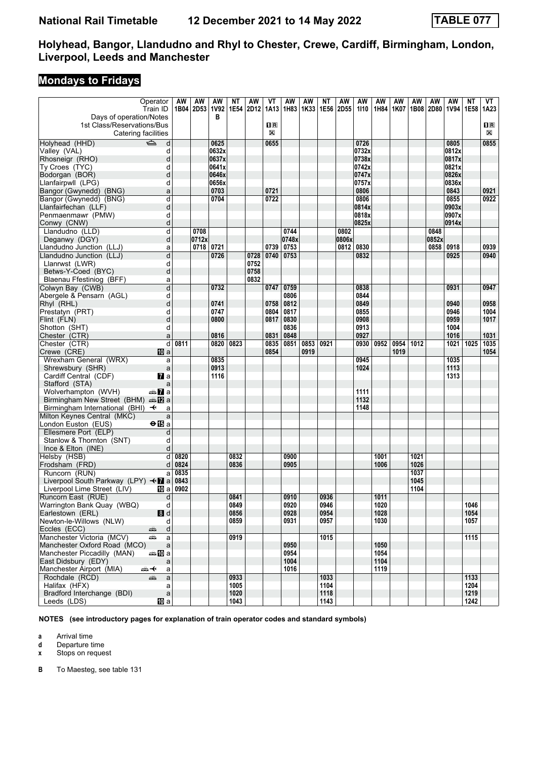# **Mondays to Fridays**

| Operator                                          |                | AW   | AW             | AW    | ΝT   | AW   | VT             | AW    | AW   | ΝT   | AW               | AW    | AW   | AW   | AW   | AW    | AW    | ΝT   | VT          |
|---------------------------------------------------|----------------|------|----------------|-------|------|------|----------------|-------|------|------|------------------|-------|------|------|------|-------|-------|------|-------------|
|                                                   |                |      |                |       |      |      |                |       |      |      |                  |       |      |      |      |       |       |      |             |
| Train ID                                          |                |      | 1B04 2D53 1V92 |       | 1E54 | 2D12 | 1A13           | 1H83  | 1K33 | 1E56 | 2D <sub>55</sub> | 1110  | 1H84 | 1K07 | 1B08 | 2D80  | 1V94  | 1E58 | 1A23        |
| Days of operation/Notes                           |                |      |                | в     |      |      |                |       |      |      |                  |       |      |      |      |       |       |      |             |
| 1st Class/Reservations/Bus                        |                |      |                |       |      |      | $\mathbf{1}$ R |       |      |      |                  |       |      |      |      |       |       |      | $n_{\rm R}$ |
| Catering facilities                               |                |      |                |       |      |      | X              |       |      |      |                  |       |      |      |      |       |       |      | $\boxtimes$ |
| Holyhead (HHD)<br>$\Rightarrow$                   | d              |      |                | 0625  |      |      | 0655           |       |      |      |                  | 0726  |      |      |      |       | 0805  |      | 0855        |
| Valley (VAL)                                      | d              |      |                | 0632x |      |      |                |       |      |      |                  | 0732x |      |      |      |       | 0812x |      |             |
|                                                   |                |      |                |       |      |      |                |       |      |      |                  |       |      |      |      |       |       |      |             |
| Rhosneigr (RHO)                                   | d              |      |                | 0637x |      |      |                |       |      |      |                  | 0738x |      |      |      |       | 0817x |      |             |
| Ty Croes (TYC)                                    | d              |      |                | 0641x |      |      |                |       |      |      |                  | 0742x |      |      |      |       | 0821x |      |             |
| Bodorgan (BOR)                                    | d              |      |                | 0646x |      |      |                |       |      |      |                  | 0747x |      |      |      |       | 0826x |      |             |
| Llanfairpwll (LPG)                                | d              |      |                | 0656x |      |      |                |       |      |      |                  | 0757x |      |      |      |       | 0836x |      |             |
| Bangor (Gwynedd) (BNG)                            | a              |      |                | 0703  |      |      | 0721           |       |      |      |                  | 0806  |      |      |      |       | 0843  |      | 0921        |
| Bangor (Gwynedd) (BNG)                            | d              |      |                | 0704  |      |      | 0722           |       |      |      |                  | 0806  |      |      |      |       | 0855  |      | 0922        |
|                                                   |                |      |                |       |      |      |                |       |      |      |                  | 0814x |      |      |      |       | 0903x |      |             |
| Llanfairfechan (LLF)                              | d              |      |                |       |      |      |                |       |      |      |                  |       |      |      |      |       |       |      |             |
| Penmaenmawr (PMW)                                 | d              |      |                |       |      |      |                |       |      |      |                  | 0818x |      |      |      |       | 0907x |      |             |
| Conwy (CNW)                                       | d              |      |                |       |      |      |                |       |      |      |                  | 0825x |      |      |      |       | 0914x |      |             |
| Llandudno (LLD)                                   | d              |      | 0708           |       |      |      |                | 0744  |      |      | 0802             |       |      |      |      | 0848  |       |      |             |
| Deganwy (DGY)                                     | d              |      | 0712x          |       |      |      |                | 0748x |      |      | 0806x            |       |      |      |      | 0852x |       |      |             |
| Llandudno Junction (LLJ)                          | a              |      | 0718 0721      |       |      |      | 0739           | 0753  |      |      | 0812             | 0830  |      |      |      | 0858  | 0918  |      | 0939        |
| Llandudno Junction (LLJ)                          | d              |      |                | 0726  |      | 0728 | 0740           | 0753  |      |      |                  | 0832  |      |      |      |       | 0925  |      | 0940        |
|                                                   |                |      |                |       |      |      |                |       |      |      |                  |       |      |      |      |       |       |      |             |
| Llanrwst (LWR)                                    | d              |      |                |       |      | 0752 |                |       |      |      |                  |       |      |      |      |       |       |      |             |
| Betws-Y-Coed (BYC)                                | d              |      |                |       |      | 0758 |                |       |      |      |                  |       |      |      |      |       |       |      |             |
| Blaenau Ffestiniog (BFF)                          | a              |      |                |       |      | 0832 |                |       |      |      |                  |       |      |      |      |       |       |      |             |
| Colwyn Bay (CWB)                                  | d              |      |                | 0732  |      |      | 0747           | 0759  |      |      |                  | 0838  |      |      |      |       | 0931  |      | 0947        |
| Abergele & Pensarn (AGL)                          | d              |      |                |       |      |      |                | 0806  |      |      |                  | 0844  |      |      |      |       |       |      |             |
| Rhyl (RHL)                                        | d              |      |                | 0741  |      |      | 0758           | 0812  |      |      |                  | 0849  |      |      |      |       | 0940  |      | 0958        |
| Prestatyn (PRT)                                   | d              |      |                | 0747  |      |      | 0804           | 0817  |      |      |                  | 0855  |      |      |      |       | 0946  |      | 1004        |
|                                                   |                |      |                |       |      |      |                |       |      |      |                  |       |      |      |      |       |       |      |             |
| Flint (FLN)                                       | d              |      |                | 0800  |      |      | 0817           | 0830  |      |      |                  | 0908  |      |      |      |       | 0959  |      | 1017        |
| Shotton (SHT)                                     | d              |      |                |       |      |      |                | 0836  |      |      |                  | 0913  |      |      |      |       | 1004  |      |             |
| Chester (CTR)                                     | a              |      |                | 0816  |      |      | 0831           | 0848  |      |      |                  | 0927  |      |      |      |       | 1016  |      | 1031        |
| Chester (CTR)                                     | d              | 0811 |                | 0820  | 0823 |      | 0835           | 0851  | 0853 | 0921 |                  | 0930  | 0952 | 0954 | 1012 |       | 1021  | 1025 | 1035        |
| Crewe (CRE)<br>10 a                               |                |      |                |       |      |      | 0854           |       | 0919 |      |                  |       |      | 1019 |      |       |       |      | 1054        |
| Wrexham General (WRX)                             | a              |      |                | 0835  |      |      |                |       |      |      |                  | 0945  |      |      |      |       | 1035  |      |             |
| Shrewsbury (SHR)                                  |                |      |                | 0913  |      |      |                |       |      |      |                  | 1024  |      |      |      |       | 1113  |      |             |
|                                                   | a              |      |                |       |      |      |                |       |      |      |                  |       |      |      |      |       |       |      |             |
| Cardiff Central (CDF)<br>$\mathbf{z}$ a           |                |      |                | 1116  |      |      |                |       |      |      |                  |       |      |      |      |       | 1313  |      |             |
| Stafford (STA)                                    | a              |      |                |       |      |      |                |       |      |      |                  |       |      |      |      |       |       |      |             |
| Wolverhampton (WVH)<br>an <mark>7</mark> a        |                |      |                |       |      |      |                |       |      |      |                  | 1111  |      |      |      |       |       |      |             |
| Birmingham New Street (BHM) $\oplus \mathbb{Z}$ a |                |      |                |       |      |      |                |       |      |      |                  | 1132  |      |      |      |       |       |      |             |
| Birmingham International (BHI) $\rightarrow$      | a              |      |                |       |      |      |                |       |      |      |                  | 1148  |      |      |      |       |       |      |             |
| Milton Keynes Central (MKC)                       | a              |      |                |       |      |      |                |       |      |      |                  |       |      |      |      |       |       |      |             |
| London Euston (EUS)<br><b>⊖ iB</b> a              |                |      |                |       |      |      |                |       |      |      |                  |       |      |      |      |       |       |      |             |
|                                                   |                |      |                |       |      |      |                |       |      |      |                  |       |      |      |      |       |       |      |             |
| Ellesmere Port (ELP)                              | d              |      |                |       |      |      |                |       |      |      |                  |       |      |      |      |       |       |      |             |
| Stanlow & Thornton (SNT)                          | d              |      |                |       |      |      |                |       |      |      |                  |       |      |      |      |       |       |      |             |
| Ince & Elton (INE)                                | d              |      |                |       |      |      |                |       |      |      |                  |       |      |      |      |       |       |      |             |
| Helsby (HSB)                                      | d              | 0820 |                |       | 0832 |      |                | 0900  |      |      |                  |       | 1001 |      | 1021 |       |       |      |             |
| Frodsham (FRD)                                    | d              | 0824 |                |       | 0836 |      |                | 0905  |      |      |                  |       | 1006 |      | 1026 |       |       |      |             |
| Runcorn (RUN)                                     | a              | 0835 |                |       |      |      |                |       |      |      |                  |       |      |      | 1037 |       |       |      |             |
|                                                   |                | 0843 |                |       |      |      |                |       |      |      |                  |       |      |      | 1045 |       |       |      |             |
| Liverpool South Parkway (LPY) < a                 |                |      |                |       |      |      |                |       |      |      |                  |       |      |      |      |       |       |      |             |
| Liverpool Lime Street (LIV)                       | 100al          | 0902 |                |       |      |      |                |       |      |      |                  |       |      |      | 1104 |       |       |      |             |
| Runcorn East (RUE)                                | d              |      |                |       | 0841 |      |                | 0910  |      | 0936 |                  |       | 1011 |      |      |       |       |      |             |
| Warrington Bank Quay (WBQ)                        | d              |      |                |       | 0849 |      |                | 0920  |      | 0946 |                  |       | 1020 |      |      |       |       | 1046 |             |
| Earlestown (ERL)                                  | 8d             |      |                |       | 0856 |      |                | 0928  |      | 0954 |                  |       | 1028 |      |      |       |       | 1054 |             |
| Newton-le-Willows (NLW)                           | d              |      |                |       | 0859 |      |                | 0931  |      | 0957 |                  |       | 1030 |      |      |       |       | 1057 |             |
| Eccles (ECC)<br>æÊr                               | $\mathsf{d}$   |      |                |       |      |      |                |       |      |      |                  |       |      |      |      |       |       |      |             |
| Manchester Victoria (MCV)<br>æ                    | a              |      |                |       | 0919 |      |                |       |      | 1015 |                  |       |      |      |      |       |       | 1115 |             |
|                                                   |                |      |                |       |      |      |                |       |      |      |                  |       |      |      |      |       |       |      |             |
| Manchester Oxford Road (MCO)                      | $\mathsf{a}$   |      |                |       |      |      |                | 0950  |      |      |                  |       | 1050 |      |      |       |       |      |             |
| Manchester Piccadilly (MAN)<br>⇔≞llDia            |                |      |                |       |      |      |                | 0954  |      |      |                  |       | 1054 |      |      |       |       |      |             |
| East Didsbury (EDY)                               | a              |      |                |       |      |      |                | 1004  |      |      |                  |       | 1104 |      |      |       |       |      |             |
| Manchester Airport (MIA)<br><del>๛</del> +        | a              |      |                |       |      |      |                | 1016  |      |      |                  |       | 1119 |      |      |       |       |      |             |
| Rochdale (RCD)<br>⊯َ                              | $\overline{a}$ |      |                |       | 0933 |      |                |       |      | 1033 |                  |       |      |      |      |       |       | 1133 |             |
| Halifax (HFX)                                     | a              |      |                |       | 1005 |      |                |       |      | 1104 |                  |       |      |      |      |       |       | 1204 |             |
| Bradford Interchange (BDI)                        | $\mathsf{a}$   |      |                |       | 1020 |      |                |       |      | 1118 |                  |       |      |      |      |       |       | 1219 |             |
|                                                   |                |      |                |       |      |      |                |       |      |      |                  |       |      |      |      |       |       |      |             |
| Leeds (LDS)                                       | 10 a           |      |                |       | 1043 |      |                |       |      | 1143 |                  |       |      |      |      |       |       | 1242 |             |

**NOTES (see introductory pages for explanation of train operator codes and standard symbols)**

**a** Arrival time<br>**d** Departure t **d** Departure time

**x** Stops on request

**B** To Maesteg, see table 131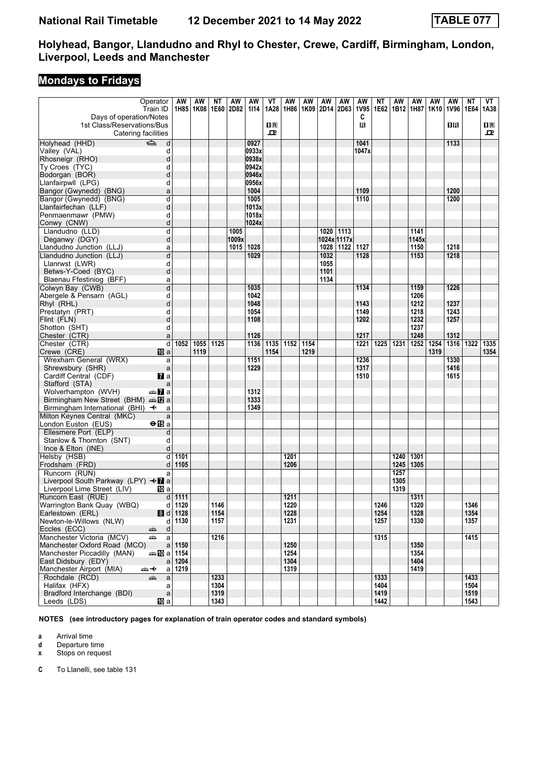# **Mondays to Fridays**

| Operator                                            | AW                    | AW                 | ΝT   | AW    | AW    | VT                                              | AW   | AW   | AW     | AW          | AW    | ΝT   | AW          | ΑW    | AW   | AW        | ΝT        | VT           |
|-----------------------------------------------------|-----------------------|--------------------|------|-------|-------|-------------------------------------------------|------|------|--------|-------------|-------|------|-------------|-------|------|-----------|-----------|--------------|
| Train ID                                            |                       | 1H85   1K08   1E60 |      | 2D82  |       | 1A28                                            | 1H86 |      |        | 2D14 2D63   | 1V95  |      | 1E62   1B12 | 1H87  |      | 1V96 1E64 |           | 1A38         |
|                                                     |                       |                    |      |       | 1114  |                                                 |      | 1K09 |        |             |       |      |             |       | 1K10 |           |           |              |
| Days of operation/Notes                             |                       |                    |      |       |       |                                                 |      |      |        |             | C     |      |             |       |      |           |           |              |
| 1st Class/Reservations/Bus                          |                       |                    |      |       |       | $\overline{\mathbf{H}}$ $\overline{\mathbf{R}}$ |      |      |        |             | В     |      |             |       |      | 0 B       |           | $\mathbf{H}$ |
| Catering facilities                                 |                       |                    |      |       |       | ᇁ                                               |      |      |        |             |       |      |             |       |      |           |           | ᅭ            |
| Holyhead (HHD)<br>ک<br>d                            |                       |                    |      |       | 0927  |                                                 |      |      |        |             | 1041  |      |             |       |      | 1133      |           |              |
| Valley (VAL)<br>d                                   |                       |                    |      |       | 0933x |                                                 |      |      |        |             | 1047x |      |             |       |      |           |           |              |
| Rhosneigr (RHO)<br>d                                |                       |                    |      |       | 0938x |                                                 |      |      |        |             |       |      |             |       |      |           |           |              |
|                                                     |                       |                    |      |       |       |                                                 |      |      |        |             |       |      |             |       |      |           |           |              |
| Ty Croes (TYC)<br>d                                 |                       |                    |      |       | 0942x |                                                 |      |      |        |             |       |      |             |       |      |           |           |              |
| Bodorgan (BOR)<br>d                                 |                       |                    |      |       | 0946x |                                                 |      |      |        |             |       |      |             |       |      |           |           |              |
| Llanfairpwll (LPG)<br>d                             |                       |                    |      |       | 0956x |                                                 |      |      |        |             |       |      |             |       |      |           |           |              |
| Bangor (Gwynedd) (BNG)<br>a                         |                       |                    |      |       | 1004  |                                                 |      |      |        |             | 1109  |      |             |       |      | 1200      |           |              |
| d<br>Bangor (Gwynedd) (BNG)                         |                       |                    |      |       | 1005  |                                                 |      |      |        |             | 1110  |      |             |       |      | 1200      |           |              |
| Llanfairfechan (LLF)<br>d                           |                       |                    |      |       | 1013x |                                                 |      |      |        |             |       |      |             |       |      |           |           |              |
| Penmaenmawr (PMW)<br>d                              |                       |                    |      |       | 1018x |                                                 |      |      |        |             |       |      |             |       |      |           |           |              |
| Conwy (CNW)<br>d                                    |                       |                    |      |       | 1024x |                                                 |      |      |        |             |       |      |             |       |      |           |           |              |
| Llandudno (LLD)<br>d                                |                       |                    |      | 1005  |       |                                                 |      |      | 1020   | 1113        |       |      |             | 1141  |      |           |           |              |
| Deganwy (DGY)<br>d                                  |                       |                    |      | 1009x |       |                                                 |      |      |        | 1024x 1117x |       |      |             | 1145x |      |           |           |              |
|                                                     |                       |                    |      |       |       |                                                 |      |      |        |             |       |      |             |       |      |           |           |              |
| Llandudno Junction (LLJ)<br>a                       |                       |                    |      | 1015  | 1028  |                                                 |      |      |        | 1028 1122   | 1127  |      |             | 1150  |      | 1218      |           |              |
| $\overline{d}$<br>Llandudno Junction (LLJ)          |                       |                    |      |       | 1029  |                                                 |      |      | $1032$ |             | 1128  |      |             | 1153  |      | 1218      |           |              |
| Llanrwst (LWR)<br>d                                 |                       |                    |      |       |       |                                                 |      |      | 1055   |             |       |      |             |       |      |           |           |              |
| Betws-Y-Coed (BYC)<br>d                             |                       |                    |      |       |       |                                                 |      |      | 1101   |             |       |      |             |       |      |           |           |              |
| Blaenau Ffestiniog (BFF)<br>a                       |                       |                    |      |       |       |                                                 |      |      | 1134   |             |       |      |             |       |      |           |           |              |
| d<br>Colwyn Bay (CWB)                               |                       |                    |      |       | 1035  |                                                 |      |      |        |             | 1134  |      |             | 1159  |      | 1226      |           |              |
| Abergele & Pensarn (AGL)<br>d                       |                       |                    |      |       | 1042  |                                                 |      |      |        |             |       |      |             | 1206  |      |           |           |              |
| Rhyl (RHL)<br>d                                     |                       |                    |      |       | 1048  |                                                 |      |      |        |             | 1143  |      |             | 1212  |      | 1237      |           |              |
| Prestatyn (PRT)<br>d                                |                       |                    |      |       | 1054  |                                                 |      |      |        |             | 1149  |      |             | 1218  |      | 1243      |           |              |
| Flint (FLN)<br>d                                    |                       |                    |      |       | 1108  |                                                 |      |      |        |             | 1202  |      |             | 1232  |      | 1257      |           |              |
|                                                     |                       |                    |      |       |       |                                                 |      |      |        |             |       |      |             |       |      |           |           |              |
| Shotton (SHT)<br>d                                  |                       |                    |      |       |       |                                                 |      |      |        |             |       |      |             | 1237  |      |           |           |              |
| Chester (CTR)<br>a                                  |                       |                    |      |       | 1126  |                                                 |      |      |        |             | 1217  |      |             | 1248  |      | 1312      |           |              |
| Chester (CTR)<br>$\overline{d}$                     |                       | 1052 1055 1125     |      |       | 1136  | 1135                                            | 1152 | 1154 |        |             | 1221  | 1225 | 1231        | 1252  | 1254 | 1316      | 1322 1335 |              |
| Crewe (CRE)<br>10 a                                 |                       | 1119               |      |       |       | 1154                                            |      | 1219 |        |             |       |      |             |       | 1319 |           |           | 1354         |
| Wrexham General (WRX)<br>a                          |                       |                    |      |       | 1151  |                                                 |      |      |        |             | 1236  |      |             |       |      | 1330      |           |              |
| Shrewsbury (SHR)<br>$\mathsf{a}$                    |                       |                    |      |       | 1229  |                                                 |      |      |        |             | 1317  |      |             |       |      | 1416      |           |              |
| Cardiff Central (CDF)<br><b>7</b> a                 |                       |                    |      |       |       |                                                 |      |      |        |             | 1510  |      |             |       |      | 1615      |           |              |
| Stafford (STA)<br>a                                 |                       |                    |      |       |       |                                                 |      |      |        |             |       |      |             |       |      |           |           |              |
| Wolverhampton (WVH)<br>an <mark>7</mark> a          |                       |                    |      |       | 1312  |                                                 |      |      |        |             |       |      |             |       |      |           |           |              |
| Birmingham New Street (BHM) $\oplus \blacksquare$ a |                       |                    |      |       | 1333  |                                                 |      |      |        |             |       |      |             |       |      |           |           |              |
|                                                     |                       |                    |      |       | 1349  |                                                 |      |      |        |             |       |      |             |       |      |           |           |              |
| Birmingham International (BHI) $\rightarrow$<br>a   |                       |                    |      |       |       |                                                 |      |      |        |             |       |      |             |       |      |           |           |              |
| Milton Keynes Central (MKC)<br>a                    |                       |                    |      |       |       |                                                 |      |      |        |             |       |      |             |       |      |           |           |              |
| $\Theta$ $\mathbb{E}$ a<br>London Euston (EUS)      |                       |                    |      |       |       |                                                 |      |      |        |             |       |      |             |       |      |           |           |              |
| Ellesmere Port (ELP)<br>d                           |                       |                    |      |       |       |                                                 |      |      |        |             |       |      |             |       |      |           |           |              |
| Stanlow & Thornton (SNT)<br>d                       |                       |                    |      |       |       |                                                 |      |      |        |             |       |      |             |       |      |           |           |              |
| Ince & Elton (INE)<br>d                             |                       |                    |      |       |       |                                                 |      |      |        |             |       |      |             |       |      |           |           |              |
| Helsby (HSB)<br>d                                   | $\frac{1101}{1}$      |                    |      |       |       |                                                 | 1201 |      |        |             |       |      | 1240        | 1301  |      |           |           |              |
| Frodsham (FRD)<br>$d \mid$                          | 1105                  |                    |      |       |       |                                                 | 1206 |      |        |             |       |      | 1245        | 1305  |      |           |           |              |
| Runcorn (RUN)<br>a                                  |                       |                    |      |       |       |                                                 |      |      |        |             |       |      | 1257        |       |      |           |           |              |
| Liverpool South Parkway (LPY) <b>+7</b> a           |                       |                    |      |       |       |                                                 |      |      |        |             |       |      | 1305        |       |      |           |           |              |
| Liverpool Lime Street (LIV)<br>10 a                 |                       |                    |      |       |       |                                                 |      |      |        |             |       |      | 1319        |       |      |           |           |              |
|                                                     | $d$ 1111              |                    |      |       |       |                                                 | 1211 |      |        |             |       |      |             | 1311  |      |           |           |              |
| Runcorn East (RUE)                                  |                       |                    |      |       |       |                                                 |      |      |        |             |       |      |             |       |      |           |           |              |
| Warrington Bank Quay (WBQ)                          | $d$ 1120              |                    | 1146 |       |       |                                                 | 1220 |      |        |             |       | 1246 |             | 1320  |      |           | 1346      |              |
| Earlestown (ERL)                                    | $\mathbf{B}$ d   1128 |                    | 1154 |       |       |                                                 | 1228 |      |        |             |       | 1254 |             | 1328  |      |           | 1354      |              |
| Newton-le-Willows (NLW)<br>d                        | 1130                  |                    | 1157 |       |       |                                                 | 1231 |      |        |             |       | 1257 |             | 1330  |      |           | 1357      |              |
| Eccles (ECC)<br>d<br>پېښتو                          |                       |                    |      |       |       |                                                 |      |      |        |             |       |      |             |       |      |           |           |              |
| Manchester Victoria (MCV)<br>a<br>یشته              |                       |                    | 1216 |       |       |                                                 |      |      |        |             |       | 1315 |             |       |      |           | 1415      |              |
| Manchester Oxford Road (MCO)<br>$\mathsf{a}$        | 1150                  |                    |      |       |       |                                                 | 1250 |      |        |             |       |      |             | 1350  |      |           |           |              |
| Manchester Piccadilly (MAN)<br>ا1154 al             |                       |                    |      |       |       |                                                 | 1254 |      |        |             |       |      |             | 1354  |      |           |           |              |
| East Didsbury (EDY)                                 | $a$ 1204              |                    |      |       |       |                                                 | 1304 |      |        |             |       |      |             | 1404  |      |           |           |              |
| Manchester Airport (MIA)<br>⇜✦                      | $a$ 1219              |                    |      |       |       |                                                 | 1319 |      |        |             |       |      |             | 1419  |      |           |           |              |
| Rochdale (RCD)<br>پېښ<br>a                          |                       |                    | 1233 |       |       |                                                 |      |      |        |             |       | 1333 |             |       |      |           | 1433      |              |
| Halifax (HFX)                                       |                       |                    | 1304 |       |       |                                                 |      |      |        |             |       | 1404 |             |       |      |           | 1504      |              |
| a                                                   |                       |                    |      |       |       |                                                 |      |      |        |             |       |      |             |       |      |           |           |              |
| Bradford Interchange (BDI)<br>$\mathsf{a}$          |                       |                    | 1319 |       |       |                                                 |      |      |        |             |       | 1419 |             |       |      |           | 1519      |              |
| <b>ID</b> a<br>Leeds (LDS)                          |                       |                    | 1343 |       |       |                                                 |      |      |        |             |       | 1442 |             |       |      |           | 1543      |              |

**NOTES (see introductory pages for explanation of train operator codes and standard symbols)**

**a** Arrival time<br>**d** Departure t

**d** Departure time

**x** Stops on request

**C** To Llanelli, see table 131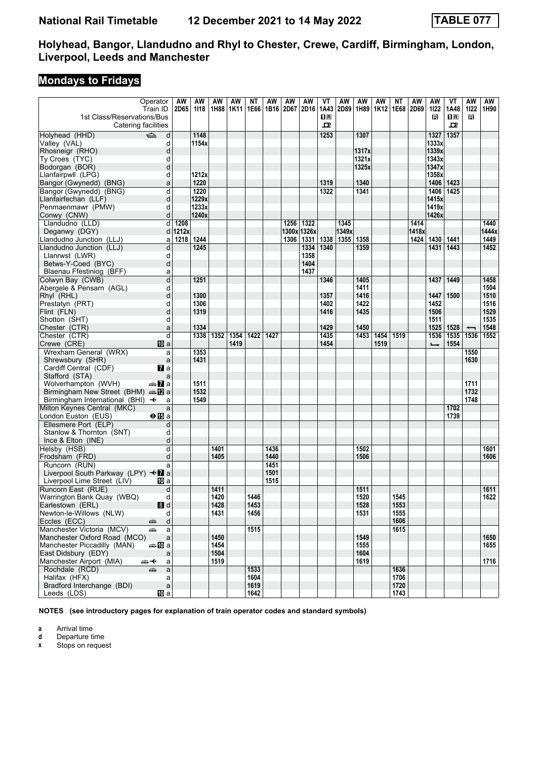### **Mondays to Fridays**

|                                                                 | Operator<br>Train ID | AW<br>2D65 | AW<br>1118 | AW<br>1H88 | AW<br>1K11 | ΝT<br>1E66 | AW<br>1B16 | AW<br>2D67  | AW<br>2D16 | VT<br>1A43 | AW<br>2D89 | AW<br>1H89 | AW<br>1K <sub>12</sub> | <b>NT</b><br>1E68 | AW<br>2D69 | <b>AW</b><br>1122 | VT<br>1A48                              | AW<br>1122               | AW<br>1H90 |
|-----------------------------------------------------------------|----------------------|------------|------------|------------|------------|------------|------------|-------------|------------|------------|------------|------------|------------------------|-------------------|------------|-------------------|-----------------------------------------|--------------------------|------------|
| 1st Class/Reservations/Bus<br>Catering facilities               |                      |            |            |            |            |            |            |             |            | 0 R<br>ᇁ   |            |            |                        |                   |            | в                 | $\mathbf{I} \mathbf{R}$<br>$\mathbf{p}$ | R                        |            |
|                                                                 |                      |            |            |            |            |            |            |             |            |            |            |            |                        |                   |            |                   |                                         |                          |            |
| $\Rightarrow$<br>Holyhead (HHD)                                 | d                    |            | 1148       |            |            |            |            |             |            | 1253       |            | 1307       |                        |                   |            | 1327              | 1357                                    |                          |            |
| Valley (VAL)                                                    | d                    |            | 1154x      |            |            |            |            |             |            |            |            |            |                        |                   |            | 1333x             |                                         |                          |            |
| Rhosneigr (RHO)                                                 | d                    |            |            |            |            |            |            |             |            |            |            | 1317x      |                        |                   |            | 1339x             |                                         |                          |            |
| Ty Croes (TYC)                                                  | d                    |            |            |            |            |            |            |             |            |            |            | 1321x      |                        |                   |            | 1343x             |                                         |                          |            |
| Bodorgan (BOR)                                                  | d                    |            |            |            |            |            |            |             |            |            |            | 1325x      |                        |                   |            | 1347x             |                                         |                          |            |
| Llanfairpwll (LPG)                                              | d                    |            | 1212x      |            |            |            |            |             |            |            |            |            |                        |                   |            | 1358x             |                                         |                          |            |
| Bangor (Gwynedd) (BNG)                                          | a                    |            | 1220       |            |            |            |            |             |            | 1319       |            | 1340       |                        |                   |            | 1406   1423       |                                         |                          |            |
| Bangor (Gwynedd) (BNG)                                          | d                    |            | 1220       |            |            |            |            |             |            | 1322       |            | 1341       |                        |                   |            | 1406              | 1425                                    |                          |            |
| Llanfairfechan (LLF)                                            | d                    |            | 1229x      |            |            |            |            |             |            |            |            |            |                        |                   |            | 1415x             |                                         |                          |            |
| Penmaenmawr (PMW)                                               | d                    |            | 1233x      |            |            |            |            |             |            |            |            |            |                        |                   |            | 1419x             |                                         |                          |            |
| Conwy (CNW)                                                     | d                    |            | 1240x      |            |            |            |            |             |            |            |            |            |                        |                   |            | 1426x             |                                         |                          |            |
| Llandudno (LLD)                                                 | d                    | 1208       |            |            |            |            |            | 1256        | 1322       |            | 1345       |            |                        |                   | 1414       |                   |                                         |                          | 1440       |
| Deganwy (DGY)                                                   |                      | $d$ 1212x  |            |            |            |            |            | 1300x 1326x |            |            | 1349x      |            |                        |                   | 1418x      |                   |                                         |                          | 1444x      |
| Llandudno Junction (LLJ)                                        | a                    | 1218       | 1244       |            |            |            |            | 1306        | 1331       | 1338       | 1355       | 1358       |                        |                   | 1424       | 1430              | 1441                                    |                          | 1449       |
| Llandudno Junction (LLJ)                                        | d                    |            | 1245       |            |            |            |            |             | 1334       | 1340       |            | 1359       |                        |                   |            | 1431              | 1443                                    |                          | 1452       |
| Llanrwst (LWR)                                                  | d                    |            |            |            |            |            |            |             | 1358       |            |            |            |                        |                   |            |                   |                                         |                          |            |
| Betws-Y-Coed (BYC)                                              | d                    |            |            |            |            |            |            |             | 1404       |            |            |            |                        |                   |            |                   |                                         |                          |            |
| Blaenau Ffestiniog (BFF)                                        | a                    |            |            |            |            |            |            |             | 1437       |            |            |            |                        |                   |            |                   |                                         |                          |            |
| Colwyn Bay (CWB)                                                | d                    |            | 1251       |            |            |            |            |             |            | 1346       |            | 1405       |                        |                   |            | 1437              | 1449                                    |                          | 1458       |
| Abergele & Pensarn (AGL)                                        | d                    |            |            |            |            |            |            |             |            |            |            | 1411       |                        |                   |            |                   |                                         |                          | 1504       |
| Rhyl (RHL)                                                      | d                    |            | 1300       |            |            |            |            |             |            | 1357       |            | 1416       |                        |                   |            | 1447              | 1500                                    |                          | 1510       |
| Prestatyn (PRT)                                                 | d                    |            | 1306       |            |            |            |            |             |            | 1402       |            | 1422       |                        |                   |            | 1452              |                                         |                          | 1516       |
| Flint (FLN)                                                     | d                    |            | 1319       |            |            |            |            |             |            | 1416       |            | 1435       |                        |                   |            | 1506              |                                         |                          | 1529       |
| Shotton (SHT)                                                   | d                    |            |            |            |            |            |            |             |            |            |            |            |                        |                   |            | 1511              |                                         |                          | 1535       |
| Chester (CTR)                                                   | a                    |            | 1334       |            |            |            |            |             |            | 1429       |            | 1450       |                        |                   |            | 1525   1528       |                                         | $\overline{\phantom{0}}$ | 1548       |
| Chester (CTR)                                                   | d                    |            | 1338       | 1352       | 1354       | 1422       | 1427       |             |            | 1435       |            | 1453       | 1454                   | 1519              |            | 1536              | 1535                                    | 1536                     | 1552       |
| Crewe (CRE)                                                     | 100 a                |            |            |            | 1419       |            |            |             |            | 1454       |            |            | 1519                   |                   |            | $\rightarrow$     | 1554                                    |                          |            |
| Wrexham General (WRX)                                           | a                    |            | 1353       |            |            |            |            |             |            |            |            |            |                        |                   |            |                   |                                         | 1550                     |            |
| Shrewsbury (SHR)                                                |                      |            | 1431       |            |            |            |            |             |            |            |            |            |                        |                   |            |                   |                                         | 1630                     |            |
|                                                                 | a                    |            |            |            |            |            |            |             |            |            |            |            |                        |                   |            |                   |                                         |                          |            |
| Cardiff Central (CDF)<br>Stafford (STA)                         | <b>7</b> a           |            |            |            |            |            |            |             |            |            |            |            |                        |                   |            |                   |                                         |                          |            |
|                                                                 | a                    |            | 1511       |            |            |            |            |             |            |            |            |            |                        |                   |            |                   |                                         | 1711                     |            |
| Wolverhampton (WVH)<br>Birmingham New Street (BHM) $\oplus$ 2 a | a‱Ma                 |            | 1532       |            |            |            |            |             |            |            |            |            |                        |                   |            |                   |                                         | 1732                     |            |
|                                                                 |                      |            |            |            |            |            |            |             |            |            |            |            |                        |                   |            |                   |                                         | 1748                     |            |
| Birmingham International (BHI) $\rightarrow$                    | a                    |            | 1549       |            |            |            |            |             |            |            |            |            |                        |                   |            |                   |                                         |                          |            |
| Milton Keynes Central (MKC)                                     | a                    |            |            |            |            |            |            |             |            |            |            |            |                        |                   |            |                   | 1702                                    |                          |            |
| London Euston (EUS)                                             | $\Theta$ is a        |            |            |            |            |            |            |             |            |            |            |            |                        |                   |            |                   | 1739                                    |                          |            |
| Ellesmere Port (ELP)                                            | d                    |            |            |            |            |            |            |             |            |            |            |            |                        |                   |            |                   |                                         |                          |            |
| Stanlow & Thornton (SNT)                                        | d                    |            |            |            |            |            |            |             |            |            |            |            |                        |                   |            |                   |                                         |                          |            |
| Ince $& Elton (INE)$                                            | d                    |            |            |            |            |            |            |             |            |            |            |            |                        |                   |            |                   |                                         |                          |            |
| Helsby (HSB)                                                    | d                    |            |            | 1401       |            |            | 1436       |             |            |            |            | 1502       |                        |                   |            |                   |                                         |                          | 1601       |
| Frodsham (FRD)                                                  | d                    |            |            | 1405       |            |            | 1440       |             |            |            |            | 1506       |                        |                   |            |                   |                                         |                          | 1606       |
| Runcorn (RUN)                                                   | a                    |            |            |            |            |            | 1451       |             |            |            |            |            |                        |                   |            |                   |                                         |                          |            |
| Liverpool South Parkway (LPY) <■ a                              |                      |            |            |            |            |            | 1501       |             |            |            |            |            |                        |                   |            |                   |                                         |                          |            |
| Liverpool Lime Street (LIV)                                     | 10 a                 |            |            |            |            |            | 1515       |             |            |            |            |            |                        |                   |            |                   |                                         |                          |            |
| Runcorn East (RUE)                                              | d                    |            |            | 1411       |            |            |            |             |            |            |            | 1511       |                        |                   |            |                   |                                         |                          | 1611       |
| Warrington Bank Quay (WBQ)                                      | d                    |            |            | 1420       |            | 1446       |            |             |            |            |            | 1520       |                        | 1545              |            |                   |                                         |                          | 1622       |
| Earlestown (ERL)                                                | 8d                   |            |            | 1428       |            | 1453       |            |             |            |            |            | 1528       |                        | 1553              |            |                   |                                         |                          |            |
| Newton-le-Willows (NLW)                                         | d                    |            |            | 1431       |            | 1456       |            |             |            |            |            | 1531       |                        | 1555              |            |                   |                                         |                          |            |
| Eccles (ECC)<br>æ                                               | d                    |            |            |            |            |            |            |             |            |            |            |            |                        | 1606              |            |                   |                                         |                          |            |
| Manchester Victoria (MCV)<br>æ                                  | a                    |            |            |            |            | 1515       |            |             |            |            |            |            |                        | 1615              |            |                   |                                         |                          |            |
| Manchester Oxford Road (MCO)                                    | a                    |            |            | 1450       |            |            |            |             |            |            |            | 1549       |                        |                   |            |                   |                                         |                          | 1650       |
| Manchester Piccadilly (MAN)                                     | ⇔≞MDa                |            |            | 1454       |            |            |            |             |            |            |            | 1555       |                        |                   |            |                   |                                         |                          | 1655       |
| East Didsbury (EDY)                                             | a                    |            |            | 1504       |            |            |            |             |            |            |            | 1604       |                        |                   |            |                   |                                         |                          |            |
| Manchester Airport (MIA)<br>⇜✦                                  | a                    |            |            | 1519       |            |            |            |             |            |            |            | 1619       |                        |                   |            |                   |                                         |                          | 1716       |
| Rochdale (RCD)<br>æ                                             | a                    |            |            |            |            | 1533       |            |             |            |            |            |            |                        | 1636              |            |                   |                                         |                          |            |
| Halifax (HFX)                                                   | a                    |            |            |            |            | 1604       |            |             |            |            |            |            |                        | 1706              |            |                   |                                         |                          |            |
| Bradford Interchange (BDI)                                      | $\mathsf{a}$         |            |            |            |            | 1619       |            |             |            |            |            |            |                        | 1720              |            |                   |                                         |                          |            |
| Leeds (LDS)                                                     | [[] a                |            |            |            |            | 1642       |            |             |            |            |            |            |                        | 1743              |            |                   |                                         |                          |            |

**NOTES (see introductory pages for explanation of train operator codes and standard symbols)**

**a** Arrival time<br>**d** Departure t

**d** Departure time<br>**x** Stops on reque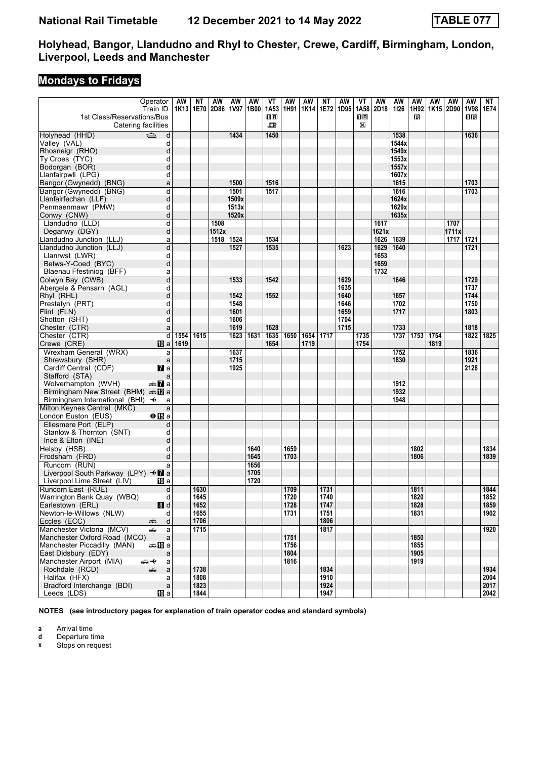### **Mondays to Fridays**

|                                                   | Operator<br>Train ID | <b>AW</b><br>1K13 | <b>NT</b><br>1E70 | <b>AW</b><br>2D86 | <b>AW</b><br>1V97 | AW<br>1B00 | $V$ T<br>1A53 | <b>AW</b><br>1H91 | AW<br>1K14 | NT<br>1E72   | <b>AW</b><br>1D95 | VT<br>1A58          | AW<br>2D18 | <b>AW</b><br>1126 | <b>AW</b><br>1H92 | AW   | <b>AW</b><br>1K15 2D90 | <b>AW</b><br><b>1V98</b> | NT<br>1E74   |
|---------------------------------------------------|----------------------|-------------------|-------------------|-------------------|-------------------|------------|---------------|-------------------|------------|--------------|-------------------|---------------------|------------|-------------------|-------------------|------|------------------------|--------------------------|--------------|
| 1st Class/Reservations/Bus<br>Catering facilities |                      |                   |                   |                   |                   |            | $\Box$<br>고   |                   |            |              |                   | $\mathbf{H}$ R<br>X |            |                   | R                 |      |                        | 0 B                      |              |
| $\Rightarrow$<br>Holyhead (HHD)                   | d                    |                   |                   |                   | 1434              |            | 1450          |                   |            |              |                   |                     |            | 1538              |                   |      |                        | 1636                     |              |
| Valley (VAL)                                      | d                    |                   |                   |                   |                   |            |               |                   |            |              |                   |                     |            | 1544x             |                   |      |                        |                          |              |
| Rhosneigr (RHO)                                   | d                    |                   |                   |                   |                   |            |               |                   |            |              |                   |                     |            | 1549x             |                   |      |                        |                          |              |
| Ty Croes (TYC)                                    | d                    |                   |                   |                   |                   |            |               |                   |            |              |                   |                     |            | 1553x             |                   |      |                        |                          |              |
| Bodorgan (BOR)                                    | d                    |                   |                   |                   |                   |            |               |                   |            |              |                   |                     |            | 1557x             |                   |      |                        |                          |              |
| Llanfairpwll (LPG)                                | d                    |                   |                   |                   |                   |            |               |                   |            |              |                   |                     |            | 1607x             |                   |      |                        |                          |              |
| Bangor (Gwynedd) (BNG)                            | a                    |                   |                   |                   | 1500              |            | 1516          |                   |            |              |                   |                     |            | 1615              |                   |      |                        | 1703                     |              |
| Bangor (Gwynedd) (BNG)                            | d                    |                   |                   |                   | 1501              |            | 1517          |                   |            |              |                   |                     |            | 1616              |                   |      |                        | 1703                     |              |
| Llanfairfechan (LLF)                              | d                    |                   |                   |                   | 1509x             |            |               |                   |            |              |                   |                     |            | 1624x             |                   |      |                        |                          |              |
| Penmaenmawr (PMW)                                 | d                    |                   |                   |                   | 1513x             |            |               |                   |            |              |                   |                     |            | 1629x             |                   |      |                        |                          |              |
| Conwy (CNW)                                       | d                    |                   |                   |                   | 1520x             |            |               |                   |            |              |                   |                     |            | 1635x             |                   |      |                        |                          |              |
| Llandudno (LLD)                                   | d                    |                   |                   | 1508              |                   |            |               |                   |            |              |                   |                     | 1617       |                   |                   |      | 1707                   |                          |              |
| Deganwy (DGY)                                     | d                    |                   |                   | 1512x             |                   |            |               |                   |            |              |                   |                     | 1621x      |                   |                   |      | 1711x                  |                          |              |
| Llandudno Junction (LLJ)                          | a                    |                   |                   | 1518              | 1524              |            | 1534          |                   |            |              |                   |                     | 1626       | 1639              |                   |      | 1717                   | 1721                     |              |
| Llandudno Junction (LLJ)                          | d                    |                   |                   |                   | 1527              |            | 1535          |                   |            |              | 1623              |                     | 1629       | 1640              |                   |      |                        | 1721                     |              |
| Llanrwst (LWR)                                    | d                    |                   |                   |                   |                   |            |               |                   |            |              |                   |                     | 1653       |                   |                   |      |                        |                          |              |
| Betws-Y-Coed (BYC)                                | d                    |                   |                   |                   |                   |            |               |                   |            |              |                   |                     | 1659       |                   |                   |      |                        |                          |              |
| Blaenau Ffestiniog (BFF)                          | a                    |                   |                   |                   |                   |            |               |                   |            |              |                   |                     | 1732       |                   |                   |      |                        |                          |              |
| Colwyn Bay (CWB)                                  | d                    |                   |                   |                   | 1533              |            | 1542          |                   |            |              | 1629              |                     |            | 1646              |                   |      |                        | 1729                     |              |
| Abergele & Pensarn (AGL)                          | d                    |                   |                   |                   |                   |            |               |                   |            |              | 1635              |                     |            |                   |                   |      |                        | 1737                     |              |
| Rhyl (RHL)                                        | d                    |                   |                   |                   | 1542              |            | 1552          |                   |            |              | 1640              |                     |            | 1657              |                   |      |                        | 1744                     |              |
| Prestatyn (PRT)                                   | d                    |                   |                   |                   | 1548              |            |               |                   |            |              | 1646              |                     |            | 1702              |                   |      |                        | 1750                     |              |
| Flint (FLN)                                       | d                    |                   |                   |                   | 1601              |            |               |                   |            |              | 1659              |                     |            | 1717              |                   |      |                        | 1803                     |              |
| Shotton (SHT)                                     | d                    |                   |                   |                   | 1606              |            |               |                   |            |              | 1704              |                     |            |                   |                   |      |                        |                          |              |
| Chester (CTR)                                     | a                    |                   |                   |                   | 1619              |            | 1628          |                   |            |              | 1715              |                     |            | 1733              |                   |      |                        | 1818                     |              |
| Chester (CTR)                                     | d                    | 1554              | 1615              |                   | 1623              | 1631       | 1635          | 1650              | 1654       | 1717         |                   | 1735                |            | 1737              | 1753              | 1754 |                        | 1822                     | 1825         |
| Crewe (CRE)                                       | $\mathbf{I}$ a       | 1619              |                   |                   |                   |            | 1654          |                   | 1719       |              |                   | 1754                |            |                   |                   | 1819 |                        |                          |              |
| Wrexham General (WRX)                             | a                    |                   |                   |                   | 1637              |            |               |                   |            |              |                   |                     |            | 1752              |                   |      |                        | 1836                     |              |
| Shrewsbury (SHR)                                  | $\mathsf{a}$         |                   |                   |                   | 1715              |            |               |                   |            |              |                   |                     |            | 1830              |                   |      |                        | 1921                     |              |
| Cardiff Central (CDF)                             | $\mathbf{z}$ a       |                   |                   |                   | 1925              |            |               |                   |            |              |                   |                     |            |                   |                   |      |                        | 2128                     |              |
| Stafford (STA)                                    | a                    |                   |                   |                   |                   |            |               |                   |            |              |                   |                     |            |                   |                   |      |                        |                          |              |
| Wolverhampton (WVH)                               | a≞ <mark>7</mark> a  |                   |                   |                   |                   |            |               |                   |            |              |                   |                     |            | 1912              |                   |      |                        |                          |              |
| Birmingham New Street (BHM) and 2 a               |                      |                   |                   |                   |                   |            |               |                   |            |              |                   |                     |            | 1932              |                   |      |                        |                          |              |
| Birmingham International (BHI) $\rightarrow$      | a                    |                   |                   |                   |                   |            |               |                   |            |              |                   |                     |            | 1948              |                   |      |                        |                          |              |
| Milton Keynes Central (MKC)                       | a                    |                   |                   |                   |                   |            |               |                   |            |              |                   |                     |            |                   |                   |      |                        |                          |              |
| London Euston (EUS)                               | $\Theta$ is a        |                   |                   |                   |                   |            |               |                   |            |              |                   |                     |            |                   |                   |      |                        |                          |              |
| Ellesmere Port (ELP)                              | d                    |                   |                   |                   |                   |            |               |                   |            |              |                   |                     |            |                   |                   |      |                        |                          |              |
| Stanlow & Thornton (SNT)                          | d                    |                   |                   |                   |                   |            |               |                   |            |              |                   |                     |            |                   |                   |      |                        |                          |              |
| Ince $& Elton (INE)$                              | d                    |                   |                   |                   |                   |            |               |                   |            |              |                   |                     |            |                   |                   |      |                        |                          |              |
| Helsby (HSB)                                      | d                    |                   |                   |                   |                   | 1640       |               | 1659              |            |              |                   |                     |            |                   | 1802              |      |                        |                          | 1834         |
| Frodsham (FRD)                                    | d                    |                   |                   |                   |                   | 1645       |               | 1703              |            |              |                   |                     |            |                   | 1806              |      |                        |                          | 1839         |
| Runcorn (RUN)                                     | a                    |                   |                   |                   |                   | 1656       |               |                   |            |              |                   |                     |            |                   |                   |      |                        |                          |              |
| Liverpool South Parkway (LPY) $\triangleleft$ a   |                      |                   |                   |                   |                   | 1705       |               |                   |            |              |                   |                     |            |                   |                   |      |                        |                          |              |
| Liverpool Lime Street (LIV)                       | 10 a                 |                   |                   |                   |                   | 1720       |               |                   |            |              |                   |                     |            |                   |                   |      |                        |                          |              |
| Runcorn East (RUE)                                | d                    |                   | 1630              |                   |                   |            |               | 1709              |            | 1731         |                   |                     |            |                   | 1811              |      |                        |                          | 1844<br>1852 |
| Warrington Bank Quay (WBQ)                        | d                    |                   | 1645<br>1652      |                   |                   |            |               | 1720<br>1728      |            | 1740<br>1747 |                   |                     |            |                   | 1820<br>1828      |      |                        |                          | 1859         |
| Earlestown (ERL)<br>Newton-le-Willows (NLW)       | 8d<br>d              |                   | 1655              |                   |                   |            |               | 1731              |            | 1751         |                   |                     |            |                   | 1831              |      |                        |                          | 1902         |
| Eccles (ECC)                                      | d                    |                   | 1706              |                   |                   |            |               |                   |            | 1806         |                   |                     |            |                   |                   |      |                        |                          |              |
| پېښت<br>Manchester Victoria (MCV)                 | $\mathsf{a}$<br>æ    |                   | 1715              |                   |                   |            |               |                   |            | 1817         |                   |                     |            |                   |                   |      |                        |                          | 1920         |
| Manchester Oxford Road (MCO)                      |                      |                   |                   |                   |                   |            |               | 1751              |            |              |                   |                     |            |                   | 1850              |      |                        |                          |              |
| Manchester Piccadilly (MAN)                       | a<br>⇔≞MDa           |                   |                   |                   |                   |            |               | 1756              |            |              |                   |                     |            |                   | 1855              |      |                        |                          |              |
| East Didsbury (EDY)                               | a                    |                   |                   |                   |                   |            |               | 1804              |            |              |                   |                     |            |                   | 1905              |      |                        |                          |              |
| Manchester Airport (MIA)<br>⇜✦                    | a                    |                   |                   |                   |                   |            |               | 1816              |            |              |                   |                     |            |                   | 1919              |      |                        |                          |              |
| Rochdale (RCD)                                    | a<br>æ               |                   | 1738              |                   |                   |            |               |                   |            | 1834         |                   |                     |            |                   |                   |      |                        |                          | 1934         |
| Halifax (HFX)                                     | a                    |                   | 1808              |                   |                   |            |               |                   |            | 1910         |                   |                     |            |                   |                   |      |                        |                          | 2004         |
| Bradford Interchange (BDI)                        | $\mathsf{a}$         |                   | 1823              |                   |                   |            |               |                   |            | 1924         |                   |                     |            |                   |                   |      |                        |                          | 2017         |
| Leeds (LDS)                                       | 吅 a                  |                   | 1844              |                   |                   |            |               |                   |            | 1947         |                   |                     |            |                   |                   |      |                        |                          | 2042         |

**NOTES (see introductory pages for explanation of train operator codes and standard symbols)**

**a** Arrival time<br>**d** Departure t

**d** Departure time<br>**x** Stops on reque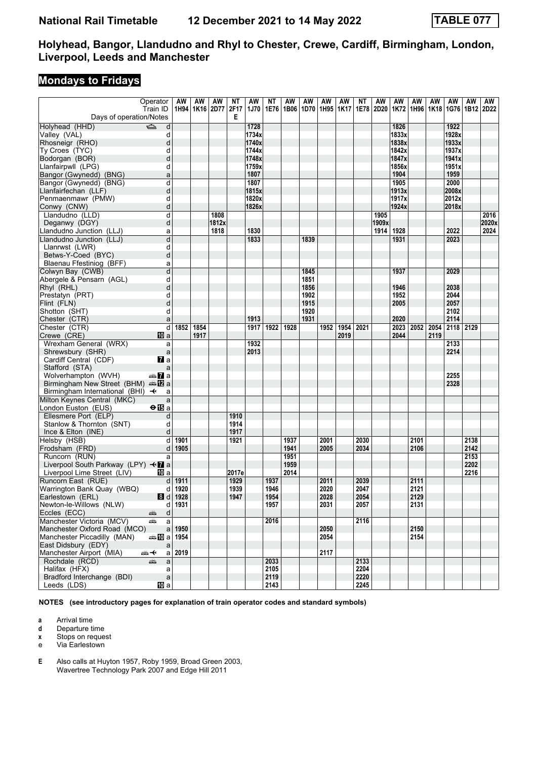# **Mondays to Fridays**

|                                                   | Operator             | AW       | AW                 | AW    | ΝT    | AW             | ΝT   | AW   | AW   | AW   | AW          | NΤ   | AW    | AW             | AW   | AW   | AW             | AW   | AW    |
|---------------------------------------------------|----------------------|----------|--------------------|-------|-------|----------------|------|------|------|------|-------------|------|-------|----------------|------|------|----------------|------|-------|
|                                                   | Train ID             |          | 1H94   1K16   2D77 |       | 2F17  | 1J70           | 1E76 | 1B06 | 1D70 | 1H95 | <b>1K17</b> | 1E78 | 2D20  | 1K72           | 1H96 | 1K18 | 1G76 1B12      |      | 2D22  |
| Days of operation/Notes                           |                      |          |                    |       | Е     |                |      |      |      |      |             |      |       |                |      |      |                |      |       |
| Holyhead (HHD)                                    | $\Rightarrow$        |          |                    |       |       | 1728           |      |      |      |      |             |      |       | 1826           |      |      | 1922           |      |       |
|                                                   | d                    |          |                    |       |       |                |      |      |      |      |             |      |       |                |      |      |                |      |       |
| Valley (VAL)                                      | d                    |          |                    |       |       | 1734x<br>1740x |      |      |      |      |             |      |       | 1833x<br>1838x |      |      | 1928x<br>1933x |      |       |
| Rhosneigr (RHO)                                   | d                    |          |                    |       |       |                |      |      |      |      |             |      |       |                |      |      |                |      |       |
| Ty Croes (TYC)                                    | d                    |          |                    |       |       | 1744x          |      |      |      |      |             |      |       | 1842x          |      |      | 1937x          |      |       |
| Bodorgan (BOR)                                    | d                    |          |                    |       |       | 1748x          |      |      |      |      |             |      |       | 1847x          |      |      | 1941x          |      |       |
| Llanfairpwll (LPG)                                | d                    |          |                    |       |       | 1759x          |      |      |      |      |             |      |       | 1856x          |      |      | 1951x          |      |       |
| Bangor (Gwynedd) (BNG)                            | a                    |          |                    |       |       | 1807           |      |      |      |      |             |      |       | 1904           |      |      | 1959           |      |       |
| Bangor (Gwynedd) (BNG)                            | d                    |          |                    |       |       | 1807           |      |      |      |      |             |      |       | 1905           |      |      | 2000           |      |       |
| Llanfairfechan (LLF)                              | d                    |          |                    |       |       | 1815x          |      |      |      |      |             |      |       | 1913x          |      |      | 2008x          |      |       |
| Penmaenmawr (PMW)                                 | d                    |          |                    |       |       | 1820x          |      |      |      |      |             |      |       | 1917x          |      |      | 2012x          |      |       |
| Conwy (CNW)                                       | d                    |          |                    |       |       | 1826x          |      |      |      |      |             |      |       | 1924x          |      |      | 2018x          |      |       |
| Llandudno (LLD)                                   | d                    |          |                    | 1808  |       |                |      |      |      |      |             |      | 1905  |                |      |      |                |      | 2016  |
| Deganwy (DGY)                                     | d                    |          |                    | 1812x |       |                |      |      |      |      |             |      | 1909x |                |      |      |                |      | 2020x |
| Llandudno Junction (LLJ)                          | a                    |          |                    | 1818  |       | 1830           |      |      |      |      |             |      | 1914  | 1928           |      |      | 2022           |      | 2024  |
| Llandudno Junction (LLJ)                          | d                    |          |                    |       |       | 1833           |      |      | 1839 |      |             |      |       | 1931           |      |      | 2023           |      |       |
| Llanrwst (LWR)                                    | d                    |          |                    |       |       |                |      |      |      |      |             |      |       |                |      |      |                |      |       |
| Betws-Y-Coed (BYC)                                | d                    |          |                    |       |       |                |      |      |      |      |             |      |       |                |      |      |                |      |       |
| Blaenau Ffestiniog (BFF)                          | a                    |          |                    |       |       |                |      |      |      |      |             |      |       |                |      |      |                |      |       |
| Colwyn Bay (CWB)                                  | d                    |          |                    |       |       |                |      |      | 1845 |      |             |      |       | 1937           |      |      | 2029           |      |       |
| Abergele & Pensarn (AGL)                          | d                    |          |                    |       |       |                |      |      | 1851 |      |             |      |       |                |      |      |                |      |       |
| Rhyl (RHL)                                        | d                    |          |                    |       |       |                |      |      | 1856 |      |             |      |       | 1946           |      |      | 2038           |      |       |
| Prestatyn (PRT)                                   | d                    |          |                    |       |       |                |      |      | 1902 |      |             |      |       | 1952           |      |      | 2044           |      |       |
| Flint (FLN)                                       | d                    |          |                    |       |       |                |      |      | 1915 |      |             |      |       | 2005           |      |      | 2057           |      |       |
| Shotton (SHT)                                     | d                    |          |                    |       |       |                |      |      | 1920 |      |             |      |       |                |      |      | 2102           |      |       |
| Chester (CTR)                                     | a                    |          |                    |       |       | 1913           |      |      | 1931 |      |             |      |       | 2020           |      |      | 2114           |      |       |
| Chester (CTR)                                     | d                    | 1852     | 1854               |       |       | 1917           | 1922 | 1928 |      | 1952 | 1954        | 2021 |       | 2023           | 2052 | 2054 | 2118           | 2129 |       |
| Crewe (CRE)                                       | TO a                 |          | 1917               |       |       |                |      |      |      |      | 2019        |      |       | 2044           |      | 2119 |                |      |       |
| Wrexham General (WRX)                             | a                    |          |                    |       |       | 1932           |      |      |      |      |             |      |       |                |      |      | 2133           |      |       |
| Shrewsbury (SHR)                                  | a                    |          |                    |       |       | 2013           |      |      |      |      |             |      |       |                |      |      | 2214           |      |       |
| Cardiff Central (CDF)                             | $\mathbf{z}$ a       |          |                    |       |       |                |      |      |      |      |             |      |       |                |      |      |                |      |       |
| Stafford (STA)                                    | a                    |          |                    |       |       |                |      |      |      |      |             |      |       |                |      |      |                |      |       |
| Wolverhampton (WVH)                               | an <mark>7</mark> la |          |                    |       |       |                |      |      |      |      |             |      |       |                |      |      | 2255           |      |       |
| Birmingham New Street (BHM) $\oplus \mathbb{Z}$ a |                      |          |                    |       |       |                |      |      |      |      |             |      |       |                |      |      | 2328           |      |       |
| Birmingham International (BHI) $\rightarrow$      | a                    |          |                    |       |       |                |      |      |      |      |             |      |       |                |      |      |                |      |       |
|                                                   |                      |          |                    |       |       |                |      |      |      |      |             |      |       |                |      |      |                |      |       |
| Milton Keynes Central (MKC)                       | a                    |          |                    |       |       |                |      |      |      |      |             |      |       |                |      |      |                |      |       |
| London Euston (EUS)                               | <b>⊖ iB</b> a        |          |                    |       |       |                |      |      |      |      |             |      |       |                |      |      |                |      |       |
| Ellesmere Port (ELP)                              | d                    |          |                    |       | 1910  |                |      |      |      |      |             |      |       |                |      |      |                |      |       |
| Stanlow & Thornton (SNT)                          | d                    |          |                    |       | 1914  |                |      |      |      |      |             |      |       |                |      |      |                |      |       |
| Ince & Elton (INE)                                | d                    |          |                    |       | 1917  |                |      |      |      |      |             |      |       |                |      |      |                |      |       |
| Helsby (HSB)                                      | d                    | 1901     |                    |       | 1921  |                |      | 1937 |      | 2001 |             | 2030 |       |                | 2101 |      |                | 2138 |       |
| Frodsham (FRD)                                    | d                    | 1905     |                    |       |       |                |      | 1941 |      | 2005 |             | 2034 |       |                | 2106 |      |                | 2142 |       |
| Runcorn (RUN)                                     | a                    |          |                    |       |       |                |      | 1951 |      |      |             |      |       |                |      |      |                | 2153 |       |
| Liverpool South Parkway (LPY) <b>+7</b> a         |                      |          |                    |       |       |                |      | 1959 |      |      |             |      |       |                |      |      |                | 2202 |       |
| Liverpool Lime Street (LIV)                       | 10 a                 |          |                    |       | 2017e |                |      | 2014 |      |      |             |      |       |                |      |      |                | 2216 |       |
| Runcorn East (RUE)                                | d                    | 1911     |                    |       | 1929  |                | 1937 |      |      | 2011 |             | 2039 |       |                | 2111 |      |                |      |       |
| Warrington Bank Quay (WBQ)                        | d                    | 1920     |                    |       | 1939  |                | 1946 |      |      | 2020 |             | 2047 |       |                | 2121 |      |                |      |       |
| Earlestown (ERL)                                  | 8d                   | 1928     |                    |       | 1947  |                | 1954 |      |      | 2028 |             | 2054 |       |                | 2129 |      |                |      |       |
| Newton-le-Willows (NLW)                           | d∣                   | 1931     |                    |       |       |                | 1957 |      |      | 2031 |             | 2057 |       |                | 2131 |      |                |      |       |
| Eccles (ECC)                                      | d<br>æ               |          |                    |       |       |                |      |      |      |      |             |      |       |                |      |      |                |      |       |
| Manchester Victoria (MCV)                         | æ<br>a               |          |                    |       |       |                | 2016 |      |      |      |             | 2116 |       |                |      |      |                |      |       |
| Manchester Oxford Road (MCO)                      |                      | $a$ 1950 |                    |       |       |                |      |      |      | 2050 |             |      |       |                | 2150 |      |                |      |       |
| Manchester Piccadilly (MAN)                       | ⊯⊯MDal               | 1954     |                    |       |       |                |      |      |      | 2054 |             |      |       |                | 2154 |      |                |      |       |
| East Didsbury (EDY)                               | a                    |          |                    |       |       |                |      |      |      |      |             |      |       |                |      |      |                |      |       |
| Manchester Airport (MIA)                          | <del>๛</del> +<br>a  | 2019     |                    |       |       |                |      |      |      | 2117 |             |      |       |                |      |      |                |      |       |
| Rochdale (RCD)                                    | $\mathsf{a}$<br>æ    |          |                    |       |       |                | 2033 |      |      |      |             | 2133 |       |                |      |      |                |      |       |
| Halifax (HFX)                                     | a                    |          |                    |       |       |                | 2105 |      |      |      |             | 2204 |       |                |      |      |                |      |       |
| Bradford Interchange (BDI)                        | $\mathsf{a}$         |          |                    |       |       |                | 2119 |      |      |      |             | 2220 |       |                |      |      |                |      |       |
| Leeds (LDS)                                       | 10 a                 |          |                    |       |       |                | 2143 |      |      |      |             | 2245 |       |                |      |      |                |      |       |
|                                                   |                      |          |                    |       |       |                |      |      |      |      |             |      |       |                |      |      |                |      |       |

**NOTES (see introductory pages for explanation of train operator codes and standard symbols)**

**a** Arrival time

**d** Departure time<br>**x** Stops on reque

**x** Stops on request<br>**e** Via Earlestown

Via Earlestown

**E** Also calls at Huyton 1957, Roby 1959, Broad Green 2003, Wavertree Technology Park 2007 and Edge Hill 2011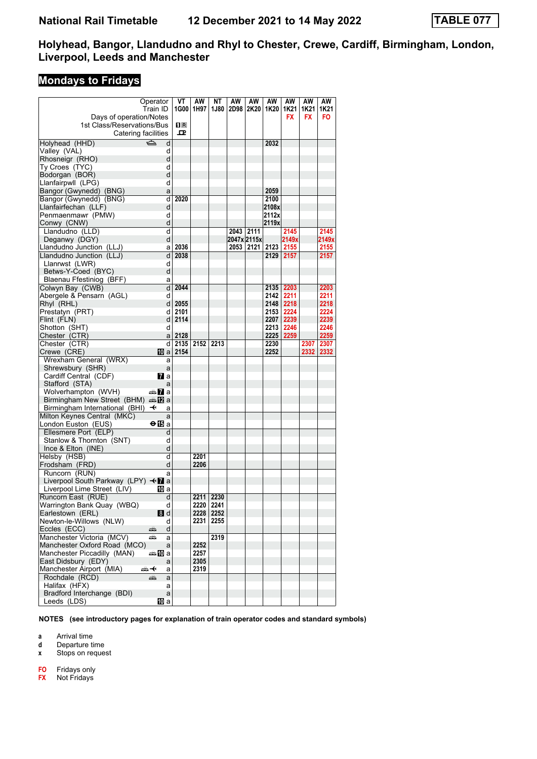# **Mondays to Fridays**

|                                                   | Operator                  | VT   | AW   | NT        | AW   | AW          | AW    | AW        | AW        | AW    |
|---------------------------------------------------|---------------------------|------|------|-----------|------|-------------|-------|-----------|-----------|-------|
|                                                   | Train ID                  | 1G00 | 1H97 | 1J80      | 2D98 | 2K20        | 1K20  | 1K21      | 1K21      | 1K21  |
| Days of operation/Notes                           |                           |      |      |           |      |             |       | <b>FX</b> | <b>FX</b> | FO    |
| 1st Class/Reservations/Bus                        |                           | 0 B  |      |           |      |             |       |           |           |       |
| Catering facilities                               |                           | ᇁ    |      |           |      |             |       |           |           |       |
| Holyhead (HHD)                                    | ک<br>d                    |      |      |           |      |             | 2032  |           |           |       |
| Valley (VAL)                                      | d                         |      |      |           |      |             |       |           |           |       |
| Rhosneigr (RHO)                                   | d                         |      |      |           |      |             |       |           |           |       |
|                                                   |                           |      |      |           |      |             |       |           |           |       |
| Ty Croes (TYC)                                    | d<br>d                    |      |      |           |      |             |       |           |           |       |
| Bodorgan (BOR)                                    | d                         |      |      |           |      |             |       |           |           |       |
| Llanfairpwll (LPG)                                | a                         |      |      |           |      |             | 2059  |           |           |       |
| Bangor (Gwynedd) (BNG)                            |                           | 2020 |      |           |      |             |       |           |           |       |
| Bangor (Gwynedd) (BNG)                            | d                         |      |      |           |      |             | 2100  |           |           |       |
| Llanfairfechan (LLF)                              | d                         |      |      |           |      |             | 2108x |           |           |       |
| Penmaenmawr (PMW)                                 | d                         |      |      |           |      |             | 2112x |           |           |       |
| Conwy (CNW)                                       | d                         |      |      |           |      |             | 2119x |           |           |       |
| Llandudno (LLD)                                   | d                         |      |      |           | 2043 | 2111        |       | 2145      |           | 2145  |
| Deganwy (DGY)                                     | d                         |      |      |           |      | 2047x 2115x |       | 2149x     |           | 2149x |
| Llandudno Junction (LLJ)                          | a                         | 2036 |      |           | 2053 | 2121        | 2123  | 2155      |           | 2155  |
| Llandudno Junction (LLJ)                          | d                         | 2038 |      |           |      |             | 2129  | 2157      |           | 2157  |
| Llanrwst (LWR)                                    | d                         |      |      |           |      |             |       |           |           |       |
| Betws-Y-Coed (BYC)                                | d                         |      |      |           |      |             |       |           |           |       |
| Blaenau Ffestiniog (BFF)                          | a                         |      |      |           |      |             |       |           |           |       |
| Colwyn Bay (CWB)                                  | d                         | 2044 |      |           |      |             |       | 2135 2203 |           | 2203  |
| Abergele & Pensarn (AGL)                          | d                         |      |      |           |      |             | 2142  | 2211      |           | 2211  |
| Rhyl (RHL)                                        | d                         | 2055 |      |           |      |             |       | 2148 2218 |           | 2218  |
| Prestatyn (PRT)                                   | d                         | 2101 |      |           |      |             | 2153  | 2224      |           | 2224  |
| Flint (FLN)                                       | d                         | 2114 |      |           |      |             |       | 2207 2239 |           | 2239  |
| Shotton (SHT)                                     | d                         |      |      |           |      |             | 2213  | 2246      |           | 2246  |
| Chester (CTR)                                     | a                         | 2128 |      |           |      |             |       | 2225 2259 |           | 2259  |
| Chester (CTR)                                     | d                         | 2135 | 2152 | 2213      |      |             | 2230  |           | 2307      | 2307  |
| Crewe (CRE)                                       | 100 a                     | 2154 |      |           |      |             | 2252  |           | 2332      | 2332  |
| Wrexham General (WRX)                             | a                         |      |      |           |      |             |       |           |           |       |
| Shrewsbury (SHR)                                  | a                         |      |      |           |      |             |       |           |           |       |
| Cardiff Central (CDF)                             | <b>7</b> a                |      |      |           |      |             |       |           |           |       |
| Stafford (STA)                                    | a                         |      |      |           |      |             |       |           |           |       |
| Wolverhampton (WVH)                               | dan <mark>7</mark> a      |      |      |           |      |             |       |           |           |       |
| Birmingham New Street (BHM) $\oplus \mathbb{Z}$ a |                           |      |      |           |      |             |       |           |           |       |
| Birmingham International (BHI)                    | $\ddot{\phantom{1}}$<br>a |      |      |           |      |             |       |           |           |       |
| Milton Keynes Central (MKC)                       | a                         |      |      |           |      |             |       |           |           |       |
| London Euston (EUS)                               | ⊖n⊡a                      |      |      |           |      |             |       |           |           |       |
| Ellesmere Port (ELP)                              | d                         |      |      |           |      |             |       |           |           |       |
| Stanlow & Thornton (SNT)                          | d                         |      |      |           |      |             |       |           |           |       |
| Ince & Elton (INE)                                | d                         |      |      |           |      |             |       |           |           |       |
| Helsby (HSB)                                      | d                         |      | 2201 |           |      |             |       |           |           |       |
| Frodsham (FRD)                                    | d                         |      | 2206 |           |      |             |       |           |           |       |
| Runcorn (RUN)                                     | a                         |      |      |           |      |             |       |           |           |       |
| Liverpool South Parkway (LPY) < a                 |                           |      |      |           |      |             |       |           |           |       |
| Liverpool Lime Street (LIV)                       | IO a                      |      |      |           |      |             |       |           |           |       |
| Runcorn East (RUE)                                | d                         |      |      | 2211 2230 |      |             |       |           |           |       |
| Warrington Bank Quay (WBQ)                        | d                         |      | 2220 | 2241      |      |             |       |           |           |       |
| Earlestown (ERL)                                  | 8 d                       |      | 2228 | 2252      |      |             |       |           |           |       |
| Newton-le-Willows (NLW)                           | d                         |      | 2231 | 2255      |      |             |       |           |           |       |
| Eccles (ECC)                                      | d<br>æ                    |      |      |           |      |             |       |           |           |       |
| Manchester Victoria (MCV)                         | پیش<br>a                  |      |      | 2319      |      |             |       |           |           |       |
| Manchester Oxford Road (MCO)                      | a                         |      | 2252 |           |      |             |       |           |           |       |
| Manchester Piccadilly (MAN)                       | an‱Ma                     |      | 2257 |           |      |             |       |           |           |       |
| East Didsbury (EDY)                               | a                         |      | 2305 |           |      |             |       |           |           |       |
| Manchester Airport (MIA)                          | ⇜↞<br>a                   |      | 2319 |           |      |             |       |           |           |       |
| Rochdale (RCD)                                    | æ<br>a                    |      |      |           |      |             |       |           |           |       |
| Halifax (HFX)                                     | a                         |      |      |           |      |             |       |           |           |       |
| Bradford Interchange (BDI)                        | a                         |      |      |           |      |             |       |           |           |       |
| Leeds (LDS)                                       | [10] a                    |      |      |           |      |             |       |           |           |       |
|                                                   |                           |      |      |           |      |             |       |           |           |       |

**NOTES (see introductory pages for explanation of train operator codes and standard symbols)**

**a** Arrival time<br>**d** Departure t

**d** Departure time

**x** Stops on request

**FO** Fridays only<br>**FX** Not Fridays

**Not Fridays**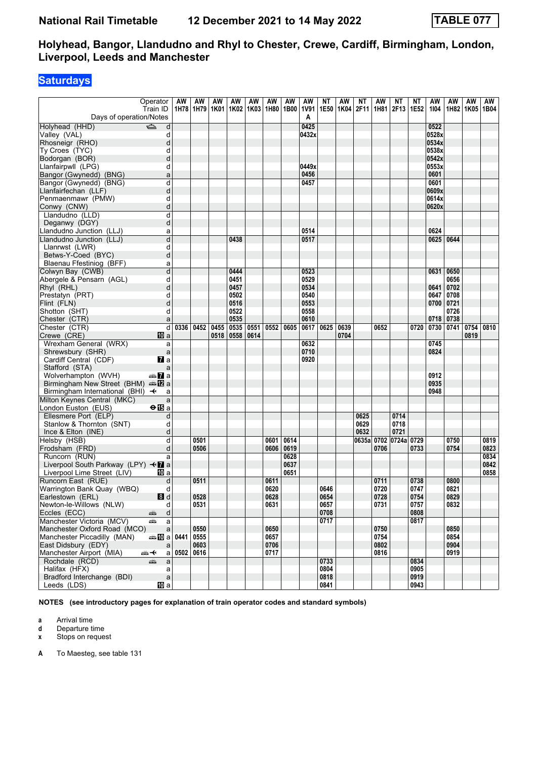### **Saturdays**

| Operator                                                      | AW   | AW                 | ΑW | AW           | AW   | AW                        | AW   | AW               | ΝT   | AW   | NΤ    | AW           | <b>NT</b>       | ΝT   | AW        | AW           | AW                 | AW   |
|---------------------------------------------------------------|------|--------------------|----|--------------|------|---------------------------|------|------------------|------|------|-------|--------------|-----------------|------|-----------|--------------|--------------------|------|
| Train ID<br>Days of operation/Notes                           |      | 1H78 1H79 1K01     |    |              |      | 1K02   1K03   1H80   1B00 |      | <b>1V91</b><br>A | 1E50 | 1K04 | 2F11  | 1H81         | 2F13            | 1E52 | 1104      |              | 1H82   1K05   1B04 |      |
| $\Rightarrow$<br>Holyhead (HHD)<br>d                          |      |                    |    |              |      |                           |      | 0425             |      |      |       |              |                 |      | 0522      |              |                    |      |
| Valley (VAL)<br>d                                             |      |                    |    |              |      |                           |      | 0432x            |      |      |       |              |                 |      | 0528x     |              |                    |      |
| Rhosneigr (RHO)<br>d                                          |      |                    |    |              |      |                           |      |                  |      |      |       |              |                 |      | 0534x     |              |                    |      |
| Ty Croes (TYC)<br>d                                           |      |                    |    |              |      |                           |      |                  |      |      |       |              |                 |      | 0538x     |              |                    |      |
| Bodorgan (BOR)<br>d                                           |      |                    |    |              |      |                           |      |                  |      |      |       |              |                 |      | 0542x     |              |                    |      |
| Llanfairpwll (LPG)<br>d                                       |      |                    |    |              |      |                           |      | 0449x            |      |      |       |              |                 |      | 0553x     |              |                    |      |
| Bangor (Gwynedd) (BNG)<br>a                                   |      |                    |    |              |      |                           |      | 0456             |      |      |       |              |                 |      | 0601      |              |                    |      |
| d<br>Bangor (Gwynedd) (BNG)                                   |      |                    |    |              |      |                           |      | 0457             |      |      |       |              |                 |      | 0601      |              |                    |      |
| d<br>Llanfairfechan (LLF)                                     |      |                    |    |              |      |                           |      |                  |      |      |       |              |                 |      | 0609x     |              |                    |      |
| Penmaenmawr (PMW)<br>d                                        |      |                    |    |              |      |                           |      |                  |      |      |       |              |                 |      | 0614x     |              |                    |      |
| Conwy (CNW)<br>d                                              |      |                    |    |              |      |                           |      |                  |      |      |       |              |                 |      | 0620x     |              |                    |      |
| d<br>Llandudno (LLD)                                          |      |                    |    |              |      |                           |      |                  |      |      |       |              |                 |      |           |              |                    |      |
| d<br>Deganwy (DGY)                                            |      |                    |    |              |      |                           |      |                  |      |      |       |              |                 |      |           |              |                    |      |
| Llandudno Junction (LLJ)<br>a                                 |      |                    |    |              |      |                           |      | 0514             |      |      |       |              |                 |      | 0624      |              |                    |      |
| d<br>Llandudno Junction (LLJ)                                 |      |                    |    | 0438         |      |                           |      | 0517             |      |      |       |              |                 |      | 0625      | 0644         |                    |      |
| d<br>Llanrwst (LWR)                                           |      |                    |    |              |      |                           |      |                  |      |      |       |              |                 |      |           |              |                    |      |
| d<br>Betws-Y-Coed (BYC)                                       |      |                    |    |              |      |                           |      |                  |      |      |       |              |                 |      |           |              |                    |      |
| Blaenau Ffestiniog (BFF)<br>a                                 |      |                    |    |              |      |                           |      |                  |      |      |       |              |                 |      |           |              |                    |      |
| Colwyn Bay (CWB)<br>d                                         |      |                    |    | 0444         |      |                           |      | 0523             |      |      |       |              |                 |      | 0631      | 0650         |                    |      |
| Abergele & Pensarn (AGL)<br>d                                 |      |                    |    | 0451         |      |                           |      | 0529             |      |      |       |              |                 |      |           | 0656         |                    |      |
| Rhyl (RHL)<br>d                                               |      |                    |    | 0457         |      |                           |      | 0534             |      |      |       |              |                 |      | 0641      | 0702         |                    |      |
| Prestatyn (PRT)<br>d                                          |      |                    |    | 0502         |      |                           |      | 0540             |      |      |       |              |                 |      | 0647      | 0708         |                    |      |
| Flint (FLN)<br>d                                              |      |                    |    | 0516<br>0522 |      |                           |      | 0553<br>0558     |      |      |       |              |                 |      | 0700 0721 | 0726         |                    |      |
| Shotton (SHT)<br>d<br>Chester (CTR)<br>a                      |      |                    |    | 0535         |      |                           |      | 0610             |      |      |       |              |                 |      | 0718      | 0738         |                    |      |
| $\overline{d}$<br>Chester (CTR)                               |      | 0336   0452   0455 |    | 0535         | 0551 | 0552                      | 0605 | 0617             | 0625 | 0639 |       | 0652         |                 | 0720 | 0730 0741 |              | 0754               | 0810 |
| Crewe (CRE)<br>10 a                                           |      |                    |    | 0518   0558  | 0614 |                           |      |                  |      | 0704 |       |              |                 |      |           |              | 0819               |      |
| Wrexham General (WRX)<br>a                                    |      |                    |    |              |      |                           |      | 0632             |      |      |       |              |                 |      | 0745      |              |                    |      |
| Shrewsbury (SHR)<br>a                                         |      |                    |    |              |      |                           |      | 0710             |      |      |       |              |                 |      | 0824      |              |                    |      |
| $\mathbf{z}$ a<br>Cardiff Central (CDF)                       |      |                    |    |              |      |                           |      | 0920             |      |      |       |              |                 |      |           |              |                    |      |
| Stafford (STA)<br>a                                           |      |                    |    |              |      |                           |      |                  |      |      |       |              |                 |      |           |              |                    |      |
| Wolverhampton (WVH)<br>an <mark>7</mark> a                    |      |                    |    |              |      |                           |      |                  |      |      |       |              |                 |      | 0912      |              |                    |      |
| Birmingham New Street (BHM) $\triangleq 2$ a                  |      |                    |    |              |      |                           |      |                  |      |      |       |              |                 |      | 0935      |              |                    |      |
| Birmingham International (BHI) $\rightarrow$<br>a             |      |                    |    |              |      |                           |      |                  |      |      |       |              |                 |      | 0948      |              |                    |      |
| Milton Keynes Central (MKC)<br>a                              |      |                    |    |              |      |                           |      |                  |      |      |       |              |                 |      |           |              |                    |      |
| London Euston (EUS)<br>$\Theta$ is a                          |      |                    |    |              |      |                           |      |                  |      |      |       |              |                 |      |           |              |                    |      |
| Ellesmere Port (ELP)<br>d                                     |      |                    |    |              |      |                           |      |                  |      |      | 0625  |              | 0714            |      |           |              |                    |      |
| Stanlow & Thornton (SNT)<br>d                                 |      |                    |    |              |      |                           |      |                  |      |      | 0629  |              | 0718            |      |           |              |                    |      |
| Ince & Elton (INE)<br>d                                       |      |                    |    |              |      |                           |      |                  |      |      | 0632  |              | 0721            |      |           |              |                    |      |
| Helsby (HSB)<br>d                                             |      | 0501               |    |              |      | 0601                      | 0614 |                  |      |      | 0635a |              | 0702 0724a 0729 |      |           | 0750         |                    | 0819 |
| Frodsham (FRD)<br>d                                           |      | 0506               |    |              |      | 0606                      | 0619 |                  |      |      |       | 0706         |                 | 0733 |           | 0754         |                    | 0823 |
| Runcorn (RUN)<br>a                                            |      |                    |    |              |      |                           | 0628 |                  |      |      |       |              |                 |      |           |              |                    | 0834 |
| Liverpool South Parkway (LPY) <■ a                            |      |                    |    |              |      |                           | 0637 |                  |      |      |       |              |                 |      |           |              |                    | 0842 |
| Liverpool Lime Street (LIV)<br>10 a                           |      |                    |    |              |      |                           | 0651 |                  |      |      |       |              |                 |      |           |              |                    | 0858 |
| Runcorn East (RUE)<br>d                                       |      | 0511               |    |              |      | 0611                      |      |                  |      |      |       | 0711         |                 | 0738 |           | 0800         |                    |      |
| Warrington Bank Quay (WBQ)<br>d                               |      |                    |    |              |      | 0620                      |      |                  | 0646 |      |       | 0720         |                 | 0747 |           | 0821         |                    |      |
| 8d<br>Earlestown (ERL)                                        |      | 0528               |    |              |      | 0628                      |      |                  | 0654 |      |       | 0728         |                 | 0754 |           | 0829         |                    |      |
| Newton-le-Willows (NLW)<br>d                                  |      | 0531               |    |              |      | 0631                      |      |                  | 0657 |      |       | 0731         |                 | 0757 |           | 0832         |                    |      |
| Eccles (ECC)<br>d<br>پېښ                                      |      |                    |    |              |      |                           |      |                  | 0708 |      |       |              |                 | 0808 |           |              |                    |      |
| Manchester Victoria (MCV)<br>پیش<br>a                         |      |                    |    |              |      |                           |      |                  | 0717 |      |       |              |                 | 0817 |           |              |                    |      |
| Manchester Oxford Road (MCO)<br>$\mathsf{a}$                  | 0441 | 0550<br>0555       |    |              |      | 0650<br>0657              |      |                  |      |      |       | 0750<br>0754 |                 |      |           | 0850<br>0854 |                    |      |
| Manchester Piccadilly (MAN)<br>dan M⊡a<br>East Didsbury (EDY) |      | 0603               |    |              |      | 0706                      |      |                  |      |      |       | 0802         |                 |      |           | 0904         |                    |      |
| a<br>Manchester Airport (MIA)<br>⇜✦                           | 0502 | 0616               |    |              |      | 0717                      |      |                  |      |      |       | 0816         |                 |      |           | 0919         |                    |      |
| a  <br>Rochdale (RCD)<br>a<br>پېښ                             |      |                    |    |              |      |                           |      |                  | 0733 |      |       |              |                 | 0834 |           |              |                    |      |
| Halifax (HFX)<br>a                                            |      |                    |    |              |      |                           |      |                  | 0804 |      |       |              |                 | 0905 |           |              |                    |      |
| Bradford Interchange (BDI)<br>$\mathsf{a}$                    |      |                    |    |              |      |                           |      |                  | 0818 |      |       |              |                 | 0919 |           |              |                    |      |
| <b>iD</b> a<br>Leeds (LDS)                                    |      |                    |    |              |      |                           |      |                  | 0841 |      |       |              |                 | 0943 |           |              |                    |      |

**NOTES (see introductory pages for explanation of train operator codes and standard symbols)**

**a** Arrival time

**d** Departure time<br>**x** Stops on reque

**x** Stops on request

**A** To Maesteg, see table 131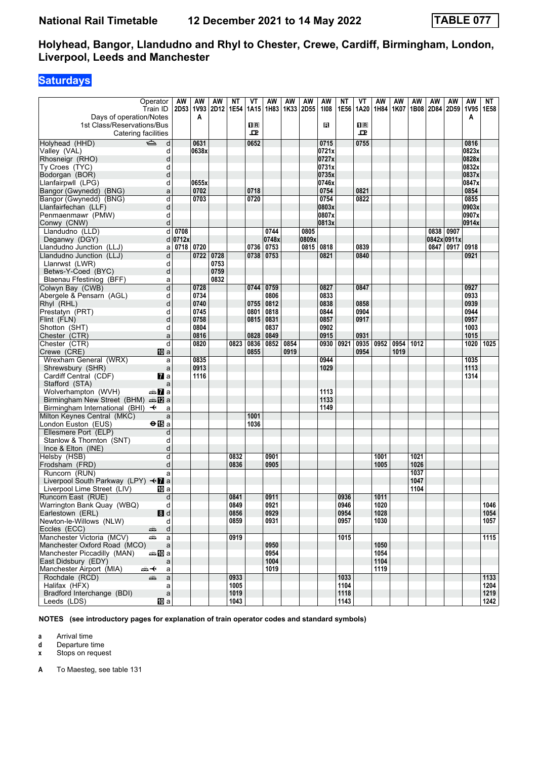# **Saturdays**

|                                                            | Operator<br>Train ID    | AW        | AW    | AW<br>2D53   1V93   2D12   1E54 | ΝT   | VT<br>1A15                                           | AW        | AW<br>1H83   1K33   2D55 | AW    | AW<br>1108   | ΝT<br>1E56 | VT<br>1A20                   | AW<br>1H84 | AW<br>1K07 | AW   | AW   | AW<br>1B08 2D84 2D59 | AW<br>1V95 1E58 | NΤ   |
|------------------------------------------------------------|-------------------------|-----------|-------|---------------------------------|------|------------------------------------------------------|-----------|--------------------------|-------|--------------|------------|------------------------------|------------|------------|------|------|----------------------|-----------------|------|
| Days of operation/Notes                                    |                         |           | A     |                                 |      |                                                      |           |                          |       |              |            |                              |            |            |      |      |                      | A               |      |
| 1st Class/Reservations/Bus<br>Catering facilities          |                         |           |       |                                 |      | $\overline{\mathbf{H}}$ $\overline{\mathbf{R}}$<br>ᇁ |           |                          |       | в            |            | $\overline{\mathbf{R}}$<br>고 |            |            |      |      |                      |                 |      |
| Holyhead (HHD)                                             | $\Rightarrow$<br>d      |           | 0631  |                                 |      | 0652                                                 |           |                          |       | 0715         |            | 0755                         |            |            |      |      |                      | 0816            |      |
| Valley (VAL)                                               | d                       |           | 0638x |                                 |      |                                                      |           |                          |       | 0721x        |            |                              |            |            |      |      |                      | 0823x           |      |
| Rhosneigr (RHO)                                            | d                       |           |       |                                 |      |                                                      |           |                          |       | 0727x        |            |                              |            |            |      |      |                      | 0828x           |      |
| Ty Croes (TYC)                                             | d                       |           |       |                                 |      |                                                      |           |                          |       | 0731x        |            |                              |            |            |      |      |                      | 0832x           |      |
| Bodorgan (BOR)                                             | d                       |           |       |                                 |      |                                                      |           |                          |       | 0735x        |            |                              |            |            |      |      |                      | 0837x           |      |
| Llanfairpwll (LPG)                                         | d                       |           | 0655x |                                 |      |                                                      |           |                          |       | 0746x        |            |                              |            |            |      |      |                      | 0847x           |      |
| Bangor (Gwynedd) (BNG)                                     | a                       |           | 0702  |                                 |      | 0718                                                 |           |                          |       | 0754         |            | 0821                         |            |            |      |      |                      | 0854            |      |
| Bangor (Gwynedd) (BNG)                                     | d                       |           | 0703  |                                 |      | 0720                                                 |           |                          |       | 0754         |            | 0822                         |            |            |      |      |                      | 0855            |      |
| Llanfairfechan (LLF)                                       | d                       |           |       |                                 |      |                                                      |           |                          |       | 0803x        |            |                              |            |            |      |      |                      | 0903x           |      |
| Penmaenmawr (PMW)                                          | d                       |           |       |                                 |      |                                                      |           |                          |       | 0807x        |            |                              |            |            |      |      |                      | 0907x           |      |
| Conwy (CNW)                                                | d                       |           |       |                                 |      |                                                      |           |                          |       | 0813x        |            |                              |            |            |      |      |                      | 0914x           |      |
| Llandudno (LLD)                                            |                         | $d$ 0708  |       |                                 |      |                                                      | 0744      |                          | 0805  |              |            |                              |            |            |      | 0838 | 0907                 |                 |      |
| Deganwy (DGY)                                              |                         | $d$ 0712x |       |                                 |      |                                                      | 0748x     |                          | 0809x |              |            |                              |            |            |      |      | 0842x 0911x          |                 |      |
| Llandudno Junction (LLJ)                                   |                         | a   0718  | 0720  |                                 |      | 0736                                                 | 0753      |                          | 0815  | 0818         |            | 0839                         |            |            |      |      | 0847 0917            | 0918            |      |
| Llandudno Junction (LLJ)                                   | $\overline{d}$          |           | 0722  | 0728                            |      |                                                      | 0738 0753 |                          |       | 0821         |            | 0840                         |            |            |      |      |                      | 0921            |      |
| Llanrwst (LWR)                                             | d                       |           |       | 0753                            |      |                                                      |           |                          |       |              |            |                              |            |            |      |      |                      |                 |      |
| Betws-Y-Coed (BYC)                                         | d                       |           |       | 0759                            |      |                                                      |           |                          |       |              |            |                              |            |            |      |      |                      |                 |      |
| Blaenau Ffestiniog (BFF)                                   | a                       |           |       | 0832                            |      |                                                      |           |                          |       |              |            |                              |            |            |      |      |                      |                 |      |
| Colwyn Bay (CWB)                                           | $\overline{\mathsf{d}}$ |           | 0728  |                                 |      | 0744                                                 | 0759      |                          |       | 0827         |            | 0847                         |            |            |      |      |                      | 0927            |      |
|                                                            |                         |           | 0734  |                                 |      |                                                      |           |                          |       |              |            |                              |            |            |      |      |                      | 0933            |      |
| Abergele & Pensarn (AGL)<br>Rhyl (RHL)                     | d                       |           |       |                                 |      |                                                      | 0806      |                          |       | 0833<br>0838 |            | 0858                         |            |            |      |      |                      | 0939            |      |
|                                                            | d                       |           | 0740  |                                 |      | 0755                                                 | 0812      |                          |       |              |            |                              |            |            |      |      |                      |                 |      |
| Prestatyn (PRT)                                            | d                       |           | 0745  |                                 |      | 0801                                                 | 0818      |                          |       | 0844         |            | 0904                         |            |            |      |      |                      | 0944            |      |
| Flint (FLN)                                                | d                       |           | 0758  |                                 |      | 0815                                                 | 0831      |                          |       | 0857         |            | 0917                         |            |            |      |      |                      | 0957            |      |
| Shotton (SHT)                                              | d                       |           | 0804  |                                 |      |                                                      | 0837      |                          |       | 0902         |            |                              |            |            |      |      |                      | 1003            |      |
| Chester (CTR)                                              | a                       |           | 0816  |                                 |      | 0828                                                 | 0849      |                          |       | 0915         |            | 0931                         |            |            |      |      |                      | 1015            |      |
| Chester (CTR)                                              | d                       |           | 0820  |                                 | 0823 | 0836                                                 | 0852      | 0854                     |       | 0930         | 0921       | 0935                         | 0952       | 0954       | 1012 |      |                      | 1020            | 1025 |
| Crewe (CRE)                                                | 10 a                    |           |       |                                 |      | 0855                                                 |           | 0919                     |       |              |            | 0954                         |            | 1019       |      |      |                      |                 |      |
| Wrexham General (WRX)                                      | a                       |           | 0835  |                                 |      |                                                      |           |                          |       | 0944         |            |                              |            |            |      |      |                      | 1035            |      |
| Shrewsbury (SHR)                                           | $\mathsf{a}$            |           | 0913  |                                 |      |                                                      |           |                          |       | 1029         |            |                              |            |            |      |      |                      | 1113            |      |
| Cardiff Central (CDF)                                      | <b>7</b> a              |           | 1116  |                                 |      |                                                      |           |                          |       |              |            |                              |            |            |      |      |                      | 1314            |      |
| Stafford (STA)                                             | a                       |           |       |                                 |      |                                                      |           |                          |       |              |            |                              |            |            |      |      |                      |                 |      |
| Wolverhampton (WVH)                                        | an <mark>7</mark> a     |           |       |                                 |      |                                                      |           |                          |       | 1113         |            |                              |            |            |      |      |                      |                 |      |
| Birmingham New Street (BHM) $\triangleq 2$ a               |                         |           |       |                                 |      |                                                      |           |                          |       | 1133         |            |                              |            |            |      |      |                      |                 |      |
| Birmingham International (BHI) <←                          | a                       |           |       |                                 |      |                                                      |           |                          |       | 1149         |            |                              |            |            |      |      |                      |                 |      |
| Milton Keynes Central (MKC)                                | a                       |           |       |                                 |      | 1001                                                 |           |                          |       |              |            |                              |            |            |      |      |                      |                 |      |
| London Euston (EUS)                                        | $\Theta$ is a           |           |       |                                 |      | 1036                                                 |           |                          |       |              |            |                              |            |            |      |      |                      |                 |      |
| Ellesmere Port (ELP)                                       | d                       |           |       |                                 |      |                                                      |           |                          |       |              |            |                              |            |            |      |      |                      |                 |      |
| Stanlow & Thornton (SNT)                                   | d                       |           |       |                                 |      |                                                      |           |                          |       |              |            |                              |            |            |      |      |                      |                 |      |
| Ince & Elton (INE)                                         | d                       |           |       |                                 |      |                                                      |           |                          |       |              |            |                              |            |            |      |      |                      |                 |      |
| Helsby (HSB)                                               | d                       |           |       |                                 | 0832 |                                                      | 0901      |                          |       |              |            |                              | 1001       |            | 1021 |      |                      |                 |      |
| Frodsham (FRD)                                             | d                       |           |       |                                 | 0836 |                                                      | 0905      |                          |       |              |            |                              | 1005       |            | 1026 |      |                      |                 |      |
| Runcorn (RUN)                                              | a                       |           |       |                                 |      |                                                      |           |                          |       |              |            |                              |            |            | 1037 |      |                      |                 |      |
| Liverpool South Parkway (LPY) $\triangleleft \mathbf{Z}$ a |                         |           |       |                                 |      |                                                      |           |                          |       |              |            |                              |            |            | 1047 |      |                      |                 |      |
| Liverpool Lime Street (LIV)                                | 10 a                    |           |       |                                 |      |                                                      |           |                          |       |              |            |                              |            |            | 1104 |      |                      |                 |      |
| Runcorn East (RUE)                                         | d                       |           |       |                                 | 0841 |                                                      | 0911      |                          |       |              | 0936       |                              | 1011       |            |      |      |                      |                 |      |
| Warrington Bank Quay (WBQ)                                 | d                       |           |       |                                 | 0849 |                                                      | 0921      |                          |       |              | 0946       |                              | 1020       |            |      |      |                      |                 | 1046 |
| Earlestown (ERL)                                           | 8d                      |           |       |                                 | 0856 |                                                      | 0929      |                          |       |              | 0954       |                              | 1028       |            |      |      |                      |                 | 1054 |
| Newton-le-Willows (NLW)                                    | d                       |           |       |                                 | 0859 |                                                      | 0931      |                          |       |              | 0957       |                              | 1030       |            |      |      |                      |                 | 1057 |
| Eccles (ECC)                                               | d<br>پېښ                |           |       |                                 |      |                                                      |           |                          |       |              |            |                              |            |            |      |      |                      |                 |      |
| Manchester Victoria (MCV)                                  | æ<br>a                  |           |       |                                 | 0919 |                                                      |           |                          |       |              | 1015       |                              |            |            |      |      |                      |                 | 1115 |
| Manchester Oxford Road (MCO)                               | $\mathsf{a}$            |           |       |                                 |      |                                                      | 0950      |                          |       |              |            |                              | 1050       |            |      |      |                      |                 |      |
| Manchester Piccadilly (MAN)                                | ⇔≞ll0a                  |           |       |                                 |      |                                                      | 0954      |                          |       |              |            |                              | 1054       |            |      |      |                      |                 |      |
| East Didsbury (EDY)                                        | a                       |           |       |                                 |      |                                                      | 1004      |                          |       |              |            |                              | 1104       |            |      |      |                      |                 |      |
| Manchester Airport (MIA)                                   | a<br>▄▄ —ধ              |           |       |                                 |      |                                                      | 1019      |                          |       |              |            |                              | 1119       |            |      |      |                      |                 |      |
| Rochdale (RCD)                                             | کی ہے<br>a              |           |       |                                 | 0933 |                                                      |           |                          |       |              | 1033       |                              |            |            |      |      |                      |                 | 1133 |
| Halifax (HFX)                                              | a                       |           |       |                                 | 1005 |                                                      |           |                          |       |              | 1104       |                              |            |            |      |      |                      |                 | 1204 |
| Bradford Interchange (BDI)                                 | $\mathsf{a}$            |           |       |                                 | 1019 |                                                      |           |                          |       |              | 1118       |                              |            |            |      |      |                      |                 | 1219 |
| Leeds (LDS)                                                | 10 a                    |           |       |                                 | 1043 |                                                      |           |                          |       |              | 1143       |                              |            |            |      |      |                      |                 | 1242 |
|                                                            |                         |           |       |                                 |      |                                                      |           |                          |       |              |            |                              |            |            |      |      |                      |                 |      |

**NOTES (see introductory pages for explanation of train operator codes and standard symbols)**

**a** Arrival time<br>**d** Departure t **d** Departure time

**x** Stops on request

**A** To Maesteg, see table 131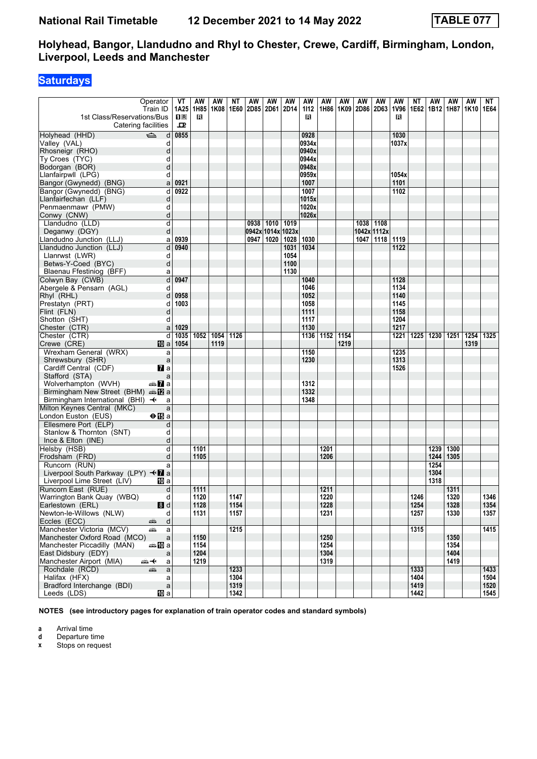### **Saturdays**

| Operator<br>Train ID<br>1st Class/Reservations/Bus                       |                            | VT<br>1A25<br>$\Pi$ R | AW<br>1H85<br>R | ΑW<br>1K08 | ΝT   | AW<br>1E60   2D85   2D61 | AW                | AW<br>2D14 | AW<br>1112<br>R | AW   | AW<br>1H86 1K09 | AW<br>2D86 | AW<br>2D63  | AW<br>1V96<br>R | ΝT<br>1E62 | AW<br>1B12 1H87 | AW           | AW<br>1K10 1E64 | NT   |
|--------------------------------------------------------------------------|----------------------------|-----------------------|-----------------|------------|------|--------------------------|-------------------|------------|-----------------|------|-----------------|------------|-------------|-----------------|------------|-----------------|--------------|-----------------|------|
| Catering facilities                                                      |                            | 굔                     |                 |            |      |                          |                   |            |                 |      |                 |            |             |                 |            |                 |              |                 |      |
| Holyhead (HHD)<br>⇔                                                      | d                          | 0855                  |                 |            |      |                          |                   |            | 0928            |      |                 |            |             | 1030            |            |                 |              |                 |      |
| Valley (VAL)                                                             | d                          |                       |                 |            |      |                          |                   |            | 0934x           |      |                 |            |             | 1037x           |            |                 |              |                 |      |
| Rhosneigr (RHO)                                                          | d                          |                       |                 |            |      |                          |                   |            | 0940x           |      |                 |            |             |                 |            |                 |              |                 |      |
| Ty Croes (TYC)                                                           | d                          |                       |                 |            |      |                          |                   |            | 0944x           |      |                 |            |             |                 |            |                 |              |                 |      |
| Bodorgan (BOR)                                                           | d                          |                       |                 |            |      |                          |                   |            | 0948x           |      |                 |            |             |                 |            |                 |              |                 |      |
| Llanfairpwll (LPG)                                                       | d                          |                       |                 |            |      |                          |                   |            | 0959x           |      |                 |            |             | 1054x           |            |                 |              |                 |      |
| Bangor (Gwynedd) (BNG)                                                   | a                          | 0921                  |                 |            |      |                          |                   |            | 1007            |      |                 |            |             | 1101            |            |                 |              |                 |      |
| Bangor (Gwynedd) (BNG)                                                   | d                          | 0922                  |                 |            |      |                          |                   |            | 1007            |      |                 |            |             | 1102            |            |                 |              |                 |      |
| Llanfairfechan (LLF)                                                     | d                          |                       |                 |            |      |                          |                   |            | 1015x           |      |                 |            |             |                 |            |                 |              |                 |      |
| Penmaenmawr (PMW)                                                        | d                          |                       |                 |            |      |                          |                   |            | 1020x           |      |                 |            |             |                 |            |                 |              |                 |      |
| Conwy (CNW)                                                              | d                          |                       |                 |            |      |                          |                   |            | 1026x           |      |                 |            |             |                 |            |                 |              |                 |      |
| Llandudno (LLD)                                                          | d                          |                       |                 |            |      | 0938                     | 1010   1019       |            |                 |      |                 | 1038       | 1108        |                 |            |                 |              |                 |      |
| Deganwy (DGY)                                                            | d                          |                       |                 |            |      |                          | 0942x 1014x 1023x |            |                 |      |                 |            | 1042x 1112x |                 |            |                 |              |                 |      |
| Llandudno Junction (LLJ)                                                 | a                          | 0939                  |                 |            |      | 0947                     | 1020              | 1028       | 1030            |      |                 | 1047       | 1118        | 1119            |            |                 |              |                 |      |
| Llandudno Junction (LLJ)                                                 | d                          | 0940                  |                 |            |      |                          |                   | 1031       | 1034            |      |                 |            |             | 1122            |            |                 |              |                 |      |
| Llanrwst (LWR)                                                           | d                          |                       |                 |            |      |                          |                   | 1054       |                 |      |                 |            |             |                 |            |                 |              |                 |      |
| Betws-Y-Coed (BYC)                                                       | d                          |                       |                 |            |      |                          |                   | 1100       |                 |      |                 |            |             |                 |            |                 |              |                 |      |
| Blaenau Ffestiniog (BFF)                                                 | a                          |                       |                 |            |      |                          |                   | 1130       |                 |      |                 |            |             |                 |            |                 |              |                 |      |
| Colwyn Bay (CWB)                                                         | d                          | 0947                  |                 |            |      |                          |                   |            | 1040            |      |                 |            |             | 1128            |            |                 |              |                 |      |
| Abergele & Pensarn (AGL)                                                 | d                          |                       |                 |            |      |                          |                   |            | 1046            |      |                 |            |             | 1134            |            |                 |              |                 |      |
| Rhyl (RHL)                                                               | d                          | 0958                  |                 |            |      |                          |                   |            | 1052            |      |                 |            |             | 1140            |            |                 |              |                 |      |
| Prestatyn (PRT)                                                          | d                          | 1003                  |                 |            |      |                          |                   |            | 1058            |      |                 |            |             | 1145            |            |                 |              |                 |      |
| Flint (FLN)                                                              | d                          |                       |                 |            |      |                          |                   |            | 1111            |      |                 |            |             | 1158            |            |                 |              |                 |      |
| Shotton (SHT)                                                            | d                          |                       |                 |            |      |                          |                   |            | 1117            |      |                 |            |             | 1204            |            |                 |              |                 |      |
| Chester (CTR)<br>Chester (CTR)                                           | a<br>d                     | 1029<br>1035          | 1052            | 1054       | 1126 |                          |                   |            | 1130<br>1136    | 1152 | 1154            |            |             | 1217            |            | 1230            | 1251         | 1254            | 1325 |
| Crewe (CRE)                                                              | 10 a                       | 1054                  |                 | 1119       |      |                          |                   |            |                 |      | 1219            |            |             | 1221            | 1225       |                 |              | 1319            |      |
| Wrexham General (WRX)                                                    | a                          |                       |                 |            |      |                          |                   |            | 1150            |      |                 |            |             | 1235            |            |                 |              |                 |      |
| Shrewsbury (SHR)                                                         | a                          |                       |                 |            |      |                          |                   |            | 1230            |      |                 |            |             | 1313            |            |                 |              |                 |      |
| Cardiff Central (CDF)                                                    | <b>7</b> a                 |                       |                 |            |      |                          |                   |            |                 |      |                 |            |             | 1526            |            |                 |              |                 |      |
| Stafford (STA)                                                           | a                          |                       |                 |            |      |                          |                   |            |                 |      |                 |            |             |                 |            |                 |              |                 |      |
| Wolverhampton (WVH)                                                      | an <mark>7</mark> la       |                       |                 |            |      |                          |                   |            | 1312            |      |                 |            |             |                 |            |                 |              |                 |      |
| Birmingham New Street (BHM) $\oplus$ 2 a                                 |                            |                       |                 |            |      |                          |                   |            | 1332            |      |                 |            |             |                 |            |                 |              |                 |      |
| Birmingham International (BHI) $\rightarrow$                             | a                          |                       |                 |            |      |                          |                   |            | 1348            |      |                 |            |             |                 |            |                 |              |                 |      |
| Milton Keynes Central (MKC)                                              | a                          |                       |                 |            |      |                          |                   |            |                 |      |                 |            |             |                 |            |                 |              |                 |      |
| London Euston (EUS)                                                      | $\bigoplus$ a              |                       |                 |            |      |                          |                   |            |                 |      |                 |            |             |                 |            |                 |              |                 |      |
| Ellesmere Port (ELP)                                                     | d                          |                       |                 |            |      |                          |                   |            |                 |      |                 |            |             |                 |            |                 |              |                 |      |
| Stanlow & Thornton (SNT)                                                 | d                          |                       |                 |            |      |                          |                   |            |                 |      |                 |            |             |                 |            |                 |              |                 |      |
| Ince & Elton (INE)                                                       | d                          |                       |                 |            |      |                          |                   |            |                 |      |                 |            |             |                 |            |                 |              |                 |      |
| Helsby (HSB)                                                             | d                          |                       | 1101            |            |      |                          |                   |            |                 | 1201 |                 |            |             |                 |            | 1239            | 1300         |                 |      |
| Frodsham (FRD)                                                           | d                          |                       | 1105            |            |      |                          |                   |            |                 | 1206 |                 |            |             |                 |            | 1244            | 1305         |                 |      |
| Runcorn (RUN)                                                            | a                          |                       |                 |            |      |                          |                   |            |                 |      |                 |            |             |                 |            | 1254            |              |                 |      |
| Liverpool South Parkway (LPY) <■ a                                       |                            |                       |                 |            |      |                          |                   |            |                 |      |                 |            |             |                 |            | 1304            |              |                 |      |
| Liverpool Lime Street (LIV)                                              | 100 a                      |                       |                 |            |      |                          |                   |            |                 |      |                 |            |             |                 |            | 1318            |              |                 |      |
| Runcorn East (RUE)                                                       | d                          |                       | 1111            |            |      |                          |                   |            |                 | 1211 |                 |            |             |                 |            |                 | 1311         |                 |      |
| Warrington Bank Quay (WBQ)                                               | d                          |                       | 1120            |            | 1147 |                          |                   |            |                 | 1220 |                 |            |             |                 | 1246       |                 | 1320         |                 | 1346 |
| Earlestown (ERL)                                                         | 8d                         |                       | 1128            |            | 1154 |                          |                   |            |                 | 1228 |                 |            |             |                 | 1254       |                 | 1328         |                 | 1354 |
| Newton-le-Willows (NLW)                                                  | d                          |                       | 1131            |            | 1157 |                          |                   |            |                 | 1231 |                 |            |             |                 | 1257       |                 | 1330         |                 | 1357 |
| Eccles (ECC)<br>æbora (m. 1983).<br>Fødsler<br>Manchester Victoria (MCV) | $\mathsf{d}$               |                       |                 |            |      |                          |                   |            |                 |      |                 |            |             |                 |            |                 |              |                 |      |
| æ<br>Manchester Oxford Road (MCO)                                        | a                          |                       |                 |            | 1215 |                          |                   |            |                 | 1250 |                 |            |             |                 | 1315       |                 |              |                 | 1415 |
| Manchester Piccadilly (MAN)                                              | $\mathsf{a}$<br>dana na ma |                       | 1150<br>1154    |            |      |                          |                   |            |                 | 1254 |                 |            |             |                 |            |                 | 1350<br>1354 |                 |      |
| East Didsbury (EDY)                                                      |                            |                       | 1204            |            |      |                          |                   |            |                 | 1304 |                 |            |             |                 |            |                 | 1404         |                 |      |
| Manchester Airport (MIA)<br>⇜✦                                           | a<br>a                     |                       | 1219            |            |      |                          |                   |            |                 | 1319 |                 |            |             |                 |            |                 | 1419         |                 |      |
| Rochdale (RCD)<br>æ                                                      | a                          |                       |                 |            | 1233 |                          |                   |            |                 |      |                 |            |             |                 | 1333       |                 |              |                 | 1433 |
| Halifax (HFX)                                                            | a                          |                       |                 |            | 1304 |                          |                   |            |                 |      |                 |            |             |                 | 1404       |                 |              |                 | 1504 |
| Bradford Interchange (BDI)                                               | $\mathsf{a}$               |                       |                 |            | 1319 |                          |                   |            |                 |      |                 |            |             |                 | 1419       |                 |              |                 | 1520 |
| Leeds (LDS)                                                              | 10 a                       |                       |                 |            | 1342 |                          |                   |            |                 |      |                 |            |             |                 | 1442       |                 |              |                 | 1545 |

**NOTES (see introductory pages for explanation of train operator codes and standard symbols)**

**a** Arrival time<br>**d** Departure t

**d** Departure time<br>**x** Stops on reque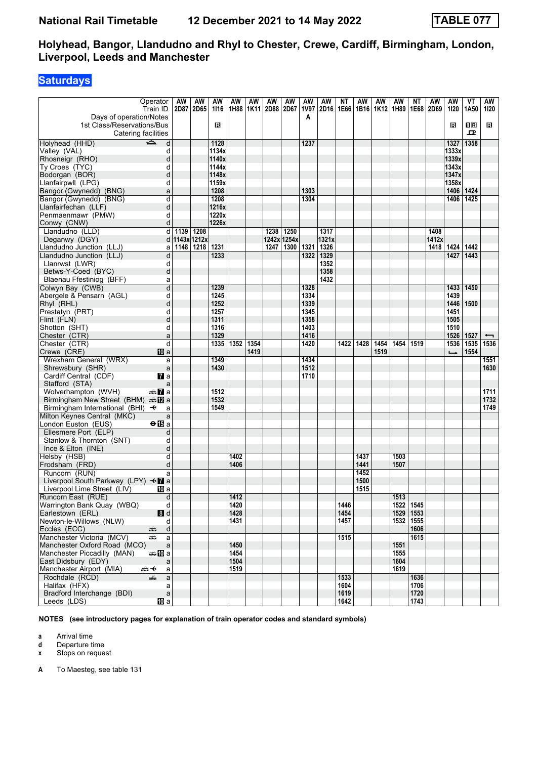# **Saturdays**

| Operator                                          |              | AW   | AW                | AW            | AW               | AW   | AW                        | AW          | AW          | AW    | NΤ   | AW   | AW   | AW                | ΝT        | AW    | AW            | VT          | AW                       |
|---------------------------------------------------|--------------|------|-------------------|---------------|------------------|------|---------------------------|-------------|-------------|-------|------|------|------|-------------------|-----------|-------|---------------|-------------|--------------------------|
| Train ID                                          |              |      | 2D87 2D65         | 1116          |                  |      | 1H88   1K11   2D88   2D67 |             | 1V97        | 2D16  | 1E66 | 1B16 |      | 1K12 1H89         | 1E68      | 2D69  | 1120          | 1A50        | 1120                     |
| Days of operation/Notes                           |              |      |                   |               |                  |      |                           |             | A           |       |      |      |      |                   |           |       |               |             |                          |
| 1st Class/Reservations/Bus                        |              |      |                   | в             |                  |      |                           |             |             |       |      |      |      |                   |           |       | R             | $n_{\rm R}$ | в                        |
| Catering facilities                               |              |      |                   |               |                  |      |                           |             |             |       |      |      |      |                   |           |       |               | ᇁ           |                          |
| Holyhead (HHD)<br>$\Rightarrow$<br>Valley (VAL)   | d<br>d       |      |                   | 1128<br>1134x |                  |      |                           |             | 1237        |       |      |      |      |                   |           |       | 1327<br>1333x | 1358        |                          |
| Rhosneigr (RHO)                                   | d            |      |                   | 1140x         |                  |      |                           |             |             |       |      |      |      |                   |           |       | 1339x         |             |                          |
| Ty Croes (TYC)                                    | d            |      |                   | 1144x         |                  |      |                           |             |             |       |      |      |      |                   |           |       | 1343x         |             |                          |
| Bodorgan (BOR)                                    | d            |      |                   | 1148x         |                  |      |                           |             |             |       |      |      |      |                   |           |       | 1347x         |             |                          |
| Llanfairpwll (LPG)                                | d            |      |                   | 1159x         |                  |      |                           |             |             |       |      |      |      |                   |           |       | 1358x         |             |                          |
| Bangor (Gwynedd) (BNG)                            | a            |      |                   | 1208          |                  |      |                           |             | 1303        |       |      |      |      |                   |           |       | 1406          | 1424        |                          |
| Bangor (Gwynedd) (BNG)                            | d            |      |                   | 1208          |                  |      |                           |             | 1304        |       |      |      |      |                   |           |       | 1406          | 1425        |                          |
| Llanfairfechan (LLF)                              | d            |      |                   | 1216x         |                  |      |                           |             |             |       |      |      |      |                   |           |       |               |             |                          |
| Penmaenmawr (PMW)                                 | d            |      |                   | 1220x         |                  |      |                           |             |             |       |      |      |      |                   |           |       |               |             |                          |
| Conwy (CNW)                                       | d            |      |                   | 1226x         |                  |      |                           |             |             |       |      |      |      |                   |           |       |               |             |                          |
| Llandudno (LLD)                                   | d            | 1139 | 1208              |               |                  |      | 1238                      | 1250        |             | 1317  |      |      |      |                   |           | 1408  |               |             |                          |
| Deganwy (DGY)                                     |              |      | d   1143x   1212x |               |                  |      |                           | 1242x 1254x |             | 1321x |      |      |      |                   |           | 1412x |               |             |                          |
| Llandudno Junction (LLJ)                          |              |      | a   1148   1218   | 1231          |                  |      | 1247                      |             | 1300   1321 | 1326  |      |      |      |                   |           | 1418  | 1424          | 1442        |                          |
| Llandudno Junction (LLJ)                          | d            |      |                   | 1233          |                  |      |                           |             | 1322        | 1329  |      |      |      |                   |           |       | 1427          | 1443        |                          |
| Llanrwst (LWR)                                    | d            |      |                   |               |                  |      |                           |             |             | 1352  |      |      |      |                   |           |       |               |             |                          |
| Betws-Y-Coed (BYC)                                | d            |      |                   |               |                  |      |                           |             |             | 1358  |      |      |      |                   |           |       |               |             |                          |
| Blaenau Ffestiniog (BFF)                          | a            |      |                   |               |                  |      |                           |             |             | 1432  |      |      |      |                   |           |       |               |             |                          |
| Colwyn Bay (CWB)                                  | d            |      |                   | 1239          |                  |      |                           |             | 1328        |       |      |      |      |                   |           |       | 1433          | 1450        |                          |
| Abergele & Pensarn (AGL)                          | d            |      |                   | 1245          |                  |      |                           |             | 1334        |       |      |      |      |                   |           |       | 1439          |             |                          |
| Rhyl (RHL)                                        | d            |      |                   | 1252          |                  |      |                           |             | 1339        |       |      |      |      |                   |           |       | 1446          | 1500        |                          |
| Prestatyn (PRT)                                   | d            |      |                   | 1257          |                  |      |                           |             | 1345        |       |      |      |      |                   |           |       | 1451          |             |                          |
| Flint (FLN)                                       | d            |      |                   | 1311          |                  |      |                           |             | 1358        |       |      |      |      |                   |           |       | 1505          |             |                          |
| Shotton (SHT)                                     | d            |      |                   | 1316          |                  |      |                           |             | 1403        |       |      |      |      |                   |           |       | 1510          |             |                          |
| Chester (CTR)                                     | a            |      |                   | 1329          |                  |      |                           |             | 1416        |       |      |      |      |                   |           |       | 1526          | 1527        | $\overline{\phantom{0}}$ |
| Chester (CTR)                                     | d            |      |                   | 1335          | 1352             | 1354 |                           |             | 1420        |       | 1422 | 1428 | 1454 | 1454              | 1519      |       | 1536          | 1535        | 1536                     |
| Crewe (CRE)<br>10 a                               |              |      |                   |               |                  | 1419 |                           |             |             |       |      |      | 1519 |                   |           |       | $\rightarrow$ | 1554        |                          |
| Wrexham General (WRX)                             | a            |      |                   | 1349          |                  |      |                           |             | 1434        |       |      |      |      |                   |           |       |               |             | 1551                     |
| Shrewsbury (SHR)                                  | $\mathsf{a}$ |      |                   | 1430          |                  |      |                           |             | 1512        |       |      |      |      |                   |           |       |               |             | 1630                     |
| Cardiff Central (CDF)<br><b>7</b> a               |              |      |                   |               |                  |      |                           |             | 1710        |       |      |      |      |                   |           |       |               |             |                          |
| Stafford (STA)                                    | a            |      |                   |               |                  |      |                           |             |             |       |      |      |      |                   |           |       |               |             |                          |
| Wolverhampton (WVH)<br>an <mark>7</mark> a        |              |      |                   | 1512          |                  |      |                           |             |             |       |      |      |      |                   |           |       |               |             | 1711                     |
| Birmingham New Street (BHM) $\oplus \mathbb{Z}$ a |              |      |                   | 1532          |                  |      |                           |             |             |       |      |      |      |                   |           |       |               |             | 1732                     |
| Birmingham International (BHI) $\rightarrow$      | a            |      |                   | 1549          |                  |      |                           |             |             |       |      |      |      |                   |           |       |               |             | 1749                     |
| Milton Keynes Central (MKC)                       | a            |      |                   |               |                  |      |                           |             |             |       |      |      |      |                   |           |       |               |             |                          |
| London Euston (EUS)<br><b>⊖ iB</b> a              |              |      |                   |               |                  |      |                           |             |             |       |      |      |      |                   |           |       |               |             |                          |
| Ellesmere Port (ELP)                              | d            |      |                   |               |                  |      |                           |             |             |       |      |      |      |                   |           |       |               |             |                          |
| Stanlow & Thornton (SNT)                          | d            |      |                   |               |                  |      |                           |             |             |       |      |      |      |                   |           |       |               |             |                          |
| Ince & Elton (INE)                                | d<br>d       |      |                   |               | 1402             |      |                           |             |             |       |      | 1437 |      | 1503              |           |       |               |             |                          |
| Helsby (HSB)<br>Frodsham (FRD)                    | d            |      |                   |               | 1406             |      |                           |             |             |       |      | 1441 |      | 1507              |           |       |               |             |                          |
| Runcorn (RUN)                                     |              |      |                   |               |                  |      |                           |             |             |       |      | 1452 |      |                   |           |       |               |             |                          |
| Liverpool South Parkway (LPY) <■ a                | a            |      |                   |               |                  |      |                           |             |             |       |      | 1500 |      |                   |           |       |               |             |                          |
| Liverpool Lime Street (LIV)<br>10 a               |              |      |                   |               |                  |      |                           |             |             |       |      | 1515 |      |                   |           |       |               |             |                          |
| Runcorn East (RUE)                                | d            |      |                   |               | $\frac{1412}{ }$ |      |                           |             |             |       |      |      |      | $\overline{1513}$ |           |       |               |             |                          |
| Warrington Bank Quay (WBQ)                        | d            |      |                   |               | 1420             |      |                           |             |             |       | 1446 |      |      |                   | 1522 1545 |       |               |             |                          |
| 8d<br>Earlestown (ERL)                            |              |      |                   |               | 1428             |      |                           |             |             |       | 1454 |      |      |                   | 1529 1553 |       |               |             |                          |
| Newton-le-Willows (NLW)                           | d            |      |                   |               | 1431             |      |                           |             |             |       | 1457 |      |      |                   | 1532 1555 |       |               |             |                          |
| Eccles (ECC)<br>æÊ,                               | $\mathsf{d}$ |      |                   |               |                  |      |                           |             |             |       |      |      |      |                   | 1606      |       |               |             |                          |
| Manchester Victoria (MCV)<br>æ                    | a            |      |                   |               |                  |      |                           |             |             |       | 1515 |      |      |                   | 1615      |       |               |             |                          |
| Manchester Oxford Road (MCO)                      | $\mathsf{a}$ |      |                   |               | 1450             |      |                           |             |             |       |      |      |      | 1551              |           |       |               |             |                          |
| Manchester Piccadilly (MAN)<br>an‱Mia             |              |      |                   |               | 1454             |      |                           |             |             |       |      |      |      | 1555              |           |       |               |             |                          |
| East Didsbury (EDY)                               | a            |      |                   |               | 1504             |      |                           |             |             |       |      |      |      | 1604              |           |       |               |             |                          |
| Manchester Airport (MIA)<br><del>๛</del> +        | a            |      |                   |               | 1519             |      |                           |             |             |       |      |      |      | 1619              |           |       |               |             |                          |
| Rochdale (RCD)<br>چھ                              | a            |      |                   |               |                  |      |                           |             |             |       | 1533 |      |      |                   | 1636      |       |               |             |                          |
| Halifax (HFX)                                     | a            |      |                   |               |                  |      |                           |             |             |       | 1604 |      |      |                   | 1706      |       |               |             |                          |
| Bradford Interchange (BDI)                        | $\mathsf a$  |      |                   |               |                  |      |                           |             |             |       | 1619 |      |      |                   | 1720      |       |               |             |                          |
| Leeds (LDS)<br>10 a                               |              |      |                   |               |                  |      |                           |             |             |       | 1642 |      |      |                   | 1743      |       |               |             |                          |

**NOTES (see introductory pages for explanation of train operator codes and standard symbols)**

**a** Arrival time<br>**d** Departure t

**d** Departure time

**x** Stops on request

**A** To Maesteg, see table 131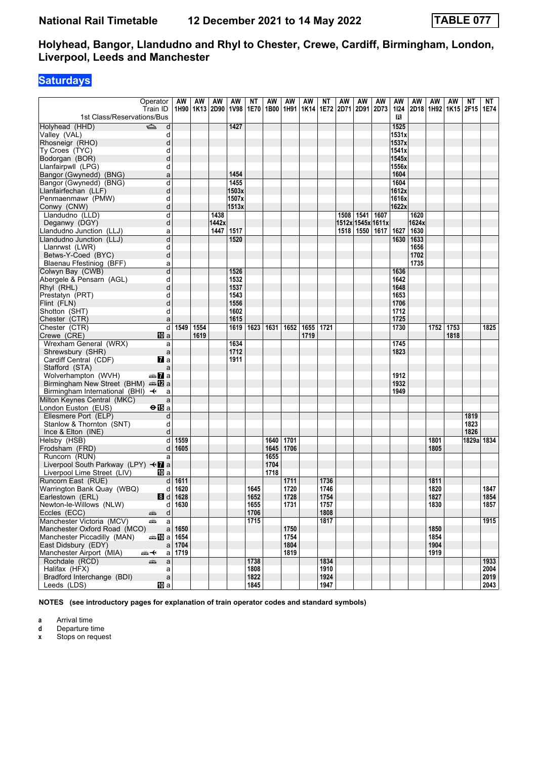# **Saturdays**

|                                              | Operator            | AW         | AW             | AW    | AW    | NΤ           | AW          | AW   | AW   | ΝT           | AW   | AW                | AW   | AW    | AW    | AW                               | AW   | ΝT         | NT   |
|----------------------------------------------|---------------------|------------|----------------|-------|-------|--------------|-------------|------|------|--------------|------|-------------------|------|-------|-------|----------------------------------|------|------------|------|
|                                              | Train ID            |            | 1H90 1K13 2D90 |       | 1V98  | 1E70         | 1B00   1H91 |      | 1K14 | 1E72         | 2D71 | 2D91              | 2D73 | 1124  |       | 2D18   1H92   1K15   2F15   1E74 |      |            |      |
| 1st Class/Reservations/Bus                   |                     |            |                |       |       |              |             |      |      |              |      |                   |      | в     |       |                                  |      |            |      |
| Holyhead (HHD)                               | $\Rightarrow$<br>d  |            |                |       | 1427  |              |             |      |      |              |      |                   |      | 1525  |       |                                  |      |            |      |
| Valley (VAL)                                 | d                   |            |                |       |       |              |             |      |      |              |      |                   |      | 1531x |       |                                  |      |            |      |
| Rhosneigr (RHO)                              | d                   |            |                |       |       |              |             |      |      |              |      |                   |      | 1537x |       |                                  |      |            |      |
| Ty Croes (TYC)                               | d                   |            |                |       |       |              |             |      |      |              |      |                   |      | 1541x |       |                                  |      |            |      |
| Bodorgan (BOR)                               | d                   |            |                |       |       |              |             |      |      |              |      |                   |      | 1545x |       |                                  |      |            |      |
| Llanfairpwll (LPG)                           | d                   |            |                |       |       |              |             |      |      |              |      |                   |      | 1556x |       |                                  |      |            |      |
| Bangor (Gwynedd) (BNG)                       | a                   |            |                |       | 1454  |              |             |      |      |              |      |                   |      | 1604  |       |                                  |      |            |      |
| Bangor (Gwynedd) (BNG)                       | d                   |            |                |       | 1455  |              |             |      |      |              |      |                   |      | 1604  |       |                                  |      |            |      |
| Llanfairfechan (LLF)                         | d                   |            |                |       | 1503x |              |             |      |      |              |      |                   |      | 1612x |       |                                  |      |            |      |
| Penmaenmawr (PMW)                            | d                   |            |                |       | 1507x |              |             |      |      |              |      |                   |      | 1616x |       |                                  |      |            |      |
| Conwy (CNW)                                  | d                   |            |                |       | 1513x |              |             |      |      |              |      |                   |      | 1622x |       |                                  |      |            |      |
| Llandudno (LLD)                              | d                   |            |                | 1438  |       |              |             |      |      |              | 1508 | 1541              | 1607 |       | 1620  |                                  |      |            |      |
| Deganwy (DGY)                                | d                   |            |                | 1442x |       |              |             |      |      |              |      | 1512x 1545x 1611x |      |       | 1624x |                                  |      |            |      |
| Llandudno Junction (LLJ)                     | a                   |            |                | 1447  | 1517  |              |             |      |      |              |      | 1518   1550       | 1617 | 1627  | 1630  |                                  |      |            |      |
| Llandudno Junction (LLJ)                     | d                   |            |                |       | 1520  |              |             |      |      |              |      |                   |      | 1630  | 1633  |                                  |      |            |      |
| Llanrwst (LWR)                               | d                   |            |                |       |       |              |             |      |      |              |      |                   |      |       | 1656  |                                  |      |            |      |
| Betws-Y-Coed (BYC)                           | d                   |            |                |       |       |              |             |      |      |              |      |                   |      |       | 1702  |                                  |      |            |      |
| Blaenau Ffestiniog (BFF)                     | a                   |            |                |       |       |              |             |      |      |              |      |                   |      |       | 1735  |                                  |      |            |      |
| Colwyn Bay (CWB)                             | d                   |            |                |       | 1526  |              |             |      |      |              |      |                   |      | 1636  |       |                                  |      |            |      |
| Abergele & Pensarn (AGL)                     | d                   |            |                |       | 1532  |              |             |      |      |              |      |                   |      | 1642  |       |                                  |      |            |      |
| Rhyl (RHL)                                   | d                   |            |                |       | 1537  |              |             |      |      |              |      |                   |      | 1648  |       |                                  |      |            |      |
| Prestatyn (PRT)                              | d                   |            |                |       | 1543  |              |             |      |      |              |      |                   |      | 1653  |       |                                  |      |            |      |
| Flint (FLN)                                  | d                   |            |                |       | 1556  |              |             |      |      |              |      |                   |      | 1706  |       |                                  |      |            |      |
| Shotton (SHT)                                | d                   |            |                |       | 1602  |              |             |      |      |              |      |                   |      | 1712  |       |                                  |      |            |      |
| Chester (CTR)                                | a                   |            |                |       | 1615  |              |             |      |      |              |      |                   |      | 1725  |       |                                  |      |            |      |
| Chester (CTR)                                | $\overline{d}$      | 1549 1554  |                |       | 1619  | 1623         | 1631        | 1652 | 1655 | 1721         |      |                   |      | 1730  |       | 1752 1753                        |      |            | 1825 |
| Crewe (CRE)                                  | 10 a                |            | 1619           |       |       |              |             |      | 1719 |              |      |                   |      |       |       |                                  | 1818 |            |      |
| Wrexham General (WRX)                        | a                   |            |                |       | 1634  |              |             |      |      |              |      |                   |      | 1745  |       |                                  |      |            |      |
| Shrewsbury (SHR)                             | $\mathsf{a}$        |            |                |       | 1712  |              |             |      |      |              |      |                   |      | 1823  |       |                                  |      |            |      |
| Cardiff Central (CDF)                        | $\mathbf{z}$ a      |            |                |       | 1911  |              |             |      |      |              |      |                   |      |       |       |                                  |      |            |      |
| Stafford (STA)                               | a                   |            |                |       |       |              |             |      |      |              |      |                   |      |       |       |                                  |      |            |      |
| Wolverhampton (WVH)                          | an <mark>7</mark> a |            |                |       |       |              |             |      |      |              |      |                   |      | 1912  |       |                                  |      |            |      |
| Birmingham New Street (BHM) $\triangleq 2$ a |                     |            |                |       |       |              |             |      |      |              |      |                   |      | 1932  |       |                                  |      |            |      |
| Birmingham International (BHI) $\rightarrow$ | a                   |            |                |       |       |              |             |      |      |              |      |                   |      | 1949  |       |                                  |      |            |      |
| Milton Keynes Central (MKC)                  | a                   |            |                |       |       |              |             |      |      |              |      |                   |      |       |       |                                  |      |            |      |
| London Euston (EUS)                          | $\Theta$ is a       |            |                |       |       |              |             |      |      |              |      |                   |      |       |       |                                  |      |            |      |
| Ellesmere Port (ELP)                         | d                   |            |                |       |       |              |             |      |      |              |      |                   |      |       |       |                                  |      | 1819       |      |
| Stanlow & Thornton (SNT)                     | d                   |            |                |       |       |              |             |      |      |              |      |                   |      |       |       |                                  |      | 1823       |      |
| Ince & Elton (INE)                           | d                   |            |                |       |       |              |             |      |      |              |      |                   |      |       |       |                                  |      | 1826       |      |
| Helsby (HSB)                                 | d                   | 1559       |                |       |       |              | 1640        | 1701 |      |              |      |                   |      |       |       | 1801                             |      | 1829a 1834 |      |
| Frodsham (FRD)                               | d                   | 1605       |                |       |       |              | 1645        | 1706 |      |              |      |                   |      |       |       | 1805                             |      |            |      |
| Runcorn (RUN)                                | a                   |            |                |       |       |              | 1655        |      |      |              |      |                   |      |       |       |                                  |      |            |      |
| Liverpool South Parkway (LPY) <■ a           |                     |            |                |       |       |              | 1704        |      |      |              |      |                   |      |       |       |                                  |      |            |      |
| Liverpool Lime Street (LIV)                  | 10 a                |            |                |       |       |              | 1718        |      |      |              |      |                   |      |       |       |                                  |      |            |      |
| Runcorn East (RUE)                           | $d \mid$            | 1611       |                |       |       |              |             | 1711 |      | 1736         |      |                   |      |       |       | 1811                             |      |            |      |
| Warrington Bank Quay (WBQ)                   |                     | $d$ 1620   |                |       |       | 1645         |             | 1720 |      | 1746         |      |                   |      |       |       | 1820                             |      |            | 1847 |
| Earlestown (ERL)                             |                     | $8 d$ 1628 |                |       |       | 1652         |             | 1728 |      | 1754         |      |                   |      |       |       | 1827                             |      |            | 1854 |
| Newton-le-Willows (NLW)                      |                     | $d$ 1630   |                |       |       | 1655         |             | 1731 |      | 1757         |      |                   |      |       |       | 1830                             |      |            | 1857 |
| Eccles (ECC)                                 | $\mathsf{d}$        |            |                |       |       | 1706         |             |      |      | 1808         |      |                   |      |       |       |                                  |      |            |      |
| Manchester Victoria (MCV)                    | ۶<br>پیش<br>a       |            |                |       |       | 1715         |             |      |      | 1817         |      |                   |      |       |       |                                  |      |            | 1915 |
| Manchester Oxford Road (MCO)                 |                     | $a$ 1650   |                |       |       |              |             | 1750 |      |              |      |                   |      |       |       | 1850                             |      |            |      |
| Manchester Piccadilly (MAN)                  | <b>as 10 a 1654</b> |            |                |       |       |              |             | 1754 |      |              |      |                   |      |       |       | 1854                             |      |            |      |
| East Didsbury (EDY)                          |                     | a 1704     |                |       |       |              |             | 1804 |      |              |      |                   |      |       |       | 1904                             |      |            |      |
| Manchester Airport (MIA)                     | ⇜✦                  | $a$ 1719   |                |       |       |              |             | 1819 |      |              |      |                   |      |       |       | 1919                             |      |            |      |
| Rochdale (RCD)                               |                     |            |                |       |       | 1738         |             |      |      | 1834         |      |                   |      |       |       |                                  |      |            | 1933 |
|                                              | a<br>پېښ            |            |                |       |       |              |             |      |      |              |      |                   |      |       |       |                                  |      |            | 2004 |
| Halifax (HFX)<br>Bradford Interchange (BDI)  | a                   |            |                |       |       | 1808<br>1822 |             |      |      | 1910<br>1924 |      |                   |      |       |       |                                  |      |            | 2019 |
|                                              | $\mathsf{a}$        |            |                |       |       |              |             |      |      | 1947         |      |                   |      |       |       |                                  |      |            | 2043 |
| Leeds (LDS)                                  | <b>iD</b> a         |            |                |       |       | 1845         |             |      |      |              |      |                   |      |       |       |                                  |      |            |      |

**NOTES (see introductory pages for explanation of train operator codes and standard symbols)**

**a** Arrival time

**d** Departure time<br>**x** Stops on reque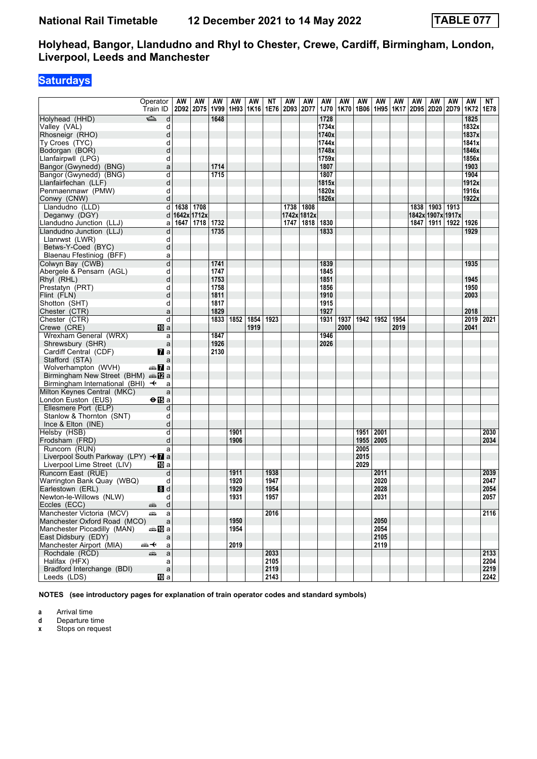# **Saturdays**

| ک<br>Holyhead (HHD)<br>1648<br>1728<br>1825<br>d<br>1832x<br>Valley (VAL)<br>d<br>1734x<br>d<br>1740x<br>1837x<br>Rhosneigr (RHO)<br>Ty Croes (TYC)<br>d<br>1744x<br>1841x<br>1748x<br>1846x<br>Bodorgan (BOR)<br>d<br>Llanfairpwll (LPG)<br>d<br>1759x<br>1856x<br>1714<br>1807<br>1903<br>Bangor (Gwynedd) (BNG)<br>a<br>1715<br>1904<br>d<br>1807<br>Bangor (Gwynedd) (BNG)<br>d<br>1815x<br>1912x<br>Llanfairfechan (LLF)<br>1916x<br>Penmaenmawr (PMW)<br>d<br>1820x<br>d<br>1826x<br>1922x<br>Conwy (CNW)<br>d<br>1638 1708<br>1738 1808<br>1838   1903   1913<br>Llandudno (LLD)<br>Deganwy (DGY)<br>d<br>1642x 1712x<br>1742x 1812x<br>1842x 1907x 1917x<br>1732<br>1830<br>1847   1911   1922  <br>Llandudno Junction (LLJ)<br>1647<br>1718<br>1747   1818<br>1926<br>a<br>Llandudno Junction (LLJ)<br>d<br>1735<br>1833<br>1929<br>Llanrwst (LWR)<br>d<br>d<br>Betws-Y-Coed (BYC)<br>Blaenau Ffestiniog (BFF)<br>a<br>d<br>Colwyn Bay (CWB)<br>1741<br>1839<br>1935<br>1747<br>Abergele & Pensarn (AGL)<br>d<br>1845<br>d<br>1753<br>1851<br>1945<br>Rhyl (RHL)<br>1758<br>1950<br>Prestatyn (PRT)<br>d<br>1856<br>1811<br>d<br>1910<br>2003<br>Flint (FLN)<br>1817<br>Shotton (SHT)<br>d<br>1915<br>1829<br>1927<br>Chester (CTR)<br>a<br>2018<br>1852<br>1952<br>Chester (CTR)<br>d<br>1833<br>1854<br>1923<br>1931<br>1937<br>1942<br>1954<br>2019 2021<br>2041<br>Crewe (CRE)<br>10 a<br>1919<br>2000<br>2019<br>Wrexham General (WRX)<br>1847<br>1946<br>a<br>1926<br>Shrewsbury (SHR)<br>2026<br>a<br>$\overline{a}$ a<br>2130<br>Cardiff Central (CDF)<br>Stafford (STA)<br>a<br>nna <mark>7</mark> a<br>Wolverhampton (WVH)<br>Birmingham New Street (BHM) $\triangleq 2$ a<br>Birmingham International (BHI) $\rightarrow$<br>a<br>Milton Keynes Central (MKC)<br>a<br>$\Theta$ $\mathbb{E}$ a<br>London Euston (EUS)<br>Ellesmere Port (ELP)<br>d<br>Stanlow & Thornton (SNT)<br>d<br>Ince & Elton (INE)<br>d<br>d<br>1901<br>2001<br>2030<br>Helsby (HSB)<br>1951<br>d<br>1906<br>1955<br>2005<br>2034<br>Frodsham (FRD)<br>Runcorn (RUN)<br>2005<br>a<br>Liverpool South Parkway (LPY) – <del>√</del> a<br>2015<br>2029<br>Liverpool Lime Street (LIV)<br>100 a<br>1938<br>2039<br>Runcorn East (RUE)<br>d<br>1911<br>2011<br>1920<br>1947<br>2020<br>2047<br>d<br>Warrington Bank Quay (WBQ)<br>1929<br>1954<br>2028<br>2054<br>8d<br>Earlestown (ERL)<br>2031<br>2057<br>Newton-le-Willows (NLW)<br>d<br>1931<br>1957<br>$\mathsf{d}$<br>Eccles (ECC)<br>æ.<br>Manchester Victoria (MCV)<br>2016<br>2116<br>æ<br>a<br>Manchester Oxford Road (MCO)<br>1950<br>2050<br> a <br>2054<br>Manchester Piccadilly (MAN)<br>⇔≞llDia<br>1954<br>2105<br>East Didsbury (EDY)<br>a<br>2019<br>2119<br>Manchester Airport (MIA)<br>∱⊯<br>$\mathsf{a}$<br>Rochdale (RCD)<br>$\mathsf{a}$<br>2033<br>2133<br>پېښتنه<br>2105<br>2204<br>Halifax (HFX)<br>a<br>Bradford Interchange (BDI)<br>$\mathsf{a}$<br>2119<br>2219<br>Leeds (LDS)<br>[[] a<br>2143<br>2242 | Operator<br>Train ID | AW | AW<br>2D92 2D75 | AW<br>  1V99 | AW | AW | ΝT | AW<br>1H93   1K16   1E76   2D93   2D77 | AW | AW<br><b>1J70</b> | AW<br>1K70 | AW<br>1B06 | AW | AW<br>1H95 1K17 2D95 2D20 2D79 | AW | AW | AW | AW<br>1K72 1E78 | NΤ |
|---------------------------------------------------------------------------------------------------------------------------------------------------------------------------------------------------------------------------------------------------------------------------------------------------------------------------------------------------------------------------------------------------------------------------------------------------------------------------------------------------------------------------------------------------------------------------------------------------------------------------------------------------------------------------------------------------------------------------------------------------------------------------------------------------------------------------------------------------------------------------------------------------------------------------------------------------------------------------------------------------------------------------------------------------------------------------------------------------------------------------------------------------------------------------------------------------------------------------------------------------------------------------------------------------------------------------------------------------------------------------------------------------------------------------------------------------------------------------------------------------------------------------------------------------------------------------------------------------------------------------------------------------------------------------------------------------------------------------------------------------------------------------------------------------------------------------------------------------------------------------------------------------------------------------------------------------------------------------------------------------------------------------------------------------------------------------------------------------------------------------------------------------------------------------------------------------------------------------------------------------------------------------------------------------------------------------------------------------------------------------------------------------------------------------------------------------------------------------------------------------------------------------------------------------------------------------------------------------------------------------------------------------------------------------------------------------------------------------------------------------------------------------------------------------------------------------------------------------------------------------------------------------------------------------------------------------------------------------|----------------------|----|-----------------|--------------|----|----|----|----------------------------------------|----|-------------------|------------|------------|----|--------------------------------|----|----|----|-----------------|----|
|                                                                                                                                                                                                                                                                                                                                                                                                                                                                                                                                                                                                                                                                                                                                                                                                                                                                                                                                                                                                                                                                                                                                                                                                                                                                                                                                                                                                                                                                                                                                                                                                                                                                                                                                                                                                                                                                                                                                                                                                                                                                                                                                                                                                                                                                                                                                                                                                                                                                                                                                                                                                                                                                                                                                                                                                                                                                                                                                                                           |                      |    |                 |              |    |    |    |                                        |    |                   |            |            |    |                                |    |    |    |                 |    |
|                                                                                                                                                                                                                                                                                                                                                                                                                                                                                                                                                                                                                                                                                                                                                                                                                                                                                                                                                                                                                                                                                                                                                                                                                                                                                                                                                                                                                                                                                                                                                                                                                                                                                                                                                                                                                                                                                                                                                                                                                                                                                                                                                                                                                                                                                                                                                                                                                                                                                                                                                                                                                                                                                                                                                                                                                                                                                                                                                                           |                      |    |                 |              |    |    |    |                                        |    |                   |            |            |    |                                |    |    |    |                 |    |
|                                                                                                                                                                                                                                                                                                                                                                                                                                                                                                                                                                                                                                                                                                                                                                                                                                                                                                                                                                                                                                                                                                                                                                                                                                                                                                                                                                                                                                                                                                                                                                                                                                                                                                                                                                                                                                                                                                                                                                                                                                                                                                                                                                                                                                                                                                                                                                                                                                                                                                                                                                                                                                                                                                                                                                                                                                                                                                                                                                           |                      |    |                 |              |    |    |    |                                        |    |                   |            |            |    |                                |    |    |    |                 |    |
|                                                                                                                                                                                                                                                                                                                                                                                                                                                                                                                                                                                                                                                                                                                                                                                                                                                                                                                                                                                                                                                                                                                                                                                                                                                                                                                                                                                                                                                                                                                                                                                                                                                                                                                                                                                                                                                                                                                                                                                                                                                                                                                                                                                                                                                                                                                                                                                                                                                                                                                                                                                                                                                                                                                                                                                                                                                                                                                                                                           |                      |    |                 |              |    |    |    |                                        |    |                   |            |            |    |                                |    |    |    |                 |    |
|                                                                                                                                                                                                                                                                                                                                                                                                                                                                                                                                                                                                                                                                                                                                                                                                                                                                                                                                                                                                                                                                                                                                                                                                                                                                                                                                                                                                                                                                                                                                                                                                                                                                                                                                                                                                                                                                                                                                                                                                                                                                                                                                                                                                                                                                                                                                                                                                                                                                                                                                                                                                                                                                                                                                                                                                                                                                                                                                                                           |                      |    |                 |              |    |    |    |                                        |    |                   |            |            |    |                                |    |    |    |                 |    |
|                                                                                                                                                                                                                                                                                                                                                                                                                                                                                                                                                                                                                                                                                                                                                                                                                                                                                                                                                                                                                                                                                                                                                                                                                                                                                                                                                                                                                                                                                                                                                                                                                                                                                                                                                                                                                                                                                                                                                                                                                                                                                                                                                                                                                                                                                                                                                                                                                                                                                                                                                                                                                                                                                                                                                                                                                                                                                                                                                                           |                      |    |                 |              |    |    |    |                                        |    |                   |            |            |    |                                |    |    |    |                 |    |
|                                                                                                                                                                                                                                                                                                                                                                                                                                                                                                                                                                                                                                                                                                                                                                                                                                                                                                                                                                                                                                                                                                                                                                                                                                                                                                                                                                                                                                                                                                                                                                                                                                                                                                                                                                                                                                                                                                                                                                                                                                                                                                                                                                                                                                                                                                                                                                                                                                                                                                                                                                                                                                                                                                                                                                                                                                                                                                                                                                           |                      |    |                 |              |    |    |    |                                        |    |                   |            |            |    |                                |    |    |    |                 |    |
|                                                                                                                                                                                                                                                                                                                                                                                                                                                                                                                                                                                                                                                                                                                                                                                                                                                                                                                                                                                                                                                                                                                                                                                                                                                                                                                                                                                                                                                                                                                                                                                                                                                                                                                                                                                                                                                                                                                                                                                                                                                                                                                                                                                                                                                                                                                                                                                                                                                                                                                                                                                                                                                                                                                                                                                                                                                                                                                                                                           |                      |    |                 |              |    |    |    |                                        |    |                   |            |            |    |                                |    |    |    |                 |    |
|                                                                                                                                                                                                                                                                                                                                                                                                                                                                                                                                                                                                                                                                                                                                                                                                                                                                                                                                                                                                                                                                                                                                                                                                                                                                                                                                                                                                                                                                                                                                                                                                                                                                                                                                                                                                                                                                                                                                                                                                                                                                                                                                                                                                                                                                                                                                                                                                                                                                                                                                                                                                                                                                                                                                                                                                                                                                                                                                                                           |                      |    |                 |              |    |    |    |                                        |    |                   |            |            |    |                                |    |    |    |                 |    |
|                                                                                                                                                                                                                                                                                                                                                                                                                                                                                                                                                                                                                                                                                                                                                                                                                                                                                                                                                                                                                                                                                                                                                                                                                                                                                                                                                                                                                                                                                                                                                                                                                                                                                                                                                                                                                                                                                                                                                                                                                                                                                                                                                                                                                                                                                                                                                                                                                                                                                                                                                                                                                                                                                                                                                                                                                                                                                                                                                                           |                      |    |                 |              |    |    |    |                                        |    |                   |            |            |    |                                |    |    |    |                 |    |
|                                                                                                                                                                                                                                                                                                                                                                                                                                                                                                                                                                                                                                                                                                                                                                                                                                                                                                                                                                                                                                                                                                                                                                                                                                                                                                                                                                                                                                                                                                                                                                                                                                                                                                                                                                                                                                                                                                                                                                                                                                                                                                                                                                                                                                                                                                                                                                                                                                                                                                                                                                                                                                                                                                                                                                                                                                                                                                                                                                           |                      |    |                 |              |    |    |    |                                        |    |                   |            |            |    |                                |    |    |    |                 |    |
|                                                                                                                                                                                                                                                                                                                                                                                                                                                                                                                                                                                                                                                                                                                                                                                                                                                                                                                                                                                                                                                                                                                                                                                                                                                                                                                                                                                                                                                                                                                                                                                                                                                                                                                                                                                                                                                                                                                                                                                                                                                                                                                                                                                                                                                                                                                                                                                                                                                                                                                                                                                                                                                                                                                                                                                                                                                                                                                                                                           |                      |    |                 |              |    |    |    |                                        |    |                   |            |            |    |                                |    |    |    |                 |    |
|                                                                                                                                                                                                                                                                                                                                                                                                                                                                                                                                                                                                                                                                                                                                                                                                                                                                                                                                                                                                                                                                                                                                                                                                                                                                                                                                                                                                                                                                                                                                                                                                                                                                                                                                                                                                                                                                                                                                                                                                                                                                                                                                                                                                                                                                                                                                                                                                                                                                                                                                                                                                                                                                                                                                                                                                                                                                                                                                                                           |                      |    |                 |              |    |    |    |                                        |    |                   |            |            |    |                                |    |    |    |                 |    |
|                                                                                                                                                                                                                                                                                                                                                                                                                                                                                                                                                                                                                                                                                                                                                                                                                                                                                                                                                                                                                                                                                                                                                                                                                                                                                                                                                                                                                                                                                                                                                                                                                                                                                                                                                                                                                                                                                                                                                                                                                                                                                                                                                                                                                                                                                                                                                                                                                                                                                                                                                                                                                                                                                                                                                                                                                                                                                                                                                                           |                      |    |                 |              |    |    |    |                                        |    |                   |            |            |    |                                |    |    |    |                 |    |
|                                                                                                                                                                                                                                                                                                                                                                                                                                                                                                                                                                                                                                                                                                                                                                                                                                                                                                                                                                                                                                                                                                                                                                                                                                                                                                                                                                                                                                                                                                                                                                                                                                                                                                                                                                                                                                                                                                                                                                                                                                                                                                                                                                                                                                                                                                                                                                                                                                                                                                                                                                                                                                                                                                                                                                                                                                                                                                                                                                           |                      |    |                 |              |    |    |    |                                        |    |                   |            |            |    |                                |    |    |    |                 |    |
|                                                                                                                                                                                                                                                                                                                                                                                                                                                                                                                                                                                                                                                                                                                                                                                                                                                                                                                                                                                                                                                                                                                                                                                                                                                                                                                                                                                                                                                                                                                                                                                                                                                                                                                                                                                                                                                                                                                                                                                                                                                                                                                                                                                                                                                                                                                                                                                                                                                                                                                                                                                                                                                                                                                                                                                                                                                                                                                                                                           |                      |    |                 |              |    |    |    |                                        |    |                   |            |            |    |                                |    |    |    |                 |    |
|                                                                                                                                                                                                                                                                                                                                                                                                                                                                                                                                                                                                                                                                                                                                                                                                                                                                                                                                                                                                                                                                                                                                                                                                                                                                                                                                                                                                                                                                                                                                                                                                                                                                                                                                                                                                                                                                                                                                                                                                                                                                                                                                                                                                                                                                                                                                                                                                                                                                                                                                                                                                                                                                                                                                                                                                                                                                                                                                                                           |                      |    |                 |              |    |    |    |                                        |    |                   |            |            |    |                                |    |    |    |                 |    |
|                                                                                                                                                                                                                                                                                                                                                                                                                                                                                                                                                                                                                                                                                                                                                                                                                                                                                                                                                                                                                                                                                                                                                                                                                                                                                                                                                                                                                                                                                                                                                                                                                                                                                                                                                                                                                                                                                                                                                                                                                                                                                                                                                                                                                                                                                                                                                                                                                                                                                                                                                                                                                                                                                                                                                                                                                                                                                                                                                                           |                      |    |                 |              |    |    |    |                                        |    |                   |            |            |    |                                |    |    |    |                 |    |
|                                                                                                                                                                                                                                                                                                                                                                                                                                                                                                                                                                                                                                                                                                                                                                                                                                                                                                                                                                                                                                                                                                                                                                                                                                                                                                                                                                                                                                                                                                                                                                                                                                                                                                                                                                                                                                                                                                                                                                                                                                                                                                                                                                                                                                                                                                                                                                                                                                                                                                                                                                                                                                                                                                                                                                                                                                                                                                                                                                           |                      |    |                 |              |    |    |    |                                        |    |                   |            |            |    |                                |    |    |    |                 |    |
|                                                                                                                                                                                                                                                                                                                                                                                                                                                                                                                                                                                                                                                                                                                                                                                                                                                                                                                                                                                                                                                                                                                                                                                                                                                                                                                                                                                                                                                                                                                                                                                                                                                                                                                                                                                                                                                                                                                                                                                                                                                                                                                                                                                                                                                                                                                                                                                                                                                                                                                                                                                                                                                                                                                                                                                                                                                                                                                                                                           |                      |    |                 |              |    |    |    |                                        |    |                   |            |            |    |                                |    |    |    |                 |    |
|                                                                                                                                                                                                                                                                                                                                                                                                                                                                                                                                                                                                                                                                                                                                                                                                                                                                                                                                                                                                                                                                                                                                                                                                                                                                                                                                                                                                                                                                                                                                                                                                                                                                                                                                                                                                                                                                                                                                                                                                                                                                                                                                                                                                                                                                                                                                                                                                                                                                                                                                                                                                                                                                                                                                                                                                                                                                                                                                                                           |                      |    |                 |              |    |    |    |                                        |    |                   |            |            |    |                                |    |    |    |                 |    |
|                                                                                                                                                                                                                                                                                                                                                                                                                                                                                                                                                                                                                                                                                                                                                                                                                                                                                                                                                                                                                                                                                                                                                                                                                                                                                                                                                                                                                                                                                                                                                                                                                                                                                                                                                                                                                                                                                                                                                                                                                                                                                                                                                                                                                                                                                                                                                                                                                                                                                                                                                                                                                                                                                                                                                                                                                                                                                                                                                                           |                      |    |                 |              |    |    |    |                                        |    |                   |            |            |    |                                |    |    |    |                 |    |
|                                                                                                                                                                                                                                                                                                                                                                                                                                                                                                                                                                                                                                                                                                                                                                                                                                                                                                                                                                                                                                                                                                                                                                                                                                                                                                                                                                                                                                                                                                                                                                                                                                                                                                                                                                                                                                                                                                                                                                                                                                                                                                                                                                                                                                                                                                                                                                                                                                                                                                                                                                                                                                                                                                                                                                                                                                                                                                                                                                           |                      |    |                 |              |    |    |    |                                        |    |                   |            |            |    |                                |    |    |    |                 |    |
|                                                                                                                                                                                                                                                                                                                                                                                                                                                                                                                                                                                                                                                                                                                                                                                                                                                                                                                                                                                                                                                                                                                                                                                                                                                                                                                                                                                                                                                                                                                                                                                                                                                                                                                                                                                                                                                                                                                                                                                                                                                                                                                                                                                                                                                                                                                                                                                                                                                                                                                                                                                                                                                                                                                                                                                                                                                                                                                                                                           |                      |    |                 |              |    |    |    |                                        |    |                   |            |            |    |                                |    |    |    |                 |    |
|                                                                                                                                                                                                                                                                                                                                                                                                                                                                                                                                                                                                                                                                                                                                                                                                                                                                                                                                                                                                                                                                                                                                                                                                                                                                                                                                                                                                                                                                                                                                                                                                                                                                                                                                                                                                                                                                                                                                                                                                                                                                                                                                                                                                                                                                                                                                                                                                                                                                                                                                                                                                                                                                                                                                                                                                                                                                                                                                                                           |                      |    |                 |              |    |    |    |                                        |    |                   |            |            |    |                                |    |    |    |                 |    |
|                                                                                                                                                                                                                                                                                                                                                                                                                                                                                                                                                                                                                                                                                                                                                                                                                                                                                                                                                                                                                                                                                                                                                                                                                                                                                                                                                                                                                                                                                                                                                                                                                                                                                                                                                                                                                                                                                                                                                                                                                                                                                                                                                                                                                                                                                                                                                                                                                                                                                                                                                                                                                                                                                                                                                                                                                                                                                                                                                                           |                      |    |                 |              |    |    |    |                                        |    |                   |            |            |    |                                |    |    |    |                 |    |
|                                                                                                                                                                                                                                                                                                                                                                                                                                                                                                                                                                                                                                                                                                                                                                                                                                                                                                                                                                                                                                                                                                                                                                                                                                                                                                                                                                                                                                                                                                                                                                                                                                                                                                                                                                                                                                                                                                                                                                                                                                                                                                                                                                                                                                                                                                                                                                                                                                                                                                                                                                                                                                                                                                                                                                                                                                                                                                                                                                           |                      |    |                 |              |    |    |    |                                        |    |                   |            |            |    |                                |    |    |    |                 |    |
|                                                                                                                                                                                                                                                                                                                                                                                                                                                                                                                                                                                                                                                                                                                                                                                                                                                                                                                                                                                                                                                                                                                                                                                                                                                                                                                                                                                                                                                                                                                                                                                                                                                                                                                                                                                                                                                                                                                                                                                                                                                                                                                                                                                                                                                                                                                                                                                                                                                                                                                                                                                                                                                                                                                                                                                                                                                                                                                                                                           |                      |    |                 |              |    |    |    |                                        |    |                   |            |            |    |                                |    |    |    |                 |    |
|                                                                                                                                                                                                                                                                                                                                                                                                                                                                                                                                                                                                                                                                                                                                                                                                                                                                                                                                                                                                                                                                                                                                                                                                                                                                                                                                                                                                                                                                                                                                                                                                                                                                                                                                                                                                                                                                                                                                                                                                                                                                                                                                                                                                                                                                                                                                                                                                                                                                                                                                                                                                                                                                                                                                                                                                                                                                                                                                                                           |                      |    |                 |              |    |    |    |                                        |    |                   |            |            |    |                                |    |    |    |                 |    |
|                                                                                                                                                                                                                                                                                                                                                                                                                                                                                                                                                                                                                                                                                                                                                                                                                                                                                                                                                                                                                                                                                                                                                                                                                                                                                                                                                                                                                                                                                                                                                                                                                                                                                                                                                                                                                                                                                                                                                                                                                                                                                                                                                                                                                                                                                                                                                                                                                                                                                                                                                                                                                                                                                                                                                                                                                                                                                                                                                                           |                      |    |                 |              |    |    |    |                                        |    |                   |            |            |    |                                |    |    |    |                 |    |
|                                                                                                                                                                                                                                                                                                                                                                                                                                                                                                                                                                                                                                                                                                                                                                                                                                                                                                                                                                                                                                                                                                                                                                                                                                                                                                                                                                                                                                                                                                                                                                                                                                                                                                                                                                                                                                                                                                                                                                                                                                                                                                                                                                                                                                                                                                                                                                                                                                                                                                                                                                                                                                                                                                                                                                                                                                                                                                                                                                           |                      |    |                 |              |    |    |    |                                        |    |                   |            |            |    |                                |    |    |    |                 |    |
|                                                                                                                                                                                                                                                                                                                                                                                                                                                                                                                                                                                                                                                                                                                                                                                                                                                                                                                                                                                                                                                                                                                                                                                                                                                                                                                                                                                                                                                                                                                                                                                                                                                                                                                                                                                                                                                                                                                                                                                                                                                                                                                                                                                                                                                                                                                                                                                                                                                                                                                                                                                                                                                                                                                                                                                                                                                                                                                                                                           |                      |    |                 |              |    |    |    |                                        |    |                   |            |            |    |                                |    |    |    |                 |    |
|                                                                                                                                                                                                                                                                                                                                                                                                                                                                                                                                                                                                                                                                                                                                                                                                                                                                                                                                                                                                                                                                                                                                                                                                                                                                                                                                                                                                                                                                                                                                                                                                                                                                                                                                                                                                                                                                                                                                                                                                                                                                                                                                                                                                                                                                                                                                                                                                                                                                                                                                                                                                                                                                                                                                                                                                                                                                                                                                                                           |                      |    |                 |              |    |    |    |                                        |    |                   |            |            |    |                                |    |    |    |                 |    |
|                                                                                                                                                                                                                                                                                                                                                                                                                                                                                                                                                                                                                                                                                                                                                                                                                                                                                                                                                                                                                                                                                                                                                                                                                                                                                                                                                                                                                                                                                                                                                                                                                                                                                                                                                                                                                                                                                                                                                                                                                                                                                                                                                                                                                                                                                                                                                                                                                                                                                                                                                                                                                                                                                                                                                                                                                                                                                                                                                                           |                      |    |                 |              |    |    |    |                                        |    |                   |            |            |    |                                |    |    |    |                 |    |
|                                                                                                                                                                                                                                                                                                                                                                                                                                                                                                                                                                                                                                                                                                                                                                                                                                                                                                                                                                                                                                                                                                                                                                                                                                                                                                                                                                                                                                                                                                                                                                                                                                                                                                                                                                                                                                                                                                                                                                                                                                                                                                                                                                                                                                                                                                                                                                                                                                                                                                                                                                                                                                                                                                                                                                                                                                                                                                                                                                           |                      |    |                 |              |    |    |    |                                        |    |                   |            |            |    |                                |    |    |    |                 |    |
|                                                                                                                                                                                                                                                                                                                                                                                                                                                                                                                                                                                                                                                                                                                                                                                                                                                                                                                                                                                                                                                                                                                                                                                                                                                                                                                                                                                                                                                                                                                                                                                                                                                                                                                                                                                                                                                                                                                                                                                                                                                                                                                                                                                                                                                                                                                                                                                                                                                                                                                                                                                                                                                                                                                                                                                                                                                                                                                                                                           |                      |    |                 |              |    |    |    |                                        |    |                   |            |            |    |                                |    |    |    |                 |    |
|                                                                                                                                                                                                                                                                                                                                                                                                                                                                                                                                                                                                                                                                                                                                                                                                                                                                                                                                                                                                                                                                                                                                                                                                                                                                                                                                                                                                                                                                                                                                                                                                                                                                                                                                                                                                                                                                                                                                                                                                                                                                                                                                                                                                                                                                                                                                                                                                                                                                                                                                                                                                                                                                                                                                                                                                                                                                                                                                                                           |                      |    |                 |              |    |    |    |                                        |    |                   |            |            |    |                                |    |    |    |                 |    |
|                                                                                                                                                                                                                                                                                                                                                                                                                                                                                                                                                                                                                                                                                                                                                                                                                                                                                                                                                                                                                                                                                                                                                                                                                                                                                                                                                                                                                                                                                                                                                                                                                                                                                                                                                                                                                                                                                                                                                                                                                                                                                                                                                                                                                                                                                                                                                                                                                                                                                                                                                                                                                                                                                                                                                                                                                                                                                                                                                                           |                      |    |                 |              |    |    |    |                                        |    |                   |            |            |    |                                |    |    |    |                 |    |
|                                                                                                                                                                                                                                                                                                                                                                                                                                                                                                                                                                                                                                                                                                                                                                                                                                                                                                                                                                                                                                                                                                                                                                                                                                                                                                                                                                                                                                                                                                                                                                                                                                                                                                                                                                                                                                                                                                                                                                                                                                                                                                                                                                                                                                                                                                                                                                                                                                                                                                                                                                                                                                                                                                                                                                                                                                                                                                                                                                           |                      |    |                 |              |    |    |    |                                        |    |                   |            |            |    |                                |    |    |    |                 |    |
|                                                                                                                                                                                                                                                                                                                                                                                                                                                                                                                                                                                                                                                                                                                                                                                                                                                                                                                                                                                                                                                                                                                                                                                                                                                                                                                                                                                                                                                                                                                                                                                                                                                                                                                                                                                                                                                                                                                                                                                                                                                                                                                                                                                                                                                                                                                                                                                                                                                                                                                                                                                                                                                                                                                                                                                                                                                                                                                                                                           |                      |    |                 |              |    |    |    |                                        |    |                   |            |            |    |                                |    |    |    |                 |    |
|                                                                                                                                                                                                                                                                                                                                                                                                                                                                                                                                                                                                                                                                                                                                                                                                                                                                                                                                                                                                                                                                                                                                                                                                                                                                                                                                                                                                                                                                                                                                                                                                                                                                                                                                                                                                                                                                                                                                                                                                                                                                                                                                                                                                                                                                                                                                                                                                                                                                                                                                                                                                                                                                                                                                                                                                                                                                                                                                                                           |                      |    |                 |              |    |    |    |                                        |    |                   |            |            |    |                                |    |    |    |                 |    |
|                                                                                                                                                                                                                                                                                                                                                                                                                                                                                                                                                                                                                                                                                                                                                                                                                                                                                                                                                                                                                                                                                                                                                                                                                                                                                                                                                                                                                                                                                                                                                                                                                                                                                                                                                                                                                                                                                                                                                                                                                                                                                                                                                                                                                                                                                                                                                                                                                                                                                                                                                                                                                                                                                                                                                                                                                                                                                                                                                                           |                      |    |                 |              |    |    |    |                                        |    |                   |            |            |    |                                |    |    |    |                 |    |
|                                                                                                                                                                                                                                                                                                                                                                                                                                                                                                                                                                                                                                                                                                                                                                                                                                                                                                                                                                                                                                                                                                                                                                                                                                                                                                                                                                                                                                                                                                                                                                                                                                                                                                                                                                                                                                                                                                                                                                                                                                                                                                                                                                                                                                                                                                                                                                                                                                                                                                                                                                                                                                                                                                                                                                                                                                                                                                                                                                           |                      |    |                 |              |    |    |    |                                        |    |                   |            |            |    |                                |    |    |    |                 |    |
|                                                                                                                                                                                                                                                                                                                                                                                                                                                                                                                                                                                                                                                                                                                                                                                                                                                                                                                                                                                                                                                                                                                                                                                                                                                                                                                                                                                                                                                                                                                                                                                                                                                                                                                                                                                                                                                                                                                                                                                                                                                                                                                                                                                                                                                                                                                                                                                                                                                                                                                                                                                                                                                                                                                                                                                                                                                                                                                                                                           |                      |    |                 |              |    |    |    |                                        |    |                   |            |            |    |                                |    |    |    |                 |    |
|                                                                                                                                                                                                                                                                                                                                                                                                                                                                                                                                                                                                                                                                                                                                                                                                                                                                                                                                                                                                                                                                                                                                                                                                                                                                                                                                                                                                                                                                                                                                                                                                                                                                                                                                                                                                                                                                                                                                                                                                                                                                                                                                                                                                                                                                                                                                                                                                                                                                                                                                                                                                                                                                                                                                                                                                                                                                                                                                                                           |                      |    |                 |              |    |    |    |                                        |    |                   |            |            |    |                                |    |    |    |                 |    |
|                                                                                                                                                                                                                                                                                                                                                                                                                                                                                                                                                                                                                                                                                                                                                                                                                                                                                                                                                                                                                                                                                                                                                                                                                                                                                                                                                                                                                                                                                                                                                                                                                                                                                                                                                                                                                                                                                                                                                                                                                                                                                                                                                                                                                                                                                                                                                                                                                                                                                                                                                                                                                                                                                                                                                                                                                                                                                                                                                                           |                      |    |                 |              |    |    |    |                                        |    |                   |            |            |    |                                |    |    |    |                 |    |
|                                                                                                                                                                                                                                                                                                                                                                                                                                                                                                                                                                                                                                                                                                                                                                                                                                                                                                                                                                                                                                                                                                                                                                                                                                                                                                                                                                                                                                                                                                                                                                                                                                                                                                                                                                                                                                                                                                                                                                                                                                                                                                                                                                                                                                                                                                                                                                                                                                                                                                                                                                                                                                                                                                                                                                                                                                                                                                                                                                           |                      |    |                 |              |    |    |    |                                        |    |                   |            |            |    |                                |    |    |    |                 |    |
|                                                                                                                                                                                                                                                                                                                                                                                                                                                                                                                                                                                                                                                                                                                                                                                                                                                                                                                                                                                                                                                                                                                                                                                                                                                                                                                                                                                                                                                                                                                                                                                                                                                                                                                                                                                                                                                                                                                                                                                                                                                                                                                                                                                                                                                                                                                                                                                                                                                                                                                                                                                                                                                                                                                                                                                                                                                                                                                                                                           |                      |    |                 |              |    |    |    |                                        |    |                   |            |            |    |                                |    |    |    |                 |    |
|                                                                                                                                                                                                                                                                                                                                                                                                                                                                                                                                                                                                                                                                                                                                                                                                                                                                                                                                                                                                                                                                                                                                                                                                                                                                                                                                                                                                                                                                                                                                                                                                                                                                                                                                                                                                                                                                                                                                                                                                                                                                                                                                                                                                                                                                                                                                                                                                                                                                                                                                                                                                                                                                                                                                                                                                                                                                                                                                                                           |                      |    |                 |              |    |    |    |                                        |    |                   |            |            |    |                                |    |    |    |                 |    |
|                                                                                                                                                                                                                                                                                                                                                                                                                                                                                                                                                                                                                                                                                                                                                                                                                                                                                                                                                                                                                                                                                                                                                                                                                                                                                                                                                                                                                                                                                                                                                                                                                                                                                                                                                                                                                                                                                                                                                                                                                                                                                                                                                                                                                                                                                                                                                                                                                                                                                                                                                                                                                                                                                                                                                                                                                                                                                                                                                                           |                      |    |                 |              |    |    |    |                                        |    |                   |            |            |    |                                |    |    |    |                 |    |
|                                                                                                                                                                                                                                                                                                                                                                                                                                                                                                                                                                                                                                                                                                                                                                                                                                                                                                                                                                                                                                                                                                                                                                                                                                                                                                                                                                                                                                                                                                                                                                                                                                                                                                                                                                                                                                                                                                                                                                                                                                                                                                                                                                                                                                                                                                                                                                                                                                                                                                                                                                                                                                                                                                                                                                                                                                                                                                                                                                           |                      |    |                 |              |    |    |    |                                        |    |                   |            |            |    |                                |    |    |    |                 |    |
|                                                                                                                                                                                                                                                                                                                                                                                                                                                                                                                                                                                                                                                                                                                                                                                                                                                                                                                                                                                                                                                                                                                                                                                                                                                                                                                                                                                                                                                                                                                                                                                                                                                                                                                                                                                                                                                                                                                                                                                                                                                                                                                                                                                                                                                                                                                                                                                                                                                                                                                                                                                                                                                                                                                                                                                                                                                                                                                                                                           |                      |    |                 |              |    |    |    |                                        |    |                   |            |            |    |                                |    |    |    |                 |    |
|                                                                                                                                                                                                                                                                                                                                                                                                                                                                                                                                                                                                                                                                                                                                                                                                                                                                                                                                                                                                                                                                                                                                                                                                                                                                                                                                                                                                                                                                                                                                                                                                                                                                                                                                                                                                                                                                                                                                                                                                                                                                                                                                                                                                                                                                                                                                                                                                                                                                                                                                                                                                                                                                                                                                                                                                                                                                                                                                                                           |                      |    |                 |              |    |    |    |                                        |    |                   |            |            |    |                                |    |    |    |                 |    |
|                                                                                                                                                                                                                                                                                                                                                                                                                                                                                                                                                                                                                                                                                                                                                                                                                                                                                                                                                                                                                                                                                                                                                                                                                                                                                                                                                                                                                                                                                                                                                                                                                                                                                                                                                                                                                                                                                                                                                                                                                                                                                                                                                                                                                                                                                                                                                                                                                                                                                                                                                                                                                                                                                                                                                                                                                                                                                                                                                                           |                      |    |                 |              |    |    |    |                                        |    |                   |            |            |    |                                |    |    |    |                 |    |
|                                                                                                                                                                                                                                                                                                                                                                                                                                                                                                                                                                                                                                                                                                                                                                                                                                                                                                                                                                                                                                                                                                                                                                                                                                                                                                                                                                                                                                                                                                                                                                                                                                                                                                                                                                                                                                                                                                                                                                                                                                                                                                                                                                                                                                                                                                                                                                                                                                                                                                                                                                                                                                                                                                                                                                                                                                                                                                                                                                           |                      |    |                 |              |    |    |    |                                        |    |                   |            |            |    |                                |    |    |    |                 |    |
|                                                                                                                                                                                                                                                                                                                                                                                                                                                                                                                                                                                                                                                                                                                                                                                                                                                                                                                                                                                                                                                                                                                                                                                                                                                                                                                                                                                                                                                                                                                                                                                                                                                                                                                                                                                                                                                                                                                                                                                                                                                                                                                                                                                                                                                                                                                                                                                                                                                                                                                                                                                                                                                                                                                                                                                                                                                                                                                                                                           |                      |    |                 |              |    |    |    |                                        |    |                   |            |            |    |                                |    |    |    |                 |    |
|                                                                                                                                                                                                                                                                                                                                                                                                                                                                                                                                                                                                                                                                                                                                                                                                                                                                                                                                                                                                                                                                                                                                                                                                                                                                                                                                                                                                                                                                                                                                                                                                                                                                                                                                                                                                                                                                                                                                                                                                                                                                                                                                                                                                                                                                                                                                                                                                                                                                                                                                                                                                                                                                                                                                                                                                                                                                                                                                                                           |                      |    |                 |              |    |    |    |                                        |    |                   |            |            |    |                                |    |    |    |                 |    |
|                                                                                                                                                                                                                                                                                                                                                                                                                                                                                                                                                                                                                                                                                                                                                                                                                                                                                                                                                                                                                                                                                                                                                                                                                                                                                                                                                                                                                                                                                                                                                                                                                                                                                                                                                                                                                                                                                                                                                                                                                                                                                                                                                                                                                                                                                                                                                                                                                                                                                                                                                                                                                                                                                                                                                                                                                                                                                                                                                                           |                      |    |                 |              |    |    |    |                                        |    |                   |            |            |    |                                |    |    |    |                 |    |
|                                                                                                                                                                                                                                                                                                                                                                                                                                                                                                                                                                                                                                                                                                                                                                                                                                                                                                                                                                                                                                                                                                                                                                                                                                                                                                                                                                                                                                                                                                                                                                                                                                                                                                                                                                                                                                                                                                                                                                                                                                                                                                                                                                                                                                                                                                                                                                                                                                                                                                                                                                                                                                                                                                                                                                                                                                                                                                                                                                           |                      |    |                 |              |    |    |    |                                        |    |                   |            |            |    |                                |    |    |    |                 |    |

**NOTES (see introductory pages for explanation of train operator codes and standard symbols)**

**a** Arrival time<br>**d** Departure t

**d** Departure time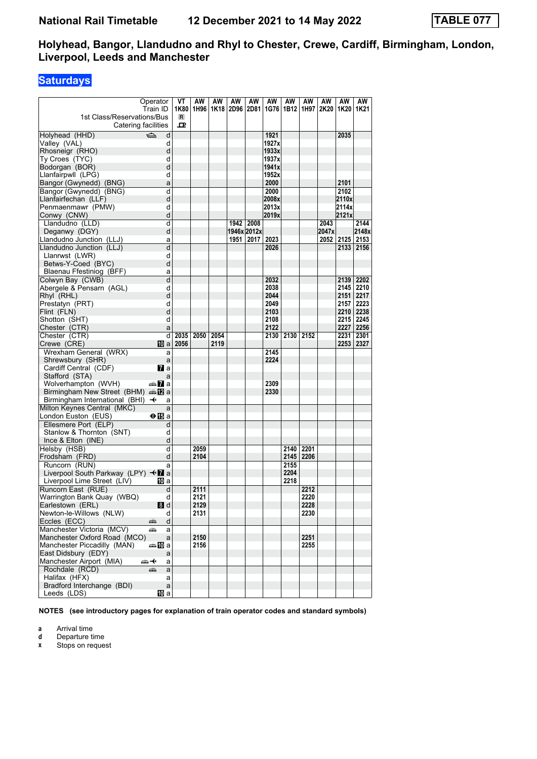### **Saturdays**

| Operator<br>Train ID<br>1st Class/Reservations/Bus               |                             | VT<br>1K80<br>$\blacksquare$ | AW<br>1H96 | AW   | AW   | AW          | AW<br>1K18   2D96   2D81   1G76   1B12   1H97   2K20 | AW   | AW   | AW    | AW<br>1K20   1K21 | AW          |
|------------------------------------------------------------------|-----------------------------|------------------------------|------------|------|------|-------------|------------------------------------------------------|------|------|-------|-------------------|-------------|
| Catering facilities                                              |                             | ᇁ                            |            |      |      |             |                                                      |      |      |       |                   |             |
| $\Rightarrow$<br>Holyhead (HHD)                                  | d                           |                              |            |      |      |             | 1921                                                 |      |      |       | 2035              |             |
| Valley (VAL)                                                     | d                           |                              |            |      |      |             | 1927x                                                |      |      |       |                   |             |
| Rhosneigr (RHO)                                                  | d                           |                              |            |      |      |             | 1933x                                                |      |      |       |                   |             |
| Ty Croes (TYC)                                                   | d                           |                              |            |      |      |             | 1937x                                                |      |      |       |                   |             |
| Bodorgan (BOR)                                                   | d                           |                              |            |      |      |             | 1941x                                                |      |      |       |                   |             |
| Llanfairpwll (LPG)                                               | d                           |                              |            |      |      |             | 1952x                                                |      |      |       |                   |             |
| Bangor (Gwynedd) (BNG)                                           | a                           |                              |            |      |      |             | 2000                                                 |      |      |       | 2101              |             |
| Bangor (Gwynedd) (BNG)                                           | d                           |                              |            |      |      |             | 2000                                                 |      |      |       | 2102              |             |
| Llanfairfechan (LLF)                                             | d                           |                              |            |      |      |             | 2008x                                                |      |      |       | 2110x             |             |
| Penmaenmawr (PMW)                                                | d                           |                              |            |      |      |             | 2013x                                                |      |      |       | 2114x             |             |
| Conwy (CNW)                                                      | d                           |                              |            |      |      |             | 2019x                                                |      |      |       | 2121x             |             |
| Llandudno (LLD)                                                  | d                           |                              |            |      |      | 1942 2008   |                                                      |      |      | 2043  |                   | 2144        |
| Deganwy (DGY)                                                    | d                           |                              |            |      |      | 1946x 2012x |                                                      |      |      | 2047x |                   | 2148x       |
| Llandudno Junction (LLJ)                                         | a                           |                              |            |      | 1951 | 2017        | 2023                                                 |      |      | 2052  | 2125 2153         |             |
| Llandudno Junction (LLJ)                                         | d                           |                              |            |      |      |             | 2026                                                 |      |      |       |                   | 2133   2156 |
| Llanrwst (LWR)                                                   | d                           |                              |            |      |      |             |                                                      |      |      |       |                   |             |
| Betws-Y-Coed (BYC)                                               | d                           |                              |            |      |      |             |                                                      |      |      |       |                   |             |
| Blaenau Ffestiniog (BFF)                                         | a                           |                              |            |      |      |             |                                                      |      |      |       |                   |             |
| Colwyn Bay (CWB)                                                 | d                           |                              |            |      |      |             | 2032                                                 |      |      |       | 2139              | 2202        |
| Abergele & Pensarn (AGL)                                         | d                           |                              |            |      |      |             | 2038                                                 |      |      |       |                   | 2145 2210   |
| Rhyl (RHL)                                                       | d                           |                              |            |      |      |             | 2044                                                 |      |      |       | 2151 2217         |             |
| Prestatyn (PRT)                                                  | d                           |                              |            |      |      |             | 2049                                                 |      |      |       | 2157              | 2223        |
| Flint (FLN)                                                      | d                           |                              |            |      |      |             | 2103                                                 |      |      |       | 2210 2238         |             |
| Shotton (SHT)                                                    | d                           |                              |            |      |      |             | 2108                                                 |      |      |       |                   | 2215 2245   |
| Chester (CTR)                                                    | a                           |                              |            |      |      |             | 2122                                                 |      |      |       |                   | 2227 2256   |
| Chester (CTR)                                                    | d                           | 2035                         | 2050       | 2054 |      |             | 2130                                                 | 2130 | 2152 |       | 2231              | 2301        |
| Crewe (CRE)                                                      | 10 al                       | 2056                         |            | 2119 |      |             |                                                      |      |      |       | 2253   2327       |             |
| Wrexham General (WRX)                                            | a                           |                              |            |      |      |             | 2145                                                 |      |      |       |                   |             |
| Shrewsbury (SHR)                                                 | a                           |                              |            |      |      |             | 2224                                                 |      |      |       |                   |             |
| Cardiff Central (CDF)                                            | <b>7</b> a                  |                              |            |      |      |             |                                                      |      |      |       |                   |             |
| Stafford (STA)                                                   | a                           |                              |            |      |      |             |                                                      |      |      |       |                   |             |
| Wolverhampton (WVH)                                              | anni <mark>a</mark> nni ann |                              |            |      |      |             | 2309                                                 |      |      |       |                   |             |
| Birmingham New Street (BHM) and 2 a                              |                             |                              |            |      |      |             | 2330                                                 |      |      |       |                   |             |
| Birmingham International (BHI) $\rightarrow$                     | a                           |                              |            |      |      |             |                                                      |      |      |       |                   |             |
| Milton Keynes Central (MKC)                                      | a                           |                              |            |      |      |             |                                                      |      |      |       |                   |             |
| London Euston (EUS)                                              | ⊖n⊟a                        |                              |            |      |      |             |                                                      |      |      |       |                   |             |
| Ellesmere Port (ELP)                                             | d                           |                              |            |      |      |             |                                                      |      |      |       |                   |             |
| Stanlow & Thornton (SNT)                                         | d                           |                              |            |      |      |             |                                                      |      |      |       |                   |             |
| Ince & Elton (INE)                                               | d                           |                              |            |      |      |             |                                                      |      |      |       |                   |             |
| Helsby (HSB)                                                     | d                           |                              | 2059       |      |      |             |                                                      | 2140 | 2201 |       |                   |             |
| Frodsham (FRD)                                                   | d                           |                              | 2104       |      |      |             |                                                      | 2145 | 2206 |       |                   |             |
| Runcorn (RUN)                                                    | a                           |                              |            |      |      |             |                                                      | 2155 |      |       |                   |             |
| Liverpool South Parkway (LPY) $\triangleleft$ a                  |                             |                              |            |      |      |             |                                                      | 2204 |      |       |                   |             |
| Liverpool Lime Street (LIV)                                      | 10 a                        |                              |            |      |      |             |                                                      | 2218 |      |       |                   |             |
| Runcorn East (RUE)                                               | d                           |                              | 2111       |      |      |             |                                                      |      | 2212 |       |                   |             |
| Warrington Bank Quay (WBQ)                                       | d                           |                              | 2121       |      |      |             |                                                      |      | 2220 |       |                   |             |
| Earlestown (ERL)                                                 | 8d                          |                              | 2129       |      |      |             |                                                      |      | 2228 |       |                   |             |
| Newton-le-Willows (NLW)                                          | d                           |                              | 2131       |      |      |             |                                                      |      | 2230 |       |                   |             |
| Eccles (ECC)<br>æ                                                | d                           |                              |            |      |      |             |                                                      |      |      |       |                   |             |
| Manchester Victoria (MCV)<br>ه ک<br>Manchester Oxford Road (MCO) | a                           |                              | 2150       |      |      |             |                                                      |      |      |       |                   |             |
|                                                                  | a                           |                              |            |      |      |             |                                                      |      | 2251 |       |                   |             |
| Manchester Piccadilly (MAN)                                      | a≞MDa                       |                              | 2156       |      |      |             |                                                      |      | 2255 |       |                   |             |
| East Didsbury (EDY)<br>Manchester Airport (MIA)                  | a                           |                              |            |      |      |             |                                                      |      |      |       |                   |             |
| 安                                                                | a                           |                              |            |      |      |             |                                                      |      |      |       |                   |             |
| Rochdale (RCD)<br>پېښ<br>Halifax (HFX)                           | a                           |                              |            |      |      |             |                                                      |      |      |       |                   |             |
| Bradford Interchange (BDI)                                       | a                           |                              |            |      |      |             |                                                      |      |      |       |                   |             |
| Leeds (LDS)                                                      | a<br>吅 a                    |                              |            |      |      |             |                                                      |      |      |       |                   |             |
|                                                                  |                             |                              |            |      |      |             |                                                      |      |      |       |                   |             |

**NOTES (see introductory pages for explanation of train operator codes and standard symbols)**

**a** Arrival time<br>**d** Departure t

**d** Departure time<br>**x** Stops on reque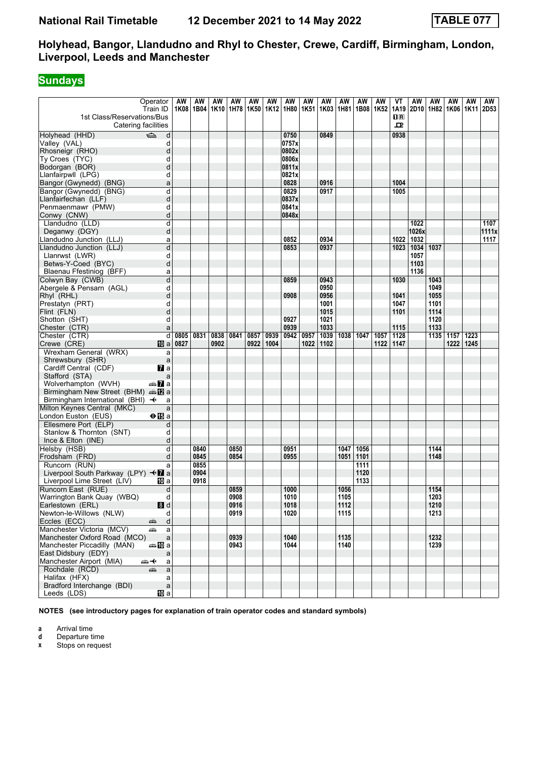# **Sundays**

|                                                                    | Operator                                    | AW   | AW          | ΑW   | AW   | AW   | AW   | AW                               | AW   | AW   | AW        | AW   | AW   | ۷T                                              | AW    | AW   | AW        | AW   | AW    |
|--------------------------------------------------------------------|---------------------------------------------|------|-------------|------|------|------|------|----------------------------------|------|------|-----------|------|------|-------------------------------------------------|-------|------|-----------|------|-------|
|                                                                    | Train ID                                    |      | 1K08   1B04 |      |      |      |      | 1K10   1H78   1K50   1K12   1H80 | 1K51 |      | 1K03 1H81 | 1B08 | 1K52 | 1A19                                            | 2D10  | 1H82 | 1K06 1K11 |      | 2D53  |
| 1st Class/Reservations/Bus                                         |                                             |      |             |      |      |      |      |                                  |      |      |           |      |      | $\overline{\mathbf{H}}$ $\overline{\mathbf{R}}$ |       |      |           |      |       |
| Catering facilities                                                |                                             |      |             |      |      |      |      |                                  |      |      |           |      |      | ᇁ                                               |       |      |           |      |       |
| Holyhead (HHD)                                                     | $\Rightarrow$<br>d                          |      |             |      |      |      |      | 0750                             |      | 0849 |           |      |      | 0938                                            |       |      |           |      |       |
| Valley (VAL)                                                       | d                                           |      |             |      |      |      |      | 0757x                            |      |      |           |      |      |                                                 |       |      |           |      |       |
| Rhosneigr (RHO)                                                    | d                                           |      |             |      |      |      |      | 0802x                            |      |      |           |      |      |                                                 |       |      |           |      |       |
| Ty Croes (TYC)                                                     | d                                           |      |             |      |      |      |      | 0806x                            |      |      |           |      |      |                                                 |       |      |           |      |       |
| Bodorgan (BOR)                                                     | d                                           |      |             |      |      |      |      | 0811x                            |      |      |           |      |      |                                                 |       |      |           |      |       |
| Llanfairpwll (LPG)                                                 | d                                           |      |             |      |      |      |      | 0821x                            |      |      |           |      |      |                                                 |       |      |           |      |       |
| Bangor (Gwynedd) (BNG)                                             | a                                           |      |             |      |      |      |      | 0828                             |      | 0916 |           |      |      | 1004                                            |       |      |           |      |       |
| Bangor (Gwynedd) (BNG)                                             | d                                           |      |             |      |      |      |      | 0829                             |      | 0917 |           |      |      | 1005                                            |       |      |           |      |       |
| Llanfairfechan (LLF)                                               | d                                           |      |             |      |      |      |      | 0837x                            |      |      |           |      |      |                                                 |       |      |           |      |       |
| Penmaenmawr (PMW)                                                  | d                                           |      |             |      |      |      |      | 0841x                            |      |      |           |      |      |                                                 |       |      |           |      |       |
| Conwy (CNW)                                                        | d                                           |      |             |      |      |      |      | 0848x                            |      |      |           |      |      |                                                 |       |      |           |      |       |
| Llandudno (LLD)                                                    | d                                           |      |             |      |      |      |      |                                  |      |      |           |      |      |                                                 | 1022  |      |           |      | 1107  |
| Deganwy (DGY)                                                      | d                                           |      |             |      |      |      |      |                                  |      |      |           |      |      |                                                 | 1026x |      |           |      | 1111x |
| Llandudno Junction (LLJ)                                           | a                                           |      |             |      |      |      |      | 0852                             |      | 0934 |           |      |      | 1022                                            | 1032  |      |           |      | 1117  |
| Llandudno Junction (LLJ)                                           | d                                           |      |             |      |      |      |      | 0853                             |      | 0937 |           |      |      | 1023                                            | 1034  | 1037 |           |      |       |
| Llanrwst (LWR)                                                     | d                                           |      |             |      |      |      |      |                                  |      |      |           |      |      |                                                 | 1057  |      |           |      |       |
| Betws-Y-Coed (BYC)                                                 | d                                           |      |             |      |      |      |      |                                  |      |      |           |      |      |                                                 | 1103  |      |           |      |       |
| Blaenau Ffestiniog (BFF)                                           | a                                           |      |             |      |      |      |      |                                  |      |      |           |      |      |                                                 | 1136  |      |           |      |       |
| Colwyn Bay (CWB)                                                   | d                                           |      |             |      |      |      |      | 0859                             |      | 0943 |           |      |      | 1030                                            |       | 1043 |           |      |       |
| Abergele & Pensarn (AGL)                                           | d                                           |      |             |      |      |      |      |                                  |      | 0950 |           |      |      |                                                 |       | 1049 |           |      |       |
| Rhyl (RHL)                                                         | d                                           |      |             |      |      |      |      | 0908                             |      | 0956 |           |      |      | 1041                                            |       | 1055 |           |      |       |
| Prestatyn (PRT)                                                    | d                                           |      |             |      |      |      |      |                                  |      | 1001 |           |      |      | 1047                                            |       | 1101 |           |      |       |
| Flint (FLN)                                                        | d                                           |      |             |      |      |      |      |                                  |      | 1015 |           |      |      | 1101                                            |       | 1114 |           |      |       |
| Shotton (SHT)                                                      | d                                           |      |             |      |      |      |      | 0927                             |      | 1021 |           |      |      |                                                 |       | 1120 |           |      |       |
| Chester (CTR)                                                      | a                                           |      |             |      |      |      |      | 0939                             |      | 1033 |           |      |      | 1115                                            |       | 1133 |           |      |       |
| Chester (CTR)                                                      | d                                           | 0805 | 0831        | 0838 | 0841 | 0857 | 0939 | 0942                             | 0957 | 1039 | 1038      | 1047 | 1057 | 1128                                            |       | 1135 | 1157      | 1223 |       |
| Crewe (CRE)                                                        | 10 a                                        | 0827 |             | 0902 |      | 0922 | 1004 |                                  | 1022 | 1102 |           |      | 1122 | 1147                                            |       |      | 1222      | 1245 |       |
| Wrexham General (WRX)                                              | a                                           |      |             |      |      |      |      |                                  |      |      |           |      |      |                                                 |       |      |           |      |       |
| Shrewsbury (SHR)                                                   | a                                           |      |             |      |      |      |      |                                  |      |      |           |      |      |                                                 |       |      |           |      |       |
| Cardiff Central (CDF)                                              | <b>7</b> a                                  |      |             |      |      |      |      |                                  |      |      |           |      |      |                                                 |       |      |           |      |       |
| Stafford (STA)                                                     | a                                           |      |             |      |      |      |      |                                  |      |      |           |      |      |                                                 |       |      |           |      |       |
| Wolverhampton (WVH)<br>Birmingham New Street (BHM) and <b>Pa</b> a | anni <mark>7</mark> a                       |      |             |      |      |      |      |                                  |      |      |           |      |      |                                                 |       |      |           |      |       |
| Birmingham International (BHI) $\rightarrow$                       | a                                           |      |             |      |      |      |      |                                  |      |      |           |      |      |                                                 |       |      |           |      |       |
| Milton Keynes Central (MKC)                                        | a                                           |      |             |      |      |      |      |                                  |      |      |           |      |      |                                                 |       |      |           |      |       |
| London Euston (EUS)                                                | $\bigoplus$ a                               |      |             |      |      |      |      |                                  |      |      |           |      |      |                                                 |       |      |           |      |       |
| Ellesmere Port (ELP)                                               | d                                           |      |             |      |      |      |      |                                  |      |      |           |      |      |                                                 |       |      |           |      |       |
| Stanlow & Thornton (SNT)                                           | d                                           |      |             |      |      |      |      |                                  |      |      |           |      |      |                                                 |       |      |           |      |       |
| Ince & Elton (INE)                                                 | d                                           |      |             |      |      |      |      |                                  |      |      |           |      |      |                                                 |       |      |           |      |       |
| Helsby (HSB)                                                       | d                                           |      | 0840        |      | 0850 |      |      | 0951                             |      |      | 1047      | 1056 |      |                                                 |       | 1144 |           |      |       |
| Frodsham (FRD)                                                     | d                                           |      | 0845        |      | 0854 |      |      | 0955                             |      |      | 1051      | 1101 |      |                                                 |       | 1148 |           |      |       |
| Runcorn (RUN)                                                      | a                                           |      | 0855        |      |      |      |      |                                  |      |      |           | 1111 |      |                                                 |       |      |           |      |       |
| Liverpool South Parkway (LPY) $\triangleleft$ a                    |                                             |      | 0904        |      |      |      |      |                                  |      |      |           | 1120 |      |                                                 |       |      |           |      |       |
| Liverpool Lime Street (LIV)                                        | 10 a                                        |      | 0918        |      |      |      |      |                                  |      |      |           | 1133 |      |                                                 |       |      |           |      |       |
| Runcorn East (RUE)                                                 | d                                           |      |             |      | 0859 |      |      | 1000                             |      |      | 1056      |      |      |                                                 |       | 1154 |           |      |       |
| Warrington Bank Quay (WBQ)                                         | d                                           |      |             |      | 0908 |      |      | 1010                             |      |      | 1105      |      |      |                                                 |       | 1203 |           |      |       |
| Earlestown (ERL)                                                   | 8d                                          |      |             |      | 0916 |      |      | 1018                             |      |      | 1112      |      |      |                                                 |       | 1210 |           |      |       |
| Newton-le-Willows (NLW)                                            | d                                           |      |             |      | 0919 |      |      | 1020                             |      |      | 1115      |      |      |                                                 |       | 1213 |           |      |       |
| Eccles (ECC)                                                       | $\mathsf{d}$<br>æbora (m. 1983).<br>Fødsler |      |             |      |      |      |      |                                  |      |      |           |      |      |                                                 |       |      |           |      |       |
| Manchester Victoria (MCV)                                          | æ<br>a                                      |      |             |      |      |      |      |                                  |      |      |           |      |      |                                                 |       |      |           |      |       |
| Manchester Oxford Road (MCO)                                       | $\mathsf{a}$                                |      |             |      | 0939 |      |      | 1040                             |      |      | 1135      |      |      |                                                 |       | 1232 |           |      |       |
| Manchester Piccadilly (MAN)                                        | dana na ma                                  |      |             |      | 0943 |      |      | 1044                             |      |      | 1140      |      |      |                                                 |       | 1239 |           |      |       |
| East Didsbury (EDY)                                                | a                                           |      |             |      |      |      |      |                                  |      |      |           |      |      |                                                 |       |      |           |      |       |
| Manchester Airport (MIA)                                           | <del>๛</del> +<br>a                         |      |             |      |      |      |      |                                  |      |      |           |      |      |                                                 |       |      |           |      |       |
| Rochdale (RCD)                                                     | a<br>æ                                      |      |             |      |      |      |      |                                  |      |      |           |      |      |                                                 |       |      |           |      |       |
| Halifax (HFX)                                                      | a                                           |      |             |      |      |      |      |                                  |      |      |           |      |      |                                                 |       |      |           |      |       |
| Bradford Interchange (BDI)                                         | $\mathsf{a}$                                |      |             |      |      |      |      |                                  |      |      |           |      |      |                                                 |       |      |           |      |       |
| Leeds (LDS)                                                        | 10 a                                        |      |             |      |      |      |      |                                  |      |      |           |      |      |                                                 |       |      |           |      |       |

**NOTES (see introductory pages for explanation of train operator codes and standard symbols)**

**a** Arrival time<br>**d** Departure t

**d** Departure time<br>**x** Stops on reque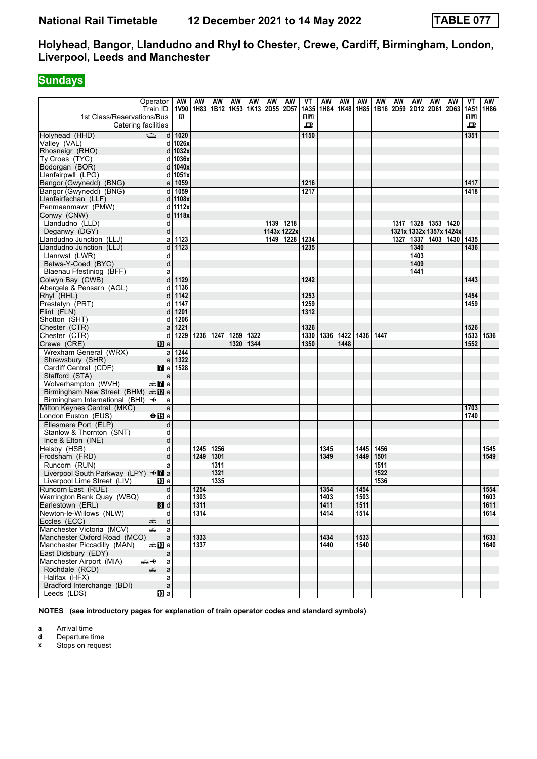# **Sundays**

|                                                   | Operator                                    | AW        | AW   | ΑW   | AW   | AW   | AW                                      | AW        | VT             | AW   | AW   | AW   | AW   | AW   | AW                      | AW                 | AW                            | VT                      | AW   |
|---------------------------------------------------|---------------------------------------------|-----------|------|------|------|------|-----------------------------------------|-----------|----------------|------|------|------|------|------|-------------------------|--------------------|-------------------------------|-------------------------|------|
|                                                   | Train ID                                    | 1V90      |      |      |      |      | 1H83   1B12   1K53   1K13   2D55   2D57 |           | 1A35           | 1H84 | 1K48 | 1H85 |      |      |                         |                    | 1B16 2D59 2D12 2D61 2D63 1A51 |                         | 1H86 |
| 1st Class/Reservations/Bus                        |                                             | R         |      |      |      |      |                                         |           | 1 <sup>R</sup> |      |      |      |      |      |                         |                    |                               | $\overline{\mathbf{R}}$ |      |
| Catering facilities                               |                                             |           |      |      |      |      |                                         |           | 굔              |      |      |      |      |      |                         |                    |                               | 굔                       |      |
| Holyhead (HHD)                                    | $\Rightarrow$<br>d                          | 1020      |      |      |      |      |                                         |           | 1150           |      |      |      |      |      |                         |                    |                               | 1351                    |      |
| Valley (VAL)                                      | d                                           | 1026x     |      |      |      |      |                                         |           |                |      |      |      |      |      |                         |                    |                               |                         |      |
| Rhosneigr (RHO)                                   | d                                           | 1032x     |      |      |      |      |                                         |           |                |      |      |      |      |      |                         |                    |                               |                         |      |
| Ty Croes (TYC)                                    | d                                           | 1036x     |      |      |      |      |                                         |           |                |      |      |      |      |      |                         |                    |                               |                         |      |
| Bodorgan (BOR)                                    | d                                           | 1040x     |      |      |      |      |                                         |           |                |      |      |      |      |      |                         |                    |                               |                         |      |
| Llanfairpwll (LPG)                                |                                             | d 1051x   |      |      |      |      |                                         |           |                |      |      |      |      |      |                         |                    |                               |                         |      |
| Bangor (Gwynedd) (BNG)                            | a                                           | 1059      |      |      |      |      |                                         |           | 1216           |      |      |      |      |      |                         |                    |                               | 1417                    |      |
| Bangor (Gwynedd) (BNG)                            | d                                           | 1059      |      |      |      |      |                                         |           | 1217           |      |      |      |      |      |                         |                    |                               | 1418                    |      |
| Llanfairfechan (LLF)                              |                                             | d   1108x |      |      |      |      |                                         |           |                |      |      |      |      |      |                         |                    |                               |                         |      |
| Penmaenmawr (PMW)                                 |                                             | d 1112x   |      |      |      |      |                                         |           |                |      |      |      |      |      |                         |                    |                               |                         |      |
| Conwy (CNW)                                       |                                             | d   1118x |      |      |      |      |                                         |           |                |      |      |      |      |      |                         |                    |                               |                         |      |
| Llandudno (LLD)                                   | d                                           |           |      |      |      |      | 1139 1218                               |           |                |      |      |      |      | 1317 |                         | 1328   1353   1420 |                               |                         |      |
| Deganwy (DGY)                                     | d                                           |           |      |      |      |      | 1143x 1222x                             |           |                |      |      |      |      |      | 1321x 1332x 1357x 1424x |                    |                               |                         |      |
| Llandudno Junction (LLJ)                          | a                                           | 1123      |      |      |      |      | 1149                                    | 1228 1234 |                |      |      |      |      | 1327 | 1337                    |                    | 1403   1430   1435            |                         |      |
| Llandudno Junction (LLJ)                          | d                                           | 1123      |      |      |      |      |                                         |           | 1235           |      |      |      |      |      | 1340                    |                    |                               | 1436                    |      |
| Llanrwst (LWR)                                    | d                                           |           |      |      |      |      |                                         |           |                |      |      |      |      |      | 1403                    |                    |                               |                         |      |
| Betws-Y-Coed (BYC)                                | d                                           |           |      |      |      |      |                                         |           |                |      |      |      |      |      | 1409                    |                    |                               |                         |      |
| Blaenau Ffestiniog (BFF)                          | a                                           |           |      |      |      |      |                                         |           |                |      |      |      |      |      | 1441                    |                    |                               |                         |      |
| Colwyn Bay (CWB)                                  | d                                           | 1129      |      |      |      |      |                                         |           | 1242           |      |      |      |      |      |                         |                    |                               | 1443                    |      |
| Abergele & Pensarn (AGL)                          | d                                           | 1136      |      |      |      |      |                                         |           |                |      |      |      |      |      |                         |                    |                               |                         |      |
| Rhyl (RHL)                                        | d                                           | 1142      |      |      |      |      |                                         |           | 1253           |      |      |      |      |      |                         |                    |                               | 1454                    |      |
| Prestatyn (PRT)                                   | d                                           | 1147      |      |      |      |      |                                         |           | 1259           |      |      |      |      |      |                         |                    |                               | 1459                    |      |
| Flint (FLN)                                       | d                                           | 1201      |      |      |      |      |                                         |           | 1312           |      |      |      |      |      |                         |                    |                               |                         |      |
| Shotton (SHT)                                     | d                                           | 1206      |      |      |      |      |                                         |           |                |      |      |      |      |      |                         |                    |                               |                         |      |
| Chester (CTR)                                     | a                                           | 1221      |      |      |      |      |                                         |           | 1326           |      |      |      |      |      |                         |                    |                               | 1526                    |      |
|                                                   | d                                           | 1229      | 1236 | 1247 | 1259 | 1322 |                                         |           | 1330           | 1336 | 1422 | 1436 | 1447 |      |                         |                    |                               | 1533                    | 1536 |
| Chester (CTR)<br>Crewe (CRE)                      | 10 a                                        |           |      |      | 1320 | 1344 |                                         |           | 1350           |      | 1448 |      |      |      |                         |                    |                               | 1552                    |      |
|                                                   |                                             | 1244      |      |      |      |      |                                         |           |                |      |      |      |      |      |                         |                    |                               |                         |      |
| Wrexham General (WRX)                             | a                                           | 1322      |      |      |      |      |                                         |           |                |      |      |      |      |      |                         |                    |                               |                         |      |
| Shrewsbury (SHR)<br>Cardiff Central (CDF)         | a<br><b>7</b> a                             | 1528      |      |      |      |      |                                         |           |                |      |      |      |      |      |                         |                    |                               |                         |      |
| Stafford (STA)                                    | a                                           |           |      |      |      |      |                                         |           |                |      |      |      |      |      |                         |                    |                               |                         |      |
| Wolverhampton (WVH)                               | dan <mark>7</mark> a                        |           |      |      |      |      |                                         |           |                |      |      |      |      |      |                         |                    |                               |                         |      |
| Birmingham New Street (BHM) and <b>Pa</b> a       |                                             |           |      |      |      |      |                                         |           |                |      |      |      |      |      |                         |                    |                               |                         |      |
| Birmingham International (BHI) $\rightarrow$      | a                                           |           |      |      |      |      |                                         |           |                |      |      |      |      |      |                         |                    |                               |                         |      |
| Milton Keynes Central (MKC)                       | a                                           |           |      |      |      |      |                                         |           |                |      |      |      |      |      |                         |                    |                               |                         |      |
| London Euston (EUS)                               |                                             |           |      |      |      |      |                                         |           |                |      |      |      |      |      |                         |                    |                               | 1703<br>1740            |      |
|                                                   | $\bigoplus$ a                               |           |      |      |      |      |                                         |           |                |      |      |      |      |      |                         |                    |                               |                         |      |
| Ellesmere Port (ELP)                              | d                                           |           |      |      |      |      |                                         |           |                |      |      |      |      |      |                         |                    |                               |                         |      |
| Stanlow & Thornton (SNT)                          | d                                           |           |      |      |      |      |                                         |           |                |      |      |      |      |      |                         |                    |                               |                         |      |
| Ince & Elton (INE)                                | d                                           |           |      |      |      |      |                                         |           |                |      |      |      |      |      |                         |                    |                               |                         |      |
| Helsby (HSB)                                      | d                                           |           | 1245 | 1256 |      |      |                                         |           |                | 1345 |      | 1445 | 1456 |      |                         |                    |                               |                         | 1545 |
| Frodsham (FRD)                                    | d                                           |           | 1249 | 1301 |      |      |                                         |           |                | 1349 |      | 1449 | 1501 |      |                         |                    |                               |                         | 1549 |
| Runcorn (RUN)                                     | a                                           |           |      | 1311 |      |      |                                         |           |                |      |      |      | 1511 |      |                         |                    |                               |                         |      |
| Liverpool South Parkway (LPY) $\triangleleft T$ a |                                             |           |      | 1321 |      |      |                                         |           |                |      |      |      | 1522 |      |                         |                    |                               |                         |      |
| Liverpool Lime Street (LIV)                       | 100 a                                       |           |      | 1335 |      |      |                                         |           |                |      |      |      | 1536 |      |                         |                    |                               |                         |      |
| Runcorn East (RUE)                                | d                                           |           | 1254 |      |      |      |                                         |           |                | 1354 |      | 1454 |      |      |                         |                    |                               |                         | 1554 |
| Warrington Bank Quay (WBQ)                        | d                                           |           | 1303 |      |      |      |                                         |           |                | 1403 |      | 1503 |      |      |                         |                    |                               |                         | 1603 |
| Earlestown (ERL)                                  | 8d                                          |           | 1311 |      |      |      |                                         |           |                | 1411 |      | 1511 |      |      |                         |                    |                               |                         | 1611 |
| Newton-le-Willows (NLW)                           | d                                           |           | 1314 |      |      |      |                                         |           |                | 1414 |      | 1514 |      |      |                         |                    |                               |                         | 1614 |
| Eccles (ECC)                                      | $\mathsf{d}$<br>æbora (m. 1983).<br>Fødsler |           |      |      |      |      |                                         |           |                |      |      |      |      |      |                         |                    |                               |                         |      |
| Manchester Victoria (MCV)                         | æ<br>a                                      |           |      |      |      |      |                                         |           |                |      |      |      |      |      |                         |                    |                               |                         |      |
| Manchester Oxford Road (MCO)                      | $\mathsf{a}$                                |           | 1333 |      |      |      |                                         |           |                | 1434 |      | 1533 |      |      |                         |                    |                               |                         | 1633 |
| Manchester Piccadilly (MAN)                       | dana na ma                                  |           | 1337 |      |      |      |                                         |           |                | 1440 |      | 1540 |      |      |                         |                    |                               |                         | 1640 |
| East Didsbury (EDY)                               | a                                           |           |      |      |      |      |                                         |           |                |      |      |      |      |      |                         |                    |                               |                         |      |
| Manchester Airport (MIA)                          | ⇜✦<br>a                                     |           |      |      |      |      |                                         |           |                |      |      |      |      |      |                         |                    |                               |                         |      |
| Rochdale (RCD)                                    | a<br>æ                                      |           |      |      |      |      |                                         |           |                |      |      |      |      |      |                         |                    |                               |                         |      |
| Halifax (HFX)                                     | a                                           |           |      |      |      |      |                                         |           |                |      |      |      |      |      |                         |                    |                               |                         |      |
| Bradford Interchange (BDI)                        | $\mathsf{a}$                                |           |      |      |      |      |                                         |           |                |      |      |      |      |      |                         |                    |                               |                         |      |
| Leeds (LDS)                                       | 10 a                                        |           |      |      |      |      |                                         |           |                |      |      |      |      |      |                         |                    |                               |                         |      |

**NOTES (see introductory pages for explanation of train operator codes and standard symbols)**

**a** Arrival time<br>**d** Departure t

**d** Departure time<br>**x** Stops on reque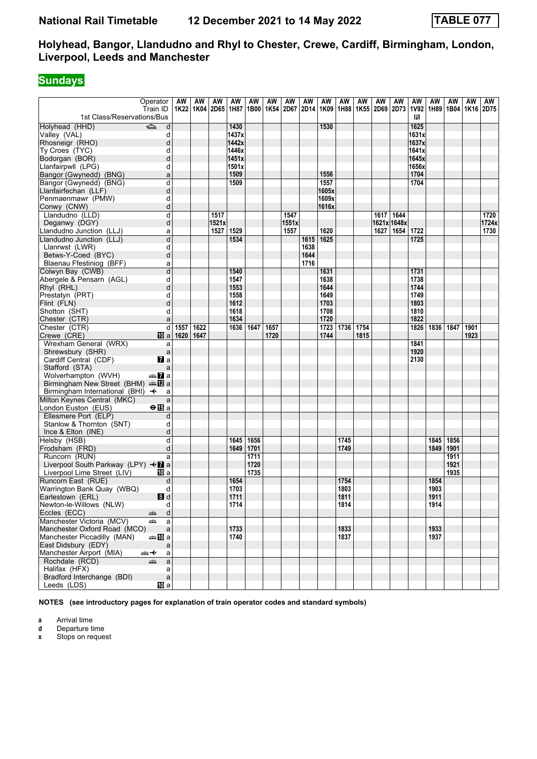# **Sundays**

|                                                   | Operator                       | AW   | AW             | AW    | AW    | AW        | AW   | AW        | AW   | AW                        | AW   | AW   | AW   | AW          | AW    | AW                       | AW   | AW   | AW    |
|---------------------------------------------------|--------------------------------|------|----------------|-------|-------|-----------|------|-----------|------|---------------------------|------|------|------|-------------|-------|--------------------------|------|------|-------|
| 1st Class/Reservations/Bus                        | Train ID                       |      | 1K22 1K04 2D65 |       |       | 1H87 1B00 |      | 1K54 2D67 |      | 2D14   1K09   1H88   1K55 |      |      |      | 2D69 2D73   | в     | 1V92 1H89 1B04 1K16 2D75 |      |      |       |
| Holyhead (HHD)                                    | $\Rightarrow$<br>d             |      |                |       | 1430  |           |      |           |      | 1530                      |      |      |      |             | 1625  |                          |      |      |       |
| Valley (VAL)                                      | d                              |      |                |       | 1437x |           |      |           |      |                           |      |      |      |             | 1631x |                          |      |      |       |
| Rhosneigr (RHO)                                   | d                              |      |                |       | 1442x |           |      |           |      |                           |      |      |      |             | 1637x |                          |      |      |       |
| Ty Croes (TYC)                                    | d                              |      |                |       | 1446x |           |      |           |      |                           |      |      |      |             | 1641x |                          |      |      |       |
| Bodorgan (BOR)                                    | d                              |      |                |       | 1451x |           |      |           |      |                           |      |      |      |             | 1645x |                          |      |      |       |
| Llanfairpwll (LPG)                                | d                              |      |                |       | 1501x |           |      |           |      |                           |      |      |      |             | 1656x |                          |      |      |       |
| Bangor (Gwynedd) (BNG)                            | a                              |      |                |       | 1509  |           |      |           |      | 1556                      |      |      |      |             | 1704  |                          |      |      |       |
|                                                   | d                              |      |                |       | 1509  |           |      |           |      | 1557                      |      |      |      |             | 1704  |                          |      |      |       |
| Bangor (Gwynedd) (BNG)                            | d                              |      |                |       |       |           |      |           |      | 1605x                     |      |      |      |             |       |                          |      |      |       |
| Llanfairfechan (LLF)                              | d                              |      |                |       |       |           |      |           |      | 1609x                     |      |      |      |             |       |                          |      |      |       |
| Penmaenmawr (PMW)<br>Conwy (CNW)                  | d                              |      |                |       |       |           |      |           |      | 1616x                     |      |      |      |             |       |                          |      |      |       |
| Llandudno (LLD)                                   | d                              |      |                | 1517  |       |           |      | 1547      |      |                           |      |      | 1617 | 1644        |       |                          |      |      | 1720  |
| Deganwy (DGY)                                     | d                              |      |                | 1521x |       |           |      | 1551x     |      |                           |      |      |      | 1621x 1648x |       |                          |      |      | 1724x |
|                                                   |                                |      |                |       | 1529  |           |      |           |      | 1620                      |      |      |      |             | 1722  |                          |      |      |       |
| Llandudno Junction (LLJ)                          | a<br>d                         |      |                | 1527  |       |           |      | 1557      |      |                           |      |      | 1627 | 1654        |       |                          |      |      | 1730  |
| Llandudno Junction (LLJ)                          |                                |      |                |       | 1534  |           |      |           | 1615 | 1625                      |      |      |      |             | 1725  |                          |      |      |       |
| Llanrwst (LWR)                                    | d                              |      |                |       |       |           |      |           | 1638 |                           |      |      |      |             |       |                          |      |      |       |
| Betws-Y-Coed (BYC)                                | d                              |      |                |       |       |           |      |           | 1644 |                           |      |      |      |             |       |                          |      |      |       |
| Blaenau Ffestiniog (BFF)                          | a                              |      |                |       |       |           |      |           | 1716 |                           |      |      |      |             |       |                          |      |      |       |
| Colwyn Bay (CWB)                                  | d                              |      |                |       | 1540  |           |      |           |      | 1631                      |      |      |      |             | 1731  |                          |      |      |       |
| Abergele & Pensarn (AGL)                          | d                              |      |                |       | 1547  |           |      |           |      | 1638                      |      |      |      |             | 1738  |                          |      |      |       |
| Rhyl (RHL)                                        | d                              |      |                |       | 1553  |           |      |           |      | 1644                      |      |      |      |             | 1744  |                          |      |      |       |
| Prestatyn (PRT)                                   | d                              |      |                |       | 1558  |           |      |           |      | 1649                      |      |      |      |             | 1749  |                          |      |      |       |
| Flint (FLN)                                       | d                              |      |                |       | 1612  |           |      |           |      | 1703                      |      |      |      |             | 1803  |                          |      |      |       |
| Shotton (SHT)                                     | d                              |      |                |       | 1618  |           |      |           |      | 1708                      |      |      |      |             | 1810  |                          |      |      |       |
| Chester (CTR)                                     | a                              |      |                |       | 1634  |           |      |           |      | 1720                      |      |      |      |             | 1822  |                          |      |      |       |
| Chester (CTR)                                     | d                              | 1557 | 1622           |       | 1636  | 1647      | 1657 |           |      | 1723                      | 1736 | 1754 |      |             | 1826  | 1836                     | 1847 | 1901 |       |
| Crewe (CRE)                                       | 10 a l                         | 1620 | 1647           |       |       |           | 1720 |           |      | 1744                      |      | 1815 |      |             |       |                          |      | 1923 |       |
| Wrexham General (WRX)                             | a                              |      |                |       |       |           |      |           |      |                           |      |      |      |             | 1841  |                          |      |      |       |
| Shrewsbury (SHR)                                  | a                              |      |                |       |       |           |      |           |      |                           |      |      |      |             | 1920  |                          |      |      |       |
| Cardiff Central (CDF)                             | $\mathbf{z}$ a                 |      |                |       |       |           |      |           |      |                           |      |      |      |             | 2130  |                          |      |      |       |
| Stafford (STA)                                    | a                              |      |                |       |       |           |      |           |      |                           |      |      |      |             |       |                          |      |      |       |
| Wolverhampton (WVH)                               | an <mark>7</mark> a            |      |                |       |       |           |      |           |      |                           |      |      |      |             |       |                          |      |      |       |
| Birmingham New Street (BHM) $\oplus \mathbb{Z}$ a |                                |      |                |       |       |           |      |           |      |                           |      |      |      |             |       |                          |      |      |       |
| Birmingham International (BHI) $\rightarrow$      | a                              |      |                |       |       |           |      |           |      |                           |      |      |      |             |       |                          |      |      |       |
| Milton Keynes Central (MKC)                       | a                              |      |                |       |       |           |      |           |      |                           |      |      |      |             |       |                          |      |      |       |
| London Euston (EUS)                               | $\Theta$ is a                  |      |                |       |       |           |      |           |      |                           |      |      |      |             |       |                          |      |      |       |
| Ellesmere Port (ELP)                              | d                              |      |                |       |       |           |      |           |      |                           |      |      |      |             |       |                          |      |      |       |
| Stanlow & Thornton (SNT)                          | d                              |      |                |       |       |           |      |           |      |                           |      |      |      |             |       |                          |      |      |       |
| Ince & Elton (INE)                                | d                              |      |                |       |       |           |      |           |      |                           |      |      |      |             |       |                          |      |      |       |
| Helsby (HSB)                                      | d                              |      |                |       | 1645  | 1656      |      |           |      |                           | 1745 |      |      |             |       | 1845   1856              |      |      |       |
| Frodsham (FRD)                                    | d                              |      |                |       | 1649  | 1701      |      |           |      |                           | 1749 |      |      |             |       | 1849                     | 1901 |      |       |
| Runcorn (RUN)                                     | a                              |      |                |       |       | 1711      |      |           |      |                           |      |      |      |             |       |                          | 1911 |      |       |
| Liverpool South Parkway (LPY) <■ a                |                                |      |                |       |       | 1720      |      |           |      |                           |      |      |      |             |       |                          | 1921 |      |       |
| Liverpool Lime Street (LIV)                       | 100 a                          |      |                |       |       | 1735      |      |           |      |                           |      |      |      |             |       |                          | 1935 |      |       |
| Runcorn East (RUE)                                | d                              |      |                |       | 1654  |           |      |           |      |                           | 1754 |      |      |             |       | 1854                     |      |      |       |
| Warrington Bank Quay (WBQ)                        | d                              |      |                |       | 1703  |           |      |           |      |                           | 1803 |      |      |             |       | 1903                     |      |      |       |
| Earlestown (ERL)                                  | 8 <sup>d</sup>                 |      |                |       | 1711  |           |      |           |      |                           | 1811 |      |      |             |       | 1911                     |      |      |       |
| Newton-le-Willows (NLW)                           | d                              |      |                |       | 1714  |           |      |           |      |                           | 1814 |      |      |             |       | 1914                     |      |      |       |
| Eccles (ECC)                                      | d d<br>æ                       |      |                |       |       |           |      |           |      |                           |      |      |      |             |       |                          |      |      |       |
| Manchester Victoria (MCV)                         | چھ<br>a                        |      |                |       |       |           |      |           |      |                           |      |      |      |             |       |                          |      |      |       |
| Manchester Oxford Road (MCO)                      | $\mathsf{a}$                   |      |                |       | 1733  |           |      |           |      |                           | 1833 |      |      |             |       | 1933                     |      |      |       |
| Manchester Piccadilly (MAN)                       | ⇔≞MDa                          |      |                |       | 1740  |           |      |           |      |                           | 1837 |      |      |             |       | 1937                     |      |      |       |
| East Didsbury (EDY)                               | $\mathsf{a}$                   |      |                |       |       |           |      |           |      |                           |      |      |      |             |       |                          |      |      |       |
| Manchester Airport (MIA)                          | <del>๛</del> +<br>$\mathsf{a}$ |      |                |       |       |           |      |           |      |                           |      |      |      |             |       |                          |      |      |       |
| Rochdale (RCD)                                    | چھ<br>a                        |      |                |       |       |           |      |           |      |                           |      |      |      |             |       |                          |      |      |       |
| Halifax (HFX)                                     | a                              |      |                |       |       |           |      |           |      |                           |      |      |      |             |       |                          |      |      |       |
| Bradford Interchange (BDI)                        | $\mathsf{a}$                   |      |                |       |       |           |      |           |      |                           |      |      |      |             |       |                          |      |      |       |
| Leeds (LDS)                                       | 10 a                           |      |                |       |       |           |      |           |      |                           |      |      |      |             |       |                          |      |      |       |

**NOTES (see introductory pages for explanation of train operator codes and standard symbols)**

**a** Arrival time

**d** Departure time<br>**x** Stops on reque